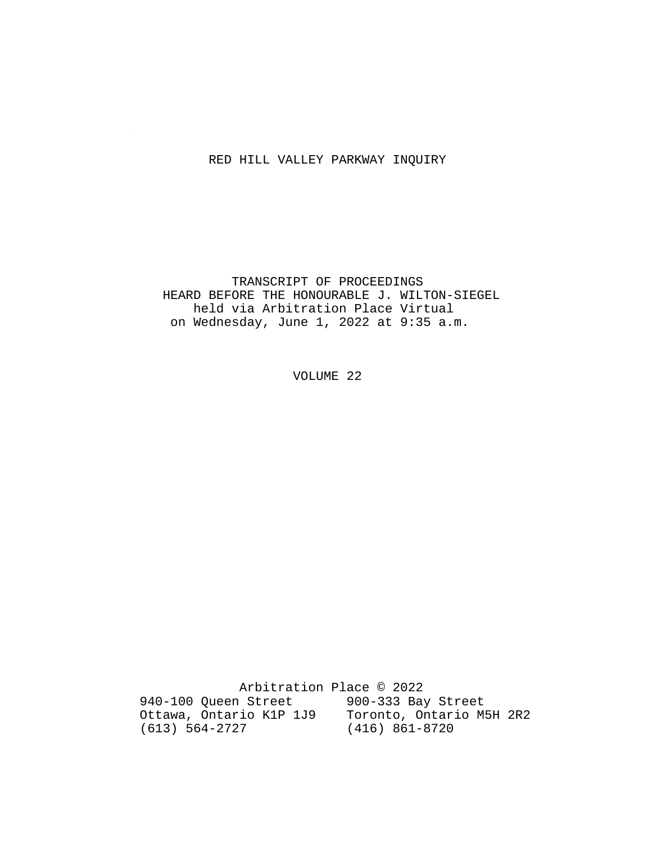### RED HILL VALLEY PARKWAY INQUIRY

 $\sim$ 

 TRANSCRIPT OF PROCEEDINGS HEARD BEFORE THE HONOURABLE J. WILTON-SIEGEL held via Arbitration Place Virtual on Wednesday, June 1, 2022 at 9:35 a.m.

VOLUME 22

 Arbitration Place © 2022 940-100 Queen Street 900-333 Bay Street Ottawa, Ontario K1P 1J9 Toronto, Ontario M5H 2R2 (613) 564-2727 (416) 861-8720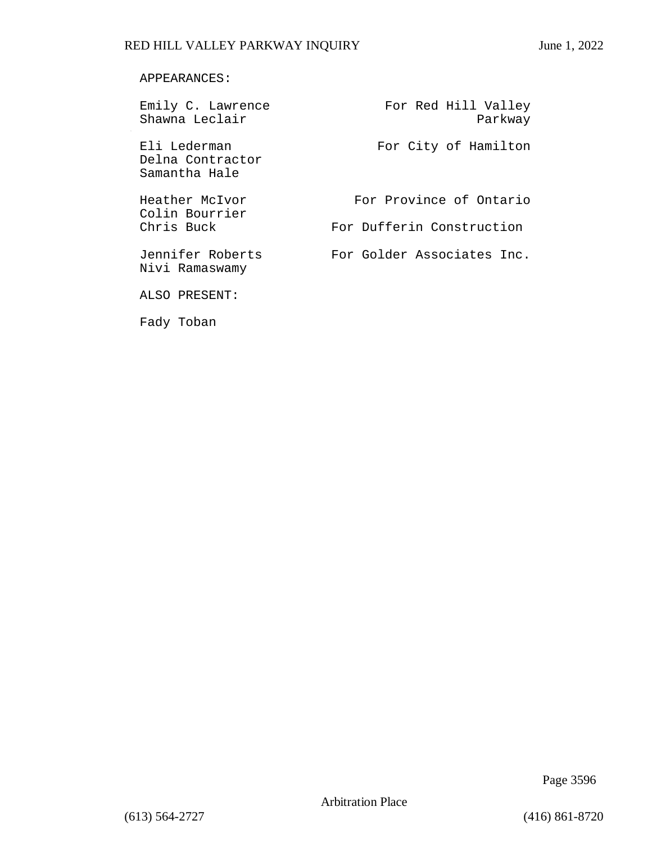#### APPEARANCES:

| Emily C. Lawrence<br>Shawna Leclair               | For Red Hill Valley<br>Parkway |
|---------------------------------------------------|--------------------------------|
| Eli Lederman<br>Delna Contractor<br>Samantha Hale | For City of Hamilton           |
| Heather McIvor<br>Colin Bourrier                  | For Province of Ontario        |
| Chris Buck                                        | For Dufferin Construction      |
| Jennifer Roberts<br>Nivi Ramaswamy                | For Golder Associates Inc.     |
| ALSO PRESENT:                                     |                                |

Fady Toban

Page 3596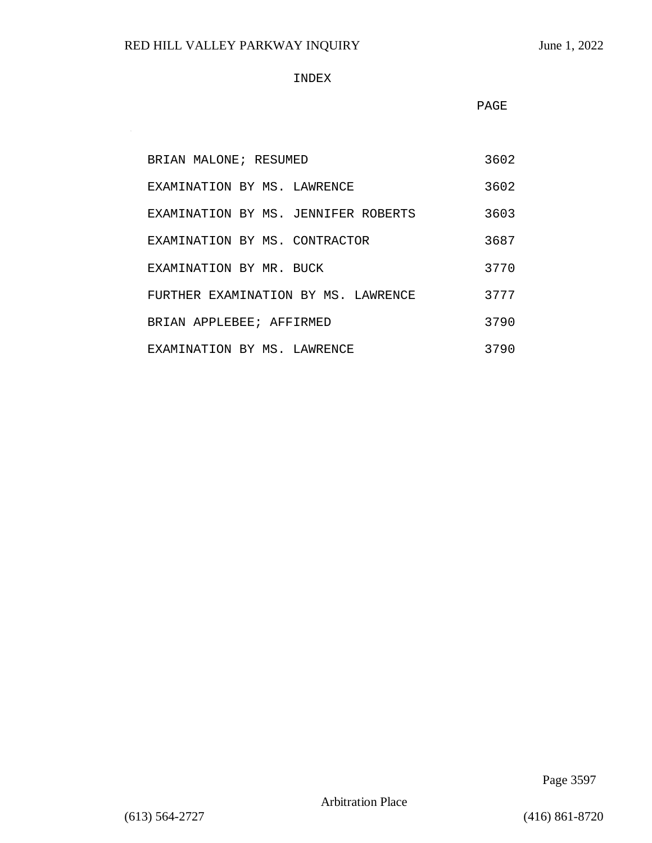$\sim$ 

#### INDEX

PAGE

| BRIAN MALONE; RESUMED               | 3602 |
|-------------------------------------|------|
| EXAMINATION BY MS. LAWRENCE         | 3602 |
| EXAMINATION BY MS. JENNIFER ROBERTS | 3603 |
| EXAMINATION BY MS. CONTRACTOR       | 3687 |
| EXAMINATION BY MR. BUCK             | 3770 |
| FURTHER EXAMINATION BY MS. LAWRENCE | 3777 |
| BRIAN APPLEBEE; AFFIRMED            | 3790 |
| EXAMINATION BY MS. LAWRENCE         | 3790 |

Page 3597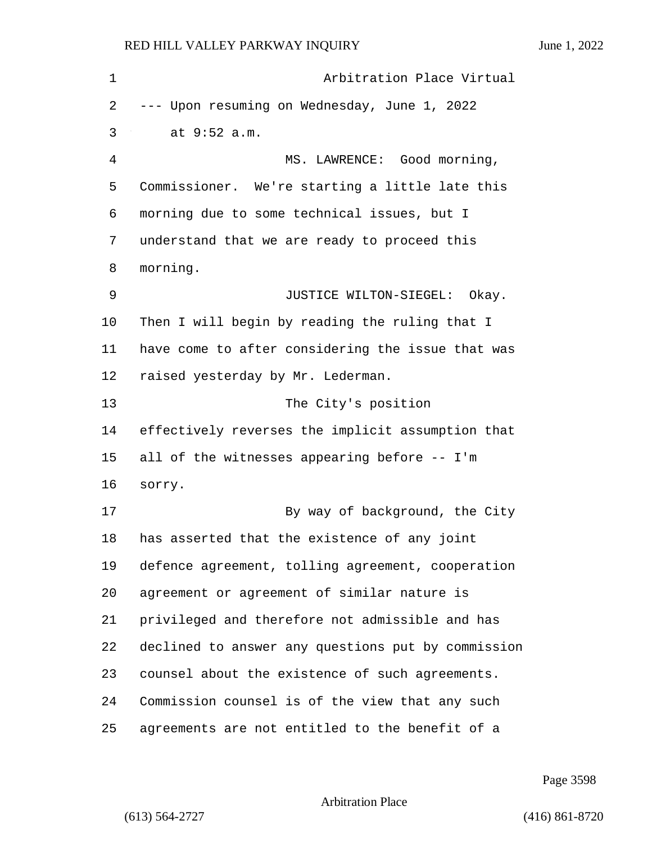1 Arbitration Place Virtual --- Upon resuming on Wednesday, June 1, 2022 3 at 9:52 a.m. 4 MS. LAWRENCE: Good morning, Commissioner. We're starting a little late this morning due to some technical issues, but I understand that we are ready to proceed this morning. 9 JUSTICE WILTON-SIEGEL: Okay. Then I will begin by reading the ruling that I have come to after considering the issue that was raised yesterday by Mr. Lederman. 13 The City's position effectively reverses the implicit assumption that all of the witnesses appearing before -- I'm sorry. 17 By way of background, the City has asserted that the existence of any joint defence agreement, tolling agreement, cooperation agreement or agreement of similar nature is privileged and therefore not admissible and has declined to answer any questions put by commission counsel about the existence of such agreements. Commission counsel is of the view that any such agreements are not entitled to the benefit of a

Page 3598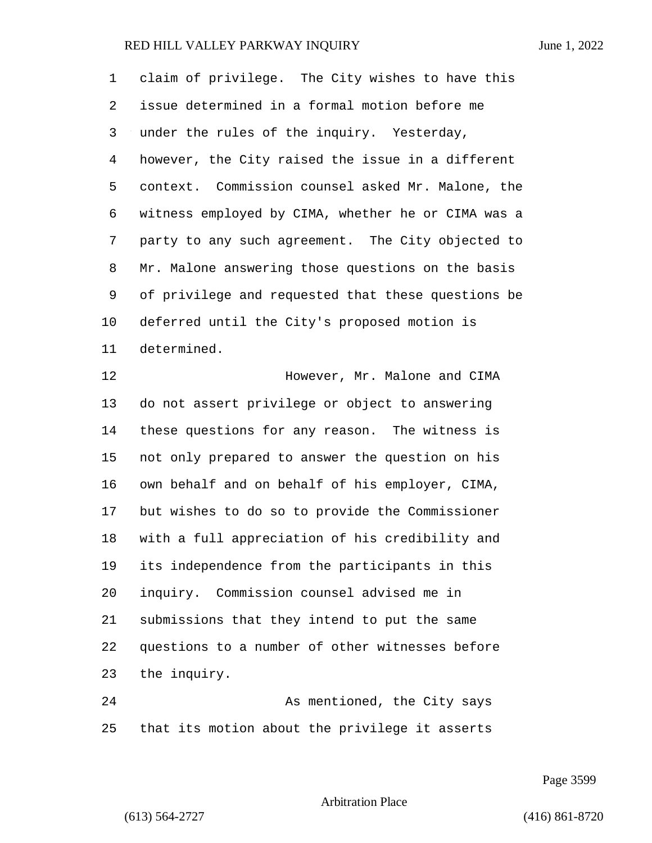claim of privilege. The City wishes to have this issue determined in a formal motion before me under the rules of the inquiry. Yesterday, however, the City raised the issue in a different context. Commission counsel asked Mr. Malone, the witness employed by CIMA, whether he or CIMA was a party to any such agreement. The City objected to Mr. Malone answering those questions on the basis of privilege and requested that these questions be deferred until the City's proposed motion is determined. **However, Mr. Malone and CIMA**  do not assert privilege or object to answering these questions for any reason. The witness is not only prepared to answer the question on his own behalf and on behalf of his employer, CIMA, but wishes to do so to provide the Commissioner with a full appreciation of his credibility and its independence from the participants in this inquiry. Commission counsel advised me in submissions that they intend to put the same questions to a number of other witnesses before the inquiry. 24 As mentioned, the City says

that its motion about the privilege it asserts

Page 3599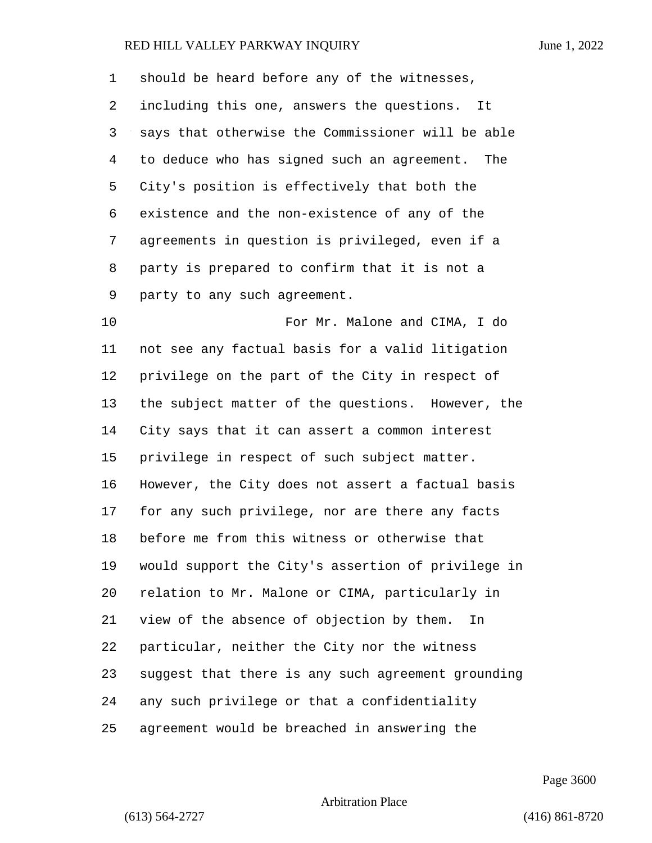including this one, answers the questions. It says that otherwise the Commissioner will be able to deduce who has signed such an agreement. The City's position is effectively that both the existence and the non-existence of any of the agreements in question is privileged, even if a party is prepared to confirm that it is not a party to any such agreement.

10 For Mr. Malone and CIMA, I do not see any factual basis for a valid litigation privilege on the part of the City in respect of the subject matter of the questions. However, the City says that it can assert a common interest privilege in respect of such subject matter. However, the City does not assert a factual basis for any such privilege, nor are there any facts before me from this witness or otherwise that would support the City's assertion of privilege in relation to Mr. Malone or CIMA, particularly in view of the absence of objection by them. In particular, neither the City nor the witness suggest that there is any such agreement grounding any such privilege or that a confidentiality agreement would be breached in answering the

Page 3600

### Arbitration Place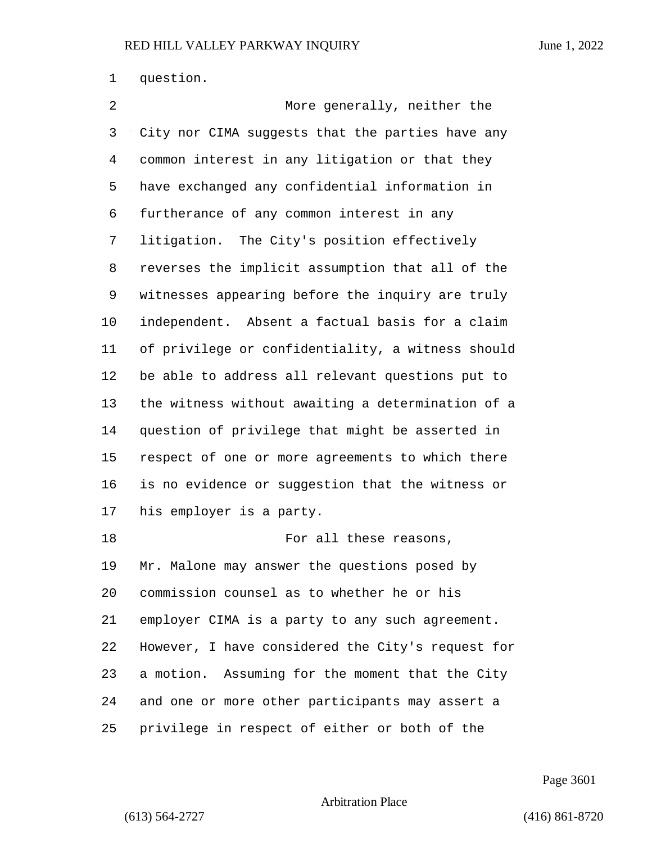question.

2 More generally, neither the City nor CIMA suggests that the parties have any common interest in any litigation or that they have exchanged any confidential information in furtherance of any common interest in any litigation. The City's position effectively reverses the implicit assumption that all of the witnesses appearing before the inquiry are truly independent. Absent a factual basis for a claim of privilege or confidentiality, a witness should be able to address all relevant questions put to the witness without awaiting a determination of a question of privilege that might be asserted in respect of one or more agreements to which there is no evidence or suggestion that the witness or his employer is a party. 18 For all these reasons, Mr. Malone may answer the questions posed by commission counsel as to whether he or his employer CIMA is a party to any such agreement. However, I have considered the City's request for a motion. Assuming for the moment that the City and one or more other participants may assert a privilege in respect of either or both of the

Page 3601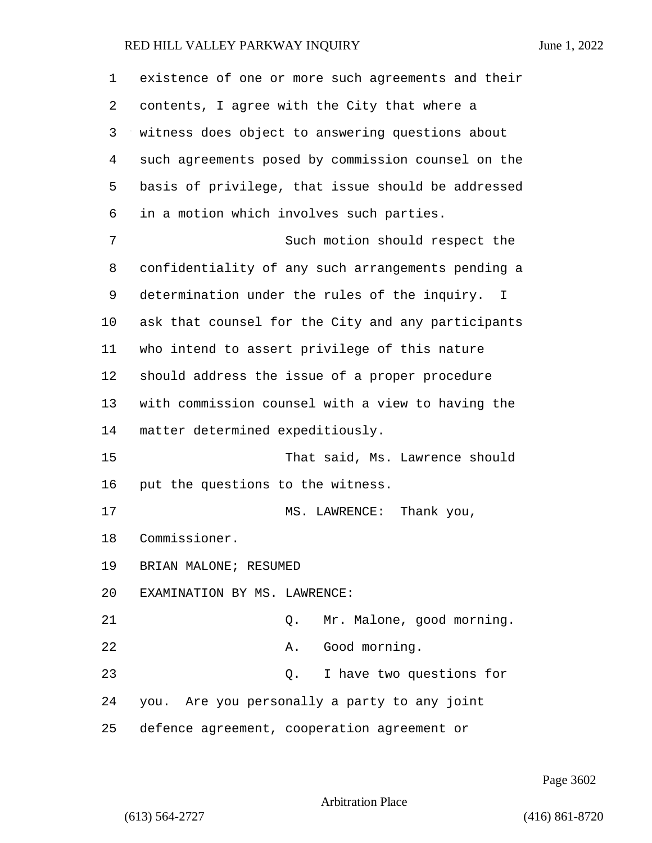| 1  | existence of one or more such agreements and their |
|----|----------------------------------------------------|
| 2  | contents, I agree with the City that where a       |
| 3  | witness does object to answering questions about   |
| 4  | such agreements posed by commission counsel on the |
| 5  | basis of privilege, that issue should be addressed |
| 6  | in a motion which involves such parties.           |
| 7  | Such motion should respect the                     |
| 8  | confidentiality of any such arrangements pending a |
| 9  | determination under the rules of the inquiry. I    |
| 10 | ask that counsel for the City and any participants |
| 11 | who intend to assert privilege of this nature      |
| 12 | should address the issue of a proper procedure     |
| 13 | with commission counsel with a view to having the  |
| 14 | matter determined expeditiously.                   |
| 15 | That said, Ms. Lawrence should                     |
| 16 | put the questions to the witness.                  |
| 17 | MS. LAWRENCE: Thank you,                           |
| 18 | Commissioner.                                      |
| 19 | BRIAN MALONE; RESUMED                              |
| 20 | EXAMINATION BY MS. LAWRENCE:                       |
| 21 | Mr. Malone, good morning.<br>Q.                    |
| 22 | Good morning.<br>Α.                                |
| 23 | Q. I have two questions for                        |
| 24 | you. Are you personally a party to any joint       |
| 25 | defence agreement, cooperation agreement or        |

Page 3602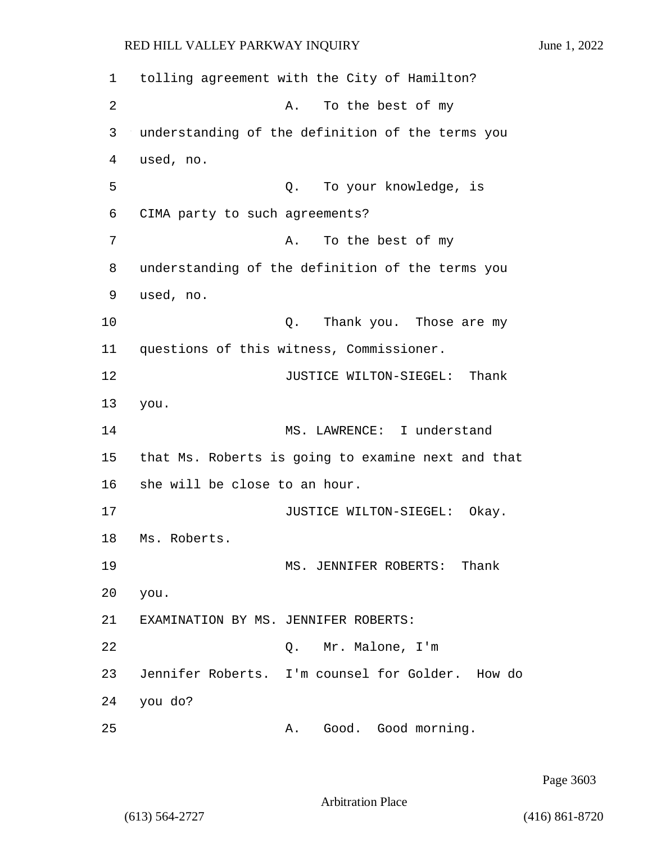tolling agreement with the City of Hamilton? 2 A. To the best of my understanding of the definition of the terms you used, no. 5 Q. To your knowledge, is CIMA party to such agreements? 7 A. To the best of my understanding of the definition of the terms you used, no. **Q.** Thank you. Those are my questions of this witness, Commissioner. **JUSTICE WILTON-SIEGEL:** Thank you. 14 MS. LAWRENCE: I understand that Ms. Roberts is going to examine next and that she will be close to an hour. **JUSTICE WILTON-SIEGEL:** Okay. Ms. Roberts. 19 MS. JENNIFER ROBERTS: Thank you. EXAMINATION BY MS. JENNIFER ROBERTS: 22 Q. Mr. Malone, I'm Jennifer Roberts. I'm counsel for Golder. How do you do? 25 A. Good. Good morning.

Page 3603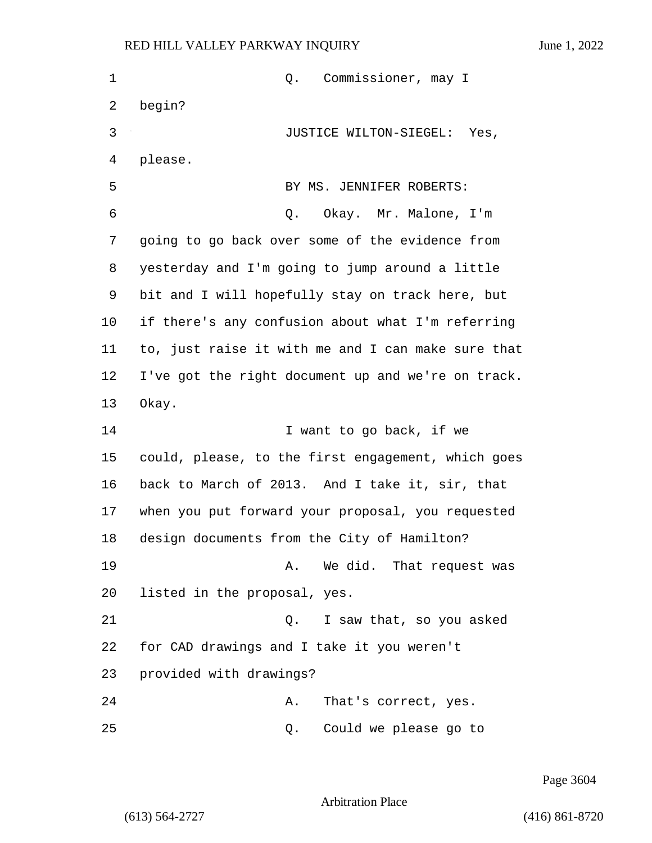1 Commissioner, may I 2 begin? 3 JUSTICE WILTON-SIEGEL: Yes, 4 please. 5 BY MS. JENNIFER ROBERTS: 6 Q. Okay. Mr. Malone, I'm 7 going to go back over some of the evidence from 8 yesterday and I'm going to jump around a little 9 bit and I will hopefully stay on track here, but 10 if there's any confusion about what I'm referring 11 to, just raise it with me and I can make sure that 12 I've got the right document up and we're on track. 13 Okay. 14 I want to go back, if we 15 could, please, to the first engagement, which goes 16 back to March of 2013. And I take it, sir, that 17 when you put forward your proposal, you requested 18 design documents from the City of Hamilton? 19 A. We did. That request was 20 listed in the proposal, yes. 21 Q. I saw that, so you asked 22 for CAD drawings and I take it you weren't 23 provided with drawings? 24 A. That's correct, yes. 25 Q. Could we please go to

Page 3604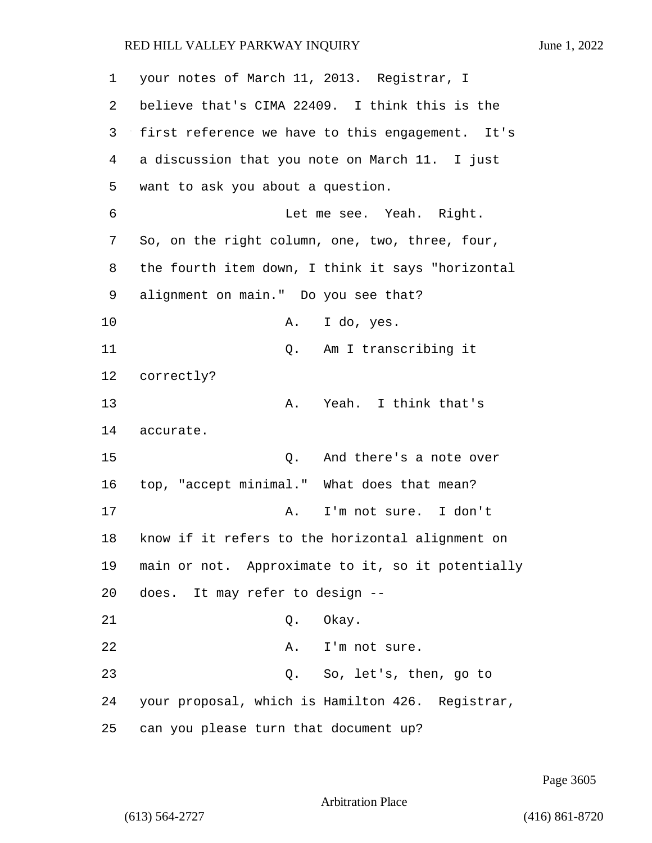| 1  | your notes of March 11, 2013. Registrar, I        |
|----|---------------------------------------------------|
| 2  | believe that's CIMA 22409. I think this is the    |
| 3  | first reference we have to this engagement. It's  |
| 4  | a discussion that you note on March 11. I just    |
| 5  | want to ask you about a question.                 |
| 6  | Let me see. Yeah. Right.                          |
| 7  | So, on the right column, one, two, three, four,   |
| 8  | the fourth item down, I think it says "horizontal |
| 9  | alignment on main." Do you see that?              |
| 10 | I do, yes.<br>Α.                                  |
| 11 | Am I transcribing it<br>Q.                        |
| 12 | correctly?                                        |
| 13 | Yeah. I think that's<br>Α.                        |
| 14 | accurate.                                         |
| 15 | And there's a note over<br>Q.                     |
| 16 | top, "accept minimal." What does that mean?       |
| 17 | I'm not sure. I don't<br>Α.                       |
| 18 | know if it refers to the horizontal alignment on  |
| 19 | main or not. Approximate to it, so it potentially |
| 20 | does. It may refer to design --                   |
| 21 | Q.<br>Okay.                                       |
| 22 | A.<br>I'm not sure.                               |
| 23 | Q. So, let's, then, go to                         |
| 24 | your proposal, which is Hamilton 426. Registrar,  |
| 25 | can you please turn that document up?             |

Page 3605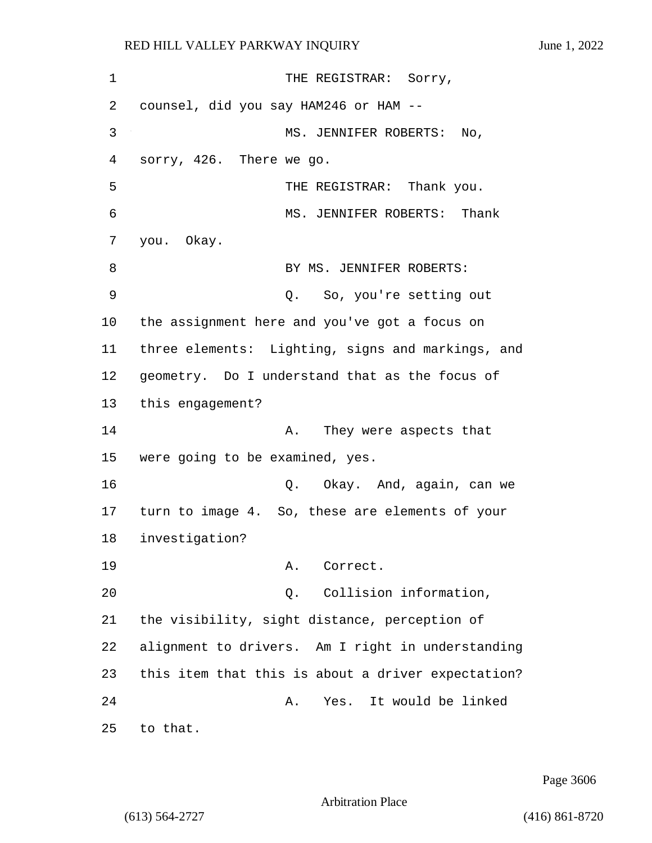1 THE REGISTRAR: Sorry, 2 counsel, did you say HAM246 or HAM -- 3 MS. JENNIFER ROBERTS: No, 4 sorry, 426. There we go. 5 THE REGISTRAR: Thank you. 6 MS. JENNIFER ROBERTS: Thank 7 you. Okay. 8 BY MS. JENNIFER ROBERTS: 9 Q. So, you're setting out 10 the assignment here and you've got a focus on 11 three elements: Lighting, signs and markings, and 12 geometry. Do I understand that as the focus of 13 this engagement? 14 A. They were aspects that 15 were going to be examined, yes. 16 Q. Okay. And, again, can we 17 turn to image 4. So, these are elements of your 18 investigation? 19 A. Correct. 20 Q. Collision information, 21 the visibility, sight distance, perception of 22 alignment to drivers. Am I right in understanding 23 this item that this is about a driver expectation? 24 A. Yes. It would be linked 25 to that.

Page 3606

Arbitration Place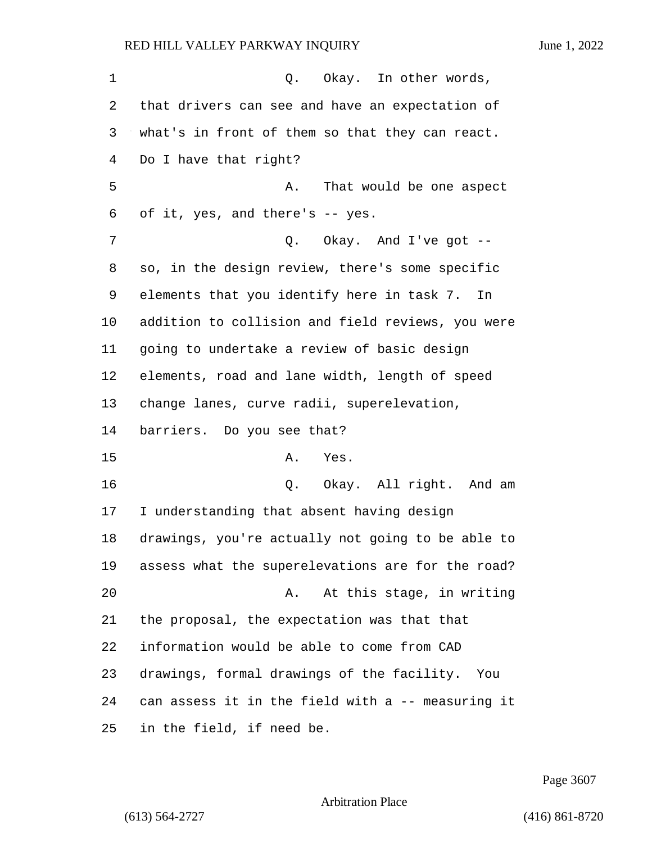1 0. Okay. In other words, that drivers can see and have an expectation of what's in front of them so that they can react. Do I have that right? 5 A. That would be one aspect of it, yes, and there's -- yes. 7 O. Okay. And I've got -- so, in the design review, there's some specific elements that you identify here in task 7. In addition to collision and field reviews, you were going to undertake a review of basic design elements, road and lane width, length of speed change lanes, curve radii, superelevation, barriers. Do you see that? 15 A. Yes. 16 Q. Okay. All right. And am I understanding that absent having design drawings, you're actually not going to be able to assess what the superelevations are for the road? 20 A. At this stage, in writing the proposal, the expectation was that that information would be able to come from CAD drawings, formal drawings of the facility. You can assess it in the field with a -- measuring it in the field, if need be.

Page 3607

Arbitration Place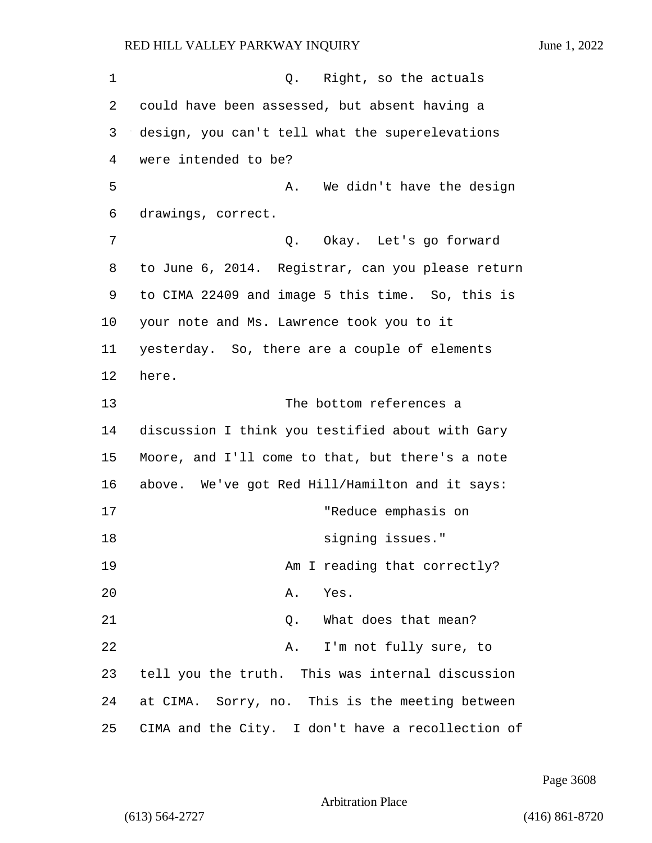1 and 0. Right, so the actuals 2 could have been assessed, but absent having a 3 design, you can't tell what the superelevations 4 were intended to be? 5 A. We didn't have the design 6 drawings, correct. 7 Q. Okay. Let's go forward 8 to June 6, 2014. Registrar, can you please return 9 to CIMA 22409 and image 5 this time. So, this is 10 your note and Ms. Lawrence took you to it 11 yesterday. So, there are a couple of elements 12 here. 13 The bottom references a 14 discussion I think you testified about with Gary 15 Moore, and I'll come to that, but there's a note 16 above. We've got Red Hill/Hamilton and it says: 17 "Reduce emphasis on 18 signing issues." 19 Am I reading that correctly? 20 A. Yes. 21 C. What does that mean? 22 A. I'm not fully sure, to 23 tell you the truth. This was internal discussion 24 at CIMA. Sorry, no. This is the meeting between 25 CIMA and the City. I don't have a recollection of

Page 3608

```
Arbitration Place
```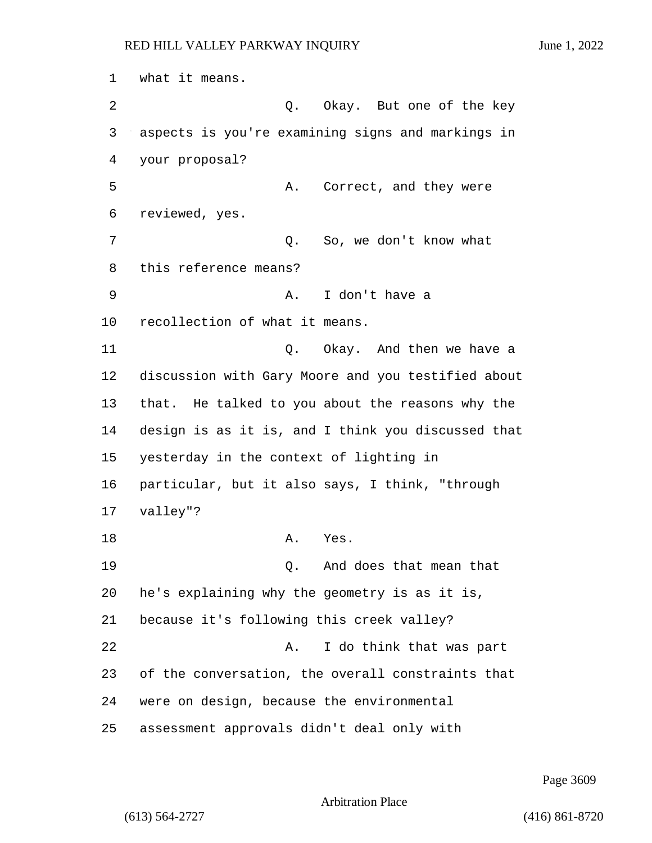what it means. 2 Q. Okay. But one of the key aspects is you're examining signs and markings in your proposal? 5 A. Correct, and they were reviewed, yes. 7 Q. So, we don't know what this reference means? 9 A. I don't have a recollection of what it means. 11 C. Okay. And then we have a discussion with Gary Moore and you testified about that. He talked to you about the reasons why the design is as it is, and I think you discussed that yesterday in the context of lighting in particular, but it also says, I think, "through 17 valley"? 18 A. Yes. 19 Q. And does that mean that he's explaining why the geometry is as it is, because it's following this creek valley? 22 A. I do think that was part of the conversation, the overall constraints that were on design, because the environmental assessment approvals didn't deal only with

Page 3609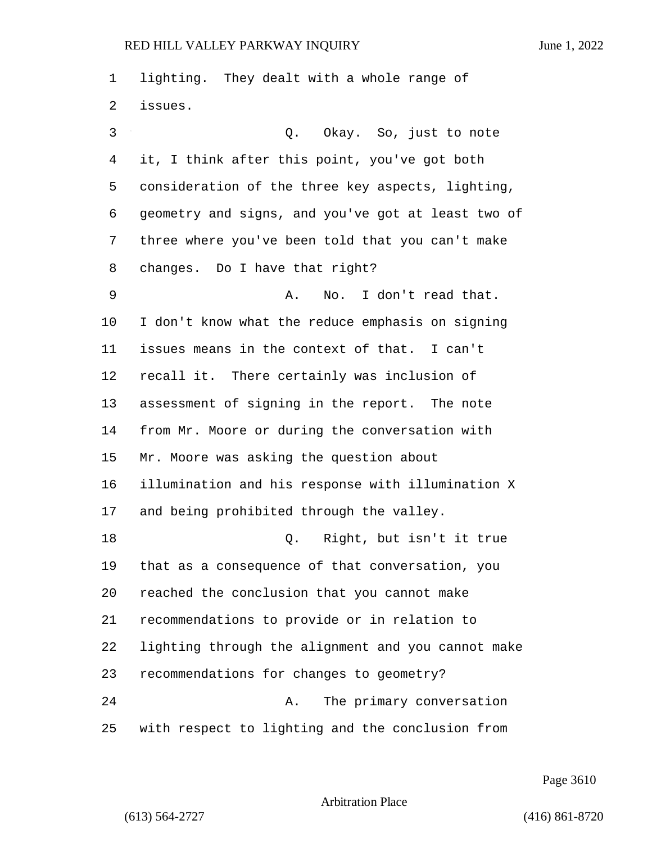lighting. They dealt with a whole range of issues. 3 Q. Okay. So, just to note it, I think after this point, you've got both consideration of the three key aspects, lighting, geometry and signs, and you've got at least two of three where you've been told that you can't make changes. Do I have that right? 9 A. No. I don't read that. I don't know what the reduce emphasis on signing issues means in the context of that. I can't recall it. There certainly was inclusion of assessment of signing in the report. The note from Mr. Moore or during the conversation with Mr. Moore was asking the question about illumination and his response with illumination X and being prohibited through the valley. 18 Q. Right, but isn't it true that as a consequence of that conversation, you reached the conclusion that you cannot make recommendations to provide or in relation to lighting through the alignment and you cannot make recommendations for changes to geometry? 24 A. The primary conversation with respect to lighting and the conclusion from

Page 3610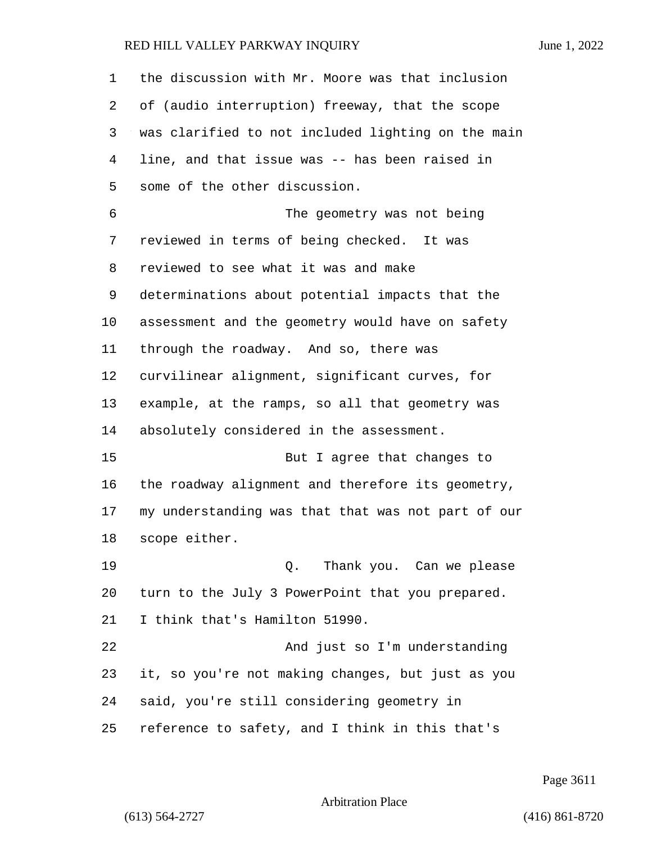| 1  | the discussion with Mr. Moore was that inclusion   |
|----|----------------------------------------------------|
| 2  | of (audio interruption) freeway, that the scope    |
| 3  | was clarified to not included lighting on the main |
| 4  | line, and that issue was -- has been raised in     |
| 5  | some of the other discussion.                      |
| 6  | The geometry was not being                         |
| 7  | reviewed in terms of being checked. It was         |
| 8  | reviewed to see what it was and make               |
| 9  | determinations about potential impacts that the    |
| 10 | assessment and the geometry would have on safety   |
| 11 | through the roadway. And so, there was             |
| 12 | curvilinear alignment, significant curves, for     |
| 13 | example, at the ramps, so all that geometry was    |
| 14 | absolutely considered in the assessment.           |
| 15 | But I agree that changes to                        |
| 16 | the roadway alignment and therefore its geometry,  |
| 17 | my understanding was that that was not part of our |
| 18 | scope either.                                      |
| 19 | Q. Thank you. Can we please                        |
| 20 | turn to the July 3 PowerPoint that you prepared.   |
| 21 | I think that's Hamilton 51990.                     |
| 22 | And just so I'm understanding                      |
| 23 | it, so you're not making changes, but just as you  |
| 24 | said, you're still considering geometry in         |
| 25 | reference to safety, and I think in this that's    |

Page 3611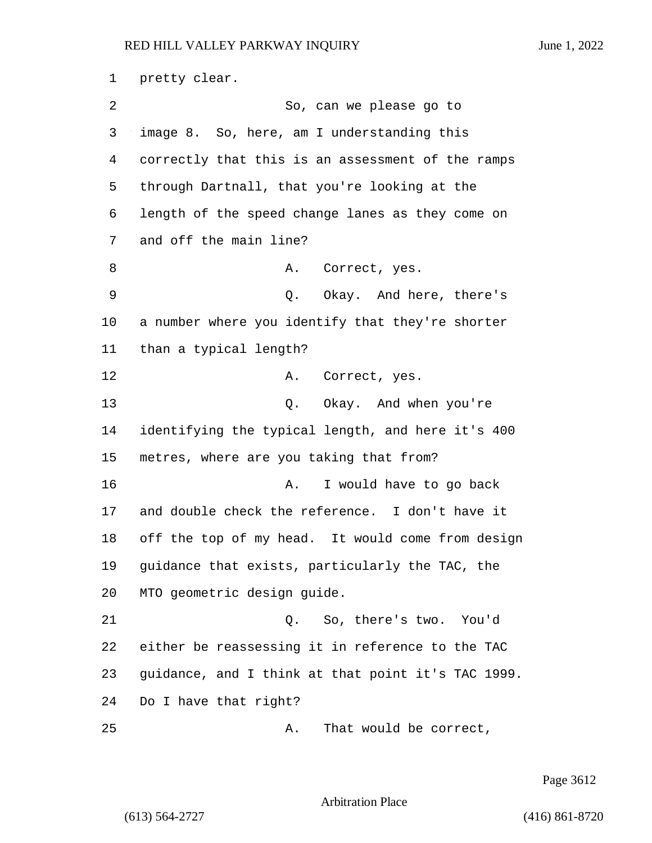pretty clear. 2 So, can we please go to image 8. So, here, am I understanding this correctly that this is an assessment of the ramps through Dartnall, that you're looking at the length of the speed change lanes as they come on and off the main line? 8 A. Correct, yes. 9 Q. Okay. And here, there's a number where you identify that they're shorter than a typical length? 12 A. Correct, yes. 13 Q. Okay. And when you're identifying the typical length, and here it's 400 metres, where are you taking that from? 16 A. I would have to go back and double check the reference. I don't have it off the top of my head. It would come from design guidance that exists, particularly the TAC, the MTO geometric design guide. 21 Q. So, there's two. You'd either be reassessing it in reference to the TAC guidance, and I think at that point it's TAC 1999. Do I have that right? 25 A. That would be correct,

Page 3612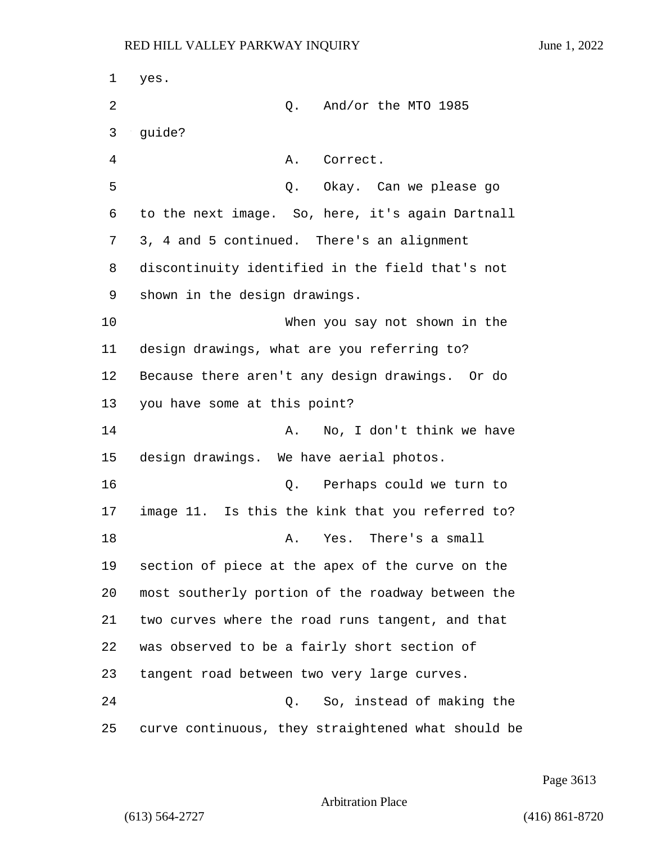yes. 2 Q. And/or the MTO 1985 guide? 4 A. Correct. 5 Q. Okay. Can we please go to the next image. So, here, it's again Dartnall 3, 4 and 5 continued. There's an alignment discontinuity identified in the field that's not shown in the design drawings. 10 When you say not shown in the design drawings, what are you referring to? Because there aren't any design drawings. Or do you have some at this point? **A.** No, I don't think we have design drawings. We have aerial photos. 16 Q. Perhaps could we turn to image 11. Is this the kink that you referred to? **A.** Yes. There's a small section of piece at the apex of the curve on the most southerly portion of the roadway between the two curves where the road runs tangent, and that was observed to be a fairly short section of tangent road between two very large curves. 24 Q. So, instead of making the curve continuous, they straightened what should be

Page 3613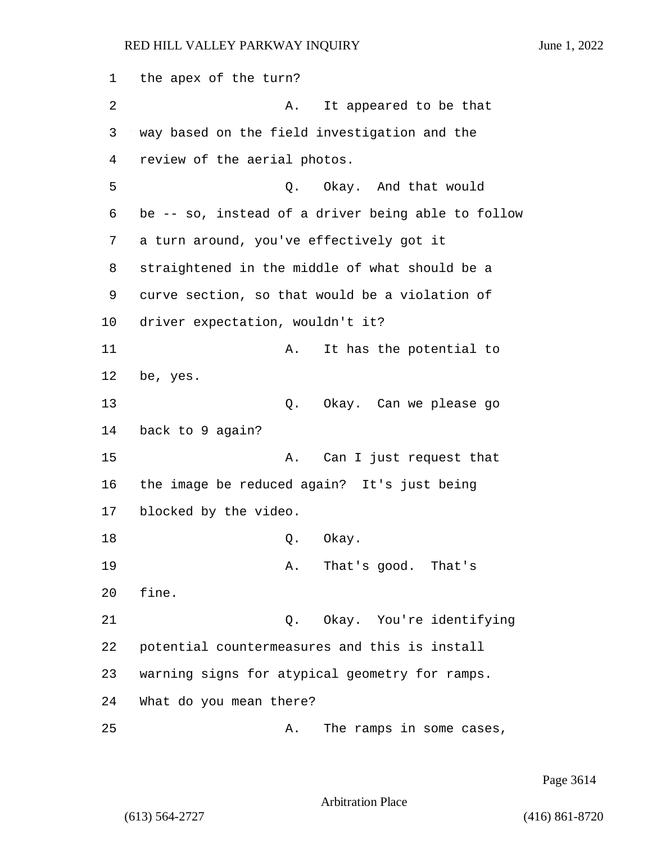1 the apex of the turn? 2 A. It appeared to be that 3 way based on the field investigation and the 4 review of the aerial photos. 5 Q. Okay. And that would 6 be -- so, instead of a driver being able to follow 7 a turn around, you've effectively got it 8 straightened in the middle of what should be a 9 curve section, so that would be a violation of 10 driver expectation, wouldn't it? 11 A. It has the potential to 12 be, yes. 13 Q. Okay. Can we please go 14 back to 9 again? 15 A. Can I just request that 16 the image be reduced again? It's just being 17 blocked by the video. 18 Q. Okay. 19 A. That's good. That's 20 fine. 21 Q. Okay. You're identifying 22 potential countermeasures and this is install 23 warning signs for atypical geometry for ramps. 24 What do you mean there? 25 A. The ramps in some cases,

Page 3614

Arbitration Place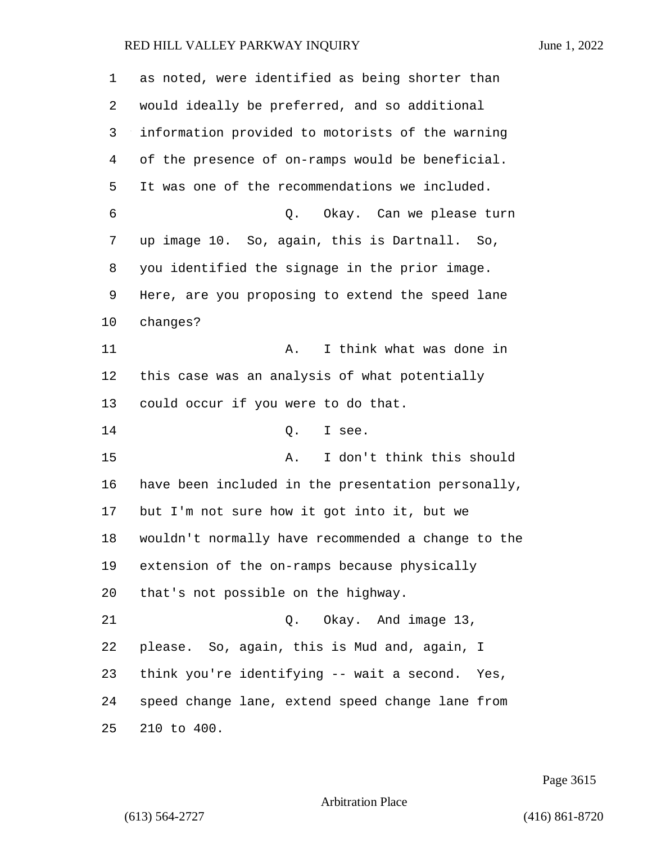| 1  | as noted, were identified as being shorter than    |
|----|----------------------------------------------------|
| 2  | would ideally be preferred, and so additional      |
| 3  | information provided to motorists of the warning   |
| 4  | of the presence of on-ramps would be beneficial.   |
| 5  | It was one of the recommendations we included.     |
| 6  | Q. Okay. Can we please turn                        |
| 7  | up image 10. So, again, this is Dartnall. So,      |
| 8  | you identified the signage in the prior image.     |
| 9  | Here, are you proposing to extend the speed lane   |
| 10 | changes?                                           |
| 11 | I think what was done in<br>Α.                     |
| 12 | this case was an analysis of what potentially      |
| 13 | could occur if you were to do that.                |
| 14 | I see.<br>Q.                                       |
| 15 | I don't think this should<br>Α.                    |
| 16 | have been included in the presentation personally, |
| 17 | but I'm not sure how it got into it, but we        |
| 18 | wouldn't normally have recommended a change to the |
| 19 | extension of the on-ramps because physically       |
| 20 | that's not possible on the highway.                |
| 21 | Q. Okay. And image 13,                             |
| 22 | please. So, again, this is Mud and, again, I       |
| 23 | think you're identifying -- wait a second. Yes,    |
| 24 | speed change lane, extend speed change lane from   |
| 25 | 210 to 400.                                        |

Page 3615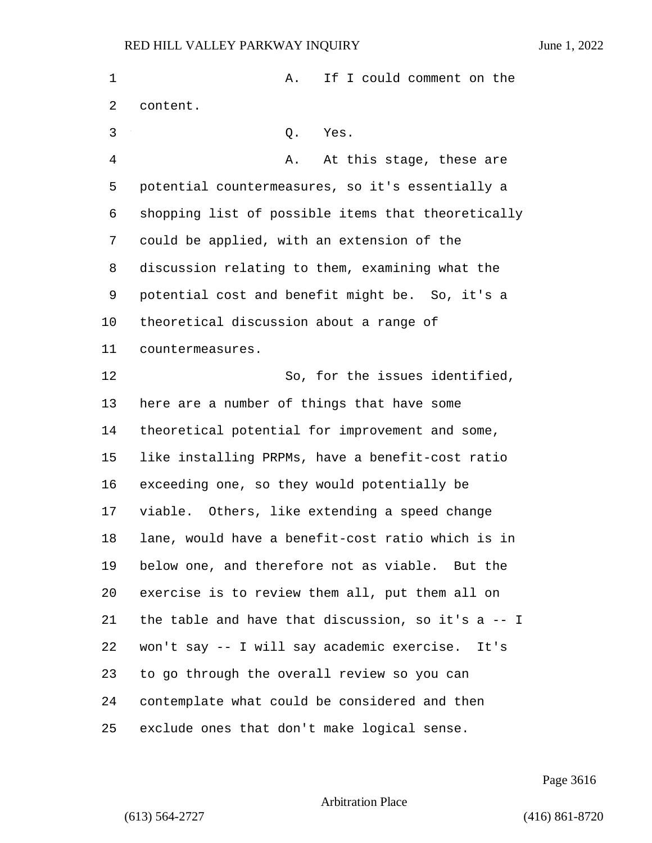| 1       | If I could comment on the<br>Α.                     |
|---------|-----------------------------------------------------|
| 2       | content.                                            |
| 3       | Q.<br>Yes.                                          |
| 4       | At this stage, these are<br>Α.                      |
| 5       | potential countermeasures, so it's essentially a    |
| 6       | shopping list of possible items that theoretically  |
| 7       | could be applied, with an extension of the          |
| 8       | discussion relating to them, examining what the     |
| 9       | potential cost and benefit might be. So, it's a     |
| $10 \,$ | theoretical discussion about a range of             |
| 11      | countermeasures.                                    |
| 12      | So, for the issues identified,                      |
| 13      | here are a number of things that have some          |
| 14      | theoretical potential for improvement and some,     |
| 15      | like installing PRPMs, have a benefit-cost ratio    |
| 16      | exceeding one, so they would potentially be         |
| 17      | viable. Others, like extending a speed change       |
| 18      | lane, would have a benefit-cost ratio which is in   |
| 19      | below one, and therefore not as viable. But the     |
| 20      | exercise is to review them all, put them all on     |
| 21      | the table and have that discussion, so it's $a - I$ |
| 22      | won't say -- I will say academic exercise. It's     |
| 23      | to go through the overall review so you can         |
| 24      | contemplate what could be considered and then       |
| 25      | exclude ones that don't make logical sense.         |

Page 3616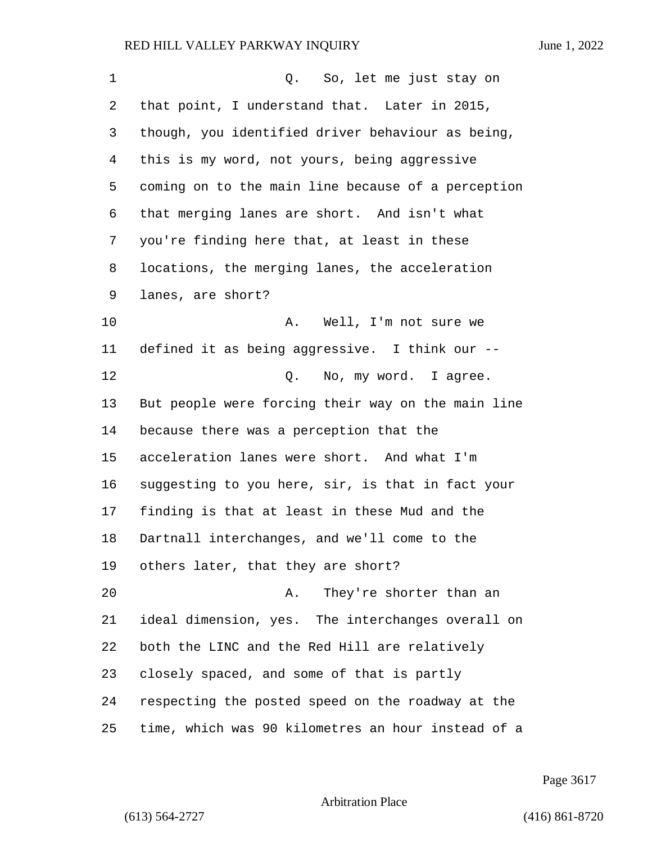| 1  | Q. So, let me just stay on                         |
|----|----------------------------------------------------|
| 2  | that point, I understand that. Later in 2015,      |
| 3  | though, you identified driver behaviour as being,  |
| 4  | this is my word, not yours, being aggressive       |
| 5  | coming on to the main line because of a perception |
| 6  | that merging lanes are short. And isn't what       |
| 7  | you're finding here that, at least in these        |
| 8  | locations, the merging lanes, the acceleration     |
| 9  | lanes, are short?                                  |
| 10 | Well, I'm not sure we<br>Α.                        |
| 11 | defined it as being aggressive. I think our --     |
| 12 | Q. No, my word. I agree.                           |
| 13 | But people were forcing their way on the main line |
| 14 | because there was a perception that the            |
| 15 | acceleration lanes were short. And what I'm        |
| 16 | suggesting to you here, sir, is that in fact your  |
| 17 | finding is that at least in these Mud and the      |
| 18 | Dartnall interchanges, and we'll come to the       |
| 19 | others later, that they are short?                 |
| 20 | They're shorter than an<br>Α.                      |
| 21 | ideal dimension, yes. The interchanges overall on  |
| 22 | both the LINC and the Red Hill are relatively      |
| 23 | closely spaced, and some of that is partly         |
| 24 | respecting the posted speed on the roadway at the  |
| 25 | time, which was 90 kilometres an hour instead of a |

Page 3617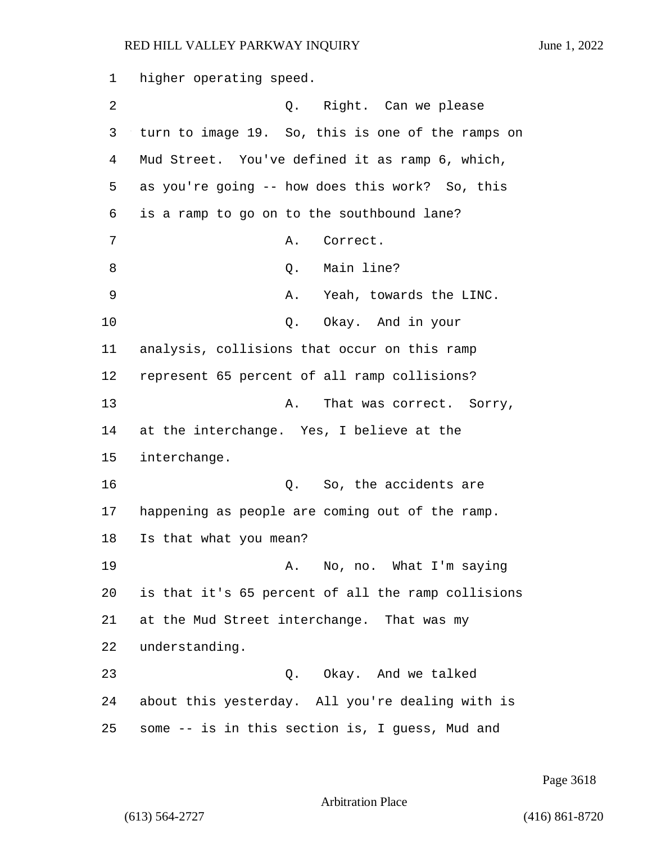higher operating speed. 2 Q. Right. Can we please turn to image 19. So, this is one of the ramps on Mud Street. You've defined it as ramp 6, which, as you're going -- how does this work? So, this is a ramp to go on to the southbound lane? 7 A. Correct. 8 O. Main line? 9 A. Yeah, towards the LINC. 10 Q. Okay. And in your analysis, collisions that occur on this ramp represent 65 percent of all ramp collisions? 13 A. That was correct. Sorry, at the interchange. Yes, I believe at the interchange. 16 Q. So, the accidents are happening as people are coming out of the ramp. Is that what you mean? 19 A. No, no. What I'm saying is that it's 65 percent of all the ramp collisions at the Mud Street interchange. That was my understanding. 23 Q. Okay. And we talked about this yesterday. All you're dealing with is some -- is in this section is, I guess, Mud and

Page 3618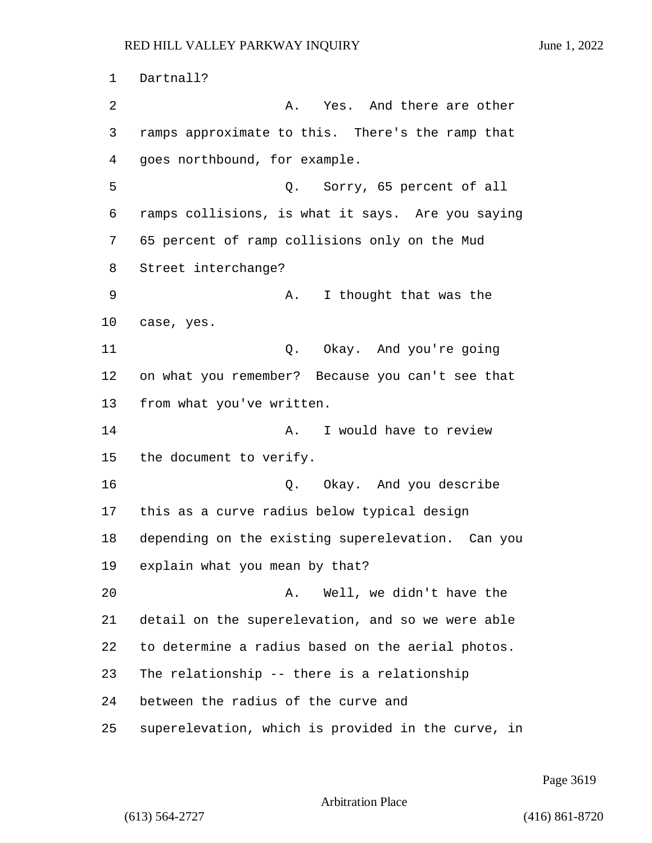Dartnall? 2 A. Yes. And there are other ramps approximate to this. There's the ramp that goes northbound, for example. 5 Q. Sorry, 65 percent of all ramps collisions, is what it says. Are you saying 65 percent of ramp collisions only on the Mud Street interchange? 9 A. I thought that was the case, yes. 11 Q. Okay. And you're going on what you remember? Because you can't see that from what you've written. 14 A. I would have to review the document to verify. 16 Q. Okay. And you describe this as a curve radius below typical design depending on the existing superelevation. Can you explain what you mean by that? 20 A. Well, we didn't have the detail on the superelevation, and so we were able to determine a radius based on the aerial photos. The relationship -- there is a relationship between the radius of the curve and superelevation, which is provided in the curve, in

Page 3619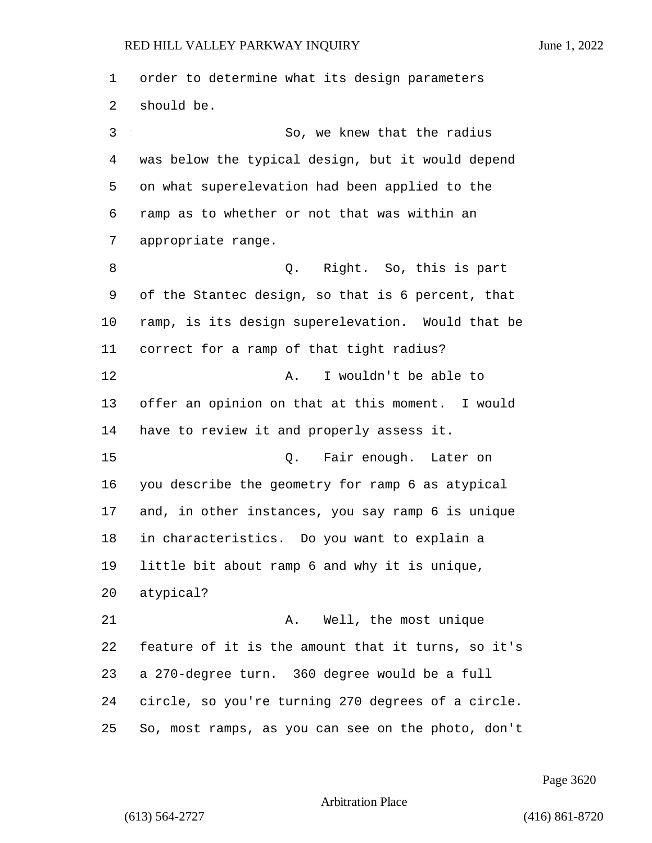order to determine what its design parameters should be. 3 So, we knew that the radius was below the typical design, but it would depend on what superelevation had been applied to the ramp as to whether or not that was within an appropriate range. 8 and 2. Right. So, this is part of the Stantec design, so that is 6 percent, that ramp, is its design superelevation. Would that be correct for a ramp of that tight radius? 12 A. I wouldn't be able to offer an opinion on that at this moment. I would have to review it and properly assess it. 15 C. Fair enough. Later on you describe the geometry for ramp 6 as atypical and, in other instances, you say ramp 6 is unique in characteristics. Do you want to explain a little bit about ramp 6 and why it is unique, atypical? 21 A. Well, the most unique feature of it is the amount that it turns, so it's a 270-degree turn. 360 degree would be a full circle, so you're turning 270 degrees of a circle. So, most ramps, as you can see on the photo, don't

Page 3620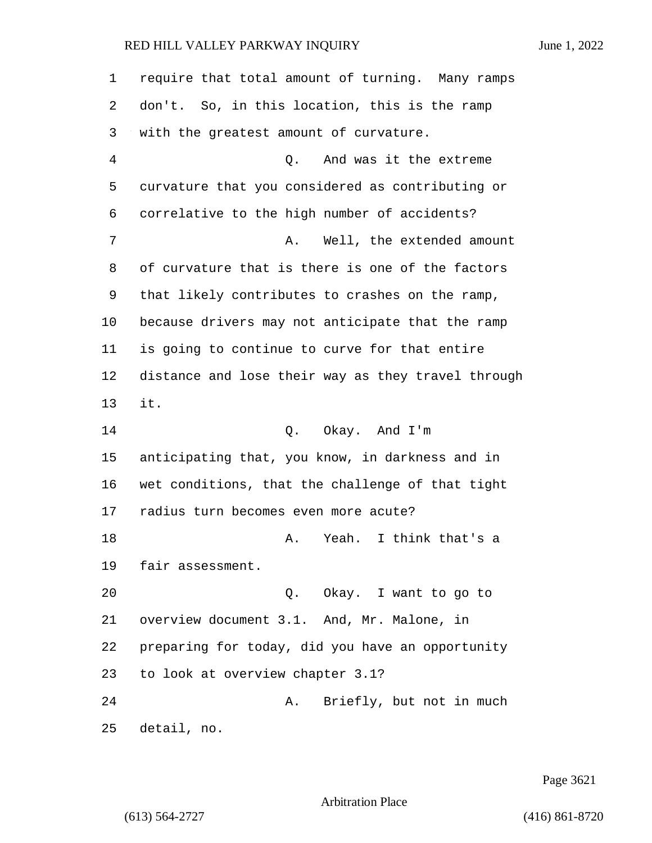require that total amount of turning. Many ramps don't. So, in this location, this is the ramp with the greatest amount of curvature. 4 Q. And was it the extreme curvature that you considered as contributing or correlative to the high number of accidents? 7 A. Well, the extended amount of curvature that is there is one of the factors that likely contributes to crashes on the ramp, because drivers may not anticipate that the ramp is going to continue to curve for that entire distance and lose their way as they travel through it. 14 O. Okay. And I'm anticipating that, you know, in darkness and in wet conditions, that the challenge of that tight radius turn becomes even more acute? 18 A. Yeah. I think that's a fair assessment. 20 Q. Okay. I want to go to overview document 3.1. And, Mr. Malone, in preparing for today, did you have an opportunity to look at overview chapter 3.1? 24 A. Briefly, but not in much detail, no.

Page 3621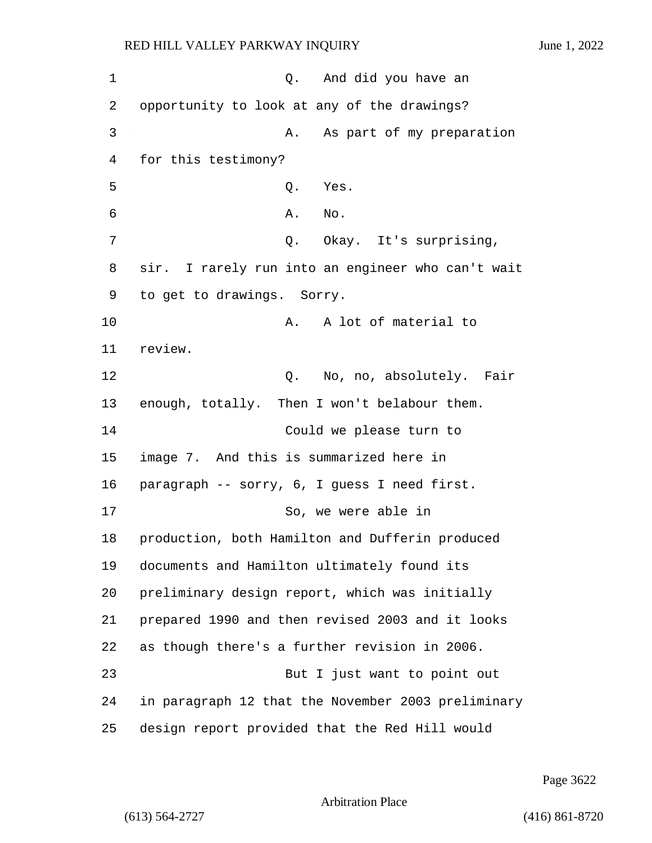1 and  $\alpha$ . And did you have an 2 opportunity to look at any of the drawings? 3 A. As part of my preparation 4 for this testimony? 5 Q. Yes.  $\delta$  and  $\delta$ . A. No. 7 C. Okay. It's surprising, 8 sir. I rarely run into an engineer who can't wait 9 to get to drawings. Sorry. 10 A. A lot of material to 11 review. 12 and 0. No, no, absolutely. Fair 13 enough, totally. Then I won't belabour them. 14 Could we please turn to 15 image 7. And this is summarized here in 16 paragraph -- sorry, 6, I guess I need first. 17 So, we were able in 18 production, both Hamilton and Dufferin produced 19 documents and Hamilton ultimately found its 20 preliminary design report, which was initially 21 prepared 1990 and then revised 2003 and it looks 22 as though there's a further revision in 2006. 23 But I just want to point out 24 in paragraph 12 that the November 2003 preliminary 25 design report provided that the Red Hill would

Page 3622

Arbitration Place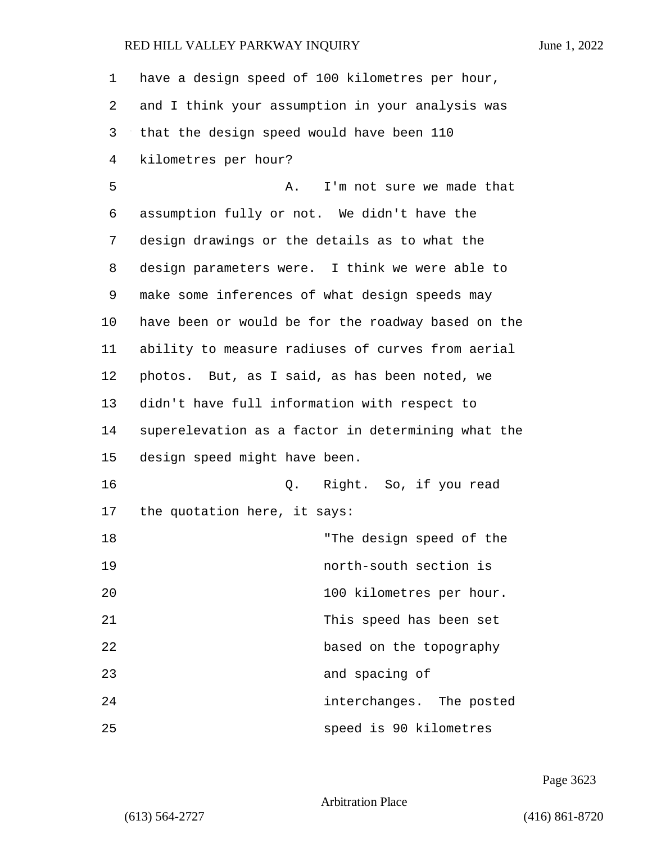| $\mathbf 1$ | have a design speed of 100 kilometres per hour,    |
|-------------|----------------------------------------------------|
| 2           | and I think your assumption in your analysis was   |
| 3           | that the design speed would have been 110          |
| 4           | kilometres per hour?                               |
| 5           | I'm not sure we made that<br>А.                    |
| 6           | assumption fully or not. We didn't have the        |
| 7           | design drawings or the details as to what the      |
| 8           | design parameters were. I think we were able to    |
| 9           | make some inferences of what design speeds may     |
| 10          | have been or would be for the roadway based on the |
| 11          | ability to measure radiuses of curves from aerial  |
| 12          | photos. But, as I said, as has been noted, we      |
| 13          | didn't have full information with respect to       |
| 14          | superelevation as a factor in determining what the |
| 15          | design speed might have been.                      |
| 16          | Q. Right. So, if you read                          |
| 17          | the quotation here, it says:                       |
| 18          | "The design speed of the                           |
| 19          | north-south section is                             |
| 20          | 100 kilometres per hour.                           |
| 21          | This speed has been set                            |
| 22          | based on the topography                            |
| 23          | and spacing of                                     |
| 24          | interchanges. The posted                           |
| 25          | speed is 90 kilometres                             |

Page 3623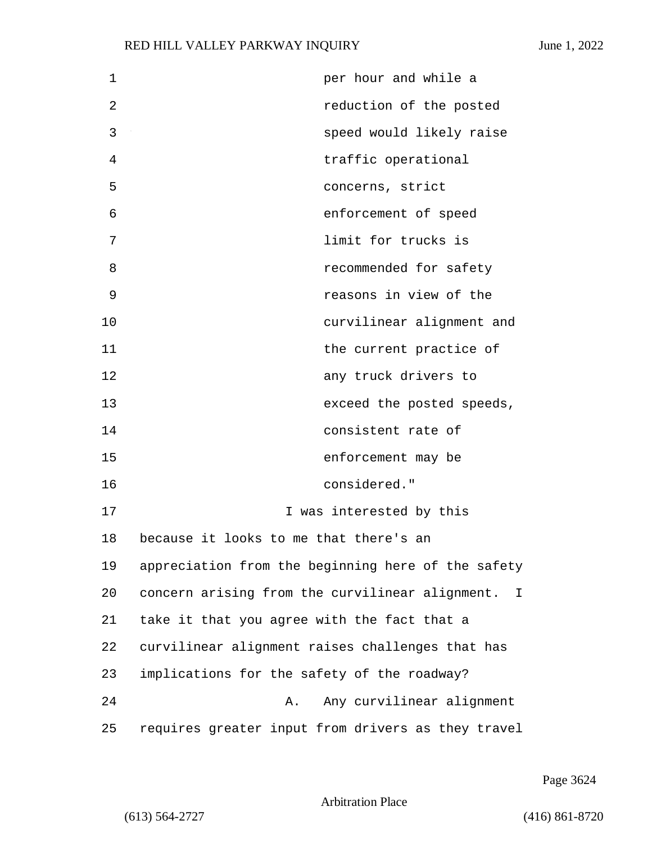| $\mathbf 1$ | per hour and while a                                  |
|-------------|-------------------------------------------------------|
| 2           | reduction of the posted                               |
| 3           | speed would likely raise                              |
| 4           | traffic operational                                   |
| 5           | concerns, strict                                      |
| 6           | enforcement of speed                                  |
| 7           | limit for trucks is                                   |
| 8           | recommended for safety                                |
| 9           | reasons in view of the                                |
| 10          | curvilinear alignment and                             |
| 11          | the current practice of                               |
| 12          | any truck drivers to                                  |
| 13          | exceed the posted speeds,                             |
| 14          | consistent rate of                                    |
| 15          | enforcement may be                                    |
| 16          | considered."                                          |
| 17          | I was interested by this                              |
| 18          | because it looks to me that there's an                |
| 19          | appreciation from the beginning here of the safety    |
| 20          | concern arising from the curvilinear alignment.<br>I. |
| 21          | take it that you agree with the fact that a           |
| 22          | curvilinear alignment raises challenges that has      |
| 23          | implications for the safety of the roadway?           |
| 24          | Any curvilinear alignment<br>Α.                       |
| 25          | requires greater input from drivers as they travel    |

Page 3624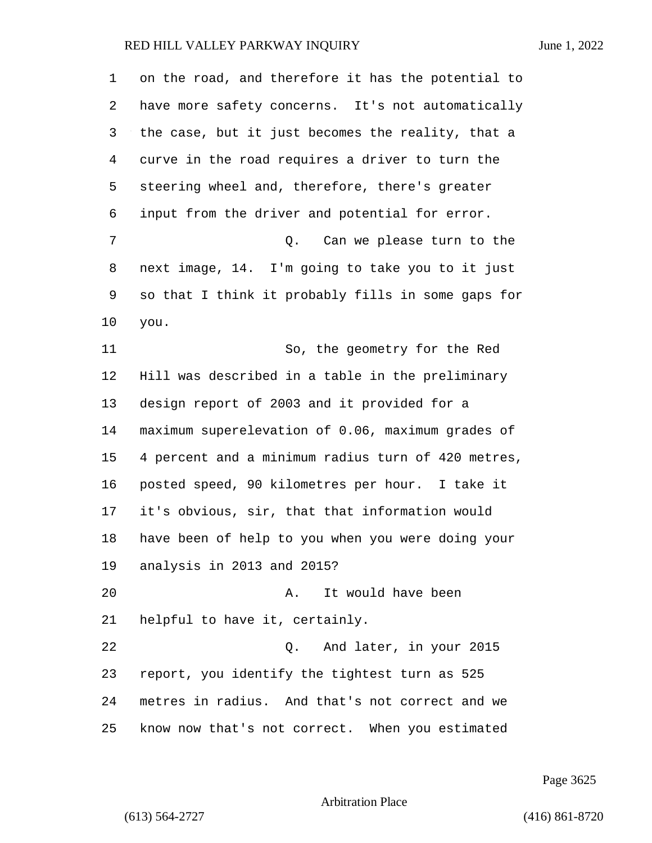| 1  | on the road, and therefore it has the potential to |
|----|----------------------------------------------------|
| 2  | have more safety concerns. It's not automatically  |
| 3  | the case, but it just becomes the reality, that a  |
| 4  | curve in the road requires a driver to turn the    |
| 5  | steering wheel and, therefore, there's greater     |
| 6  | input from the driver and potential for error.     |
| 7  | Can we please turn to the<br>Q.                    |
| 8  | next image, 14. I'm going to take you to it just   |
| 9  | so that I think it probably fills in some gaps for |
| 10 | you.                                               |
| 11 | So, the geometry for the Red                       |
| 12 | Hill was described in a table in the preliminary   |
| 13 | design report of 2003 and it provided for a        |
| 14 | maximum superelevation of 0.06, maximum grades of  |
| 15 | 4 percent and a minimum radius turn of 420 metres, |
| 16 | posted speed, 90 kilometres per hour. I take it    |
| 17 | it's obvious, sir, that that information would     |
| 18 | have been of help to you when you were doing your  |
| 19 | analysis in 2013 and 2015?                         |
| 20 | It would have been<br>Α.                           |
| 21 | helpful to have it, certainly.                     |
| 22 | Q. And later, in your 2015                         |
| 23 | report, you identify the tightest turn as 525      |
| 24 | metres in radius. And that's not correct and we    |
| 25 | know now that's not correct. When you estimated    |

Page 3625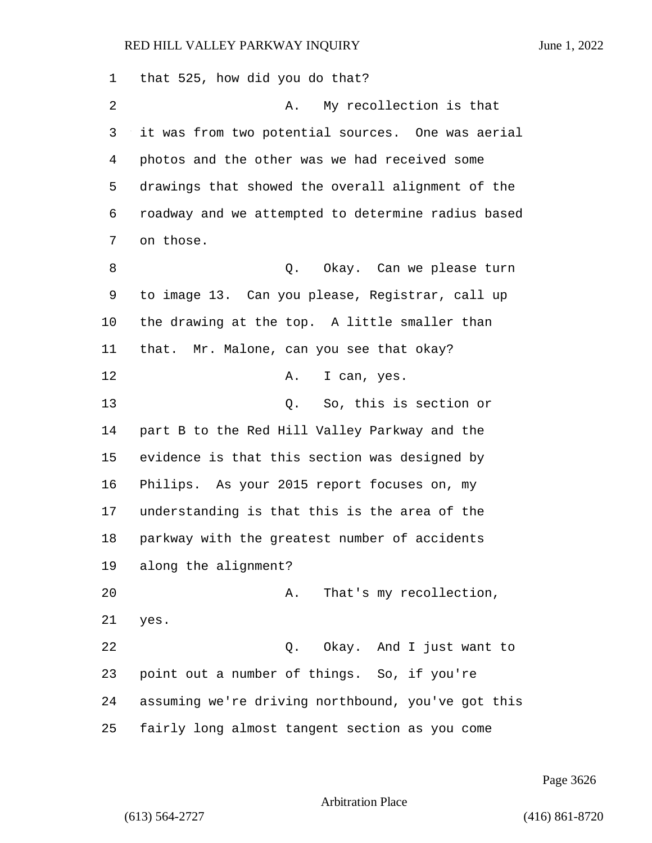| 1       | that 525, how did you do that?                     |
|---------|----------------------------------------------------|
| 2       | My recollection is that<br>Α.                      |
| 3       | it was from two potential sources. One was aerial  |
| 4       | photos and the other was we had received some      |
| 5       | drawings that showed the overall alignment of the  |
| 6       | roadway and we attempted to determine radius based |
| 7       | on those.                                          |
| 8       | Q. Okay. Can we please turn                        |
| 9       | to image 13. Can you please, Registrar, call up    |
| $10 \,$ | the drawing at the top. A little smaller than      |
| 11      | that. Mr. Malone, can you see that okay?           |
| 12      | I can, yes.<br>Α.                                  |
| 13      | So, this is section or<br>Q.                       |
| 14      | part B to the Red Hill Valley Parkway and the      |
| 15      | evidence is that this section was designed by      |
| 16      | Philips. As your 2015 report focuses on, my        |
| 17      | understanding is that this is the area of the      |
| 18      | parkway with the greatest number of accidents      |
| 19      | along the alignment?                               |
| 20      | That's my recollection,<br>Α.                      |
| 21      | yes.                                               |
| 22      | Okay. And I just want to<br>Q.                     |
| 23      | point out a number of things. So, if you're        |
| 24      | assuming we're driving northbound, you've got this |
| 25      | fairly long almost tangent section as you come     |

Page 3626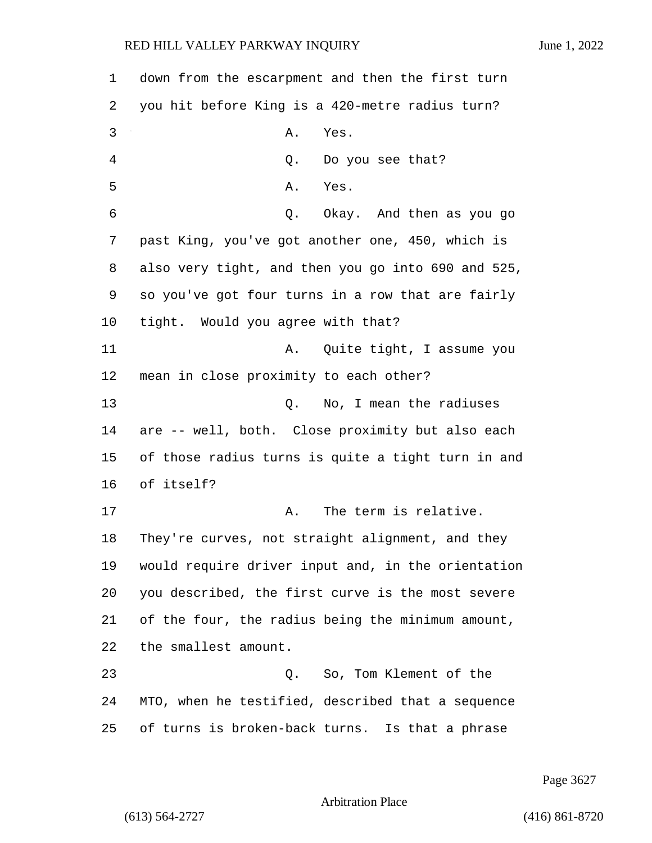down from the escarpment and then the first turn you hit before King is a 420-metre radius turn? 3 A. Yes. 4 Q. Do you see that? 5 A. Yes. 6 Q. Okay. And then as you go past King, you've got another one, 450, which is also very tight, and then you go into 690 and 525, so you've got four turns in a row that are fairly tight. Would you agree with that? 11 A. Quite tight, I assume you mean in close proximity to each other? 13 Q. No, I mean the radiuses are -- well, both. Close proximity but also each of those radius turns is quite a tight turn in and of itself? 17 A. The term is relative. They're curves, not straight alignment, and they would require driver input and, in the orientation you described, the first curve is the most severe of the four, the radius being the minimum amount, the smallest amount. 23 Q. So, Tom Klement of the MTO, when he testified, described that a sequence of turns is broken-back turns. Is that a phrase

Page 3627

Arbitration Place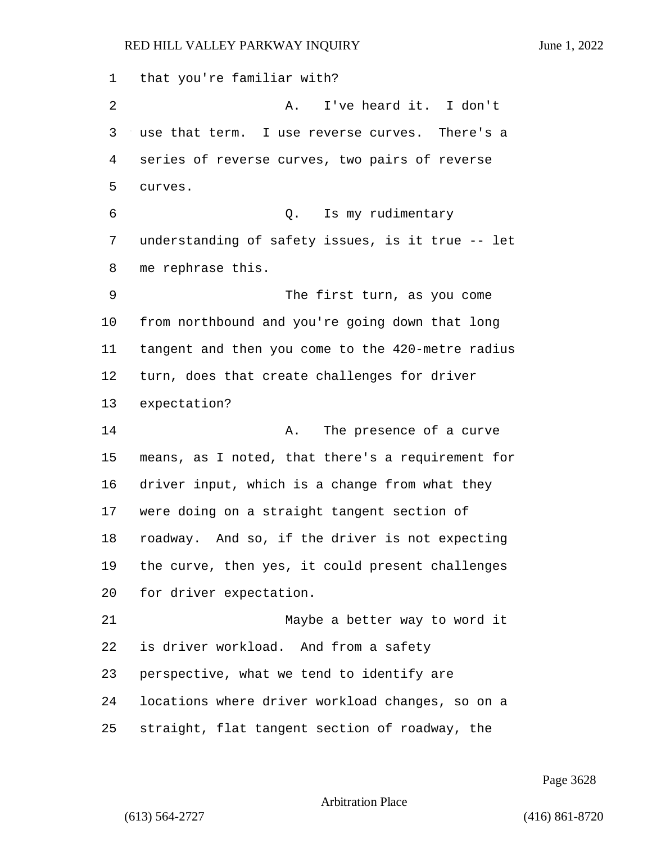that you're familiar with? 2 A. I've heard it. I don't use that term. I use reverse curves. There's a series of reverse curves, two pairs of reverse curves. 6 Q. Is my rudimentary understanding of safety issues, is it true -- let me rephrase this. 9 The first turn, as you come from northbound and you're going down that long tangent and then you come to the 420-metre radius turn, does that create challenges for driver expectation? 14 A. The presence of a curve means, as I noted, that there's a requirement for driver input, which is a change from what they were doing on a straight tangent section of roadway. And so, if the driver is not expecting the curve, then yes, it could present challenges for driver expectation. 21 Maybe a better way to word it is driver workload. And from a safety perspective, what we tend to identify are locations where driver workload changes, so on a straight, flat tangent section of roadway, the

Page 3628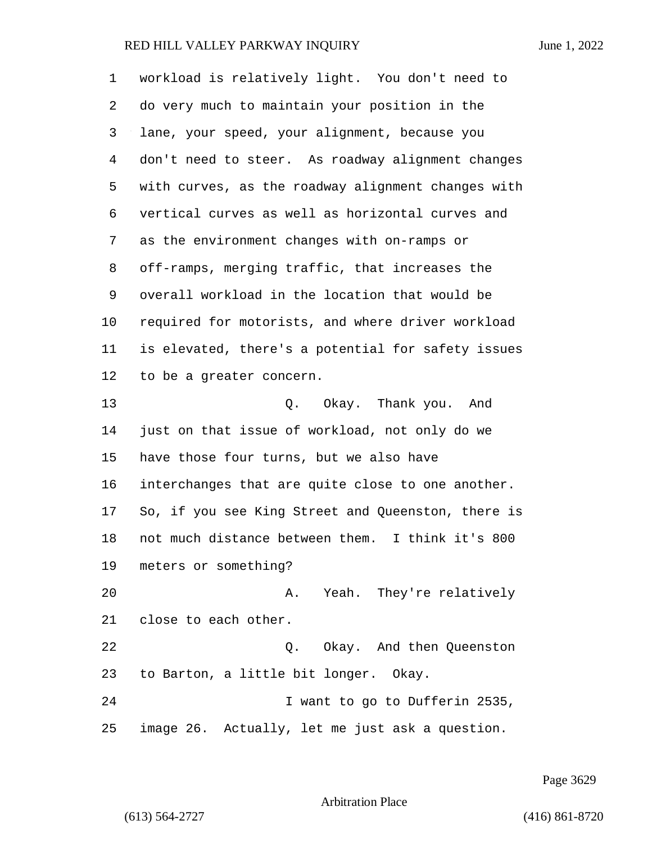workload is relatively light. You don't need to do very much to maintain your position in the lane, your speed, your alignment, because you don't need to steer. As roadway alignment changes with curves, as the roadway alignment changes with vertical curves as well as horizontal curves and as the environment changes with on-ramps or off-ramps, merging traffic, that increases the overall workload in the location that would be required for motorists, and where driver workload is elevated, there's a potential for safety issues to be a greater concern. 13 Q. Okay. Thank you. And just on that issue of workload, not only do we have those four turns, but we also have interchanges that are quite close to one another. So, if you see King Street and Queenston, there is not much distance between them. I think it's 800 meters or something? 20 A. Yeah. They're relatively close to each other. 22 Q. Okay. And then Queenston to Barton, a little bit longer. Okay. 24 I want to go to Dufferin 2535, image 26. Actually, let me just ask a question.

Page 3629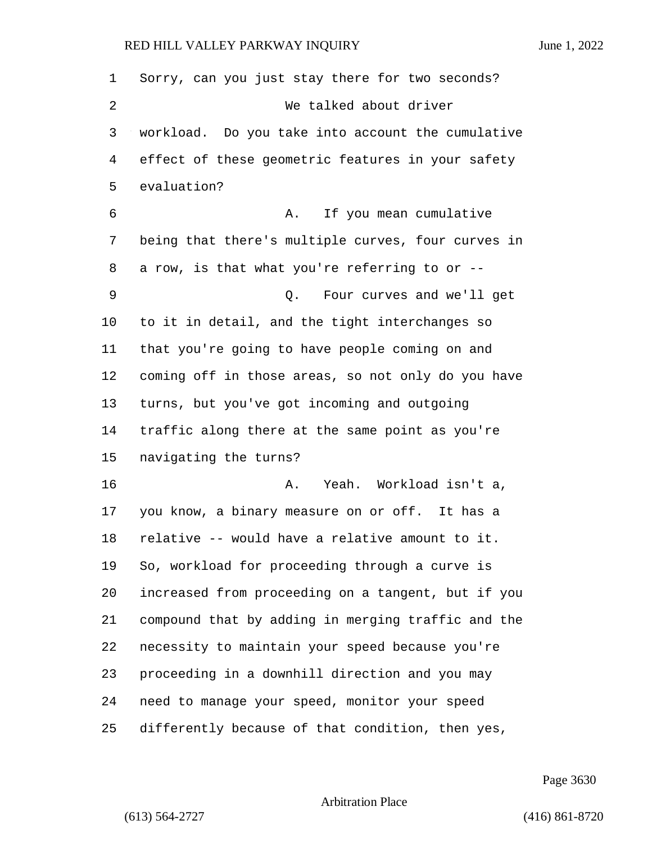| $\mathbf 1$ | Sorry, can you just stay there for two seconds?    |
|-------------|----------------------------------------------------|
| 2           | We talked about driver                             |
| 3           | workload. Do you take into account the cumulative  |
| 4           | effect of these geometric features in your safety  |
| 5           | evaluation?                                        |
| 6           | A. If you mean cumulative                          |
| 7           | being that there's multiple curves, four curves in |
| 8           | a row, is that what you're referring to or --      |
| $\mathsf 9$ | Four curves and we'll get<br>Q.                    |
| 10          | to it in detail, and the tight interchanges so     |
| 11          | that you're going to have people coming on and     |
| 12          | coming off in those areas, so not only do you have |
| 13          | turns, but you've got incoming and outgoing        |
| 14          | traffic along there at the same point as you're    |
| 15          | navigating the turns?                              |
| 16          | Yeah. Workload isn't a,<br>Α.                      |
| 17          | you know, a binary measure on or off. It has a     |
| 18          | relative -- would have a relative amount to it.    |
| 19          | So, workload for proceeding through a curve is     |
| 20          | increased from proceeding on a tangent, but if you |
| 21          | compound that by adding in merging traffic and the |
| 22          | necessity to maintain your speed because you're    |
| 23          | proceeding in a downhill direction and you may     |
| 24          | need to manage your speed, monitor your speed      |
| 25          | differently because of that condition, then yes,   |

Page 3630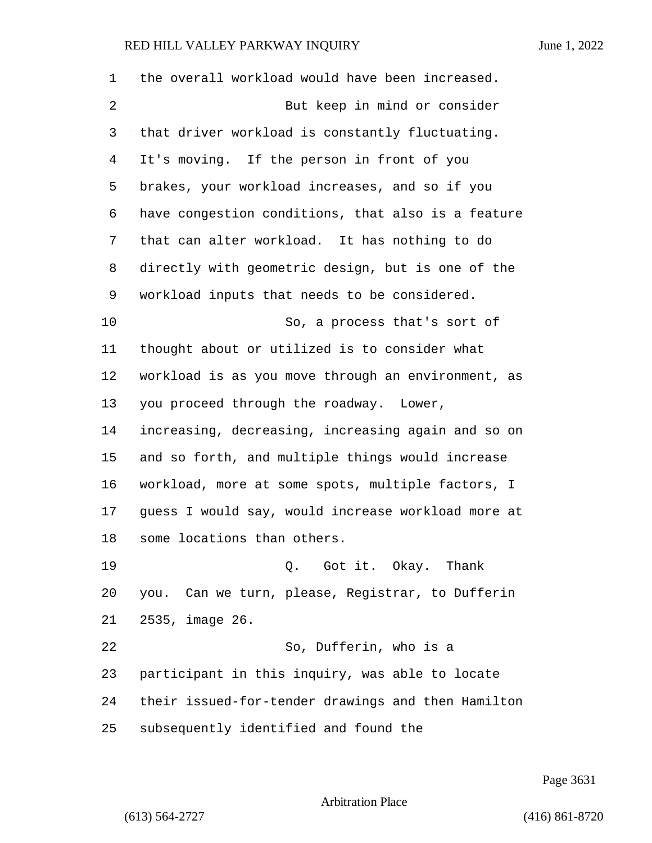| 1  | the overall workload would have been increased.    |
|----|----------------------------------------------------|
| 2  | But keep in mind or consider                       |
| 3  | that driver workload is constantly fluctuating.    |
| 4  | It's moving. If the person in front of you         |
| 5  | brakes, your workload increases, and so if you     |
| 6  | have congestion conditions, that also is a feature |
| 7  | that can alter workload. It has nothing to do      |
| 8  | directly with geometric design, but is one of the  |
| 9  | workload inputs that needs to be considered.       |
| 10 | So, a process that's sort of                       |
| 11 | thought about or utilized is to consider what      |
| 12 | workload is as you move through an environment, as |
| 13 | you proceed through the roadway. Lower,            |
| 14 | increasing, decreasing, increasing again and so on |
| 15 | and so forth, and multiple things would increase   |
| 16 | workload, more at some spots, multiple factors, I  |
| 17 | guess I would say, would increase workload more at |
| 18 | some locations than others.                        |
| 19 | Q. Got it. Okay. Thank                             |
| 20 | you. Can we turn, please, Registrar, to Dufferin   |
| 21 | 2535, image 26.                                    |
| 22 | So, Dufferin, who is a                             |
| 23 | participant in this inquiry, was able to locate    |
| 24 | their issued-for-tender drawings and then Hamilton |
| 25 | subsequently identified and found the              |

Page 3631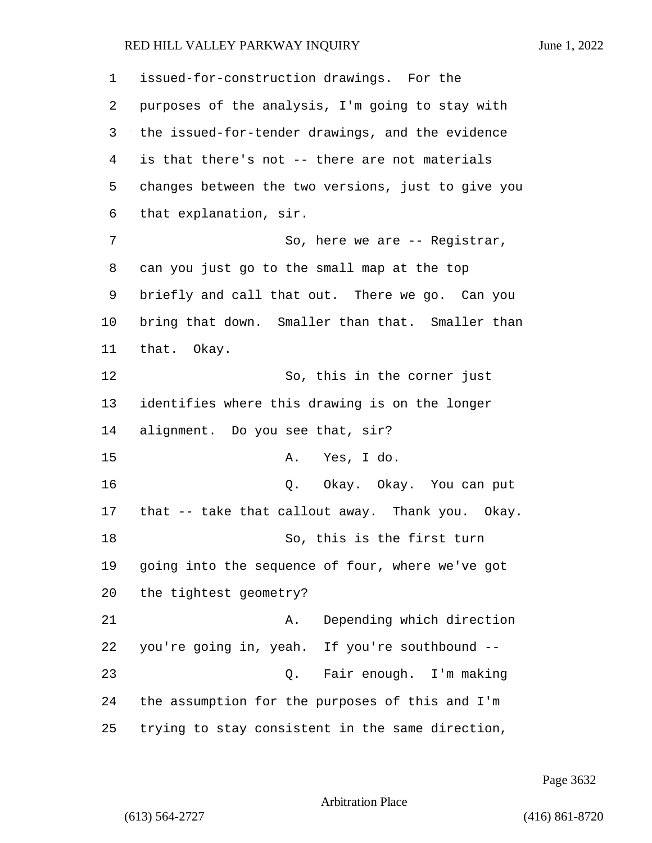issued-for-construction drawings. For the purposes of the analysis, I'm going to stay with the issued-for-tender drawings, and the evidence is that there's not -- there are not materials changes between the two versions, just to give you that explanation, sir. 7 So, here we are -- Reqistrar, can you just go to the small map at the top briefly and call that out. There we go. Can you bring that down. Smaller than that. Smaller than that. Okay. 12 So, this in the corner just identifies where this drawing is on the longer alignment. Do you see that, sir? 15 A. Yes, I do. 16 Q. Okay. Okay. You can put that -- take that callout away. Thank you. Okay. 18 So, this is the first turn going into the sequence of four, where we've got the tightest geometry? 21 A. Depending which direction you're going in, yeah. If you're southbound -- 23 Q. Fair enough. I'm making the assumption for the purposes of this and I'm trying to stay consistent in the same direction,

Page 3632

Arbitration Place

(613) 564-2727 (416) 861-8720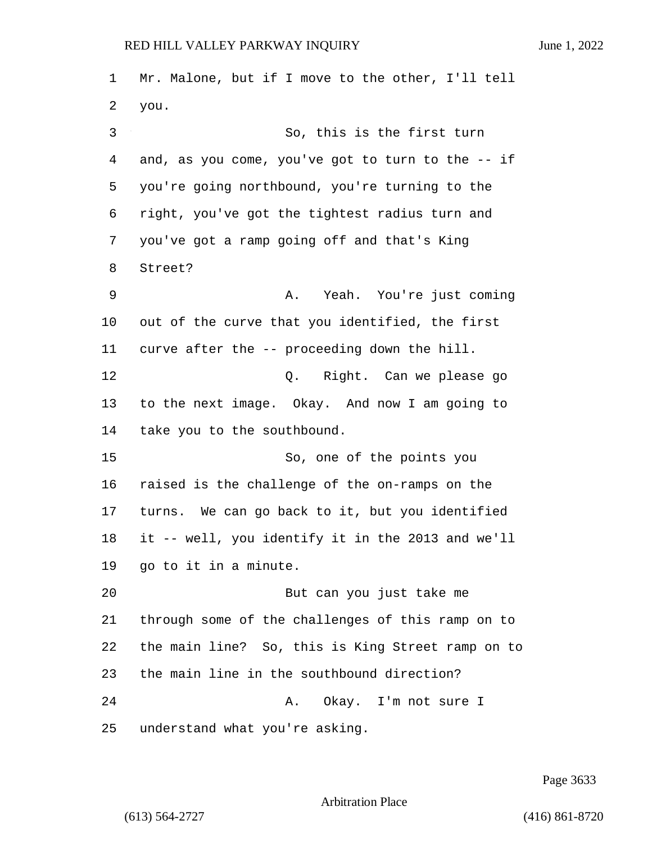Mr. Malone, but if I move to the other, I'll tell you. 3 So, this is the first turn and, as you come, you've got to turn to the -- if you're going northbound, you're turning to the right, you've got the tightest radius turn and you've got a ramp going off and that's King Street? 9 A. Yeah. You're just coming out of the curve that you identified, the first curve after the -- proceeding down the hill. 12 Q. Right. Can we please go to the next image. Okay. And now I am going to take you to the southbound. 15 So, one of the points you raised is the challenge of the on-ramps on the turns. We can go back to it, but you identified it -- well, you identify it in the 2013 and we'll go to it in a minute. 20 But can you just take me through some of the challenges of this ramp on to the main line? So, this is King Street ramp on to the main line in the southbound direction? 24 A. Okay. I'm not sure I understand what you're asking.

Page 3633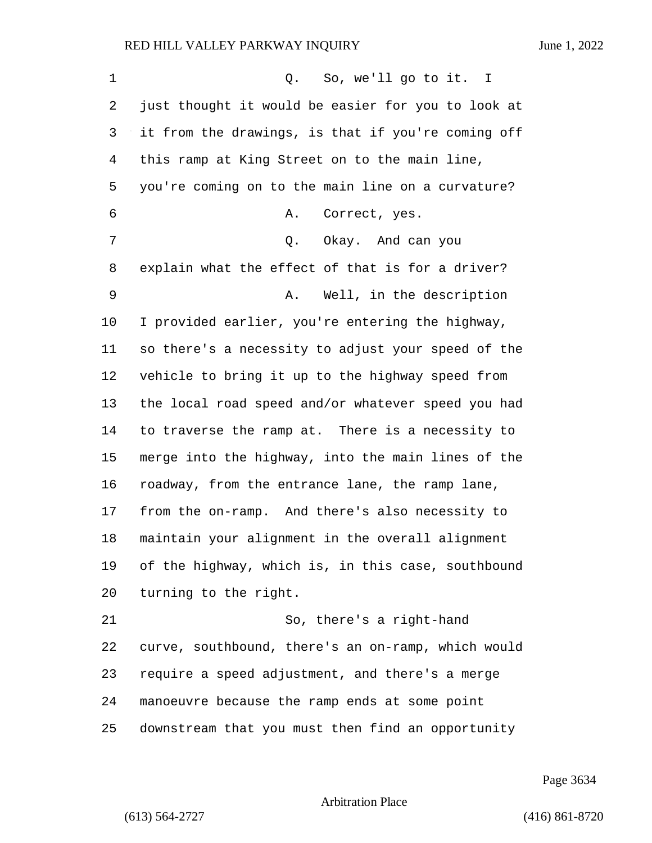1 O. So, we'll go to it. I just thought it would be easier for you to look at it from the drawings, is that if you're coming off this ramp at King Street on to the main line, you're coming on to the main line on a curvature? 6 A. Correct, yes. 7 Q. Okay. And can you explain what the effect of that is for a driver? 9 A. Well, in the description I provided earlier, you're entering the highway, so there's a necessity to adjust your speed of the vehicle to bring it up to the highway speed from the local road speed and/or whatever speed you had to traverse the ramp at. There is a necessity to merge into the highway, into the main lines of the roadway, from the entrance lane, the ramp lane, from the on-ramp. And there's also necessity to maintain your alignment in the overall alignment of the highway, which is, in this case, southbound turning to the right. 21 So, there's a right-hand curve, southbound, there's an on-ramp, which would require a speed adjustment, and there's a merge manoeuvre because the ramp ends at some point downstream that you must then find an opportunity

Page 3634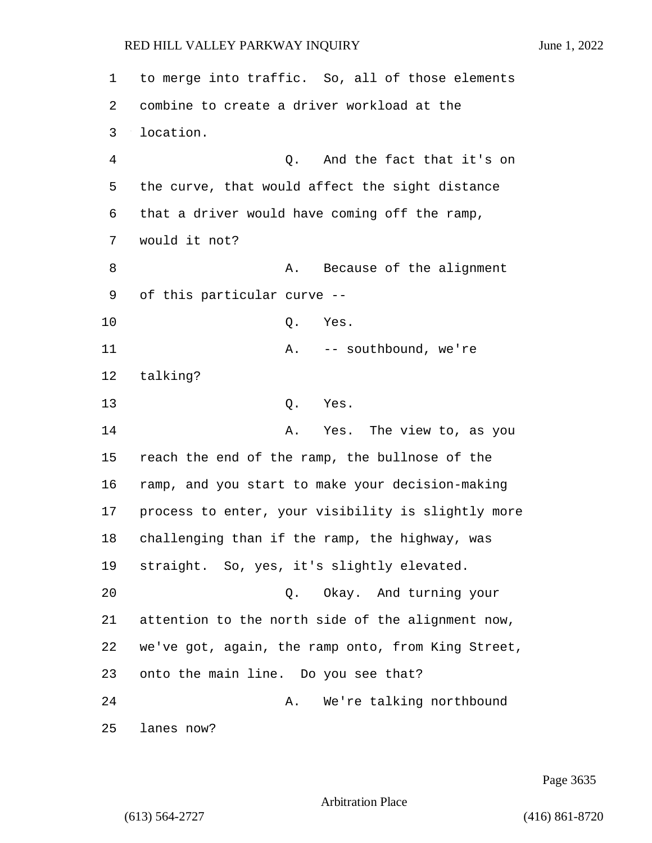to merge into traffic. So, all of those elements combine to create a driver workload at the location. 4 Q. And the fact that it's on the curve, that would affect the sight distance that a driver would have coming off the ramp, would it not? 8 A. Because of the alignment of this particular curve -- 10 Q. Yes. 11 A. -- southbound, we're talking? 13 0. Yes. **A.** Yes. The view to, as you reach the end of the ramp, the bullnose of the ramp, and you start to make your decision-making process to enter, your visibility is slightly more challenging than if the ramp, the highway, was straight. So, yes, it's slightly elevated. 20 Q. Okay. And turning your attention to the north side of the alignment now, we've got, again, the ramp onto, from King Street, onto the main line. Do you see that? 24 A. We're talking northbound lanes now?

Page 3635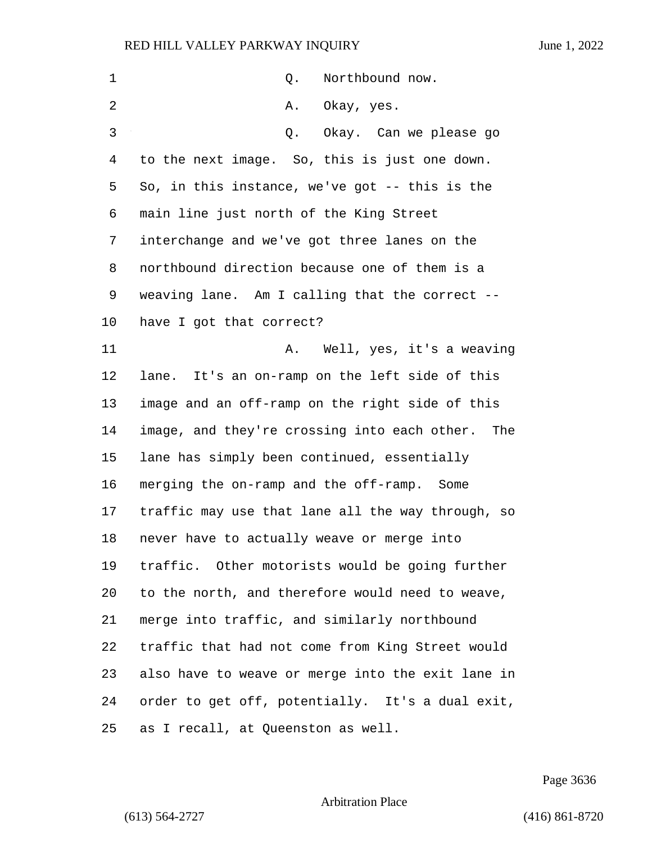| 1  | Northbound now.<br>Q.                               |
|----|-----------------------------------------------------|
| 2  | Okay, yes.<br>Α.                                    |
| 3  | Okay. Can we please go<br>Q.                        |
| 4  | to the next image. So, this is just one down.       |
| 5  | So, in this instance, we've got $-$ - this is the   |
| 6  | main line just north of the King Street             |
| 7  | interchange and we've got three lanes on the        |
| 8  | northbound direction because one of them is a       |
| 9  | weaving lane. Am I calling that the correct --      |
| 10 | have I got that correct?                            |
| 11 | Well, yes, it's a weaving<br>Α.                     |
| 12 | lane. It's an on-ramp on the left side of this      |
| 13 | image and an off-ramp on the right side of this     |
| 14 | image, and they're crossing into each other.<br>The |
| 15 | lane has simply been continued, essentially         |
| 16 | merging the on-ramp and the off-ramp. Some          |
| 17 | traffic may use that lane all the way through, so   |
| 18 | never have to actually weave or merge into          |
| 19 | traffic. Other motorists would be going further     |
| 20 | to the north, and therefore would need to weave,    |
| 21 | merge into traffic, and similarly northbound        |
| 22 | traffic that had not come from King Street would    |
| 23 | also have to weave or merge into the exit lane in   |
| 24 | order to get off, potentially. It's a dual exit,    |
| 25 | as I recall, at Queenston as well.                  |

Page 3636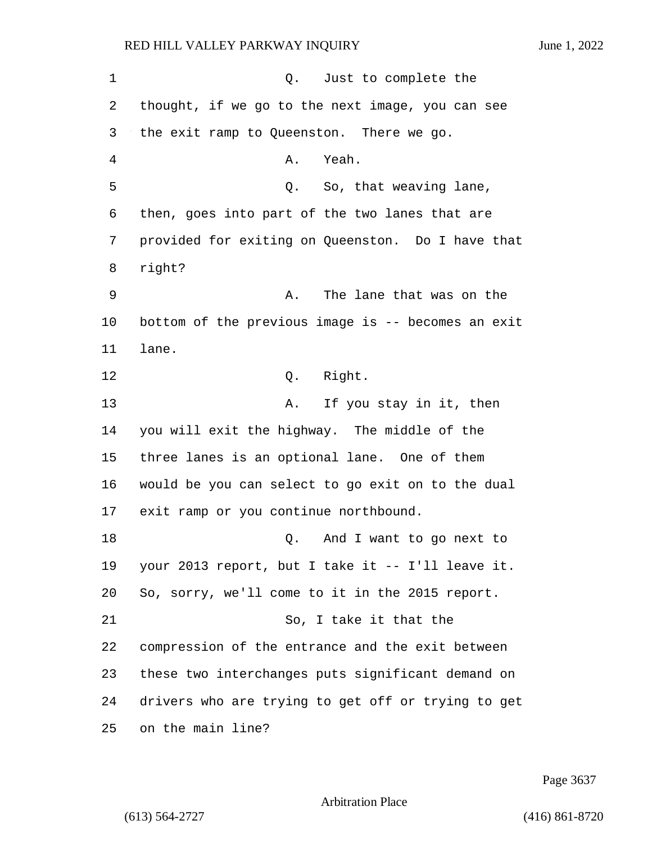1 and 0. Just to complete the 2 thought, if we go to the next image, you can see 3 the exit ramp to Queenston. There we go. 4 A. Yeah. 5 Q. So, that weaving lane, 6 then, goes into part of the two lanes that are 7 provided for exiting on Queenston. Do I have that 8 right? 9 A. The lane that was on the 10 bottom of the previous image is -- becomes an exit 11 lane. 12 O. Right. 13 A. If you stay in it, then 14 you will exit the highway. The middle of the 15 three lanes is an optional lane. One of them 16 would be you can select to go exit on to the dual 17 exit ramp or you continue northbound. 18 and I want to go next to 19 your 2013 report, but I take it -- I'll leave it. 20 So, sorry, we'll come to it in the 2015 report. 21 So, I take it that the 22 compression of the entrance and the exit between 23 these two interchanges puts significant demand on 24 drivers who are trying to get off or trying to get 25 on the main line?

Page 3637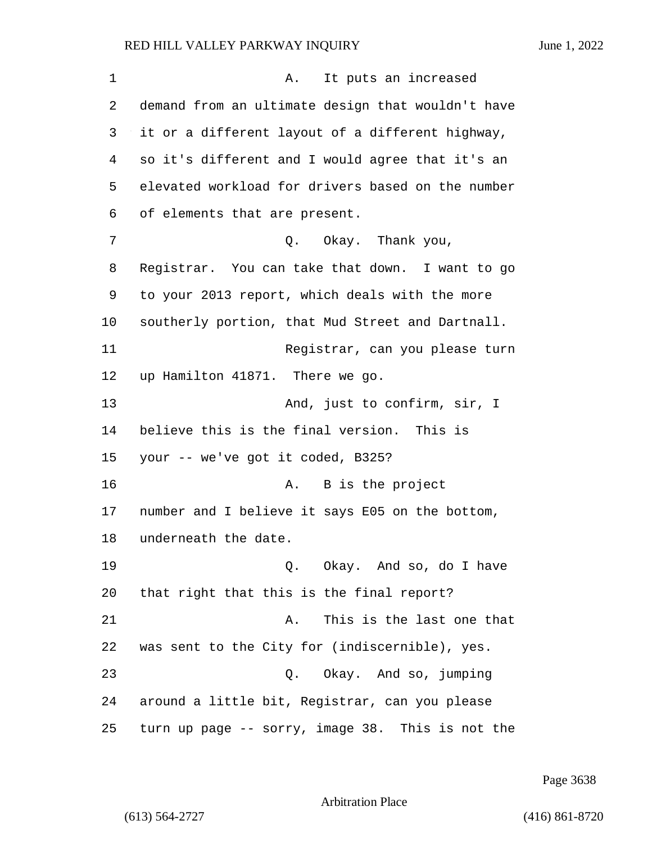1 A. It puts an increased demand from an ultimate design that wouldn't have it or a different layout of a different highway, so it's different and I would agree that it's an elevated workload for drivers based on the number of elements that are present. 7 Q. Okay. Thank you, Registrar. You can take that down. I want to go to your 2013 report, which deals with the more southerly portion, that Mud Street and Dartnall. 11 Registrar, can you please turn up Hamilton 41871. There we go. 13 And, just to confirm, sir, I believe this is the final version. This is your -- we've got it coded, B325? 16 A. B is the project number and I believe it says E05 on the bottom, underneath the date. 19 Q. Okay. And so, do I have that right that this is the final report? 21 A. This is the last one that was sent to the City for (indiscernible), yes. 23 Q. Okay. And so, jumping around a little bit, Registrar, can you please turn up page -- sorry, image 38. This is not the

Page 3638

```
Arbitration Place
```
(613) 564-2727 (416) 861-8720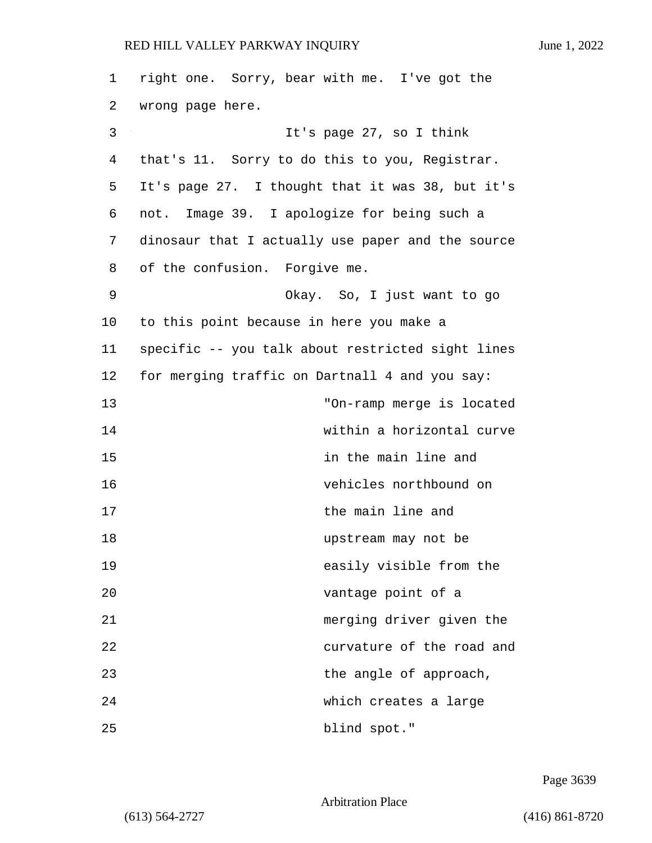1 right one. Sorry, bear with me. I've got the 2 wrong page here. 3 It's page 27, so I think 4 that's 11. Sorry to do this to you, Registrar. 5 It's page 27. I thought that it was 38, but it's 6 not. Image 39. I apologize for being such a 7 dinosaur that I actually use paper and the source 8 of the confusion. Forgive me. 9 Okay. So, I just want to go 10 to this point because in here you make a 11 specific -- you talk about restricted sight lines 12 for merging traffic on Dartnall 4 and you say: 13 "On-ramp merge is located 14 within a horizontal curve 15 in the main line and 16 vehicles northbound on 17 the main line and 18 upstream may not be 19 easily visible from the 20 vantage point of a 21 merging driver given the 22 curvature of the road and 23 the angle of approach, 24 which creates a large 25 blind spot."

Page 3639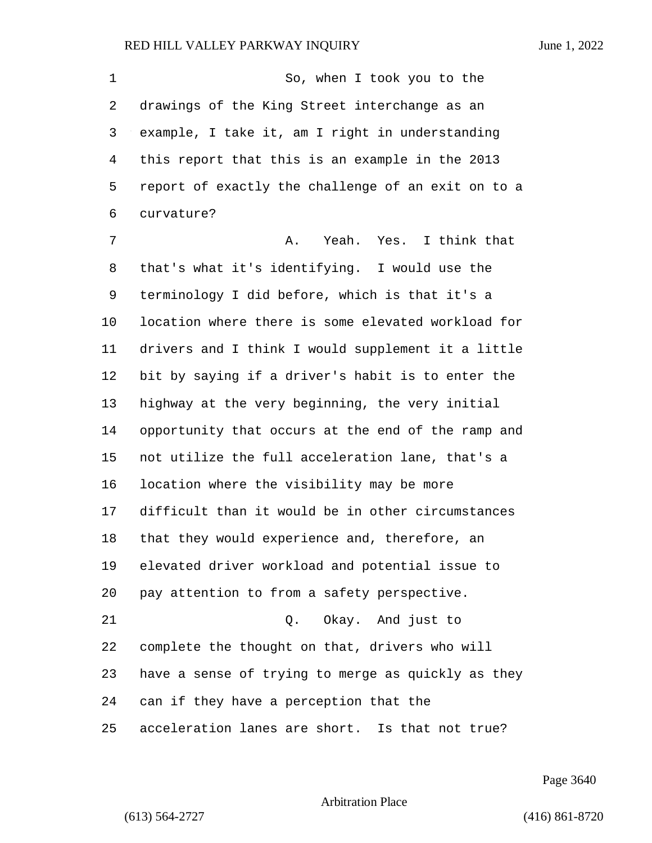1 So, when I took you to the drawings of the King Street interchange as an example, I take it, am I right in understanding this report that this is an example in the 2013 report of exactly the challenge of an exit on to a curvature?

7 A. Yeah. Yes. I think that that's what it's identifying. I would use the terminology I did before, which is that it's a location where there is some elevated workload for drivers and I think I would supplement it a little bit by saying if a driver's habit is to enter the highway at the very beginning, the very initial opportunity that occurs at the end of the ramp and not utilize the full acceleration lane, that's a location where the visibility may be more difficult than it would be in other circumstances that they would experience and, therefore, an elevated driver workload and potential issue to pay attention to from a safety perspective. 21 Q. Okay. And just to complete the thought on that, drivers who will have a sense of trying to merge as quickly as they can if they have a perception that the acceleration lanes are short. Is that not true?

Page 3640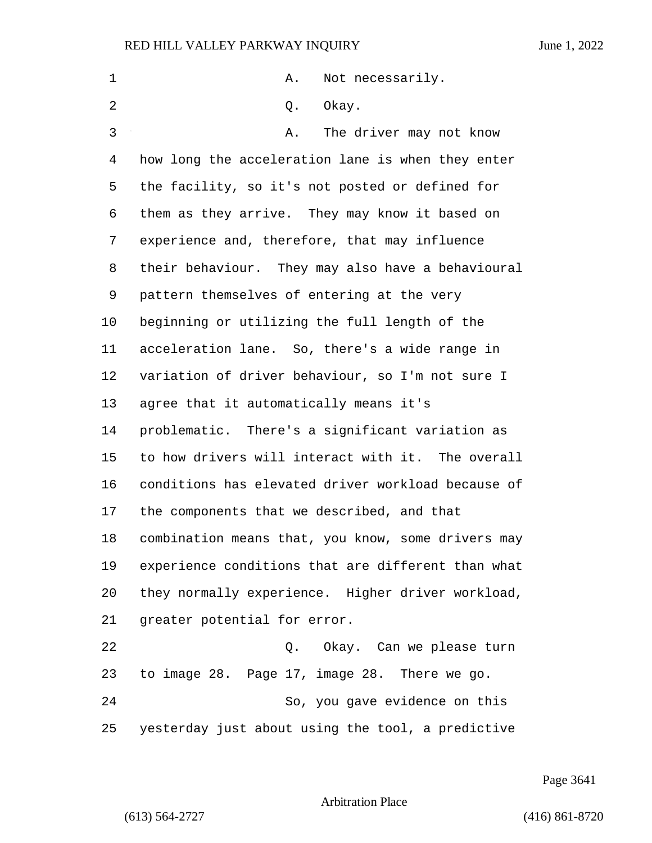| $\mathbf 1$ | Not necessarily.<br>Α.                             |
|-------------|----------------------------------------------------|
| 2           | Q.<br>Okay.                                        |
| 3           | The driver may not know<br>Α.                      |
| 4           | how long the acceleration lane is when they enter  |
| 5           | the facility, so it's not posted or defined for    |
| 6           | them as they arrive. They may know it based on     |
| 7           | experience and, therefore, that may influence      |
| 8           | their behaviour. They may also have a behavioural  |
| 9           | pattern themselves of entering at the very         |
| 10          | beginning or utilizing the full length of the      |
| 11          | acceleration lane. So, there's a wide range in     |
| 12          | variation of driver behaviour, so I'm not sure I   |
| 13          | agree that it automatically means it's             |
| 14          | problematic. There's a significant variation as    |
| 15          | to how drivers will interact with it. The overall  |
| 16          | conditions has elevated driver workload because of |
| 17          | the components that we described, and that         |
| 18          | combination means that, you know, some drivers may |
| 19          | experience conditions that are different than what |
| 20          | they normally experience. Higher driver workload,  |
| 21          | greater potential for error.                       |
| 22          | Q.<br>Okay. Can we please turn                     |
| 23          | to image 28. Page 17, image 28. There we go.       |
| 24          | So, you gave evidence on this                      |
| 25          | yesterday just about using the tool, a predictive  |

Page 3641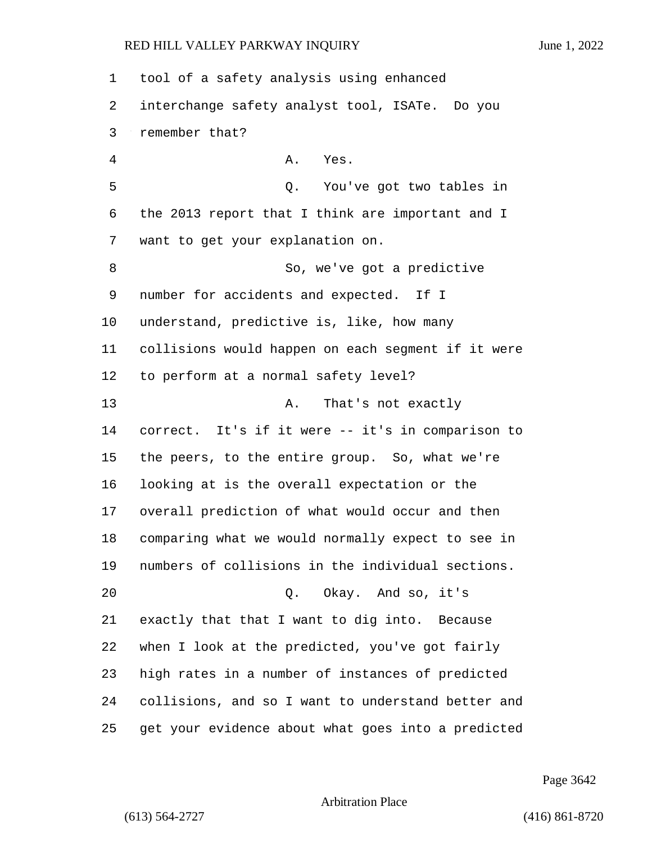| 1  | tool of a safety analysis using enhanced           |
|----|----------------------------------------------------|
| 2  | interchange safety analyst tool, ISATe. Do you     |
| 3  | remember that?                                     |
| 4  | Α.<br>Yes.                                         |
| 5  | Q. You've got two tables in                        |
| 6  | the 2013 report that I think are important and I   |
| 7  | want to get your explanation on.                   |
| 8  | So, we've got a predictive                         |
| 9  | number for accidents and expected. If I            |
| 10 | understand, predictive is, like, how many          |
| 11 | collisions would happen on each segment if it were |
| 12 | to perform at a normal safety level?               |
| 13 | That's not exactly<br>Α.                           |
| 14 | correct. It's if it were -- it's in comparison to  |
| 15 | the peers, to the entire group. So, what we're     |
| 16 | looking at is the overall expectation or the       |
| 17 | overall prediction of what would occur and then    |
| 18 | comparing what we would normally expect to see in  |
| 19 | numbers of collisions in the individual sections.  |
| 20 | Q. Okay. And so, it's                              |
| 21 | exactly that that I want to dig into. Because      |
| 22 | when I look at the predicted, you've got fairly    |
| 23 | high rates in a number of instances of predicted   |
| 24 | collisions, and so I want to understand better and |
| 25 | get your evidence about what goes into a predicted |

Page 3642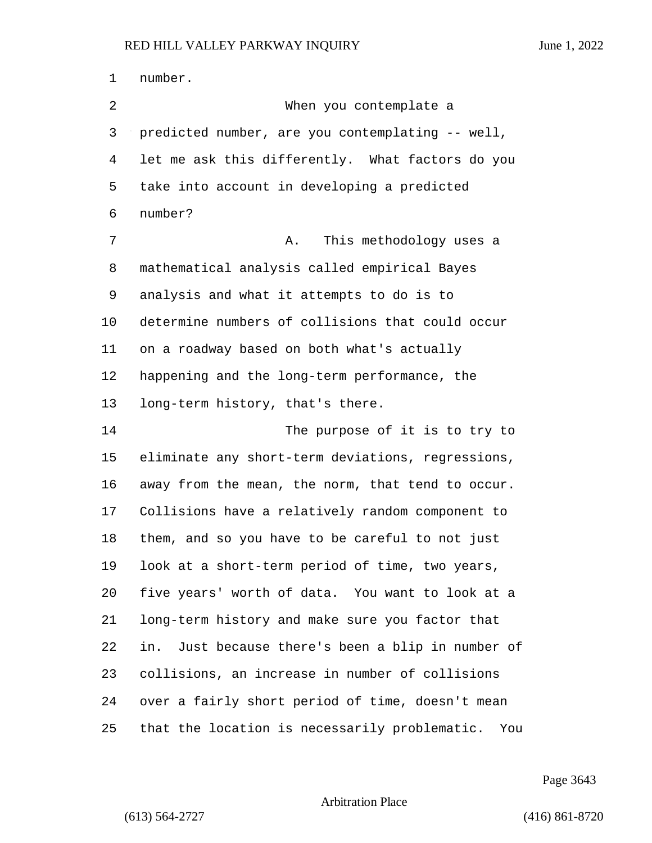number. 2 When you contemplate a predicted number, are you contemplating -- well, let me ask this differently. What factors do you take into account in developing a predicted number? 7 A. This methodology uses a mathematical analysis called empirical Bayes analysis and what it attempts to do is to determine numbers of collisions that could occur on a roadway based on both what's actually happening and the long-term performance, the long-term history, that's there. 14 The purpose of it is to try to eliminate any short-term deviations, regressions, away from the mean, the norm, that tend to occur. Collisions have a relatively random component to them, and so you have to be careful to not just look at a short-term period of time, two years, five years' worth of data. You want to look at a long-term history and make sure you factor that in. Just because there's been a blip in number of collisions, an increase in number of collisions over a fairly short period of time, doesn't mean that the location is necessarily problematic. You

Page 3643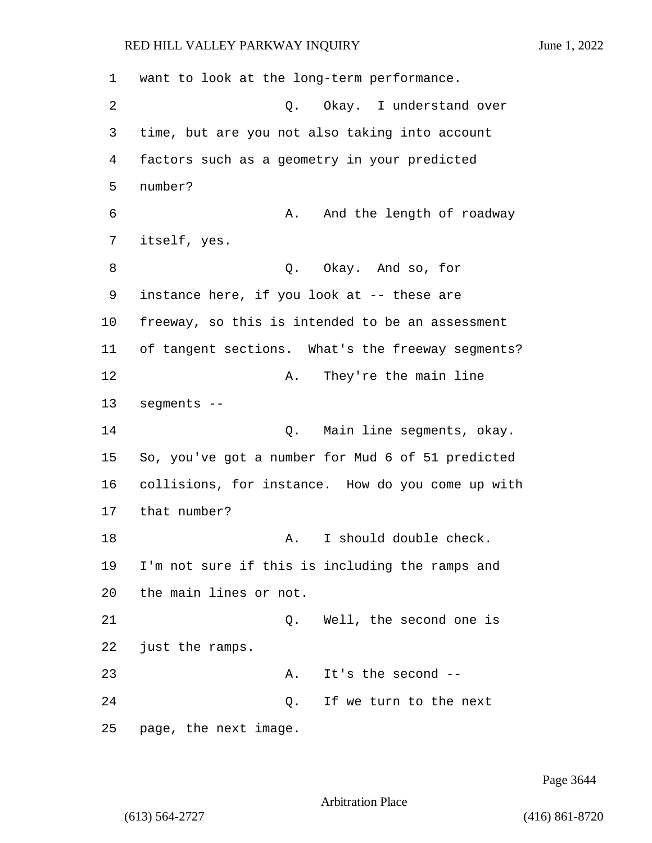1 want to look at the long-term performance. 2 Q. Okay. I understand over 3 time, but are you not also taking into account 4 factors such as a geometry in your predicted 5 number? 6 A. And the length of roadway 7 itself, yes. 8 Q. Okay. And so, for 9 instance here, if you look at -- these are 10 freeway, so this is intended to be an assessment 11 of tangent sections. What's the freeway segments? 12 A. They're the main line 13 segments -- 14 Q. Main line segments, okay. 15 So, you've got a number for Mud 6 of 51 predicted 16 collisions, for instance. How do you come up with 17 that number? 18 A. I should double check. 19 I'm not sure if this is including the ramps and 20 the main lines or not. 21 Q. Well, the second one is 22 just the ramps. 23 A. It's the second -- 24 Q. If we turn to the next 25 page, the next image.

Page 3644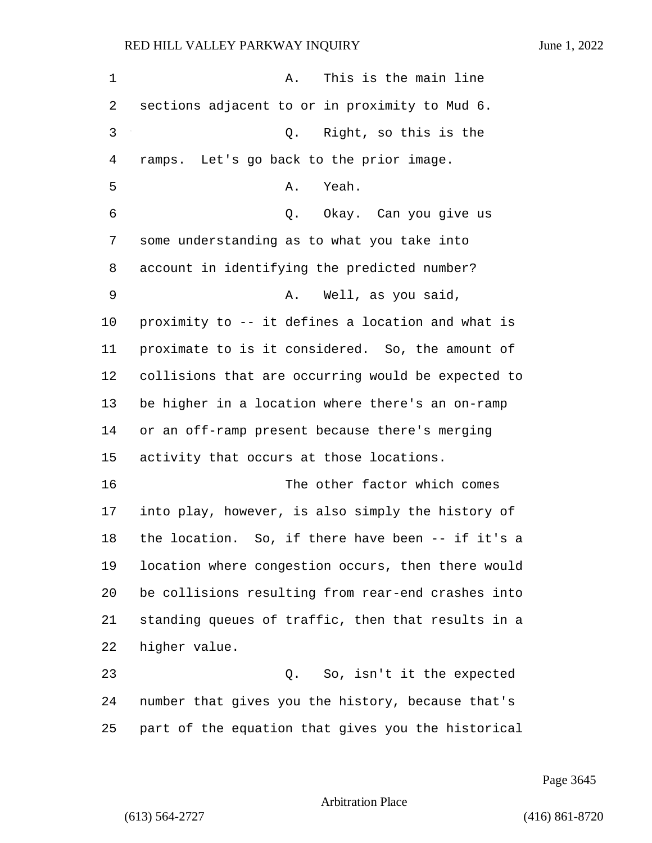| 1  | This is the main line<br>Α.                        |
|----|----------------------------------------------------|
| 2  | sections adjacent to or in proximity to Mud 6.     |
| 3  | Right, so this is the<br>Q.                        |
| 4  | ramps. Let's go back to the prior image.           |
| 5  | Yeah.<br>Α.                                        |
| 6  | Okay. Can you give us<br>Q.                        |
| 7  | some understanding as to what you take into        |
| 8  | account in identifying the predicted number?       |
| 9  | Well, as you said,<br>Α.                           |
| 10 | proximity to -- it defines a location and what is  |
| 11 | proximate to is it considered. So, the amount of   |
| 12 | collisions that are occurring would be expected to |
| 13 | be higher in a location where there's an on-ramp   |
| 14 | or an off-ramp present because there's merging     |
| 15 | activity that occurs at those locations.           |
| 16 | The other factor which comes                       |
| 17 | into play, however, is also simply the history of  |
| 18 | the location. So, if there have been -- if it's a  |
| 19 | location where congestion occurs, then there would |
| 20 | be collisions resulting from rear-end crashes into |
| 21 | standing queues of traffic, then that results in a |
| 22 | higher value.                                      |
| 23 | So, isn't it the expected<br>Q.                    |
| 24 | number that gives you the history, because that's  |
| 25 | part of the equation that gives you the historical |

Page 3645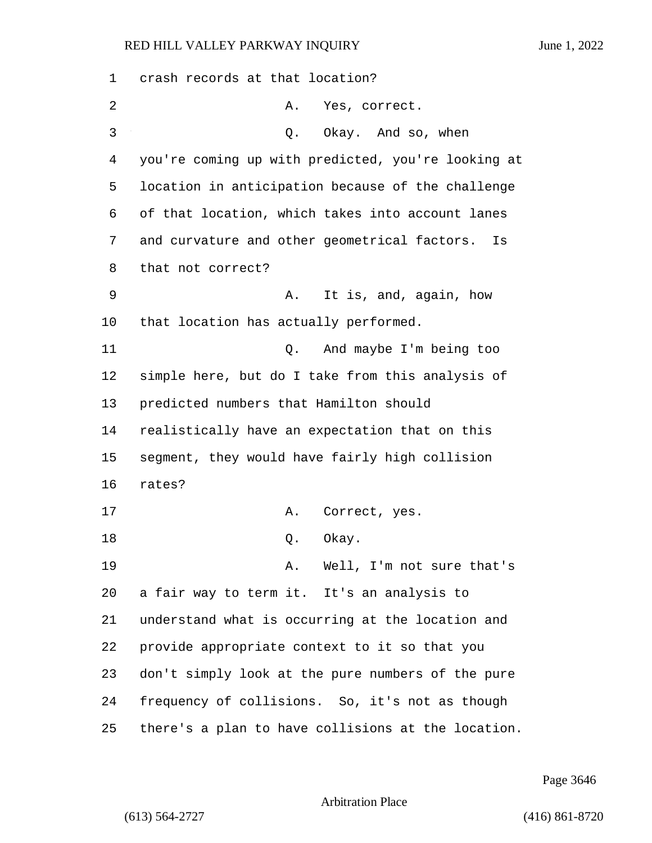| 1  | crash records at that location?                    |
|----|----------------------------------------------------|
| 2  | Yes, correct.<br>Α.                                |
| 3  | Okay. And so, when<br>Q.                           |
| 4  | you're coming up with predicted, you're looking at |
| 5  | location in anticipation because of the challenge  |
| 6  | of that location, which takes into account lanes   |
| 7  | and curvature and other geometrical factors.<br>Is |
| 8  | that not correct?                                  |
| 9  | It is, and, again, how<br>Α.                       |
| 10 | that location has actually performed.              |
| 11 | Q. And maybe I'm being too                         |
| 12 | simple here, but do I take from this analysis of   |
| 13 | predicted numbers that Hamilton should             |
| 14 | realistically have an expectation that on this     |
| 15 | segment, they would have fairly high collision     |
| 16 | rates?                                             |
| 17 | Correct, yes.<br>Α.                                |
| 18 | Q.<br>Okay.                                        |
| 19 | Well, I'm not sure that's<br>Α.                    |
| 20 | a fair way to term it. It's an analysis to         |
| 21 | understand what is occurring at the location and   |
| 22 | provide appropriate context to it so that you      |
| 23 | don't simply look at the pure numbers of the pure  |
| 24 | frequency of collisions. So, it's not as though    |
| 25 | there's a plan to have collisions at the location. |

Page 3646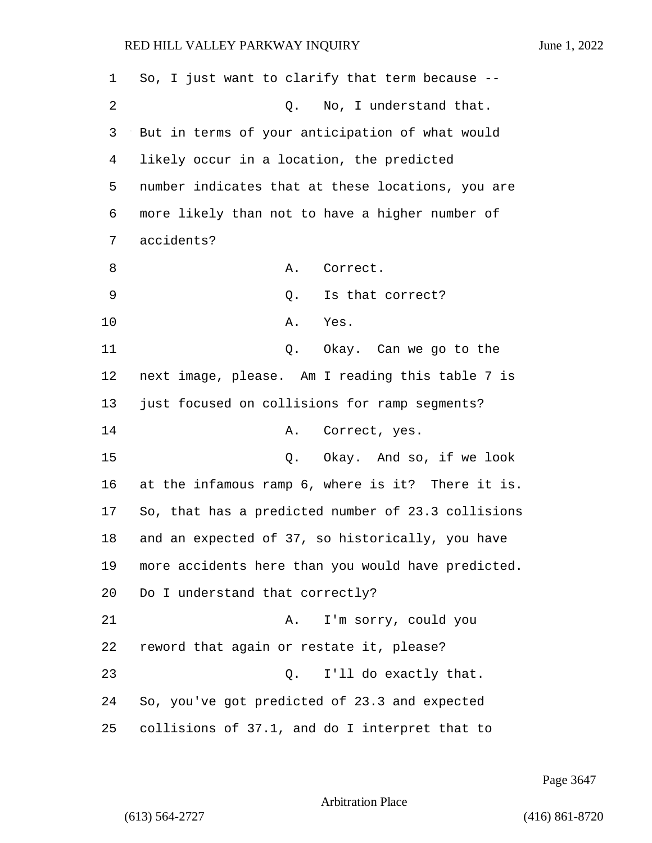| $\mathbf 1$ | So, I just want to clarify that term because --    |
|-------------|----------------------------------------------------|
| 2           | No, I understand that.<br>Q.                       |
| 3           | But in terms of your anticipation of what would    |
| 4           | likely occur in a location, the predicted          |
| 5           | number indicates that at these locations, you are  |
| 6           | more likely than not to have a higher number of    |
| 7           | accidents?                                         |
| 8           | Α.<br>Correct.                                     |
| 9           | Is that correct?<br>Q.                             |
| 10          | Α.<br>Yes.                                         |
| 11          | Okay. Can we go to the<br>Q.                       |
| 12          | next image, please. Am I reading this table 7 is   |
| 13          | just focused on collisions for ramp segments?      |
| 14          | Correct, yes.<br>Α.                                |
| 15          | Okay. And so, if we look<br>Q.                     |
| 16          | at the infamous ramp 6, where is it? There it is.  |
| 17          | So, that has a predicted number of 23.3 collisions |
| 18          | and an expected of 37, so historically, you have   |
| 19          | more accidents here than you would have predicted. |
| 20          | Do I understand that correctly?                    |
| 21          | I'm sorry, could you<br>Α.                         |
| 22          | reword that again or restate it, please?           |
| 23          | I'll do exactly that.<br>Q.                        |
| 24          | So, you've got predicted of 23.3 and expected      |
| 25          | collisions of 37.1, and do I interpret that to     |

Page 3647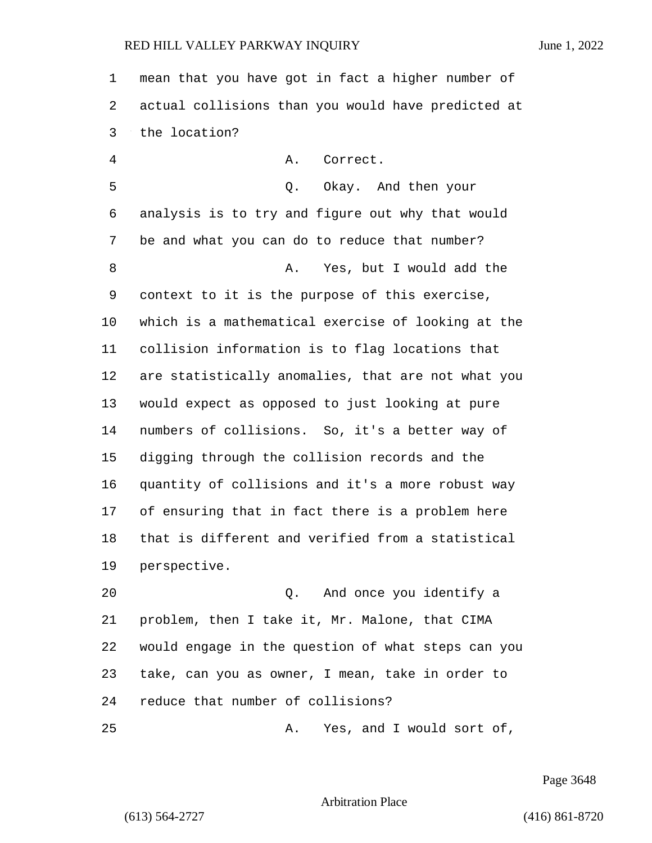mean that you have got in fact a higher number of actual collisions than you would have predicted at the location? 4 A. Correct. 5 Q. Okay. And then your analysis is to try and figure out why that would be and what you can do to reduce that number? 8 A. Yes, but I would add the context to it is the purpose of this exercise, which is a mathematical exercise of looking at the collision information is to flag locations that are statistically anomalies, that are not what you would expect as opposed to just looking at pure numbers of collisions. So, it's a better way of digging through the collision records and the quantity of collisions and it's a more robust way of ensuring that in fact there is a problem here that is different and verified from a statistical perspective. 20 Q. And once you identify a problem, then I take it, Mr. Malone, that CIMA would engage in the question of what steps can you take, can you as owner, I mean, take in order to reduce that number of collisions? 25 A. Yes, and I would sort of,

Page 3648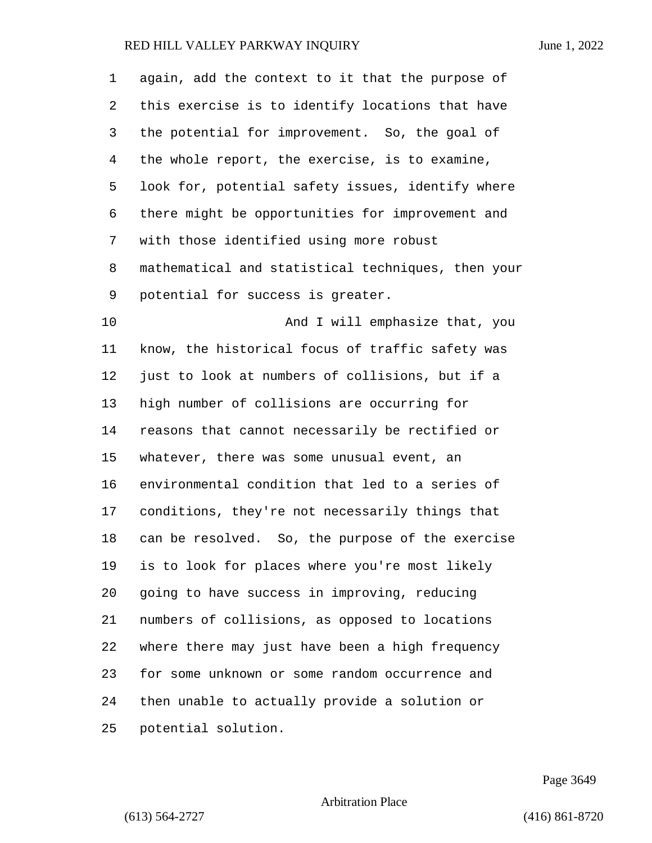again, add the context to it that the purpose of this exercise is to identify locations that have the potential for improvement. So, the goal of the whole report, the exercise, is to examine, look for, potential safety issues, identify where there might be opportunities for improvement and with those identified using more robust mathematical and statistical techniques, then your potential for success is greater. 10 And I will emphasize that, you know, the historical focus of traffic safety was 12 just to look at numbers of collisions, but if a high number of collisions are occurring for reasons that cannot necessarily be rectified or whatever, there was some unusual event, an environmental condition that led to a series of conditions, they're not necessarily things that can be resolved. So, the purpose of the exercise is to look for places where you're most likely going to have success in improving, reducing numbers of collisions, as opposed to locations where there may just have been a high frequency for some unknown or some random occurrence and then unable to actually provide a solution or potential solution.

Page 3649

### Arbitration Place

(613) 564-2727 (416) 861-8720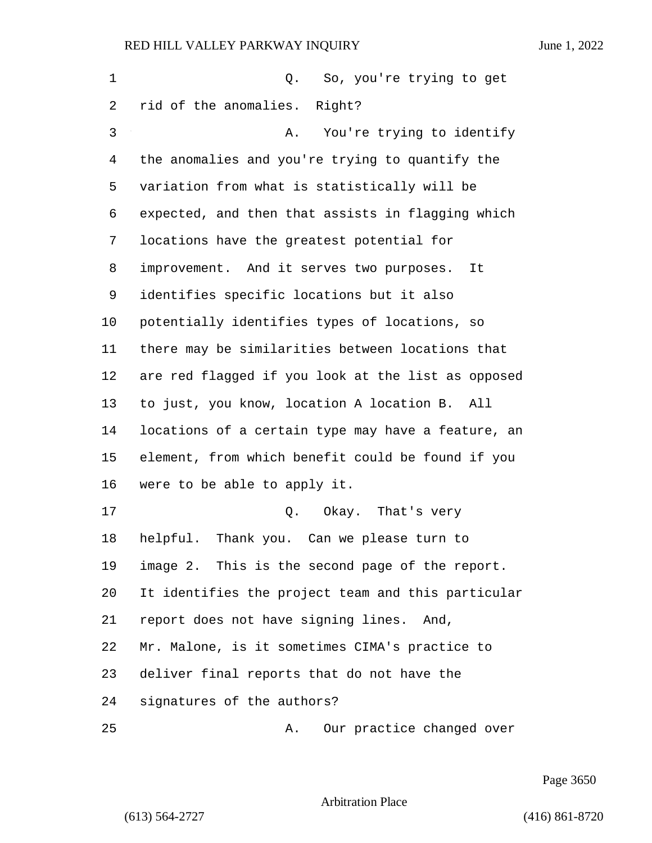| $\mathbf 1$ | So, you're trying to get<br>$Q$ .                  |
|-------------|----------------------------------------------------|
| 2           | rid of the anomalies. Right?                       |
| 3           | You're trying to identify<br>Α.                    |
| 4           | the anomalies and you're trying to quantify the    |
| 5           | variation from what is statistically will be       |
| 6           | expected, and then that assists in flagging which  |
| 7           | locations have the greatest potential for          |
| 8           | improvement. And it serves two purposes.<br>It     |
| 9           | identifies specific locations but it also          |
| 10          | potentially identifies types of locations, so      |
| 11          | there may be similarities between locations that   |
| 12          | are red flagged if you look at the list as opposed |
| 13          | to just, you know, location A location B. All      |
| 14          | locations of a certain type may have a feature, an |
| 15          | element, from which benefit could be found if you  |
| 16          | were to be able to apply it.                       |
| 17          | Q.<br>Okay. That's very                            |
| 18          | helpful.<br>Thank you. Can we please turn to       |
| 19          | image 2. This is the second page of the report.    |
| 20          | It identifies the project team and this particular |
| 21          | report does not have signing lines.<br>And,        |
| 22          | Mr. Malone, is it sometimes CIMA's practice to     |
| 23          | deliver final reports that do not have the         |
| 24          | signatures of the authors?                         |
| 25          | Our practice changed over<br>Α.                    |

Page 3650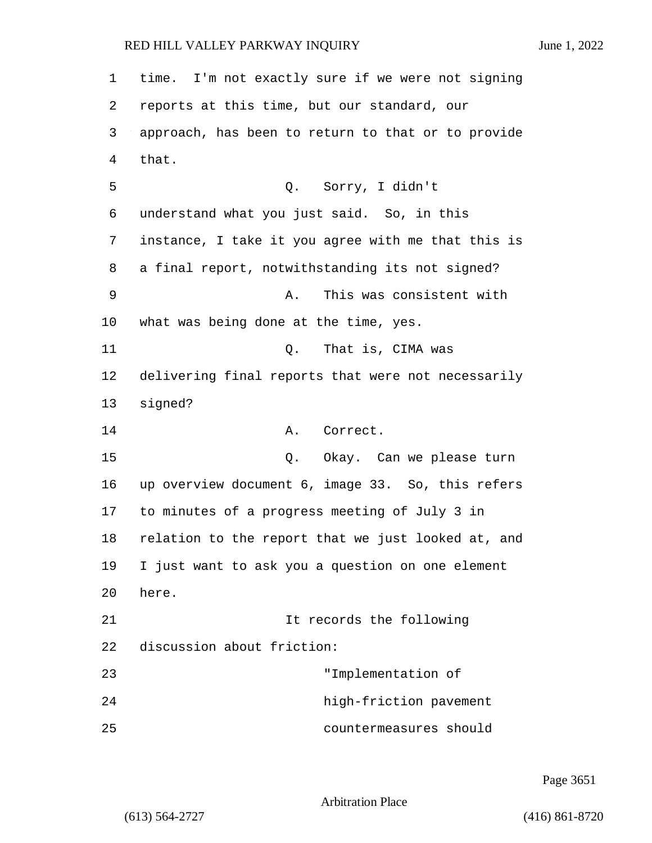1 time. I'm not exactly sure if we were not signing 2 reports at this time, but our standard, our 3 approach, has been to return to that or to provide 4 that. 5 Q. Sorry, I didn't 6 understand what you just said. So, in this 7 instance, I take it you agree with me that this is 8 a final report, notwithstanding its not signed? 9 A. This was consistent with 10 what was being done at the time, yes. 11 Q. That is, CIMA was 12 delivering final reports that were not necessarily 13 signed? 14 A. Correct. 15 Q. Okay. Can we please turn 16 up overview document 6, image 33. So, this refers 17 to minutes of a progress meeting of July 3 in 18 relation to the report that we just looked at, and 19 I just want to ask you a question on one element 20 here. 21 It records the following 22 discussion about friction: 23 "Implementation of 24 high-friction pavement 25 countermeasures should

Page 3651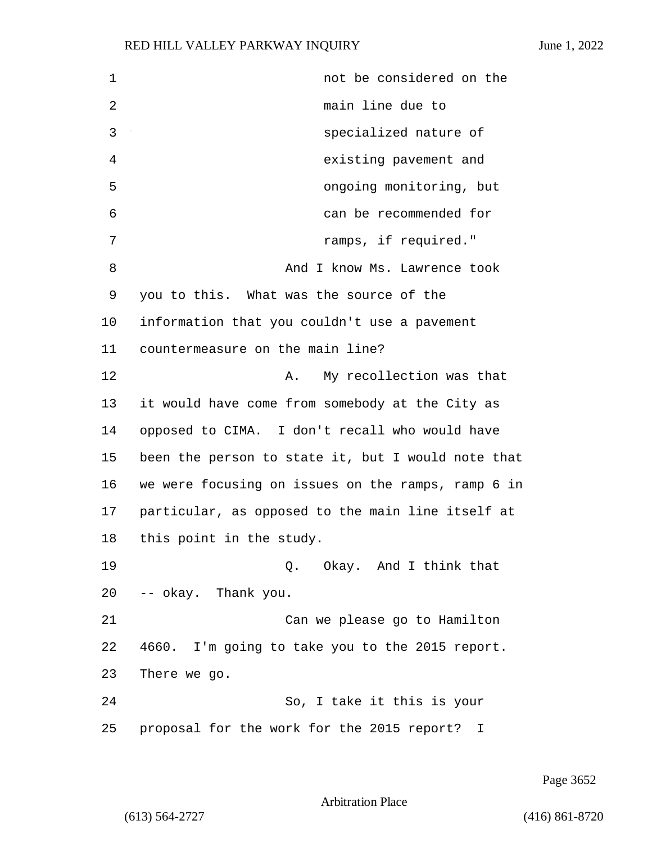1 not be considered on the 2 main line due to 3 specialized nature of 4 existing pavement and 5 ongoing monitoring, but 6 can be recommended for 7 ramps, if required." 8 And I know Ms. Lawrence took 9 you to this. What was the source of the 10 information that you couldn't use a pavement 11 countermeasure on the main line? 12 A. My recollection was that 13 it would have come from somebody at the City as 14 opposed to CIMA. I don't recall who would have 15 been the person to state it, but I would note that 16 we were focusing on issues on the ramps, ramp 6 in 17 particular, as opposed to the main line itself at 18 this point in the study. 19 Q. Okay. And I think that 20 -- okay. Thank you. 21 Can we please go to Hamilton 22 4660. I'm going to take you to the 2015 report. 23 There we go. 24 So, I take it this is your 25 proposal for the work for the 2015 report? I

Page 3652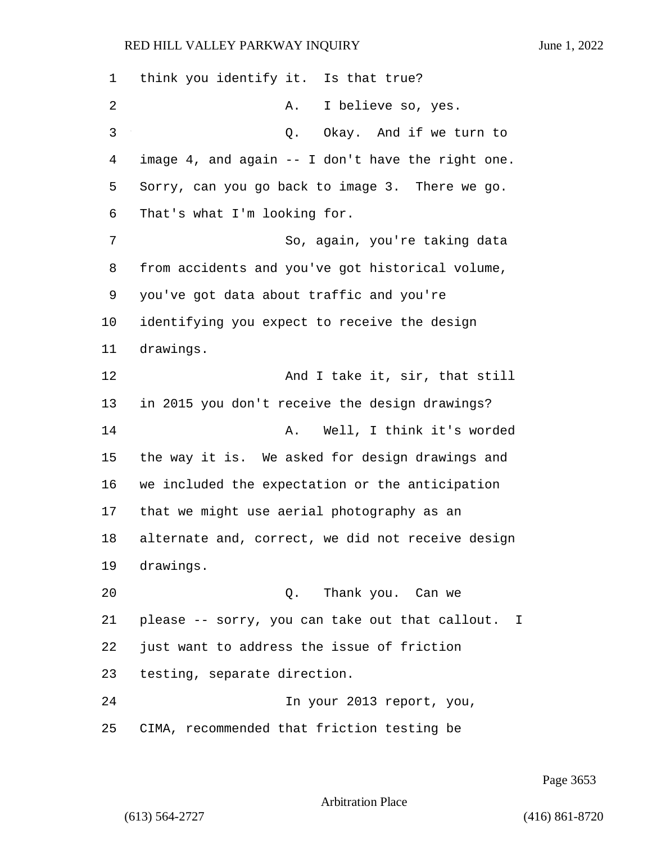think you identify it. Is that true? 2 A. I believe so, yes. 3 Q. Okay. And if we turn to image 4, and again -- I don't have the right one. Sorry, can you go back to image 3. There we go. That's what I'm looking for. 7 So, again, you're taking data from accidents and you've got historical volume, you've got data about traffic and you're identifying you expect to receive the design drawings. **And I take it, sir, that still**  in 2015 you don't receive the design drawings? 14 A. Well, I think it's worded the way it is. We asked for design drawings and we included the expectation or the anticipation that we might use aerial photography as an alternate and, correct, we did not receive design drawings. 20 Q. Thank you. Can we please -- sorry, you can take out that callout. I just want to address the issue of friction testing, separate direction. 24 In your 2013 report, you, CIMA, recommended that friction testing be

Page 3653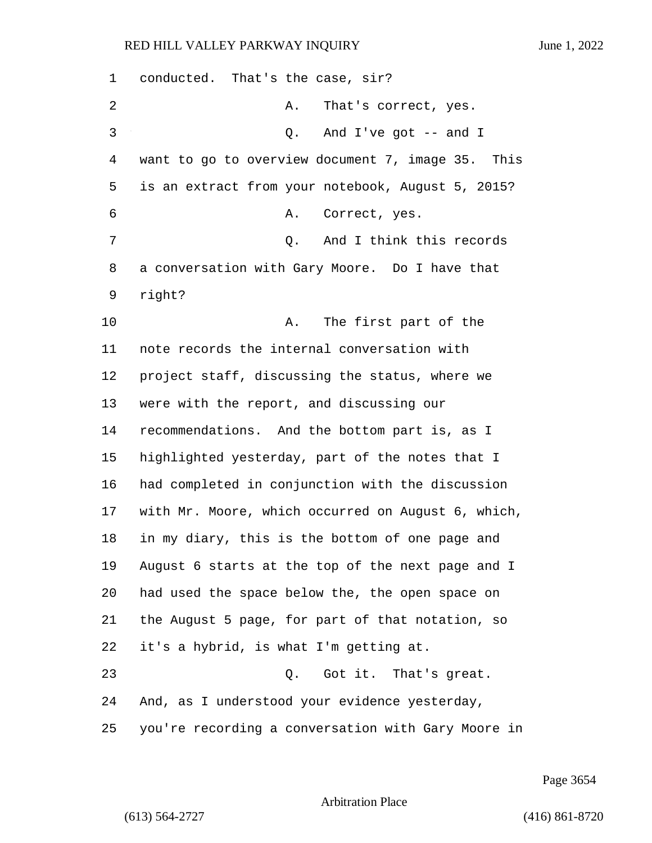| 1  | conducted. That's the case, sir?                   |
|----|----------------------------------------------------|
| 2  | That's correct, yes.<br>Α.                         |
| 3  | Q.<br>And I've got $-$ and I                       |
| 4  | want to go to overview document 7, image 35. This  |
| 5  | is an extract from your notebook, August 5, 2015?  |
| 6  | Correct, yes.<br>Α.                                |
| 7  | And I think this records<br>Q.                     |
| 8  | a conversation with Gary Moore. Do I have that     |
| 9  | right?                                             |
| 10 | The first part of the<br>Α.                        |
| 11 | note records the internal conversation with        |
| 12 | project staff, discussing the status, where we     |
| 13 | were with the report, and discussing our           |
| 14 | recommendations. And the bottom part is, as I      |
| 15 | highlighted yesterday, part of the notes that I    |
| 16 | had completed in conjunction with the discussion   |
| 17 | with Mr. Moore, which occurred on August 6, which, |
| 18 | in my diary, this is the bottom of one page and    |
| 19 | August 6 starts at the top of the next page and I  |
| 20 | had used the space below the, the open space on    |
| 21 | the August 5 page, for part of that notation, so   |
| 22 | it's a hybrid, is what I'm getting at.             |
| 23 | Q. Got it. That's great.                           |
| 24 | And, as I understood your evidence yesterday,      |
| 25 | you're recording a conversation with Gary Moore in |

Page 3654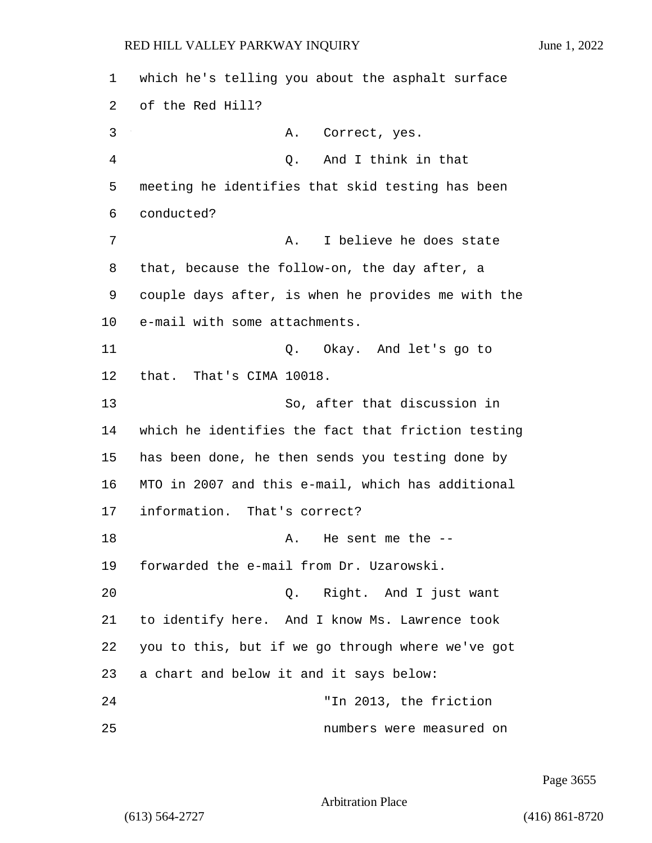1 which he's telling you about the asphalt surface

 of the Red Hill? 3 A. Correct, yes. 4 Q. And I think in that meeting he identifies that skid testing has been conducted? 7 A. I believe he does state that, because the follow-on, the day after, a couple days after, is when he provides me with the e-mail with some attachments. 11 Q. Okay. And let's go to that. That's CIMA 10018. 13 So, after that discussion in which he identifies the fact that friction testing has been done, he then sends you testing done by MTO in 2007 and this e-mail, which has additional information. That's correct? 18 A. He sent me the -- forwarded the e-mail from Dr. Uzarowski. 20 Q. Right. And I just want to identify here. And I know Ms. Lawrence took you to this, but if we go through where we've got a chart and below it and it says below: 24 "In 2013, the friction 25 numbers were measured on

Page 3655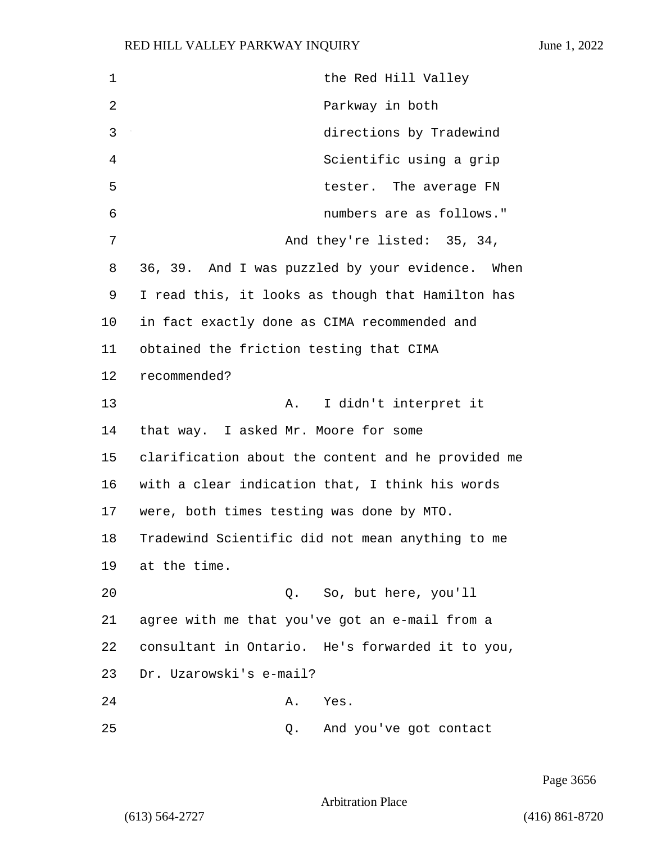| 1  | the Red Hill Valley                                |
|----|----------------------------------------------------|
| 2  | Parkway in both                                    |
| 3  | directions by Tradewind                            |
| 4  | Scientific using a grip                            |
| 5  | tester. The average FN                             |
| 6  | numbers are as follows."                           |
| 7  | And they're listed: 35, 34,                        |
| 8  | 36, 39. And I was puzzled by your evidence. When   |
| 9  | I read this, it looks as though that Hamilton has  |
| 10 | in fact exactly done as CIMA recommended and       |
| 11 | obtained the friction testing that CIMA            |
| 12 | recommended?                                       |
| 13 | I didn't interpret it<br>А.                        |
| 14 | that way. I asked Mr. Moore for some               |
| 15 | clarification about the content and he provided me |
| 16 | with a clear indication that, I think his words    |
| 17 | were, both times testing was done by MTO.          |
| 18 | Tradewind Scientific did not mean anything to me   |
| 19 | at the time.                                       |
| 20 | So, but here, you'll<br>Q.                         |
| 21 | agree with me that you've got an e-mail from a     |
| 22 | consultant in Ontario. He's forwarded it to you,   |
| 23 | Dr. Uzarowski's e-mail?                            |
| 24 | Yes.<br>Α.                                         |
| 25 | And you've got contact<br>Q.                       |

Page 3656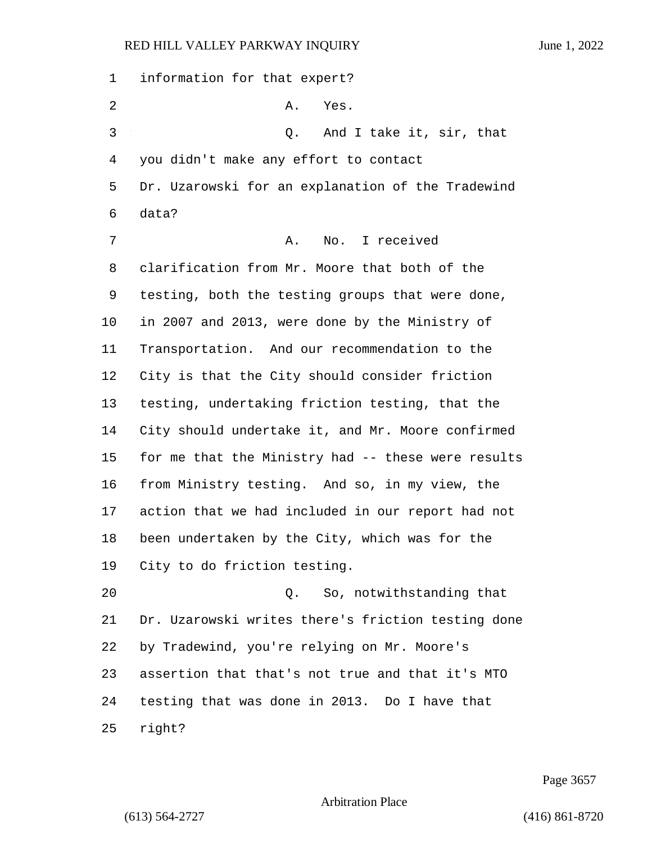information for that expert? 2 A. Yes. 3 Q. And I take it, sir, that you didn't make any effort to contact Dr. Uzarowski for an explanation of the Tradewind data? 7 A. No. I received clarification from Mr. Moore that both of the testing, both the testing groups that were done, in 2007 and 2013, were done by the Ministry of Transportation. And our recommendation to the City is that the City should consider friction testing, undertaking friction testing, that the City should undertake it, and Mr. Moore confirmed for me that the Ministry had -- these were results from Ministry testing. And so, in my view, the action that we had included in our report had not been undertaken by the City, which was for the City to do friction testing. 20 Q. So, notwithstanding that Dr. Uzarowski writes there's friction testing done by Tradewind, you're relying on Mr. Moore's assertion that that's not true and that it's MTO testing that was done in 2013. Do I have that right?

Page 3657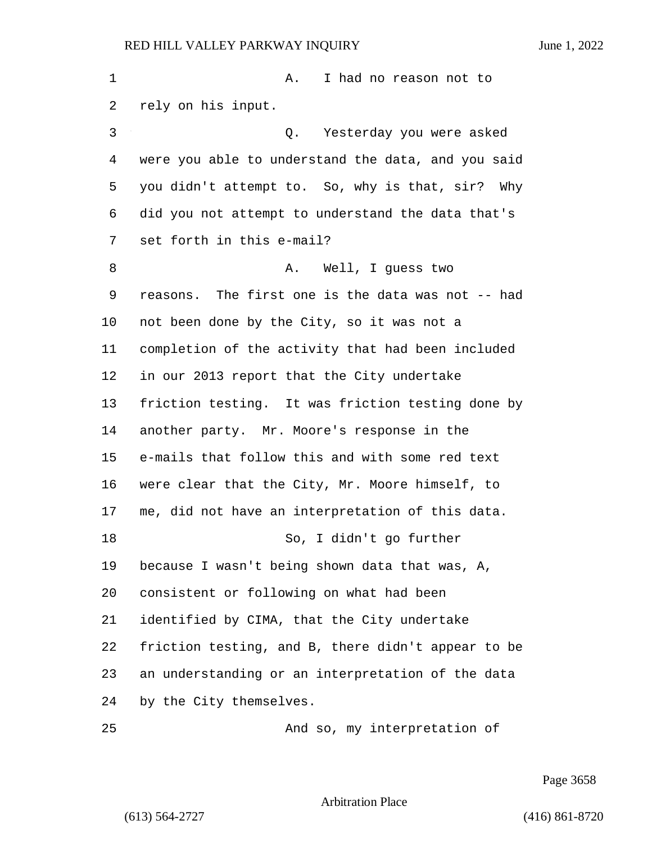| 1  | I had no reason not to<br>Α.                       |
|----|----------------------------------------------------|
| 2  | rely on his input.                                 |
| 3  | Q. Yesterday you were asked                        |
| 4  | were you able to understand the data, and you said |
| 5  | you didn't attempt to. So, why is that, sir? Why   |
| 6  | did you not attempt to understand the data that's  |
| 7  | set forth in this e-mail?                          |
| 8  | A. Well, I guess two                               |
| 9  | reasons. The first one is the data was not -- had  |
| 10 | not been done by the City, so it was not a         |
| 11 | completion of the activity that had been included  |
| 12 | in our 2013 report that the City undertake         |
| 13 | friction testing. It was friction testing done by  |
| 14 | another party. Mr. Moore's response in the         |
| 15 | e-mails that follow this and with some red text    |
| 16 | were clear that the City, Mr. Moore himself, to    |
| 17 | me, did not have an interpretation of this data.   |
| 18 | So, I didn't go further                            |
| 19 | because I wasn't being shown data that was, A,     |
| 20 | consistent or following on what had been           |
| 21 | identified by CIMA, that the City undertake        |
| 22 | friction testing, and B, there didn't appear to be |
| 23 | an understanding or an interpretation of the data  |
| 24 | by the City themselves.                            |
| 25 | And so, my interpretation of                       |

Page 3658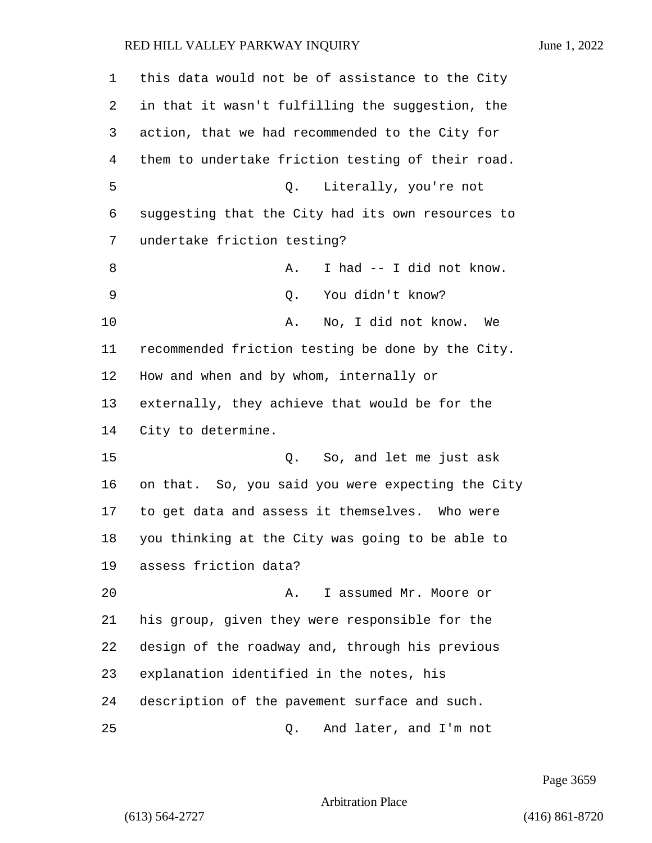| 1  | this data would not be of assistance to the City  |
|----|---------------------------------------------------|
| 2  | in that it wasn't fulfilling the suggestion, the  |
| 3  | action, that we had recommended to the City for   |
| 4  | them to undertake friction testing of their road. |
| 5  | Literally, you're not<br>0.                       |
| 6  | suggesting that the City had its own resources to |
| 7  | undertake friction testing?                       |
| 8  | I had -- I did not know.<br>Α.                    |
| 9  | You didn't know?<br>Q.                            |
| 10 | No, I did not know. We<br>Α.                      |
| 11 | recommended friction testing be done by the City. |
| 12 | How and when and by whom, internally or           |
| 13 | externally, they achieve that would be for the    |
| 14 | City to determine.                                |
| 15 | So, and let me just ask<br>Q.                     |
| 16 | on that. So, you said you were expecting the City |
| 17 | to get data and assess it themselves. Who were    |
| 18 | you thinking at the City was going to be able to  |
| 19 | assess friction data?                             |
| 20 | I assumed Mr. Moore or<br>Α.                      |
| 21 | his group, given they were responsible for the    |
| 22 | design of the roadway and, through his previous   |
| 23 | explanation identified in the notes, his          |
| 24 | description of the pavement surface and such.     |
| 25 | And later, and I'm not<br>Q.                      |

Page 3659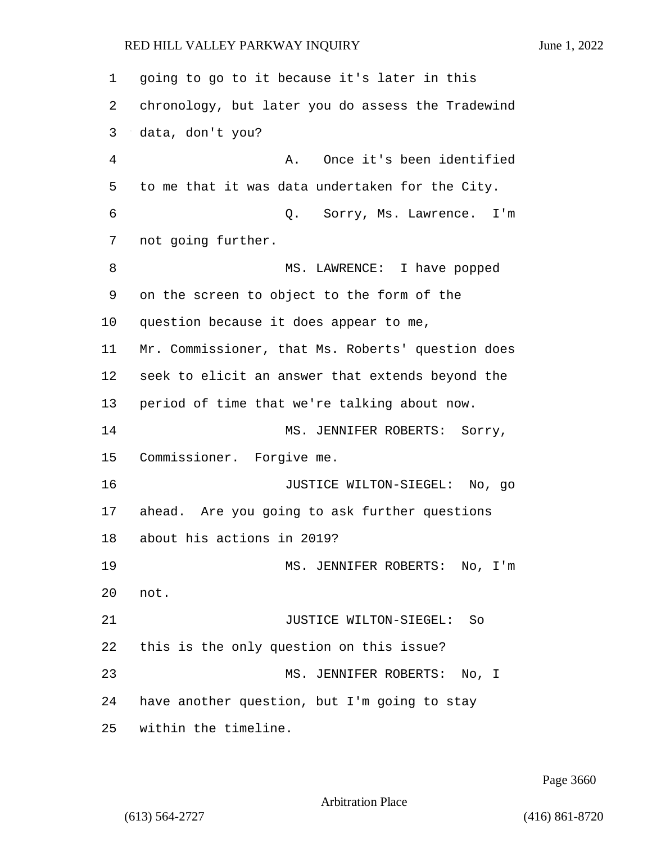going to go to it because it's later in this chronology, but later you do assess the Tradewind data, don't you? 4 A. Once it's been identified to me that it was data undertaken for the City. 6 Q. Sorry, Ms. Lawrence. I'm not going further. 8 MS. LAWRENCE: I have popped on the screen to object to the form of the question because it does appear to me, Mr. Commissioner, that Ms. Roberts' question does seek to elicit an answer that extends beyond the period of time that we're talking about now. 14 MS. JENNIFER ROBERTS: Sorry, Commissioner. Forgive me. 16 JUSTICE WILTON-SIEGEL: No, go ahead. Are you going to ask further questions about his actions in 2019? 19 MS. JENNIFER ROBERTS: No, I'm 20 not. 21 JUSTICE WILTON-SIEGEL: So this is the only question on this issue? 23 MS. JENNIFER ROBERTS: No, I have another question, but I'm going to stay within the timeline.

Page 3660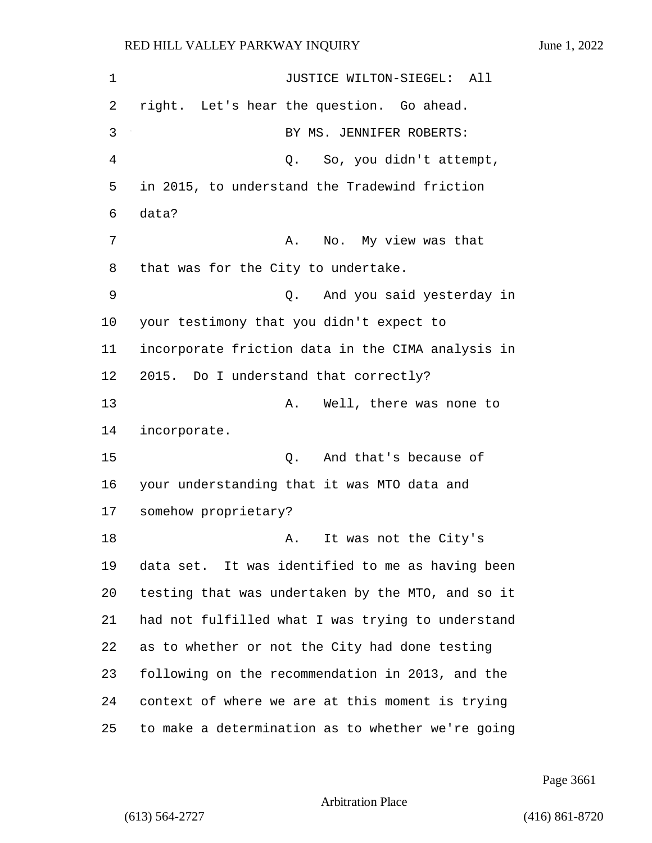| 1  | JUSTICE WILTON-SIEGEL: All                        |
|----|---------------------------------------------------|
| 2  | right. Let's hear the question. Go ahead.         |
| 3  | BY MS. JENNIFER ROBERTS:                          |
| 4  | So, you didn't attempt,<br>Q.                     |
| 5  | in 2015, to understand the Tradewind friction     |
| 6  | data?                                             |
| 7  | No. My view was that<br>Α.                        |
| 8  | that was for the City to undertake.               |
| 9  | And you said yesterday in<br>Q.                   |
| 10 | your testimony that you didn't expect to          |
| 11 | incorporate friction data in the CIMA analysis in |
| 12 | 2015. Do I understand that correctly?             |
| 13 | Well, there was none to<br>Α.                     |
| 14 | incorporate.                                      |
| 15 | And that's because of<br>Q.                       |
| 16 | your understanding that it was MTO data and       |
| 17 | somehow proprietary?                              |
| 18 | It was not the City's<br>Α.                       |
| 19 | data set. It was identified to me as having been  |
| 20 | testing that was undertaken by the MTO, and so it |
| 21 | had not fulfilled what I was trying to understand |
| 22 | as to whether or not the City had done testing    |
| 23 | following on the recommendation in 2013, and the  |
| 24 | context of where we are at this moment is trying  |
| 25 | to make a determination as to whether we're going |

Page 3661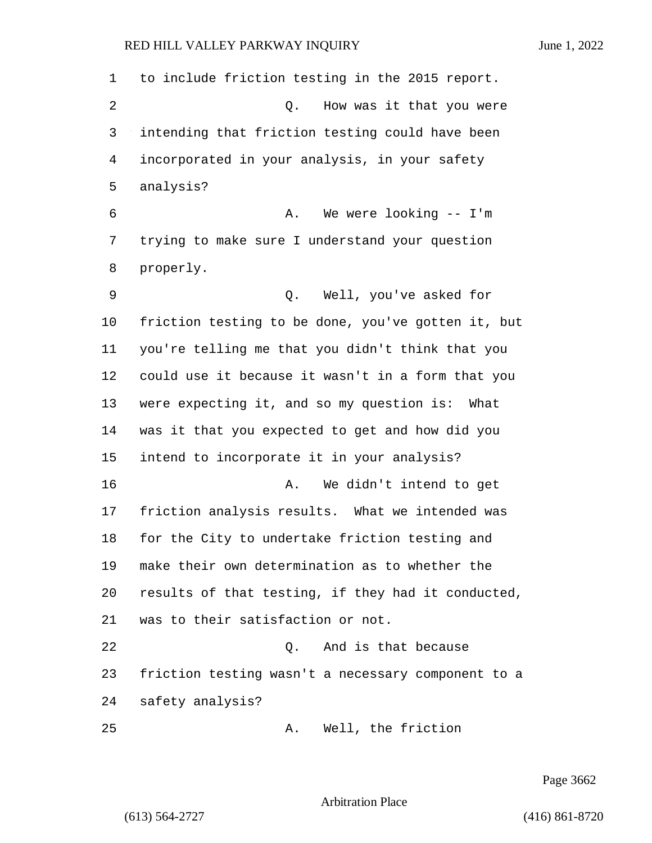to include friction testing in the 2015 report. 2 a Q. How was it that you were intending that friction testing could have been incorporated in your analysis, in your safety analysis? 6 A. We were looking -- I'm trying to make sure I understand your question properly. 9 Q. Well, you've asked for friction testing to be done, you've gotten it, but you're telling me that you didn't think that you could use it because it wasn't in a form that you were expecting it, and so my question is: What was it that you expected to get and how did you intend to incorporate it in your analysis? 16 A. We didn't intend to get friction analysis results. What we intended was for the City to undertake friction testing and make their own determination as to whether the results of that testing, if they had it conducted, was to their satisfaction or not. 22 Q. And is that because friction testing wasn't a necessary component to a safety analysis? 25 A. Well, the friction

Page 3662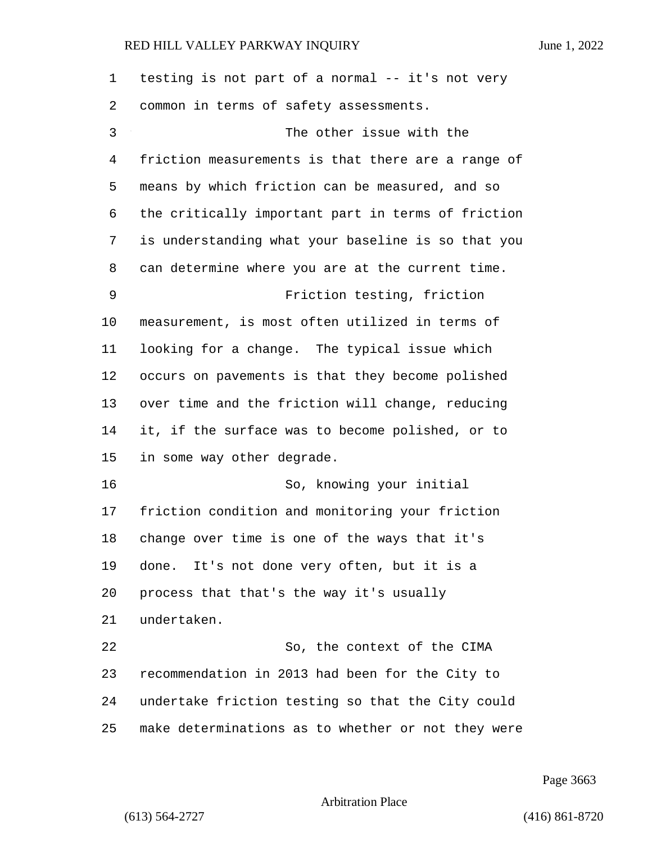| $\mathbf 1$ | testing is not part of a normal -- it's not very   |
|-------------|----------------------------------------------------|
| 2           | common in terms of safety assessments.             |
| 3           | The other issue with the                           |
| 4           | friction measurements is that there are a range of |
| 5           | means by which friction can be measured, and so    |
| 6           | the critically important part in terms of friction |
| 7           | is understanding what your baseline is so that you |
| 8           | can determine where you are at the current time.   |
| 9           | Friction testing, friction                         |
| 10          | measurement, is most often utilized in terms of    |
| 11          | looking for a change. The typical issue which      |
| 12          | occurs on pavements is that they become polished   |
| 13          | over time and the friction will change, reducing   |
| 14          | it, if the surface was to become polished, or to   |
| 15          | in some way other degrade.                         |
| 16          | So, knowing your initial                           |
| 17          | friction condition and monitoring your friction    |
| 18          | change over time is one of the ways that it's      |
| 19          | done. It's not done very often, but it is a        |
| 20          | process that that's the way it's usually           |
| 21          | undertaken.                                        |
| 22          | So, the context of the CIMA                        |
| 23          | recommendation in 2013 had been for the City to    |
| 24          | undertake friction testing so that the City could  |
| 25          | make determinations as to whether or not they were |

Page 3663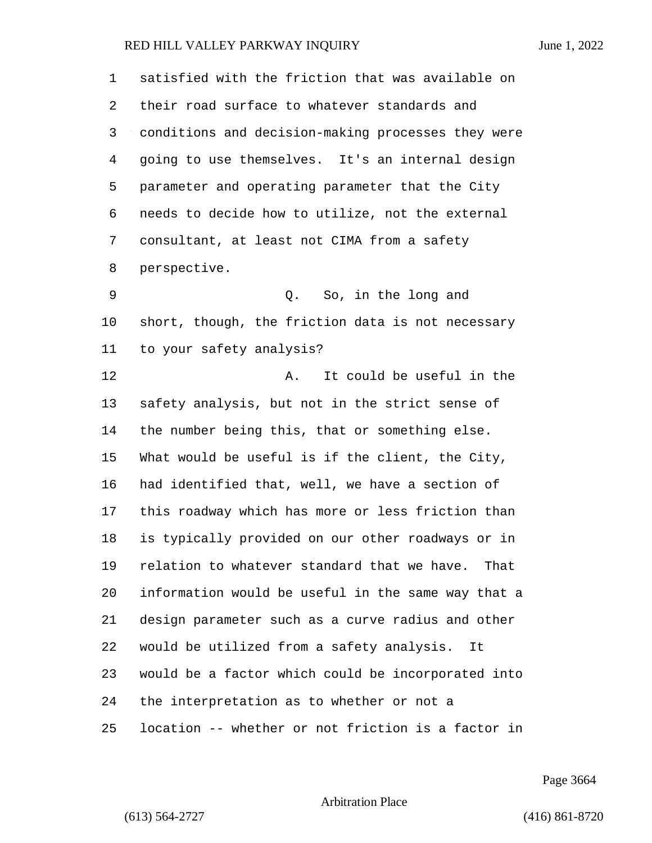satisfied with the friction that was available on their road surface to whatever standards and conditions and decision-making processes they were going to use themselves. It's an internal design parameter and operating parameter that the City needs to decide how to utilize, not the external consultant, at least not CIMA from a safety perspective. 9 Q. So, in the long and short, though, the friction data is not necessary to your safety analysis? 12 A. It could be useful in the safety analysis, but not in the strict sense of the number being this, that or something else. What would be useful is if the client, the City, had identified that, well, we have a section of this roadway which has more or less friction than is typically provided on our other roadways or in relation to whatever standard that we have. That information would be useful in the same way that a design parameter such as a curve radius and other would be utilized from a safety analysis. It would be a factor which could be incorporated into the interpretation as to whether or not a location -- whether or not friction is a factor in

Page 3664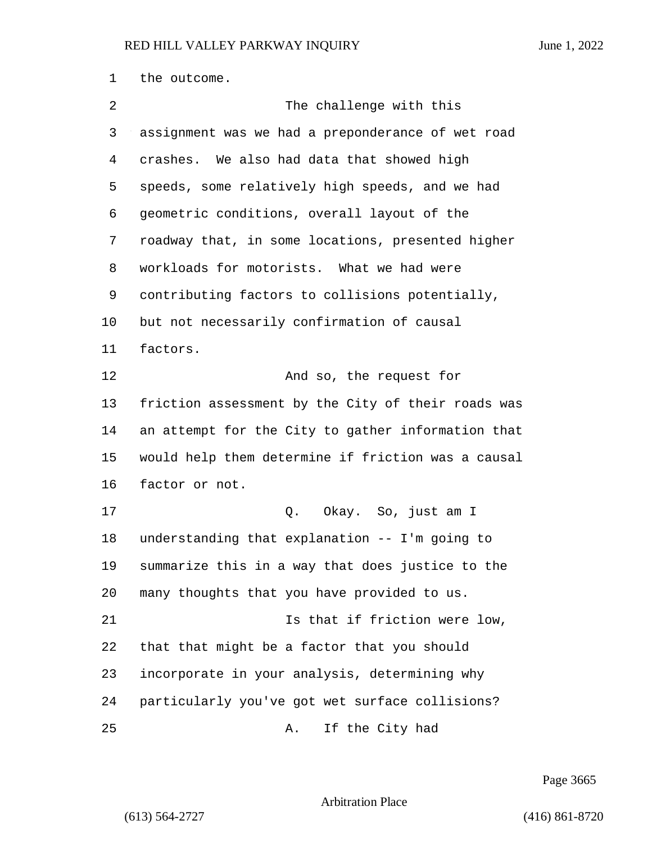the outcome.

| 2       | The challenge with this                            |
|---------|----------------------------------------------------|
| 3       | assignment was we had a preponderance of wet road  |
| 4       | crashes. We also had data that showed high         |
| 5       | speeds, some relatively high speeds, and we had    |
| 6       | geometric conditions, overall layout of the        |
| 7       | roadway that, in some locations, presented higher  |
| 8       | workloads for motorists. What we had were          |
| 9       | contributing factors to collisions potentially,    |
| $10 \,$ | but not necessarily confirmation of causal         |
| 11      | factors.                                           |
| 12      | And so, the request for                            |
| 13      | friction assessment by the City of their roads was |
| 14      | an attempt for the City to gather information that |
| 15      | would help them determine if friction was a causal |
| 16      | factor or not.                                     |
| 17      | Okay. So, just am I<br>Q.                          |
| 18      | understanding that explanation -- I'm going to     |
| 19      | summarize this in a way that does justice to the   |
| 20      | many thoughts that you have provided to us.        |
| 21      | Is that if friction were low,                      |
| 22      | that that might be a factor that you should        |
| 23      | incorporate in your analysis, determining why      |
| 24      | particularly you've got wet surface collisions?    |
| 25      | If the City had<br>Α.                              |

Page 3665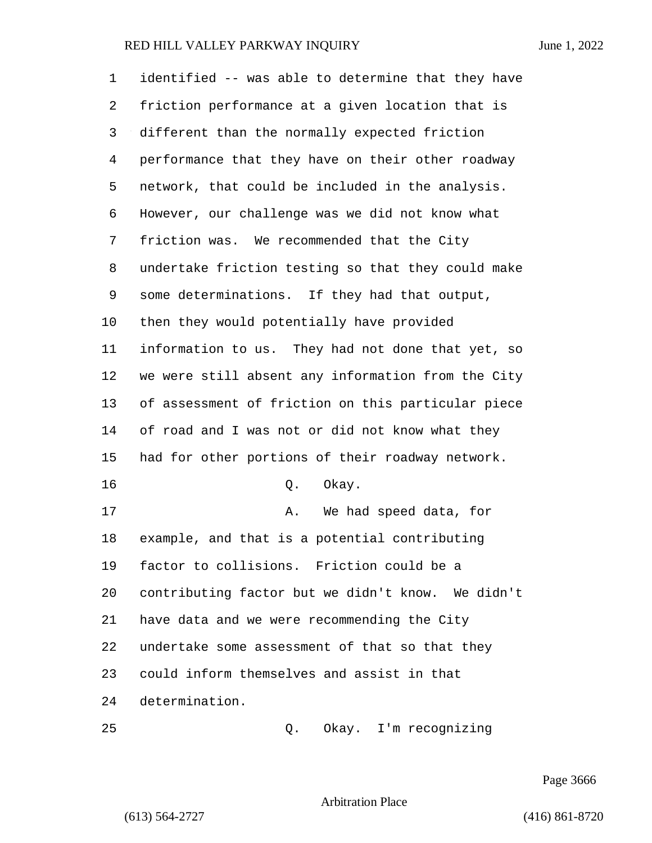| 1  | identified -- was able to determine that they have |
|----|----------------------------------------------------|
| 2  | friction performance at a given location that is   |
| 3  | different than the normally expected friction      |
| 4  | performance that they have on their other roadway  |
| 5  | network, that could be included in the analysis.   |
| 6  | However, our challenge was we did not know what    |
| 7  | friction was. We recommended that the City         |
| 8  | undertake friction testing so that they could make |
| 9  | some determinations. If they had that output,      |
| 10 | then they would potentially have provided          |
| 11 | information to us. They had not done that yet, so  |
| 12 | we were still absent any information from the City |
| 13 | of assessment of friction on this particular piece |
| 14 | of road and I was not or did not know what they    |
| 15 | had for other portions of their roadway network.   |
| 16 | Okay.<br>Q.                                        |
| 17 | We had speed data, for<br>Α.                       |
| 18 | example, and that is a potential contributing      |
| 19 | factor to collisions. Friction could be a          |
| 20 | contributing factor but we didn't know. We didn't  |
| 21 | have data and we were recommending the City        |
| 22 | undertake some assessment of that so that they     |
| 23 | could inform themselves and assist in that         |
| 24 | determination.                                     |
| 25 | Okay. I'm recognizing<br>Q.                        |

Page 3666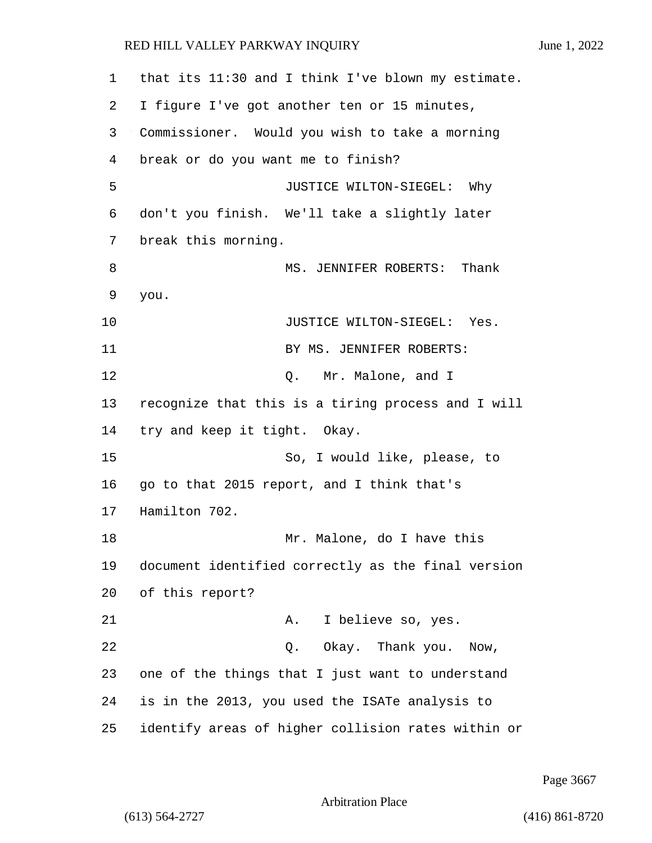that its 11:30 and I think I've blown my estimate. I figure I've got another ten or 15 minutes, Commissioner. Would you wish to take a morning break or do you want me to finish? 5 JUSTICE WILTON-SIEGEL: Why don't you finish. We'll take a slightly later break this morning. 8 MS. JENNIFER ROBERTS: Thank 9 you. 10 JUSTICE WILTON-SIEGEL: Yes. 11 BY MS. JENNIFER ROBERTS: 12 O. Mr. Malone, and I recognize that this is a tiring process and I will try and keep it tight. Okay. 15 So, I would like, please, to go to that 2015 report, and I think that's Hamilton 702. 18 Mr. Malone, do I have this document identified correctly as the final version of this report? 21 A. I believe so, yes. **Q.** Okay. Thank you. Now, one of the things that I just want to understand is in the 2013, you used the ISATe analysis to identify areas of higher collision rates within or

Page 3667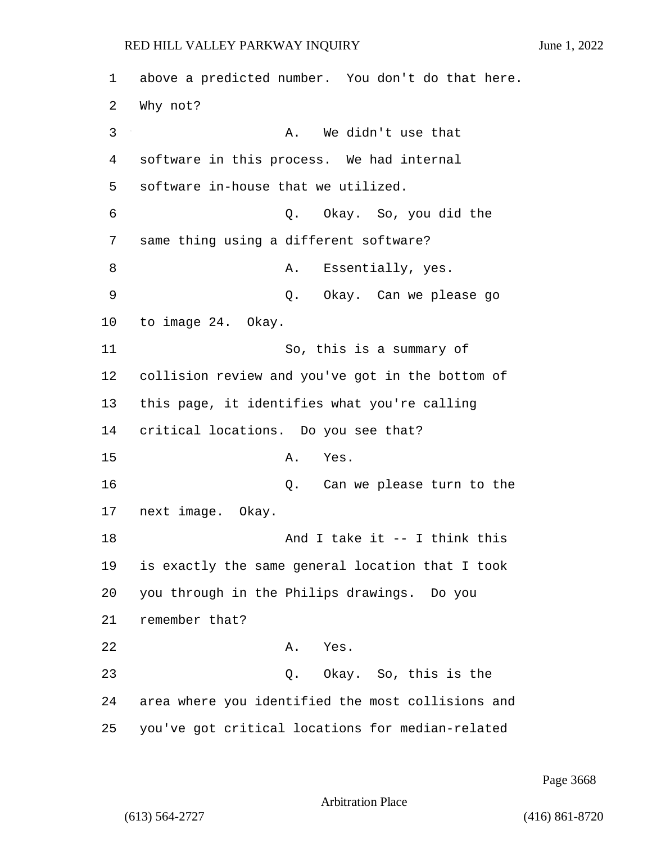1 above a predicted number. You don't do that here. 2 Why not? 3 A. We didn't use that 4 software in this process. We had internal 5 software in-house that we utilized. 6 Q. Okay. So, you did the 7 same thing using a different software? 8 A. Essentially, yes. 9 Q. Okay. Can we please go 10 to image 24. Okay. 11 So, this is a summary of 12 collision review and you've got in the bottom of 13 this page, it identifies what you're calling 14 critical locations. Do you see that? 15 A. Yes. 16 Q. Can we please turn to the 17 next image. Okay. 18 And I take it -- I think this 19 is exactly the same general location that I took 20 you through in the Philips drawings. Do you 21 remember that? 22 A. Yes. 23 Q. Okay. So, this is the 24 area where you identified the most collisions and 25 you've got critical locations for median-related

Page 3668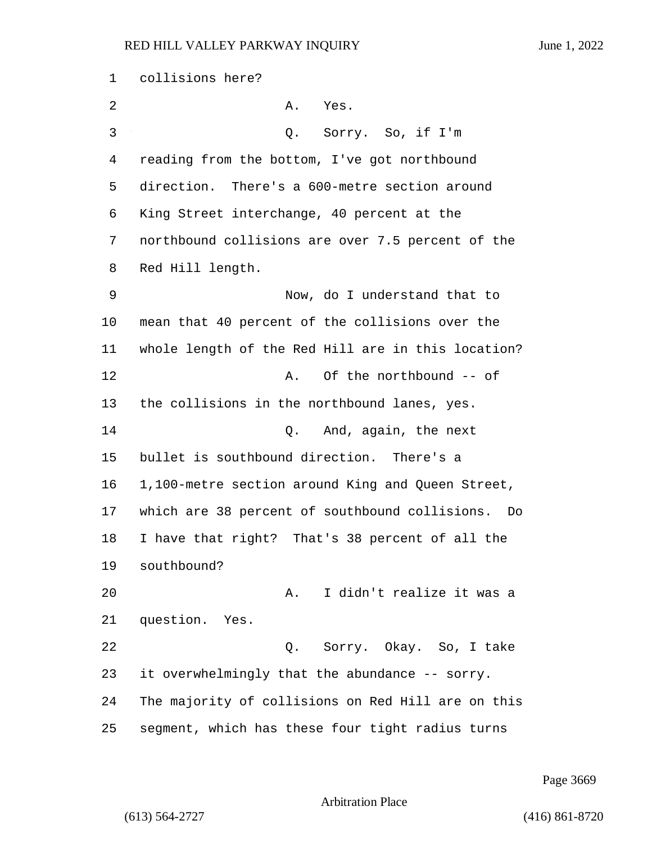collisions here? 2 A. Yes. 3 Q. Sorry. So, if I'm reading from the bottom, I've got northbound direction. There's a 600-metre section around King Street interchange, 40 percent at the northbound collisions are over 7.5 percent of the Red Hill length. 9 Now, do I understand that to mean that 40 percent of the collisions over the whole length of the Red Hill are in this location? 12 A. Of the northbound -- of the collisions in the northbound lanes, yes. 14 Q. And, again, the next bullet is southbound direction. There's a 1,100-metre section around King and Queen Street, which are 38 percent of southbound collisions. Do I have that right? That's 38 percent of all the southbound? 20 A. I didn't realize it was a question. Yes. 22 Q. Sorry. Okay. So, I take it overwhelmingly that the abundance -- sorry. The majority of collisions on Red Hill are on this segment, which has these four tight radius turns

Page 3669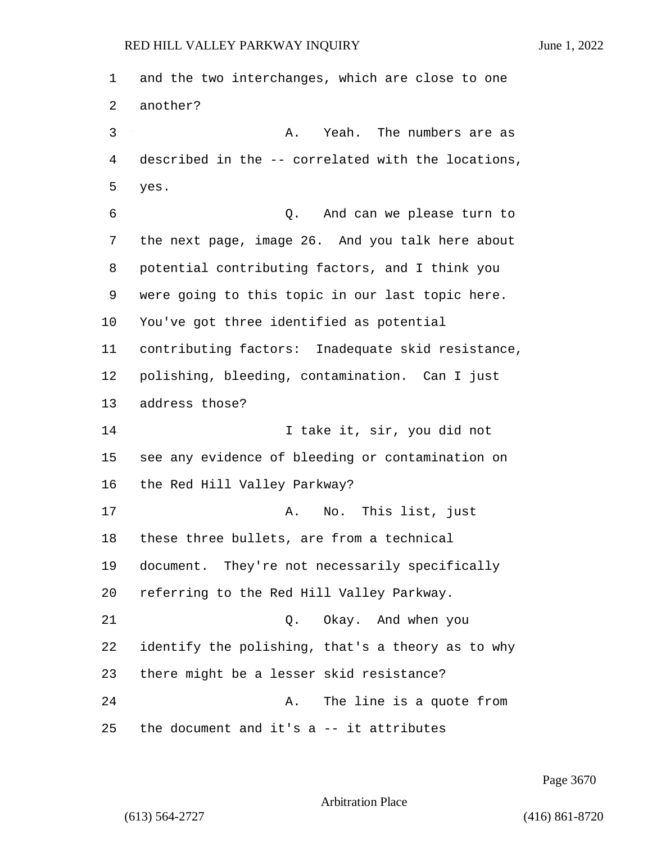and the two interchanges, which are close to one another? 3 A. Yeah. The numbers are as described in the -- correlated with the locations, yes. 6 Q. And can we please turn to the next page, image 26. And you talk here about potential contributing factors, and I think you were going to this topic in our last topic here. You've got three identified as potential contributing factors: Inadequate skid resistance, polishing, bleeding, contamination. Can I just address those? 14 I take it, sir, you did not see any evidence of bleeding or contamination on the Red Hill Valley Parkway? 17 A. No. This list, just these three bullets, are from a technical document. They're not necessarily specifically referring to the Red Hill Valley Parkway. 21 Q. Okay. And when you identify the polishing, that's a theory as to why there might be a lesser skid resistance? 24 A. The line is a quote from the document and it's a -- it attributes

Page 3670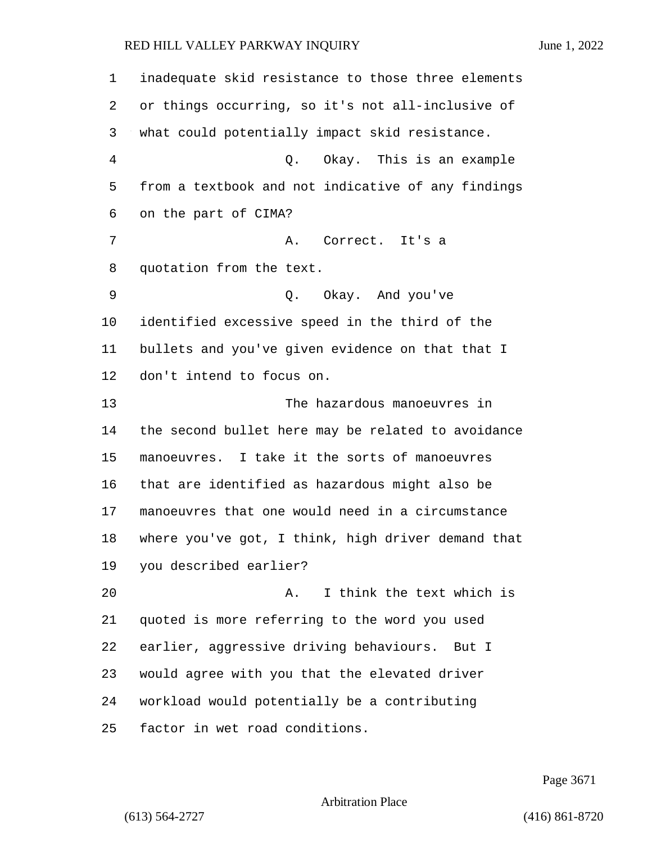inadequate skid resistance to those three elements or things occurring, so it's not all-inclusive of what could potentially impact skid resistance. 4 Q. Okay. This is an example from a textbook and not indicative of any findings on the part of CIMA? 7 A. Correct. It's a quotation from the text. 9 Q. Okay. And you've identified excessive speed in the third of the bullets and you've given evidence on that that I don't intend to focus on. 13 The hazardous manoeuvres in the second bullet here may be related to avoidance manoeuvres. I take it the sorts of manoeuvres that are identified as hazardous might also be manoeuvres that one would need in a circumstance where you've got, I think, high driver demand that you described earlier? 20 A. I think the text which is quoted is more referring to the word you used earlier, aggressive driving behaviours. But I would agree with you that the elevated driver workload would potentially be a contributing factor in wet road conditions.

Page 3671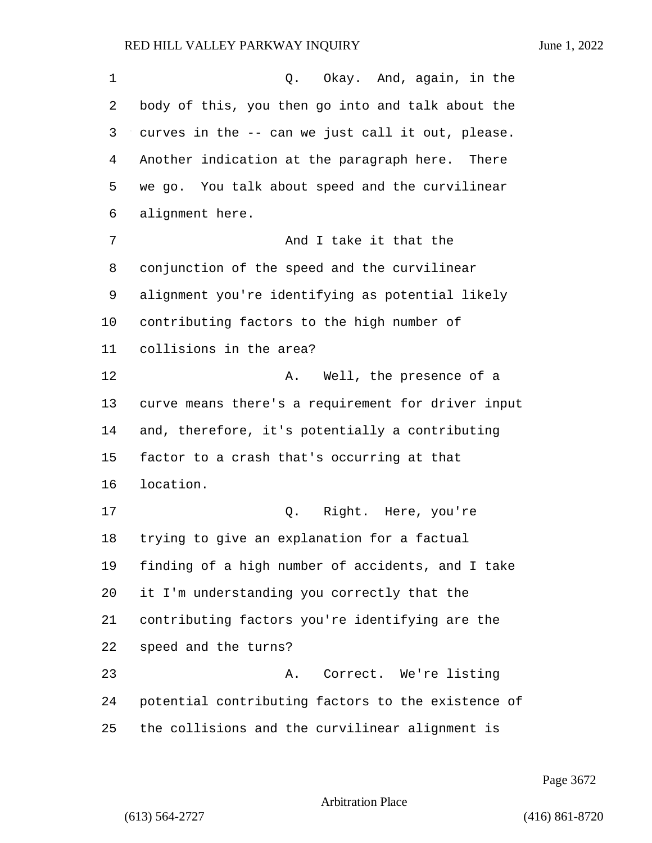| 1  | Okay. And, again, in the<br>Q.                     |
|----|----------------------------------------------------|
| 2  | body of this, you then go into and talk about the  |
| 3  | curves in the -- can we just call it out, please.  |
| 4  | Another indication at the paragraph here. There    |
| 5  | we go. You talk about speed and the curvilinear    |
| 6  | alignment here.                                    |
| 7  | And I take it that the                             |
| 8  | conjunction of the speed and the curvilinear       |
| 9  | alignment you're identifying as potential likely   |
| 10 | contributing factors to the high number of         |
| 11 | collisions in the area?                            |
| 12 | Well, the presence of a<br>Α.                      |
| 13 | curve means there's a requirement for driver input |
| 14 | and, therefore, it's potentially a contributing    |
| 15 | factor to a crash that's occurring at that         |
| 16 | location.                                          |
| 17 | Right. Here, you're<br>Q.                          |
| 18 | trying to give an explanation for a factual        |
| 19 | finding of a high number of accidents, and I take  |
| 20 | it I'm understanding you correctly that the        |
| 21 | contributing factors you're identifying are the    |
| 22 | speed and the turns?                               |
| 23 | Correct. We're listing<br>Α.                       |
| 24 | potential contributing factors to the existence of |
| 25 | the collisions and the curvilinear alignment is    |

Page 3672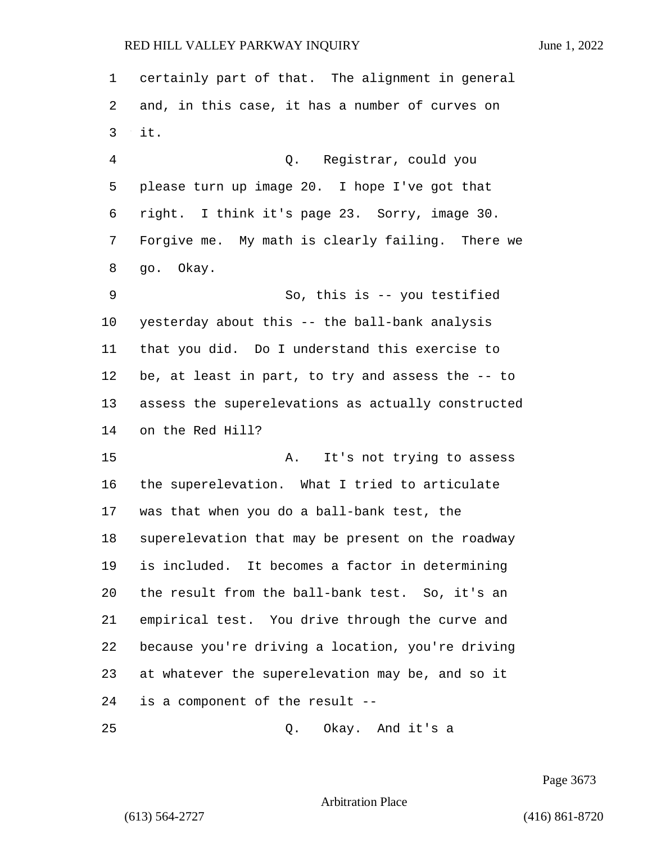certainly part of that. The alignment in general and, in this case, it has a number of curves on it.

4 Q. Registrar, could you please turn up image 20. I hope I've got that right. I think it's page 23. Sorry, image 30. Forgive me. My math is clearly failing. There we go. Okay.

9 So, this is -- you testified yesterday about this -- the ball-bank analysis that you did. Do I understand this exercise to be, at least in part, to try and assess the -- to assess the superelevations as actually constructed on the Red Hill?

15 A. It's not trying to assess the superelevation. What I tried to articulate was that when you do a ball-bank test, the superelevation that may be present on the roadway is included. It becomes a factor in determining the result from the ball-bank test. So, it's an empirical test. You drive through the curve and because you're driving a location, you're driving at whatever the superelevation may be, and so it is a component of the result --

25 Q. Okay. And it's a

Page 3673

Arbitration Place

(613) 564-2727 (416) 861-8720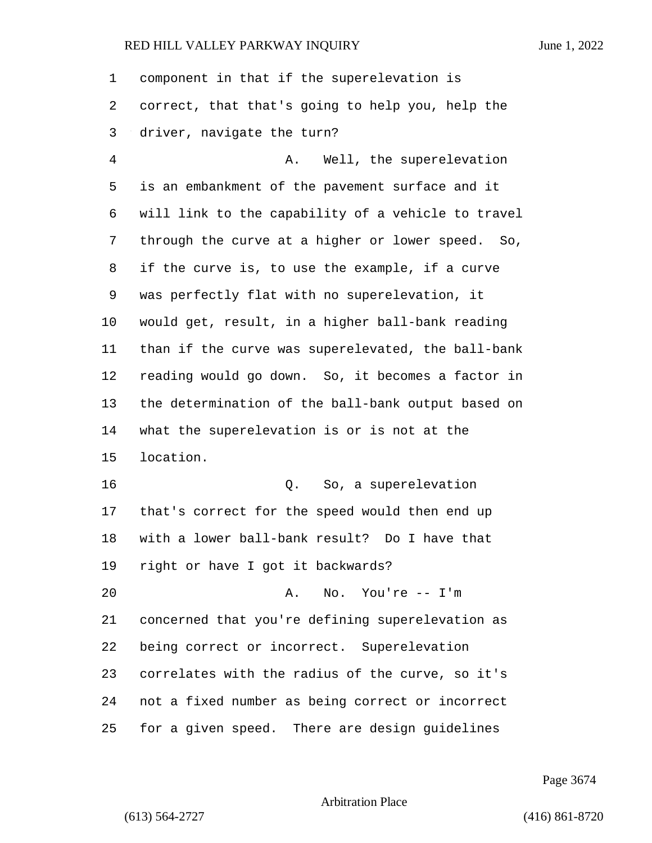| $\mathbf 1$    | component in that if the superelevation is         |
|----------------|----------------------------------------------------|
| 2              | correct, that that's going to help you, help the   |
| 3              | driver, navigate the turn?                         |
| $\overline{4}$ | Well, the superelevation<br>Α.                     |
| 5              | is an embankment of the pavement surface and it    |
| 6              | will link to the capability of a vehicle to travel |
| 7              | through the curve at a higher or lower speed. So,  |
| 8              | if the curve is, to use the example, if a curve    |
| 9              | was perfectly flat with no superelevation, it      |
| 10             | would get, result, in a higher ball-bank reading   |
| 11             | than if the curve was superelevated, the ball-bank |
| 12             | reading would go down. So, it becomes a factor in  |
| 13             | the determination of the ball-bank output based on |
| 14             | what the superelevation is or is not at the        |
| 15             | location.                                          |
| 16             | Q. So, a superelevation                            |
| 17             | that's correct for the speed would then end up     |
| 18             | with a lower ball-bank result?<br>Do I have that   |
| 19             | right or have I got it backwards?                  |
| 20             | No. You're $--$ I'm<br>Α.                          |
| 21             | concerned that you're defining superelevation as   |
| 22             | being correct or incorrect. Superelevation         |
| 23             | correlates with the radius of the curve, so it's   |
| 24             | not a fixed number as being correct or incorrect   |
| 25             | for a given speed. There are design guidelines     |

Page 3674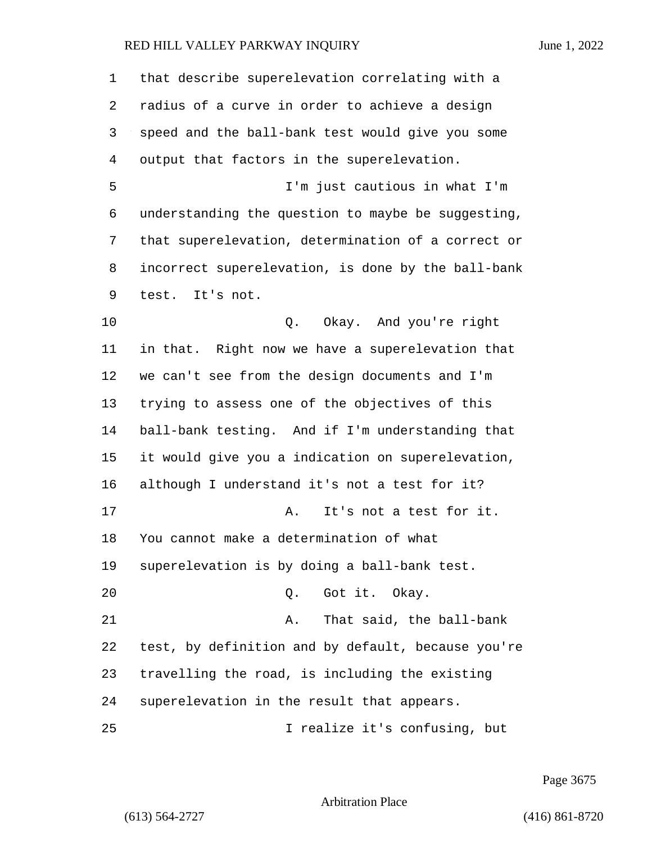| 1  | that describe superelevation correlating with a    |
|----|----------------------------------------------------|
| 2  | radius of a curve in order to achieve a design     |
| 3  | speed and the ball-bank test would give you some   |
| 4  | output that factors in the superelevation.         |
| 5  | I'm just cautious in what I'm                      |
| 6  | understanding the question to maybe be suggesting, |
| 7  | that superelevation, determination of a correct or |
| 8  | incorrect superelevation, is done by the ball-bank |
| 9  | test. It's not.                                    |
| 10 | Q. Okay. And you're right                          |
| 11 | in that. Right now we have a superelevation that   |
| 12 | we can't see from the design documents and I'm     |
| 13 | trying to assess one of the objectives of this     |
| 14 | ball-bank testing. And if I'm understanding that   |
| 15 | it would give you a indication on superelevation,  |
| 16 | although I understand it's not a test for it?      |
| 17 | It's not a test for it.<br>Α.                      |
| 18 | You cannot make a determination of what            |
| 19 | superelevation is by doing a ball-bank test.       |
| 20 | Got it. Okay.<br>Q.                                |
| 21 | That said, the ball-bank<br>Α.                     |
| 22 | test, by definition and by default, because you're |
| 23 | travelling the road, is including the existing     |
| 24 | superelevation in the result that appears.         |
| 25 | I realize it's confusing, but                      |

Page 3675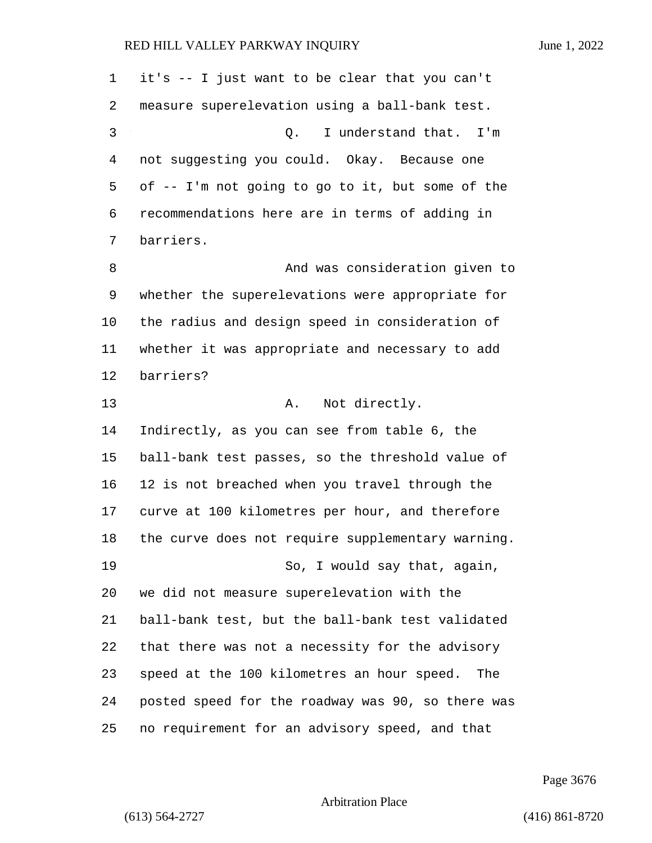it's -- I just want to be clear that you can't measure superelevation using a ball-bank test. 3 Q. I understand that. I'm not suggesting you could. Okay. Because one of -- I'm not going to go to it, but some of the recommendations here are in terms of adding in barriers. 8 and was consideration given to whether the superelevations were appropriate for the radius and design speed in consideration of whether it was appropriate and necessary to add barriers? 13 A. Not directly. Indirectly, as you can see from table 6, the ball-bank test passes, so the threshold value of 12 is not breached when you travel through the curve at 100 kilometres per hour, and therefore the curve does not require supplementary warning. 19 So, I would say that, again, we did not measure superelevation with the ball-bank test, but the ball-bank test validated that there was not a necessity for the advisory speed at the 100 kilometres an hour speed. The posted speed for the roadway was 90, so there was no requirement for an advisory speed, and that

Page 3676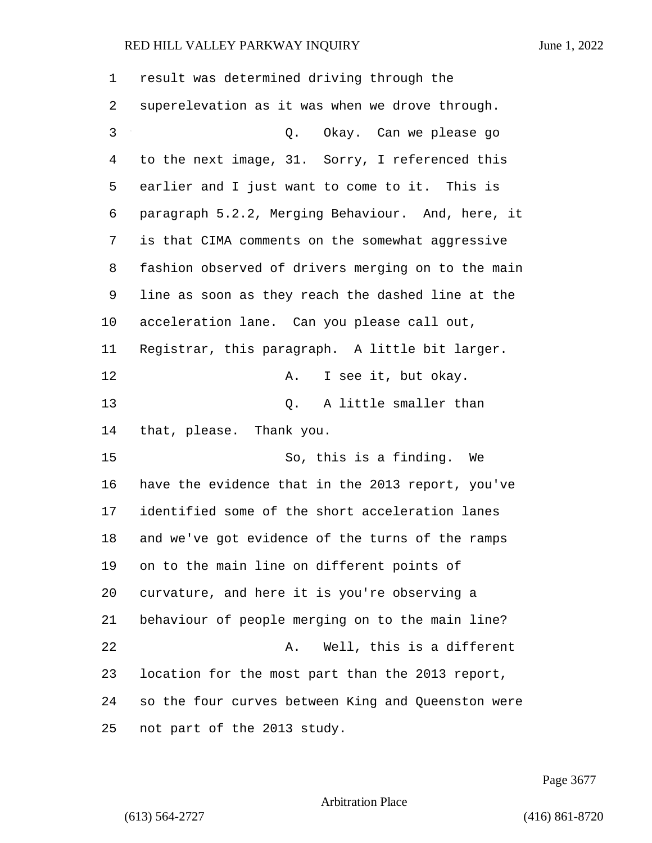| 1  | result was determined driving through the          |
|----|----------------------------------------------------|
| 2  | superelevation as it was when we drove through.    |
| 3  | Q. Okay. Can we please go                          |
| 4  | to the next image, 31. Sorry, I referenced this    |
| 5  | earlier and I just want to come to it. This is     |
| 6  | paragraph 5.2.2, Merging Behaviour. And, here, it  |
| 7  | is that CIMA comments on the somewhat aggressive   |
| 8  | fashion observed of drivers merging on to the main |
| 9  | line as soon as they reach the dashed line at the  |
| 10 | acceleration lane. Can you please call out,        |
| 11 | Registrar, this paragraph. A little bit larger.    |
| 12 | I see it, but okay.<br>Α.                          |
| 13 | A little smaller than<br>Q.                        |
| 14 | that, please. Thank you.                           |
| 15 | So, this is a finding. We                          |
| 16 | have the evidence that in the 2013 report, you've  |
| 17 | identified some of the short acceleration lanes    |
| 18 | and we've got evidence of the turns of the ramps   |
| 19 | on to the main line on different points of         |
| 20 | curvature, and here it is you're observing a       |
| 21 | behaviour of people merging on to the main line?   |
| 22 | Well, this is a different<br>Α.                    |
| 23 | location for the most part than the 2013 report,   |
| 24 | so the four curves between King and Queenston were |
| 25 | not part of the 2013 study.                        |

Page 3677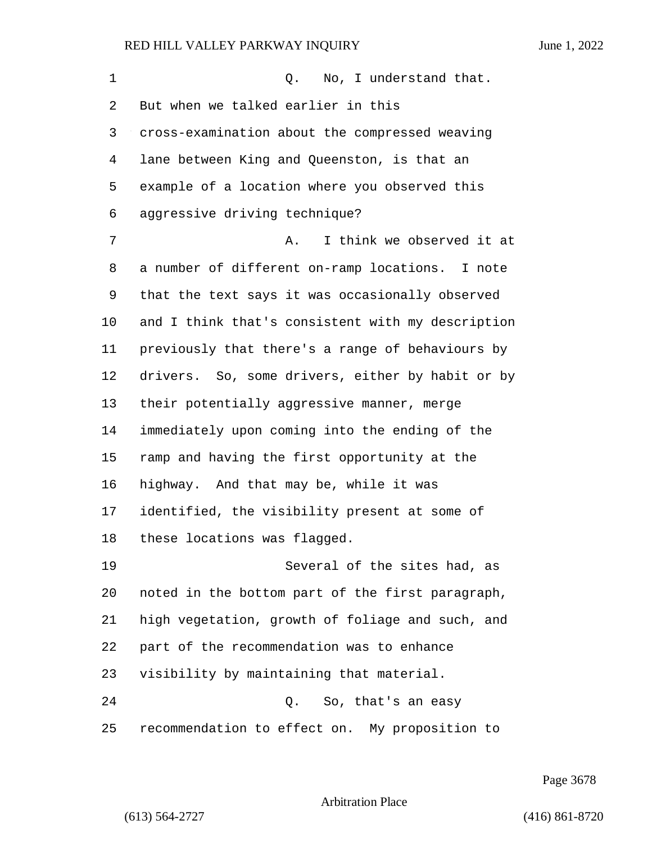| 1       | No, I understand that.<br>Q.                      |
|---------|---------------------------------------------------|
| 2       | But when we talked earlier in this                |
| 3       | cross-examination about the compressed weaving    |
| 4       | lane between King and Queenston, is that an       |
| 5       | example of a location where you observed this     |
| 6       | aggressive driving technique?                     |
| 7       | I think we observed it at<br>Α.                   |
| 8       | a number of different on-ramp locations. I note   |
| 9       | that the text says it was occasionally observed   |
| $10 \,$ | and I think that's consistent with my description |
| 11      | previously that there's a range of behaviours by  |
| 12      | drivers. So, some drivers, either by habit or by  |
| 13      | their potentially aggressive manner, merge        |
| 14      | immediately upon coming into the ending of the    |
| 15      | ramp and having the first opportunity at the      |
| 16      | highway. And that may be, while it was            |
| 17      | identified, the visibility present at some of     |
| 18      | these locations was flagged.                      |
| 19      | Several of the sites had, as                      |
| 20      | noted in the bottom part of the first paragraph,  |
| 21      | high vegetation, growth of foliage and such, and  |
| 22      | part of the recommendation was to enhance         |
| 23      | visibility by maintaining that material.          |
| 24      | Q. So, that's an easy                             |
| 25      | recommendation to effect on. My proposition to    |

Page 3678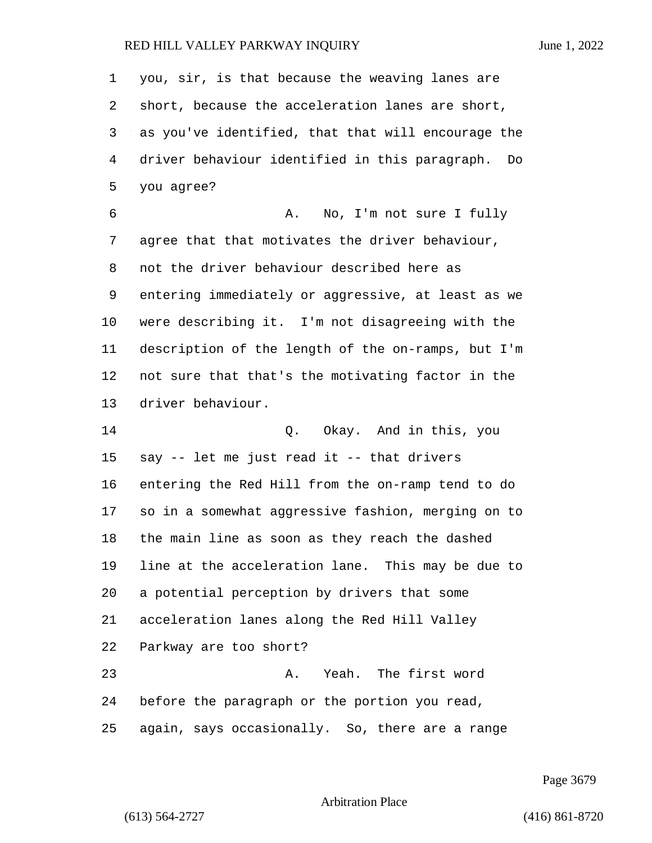| 1  | you, sir, is that because the weaving lanes are      |
|----|------------------------------------------------------|
| 2  | short, because the acceleration lanes are short,     |
| 3  | as you've identified, that that will encourage the   |
| 4  | driver behaviour identified in this paragraph.<br>Do |
| 5  | you agree?                                           |
| 6  | No, I'm not sure I fully<br>Α.                       |
| 7  | agree that that motivates the driver behaviour,      |
| 8  | not the driver behaviour described here as           |
| 9  | entering immediately or aggressive, at least as we   |
| 10 | were describing it. I'm not disagreeing with the     |
| 11 | description of the length of the on-ramps, but I'm   |
| 12 | not sure that that's the motivating factor in the    |
| 13 | driver behaviour.                                    |
| 14 | Q. Okay. And in this, you                            |
| 15 | say -- let me just read it -- that drivers           |
| 16 | entering the Red Hill from the on-ramp tend to do    |
| 17 | so in a somewhat aggressive fashion, merging on to   |
| 18 | the main line as soon as they reach the dashed       |
| 19 |                                                      |
|    | line at the acceleration lane. This may be due to    |
| 20 | a potential perception by drivers that some          |
| 21 | acceleration lanes along the Red Hill Valley         |
| 22 | Parkway are too short?                               |
| 23 | Yeah. The first word<br>Α.                           |
| 24 | before the paragraph or the portion you read,        |

Page 3679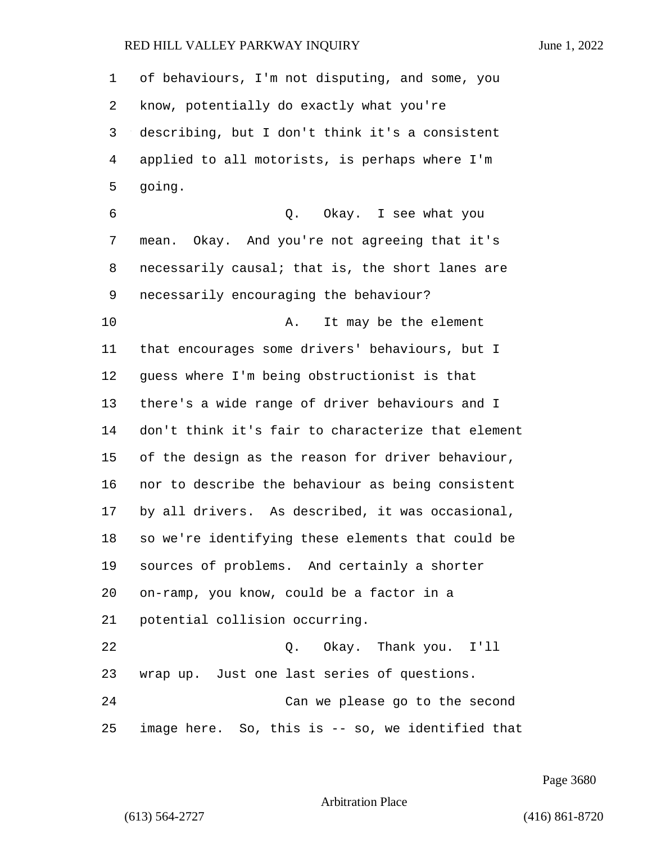of behaviours, I'm not disputing, and some, you know, potentially do exactly what you're describing, but I don't think it's a consistent applied to all motorists, is perhaps where I'm going. 6 Q. Okay. I see what you mean. Okay. And you're not agreeing that it's necessarily causal; that is, the short lanes are necessarily encouraging the behaviour? 10 A. It may be the element that encourages some drivers' behaviours, but I guess where I'm being obstructionist is that there's a wide range of driver behaviours and I don't think it's fair to characterize that element of the design as the reason for driver behaviour, nor to describe the behaviour as being consistent by all drivers. As described, it was occasional, so we're identifying these elements that could be sources of problems. And certainly a shorter on-ramp, you know, could be a factor in a potential collision occurring. 22 Q. Okay. Thank you. I'll wrap up. Just one last series of questions. 24 Can we please go to the second image here. So, this is -- so, we identified that

Page 3680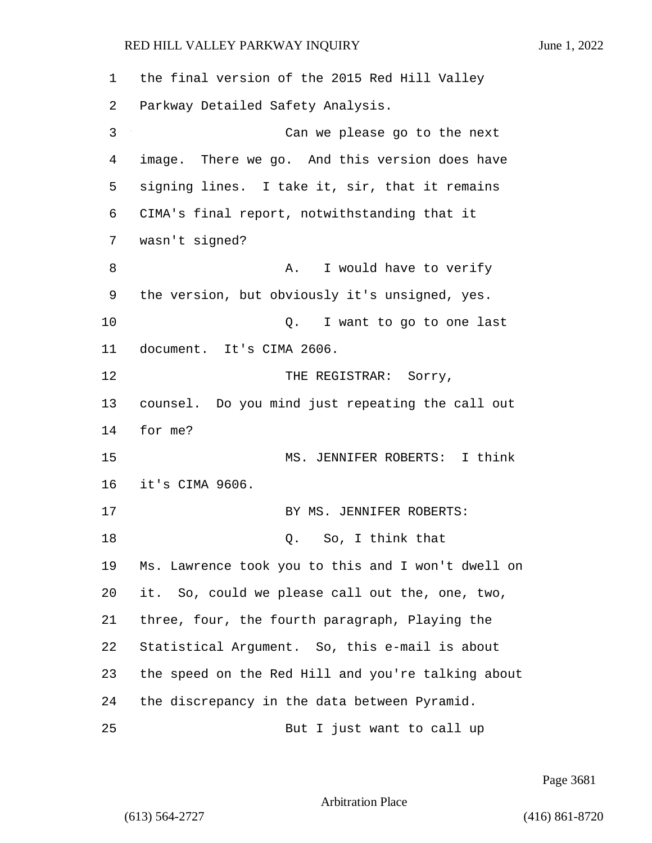| 1  | the final version of the 2015 Red Hill Valley      |
|----|----------------------------------------------------|
| 2  | Parkway Detailed Safety Analysis.                  |
| 3  | Can we please go to the next                       |
| 4  | image. There we go. And this version does have     |
| 5  | signing lines. I take it, sir, that it remains     |
| 6  | CIMA's final report, notwithstanding that it       |
| 7  | wasn't signed?                                     |
| 8  | A. I would have to verify                          |
| 9  | the version, but obviously it's unsigned, yes.     |
| 10 | Q. I want to go to one last                        |
| 11 | document. It's CIMA 2606.                          |
| 12 | THE REGISTRAR: Sorry,                              |
| 13 | counsel. Do you mind just repeating the call out   |
| 14 | for me?                                            |
| 15 | MS. JENNIFER ROBERTS: I think                      |
| 16 | it's CIMA 9606.                                    |
| 17 | BY MS. JENNIFER ROBERTS:                           |
| 18 | So, I think that<br>Q.                             |
| 19 | Ms. Lawrence took you to this and I won't dwell on |
| 20 | it. So, could we please call out the, one, two,    |
| 21 | three, four, the fourth paragraph, Playing the     |
| 22 | Statistical Argument. So, this e-mail is about     |
| 23 | the speed on the Red Hill and you're talking about |
| 24 | the discrepancy in the data between Pyramid.       |
| 25 | But I just want to call up                         |

Page 3681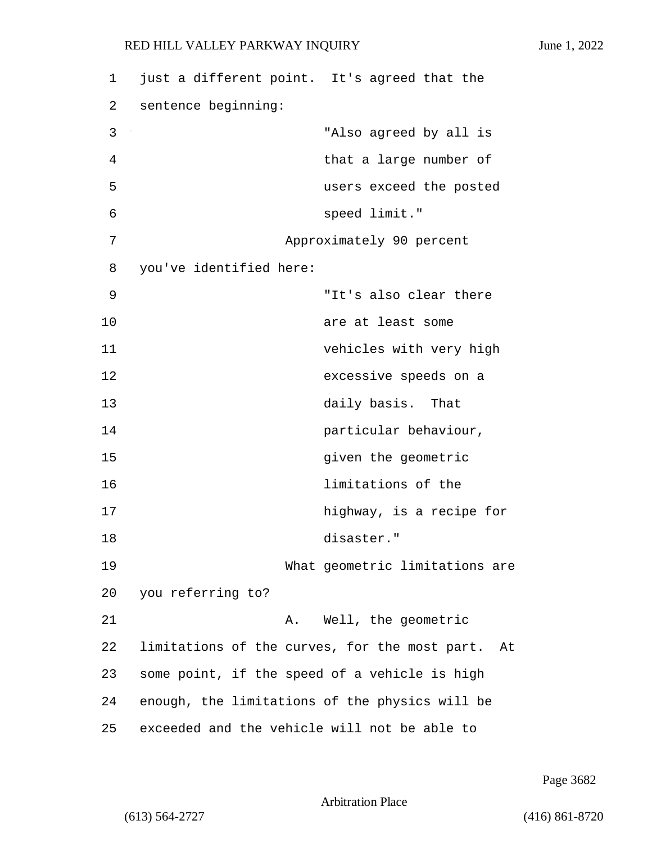| 1  | just a different point. It's agreed that the     |
|----|--------------------------------------------------|
| 2  | sentence beginning:                              |
| 3  | "Also agreed by all is                           |
| 4  | that a large number of                           |
| 5  | users exceed the posted                          |
| 6  | speed limit."                                    |
| 7  | Approximately 90 percent                         |
| 8  | you've identified here:                          |
| 9  | "It's also clear there                           |
| 10 | are at least some                                |
| 11 | vehicles with very high                          |
| 12 | excessive speeds on a                            |
| 13 | daily basis. That                                |
| 14 | particular behaviour,                            |
| 15 | given the geometric                              |
| 16 | limitations of the                               |
| 17 | highway, is a recipe for                         |
| 18 | disaster."                                       |
| 19 | What geometric limitations are                   |
| 20 | you referring to?                                |
| 21 | Well, the geometric<br>Α.                        |
| 22 | limitations of the curves, for the most part. At |
| 23 | some point, if the speed of a vehicle is high    |
| 24 | enough, the limitations of the physics will be   |
| 25 | exceeded and the vehicle will not be able to     |

Page 3682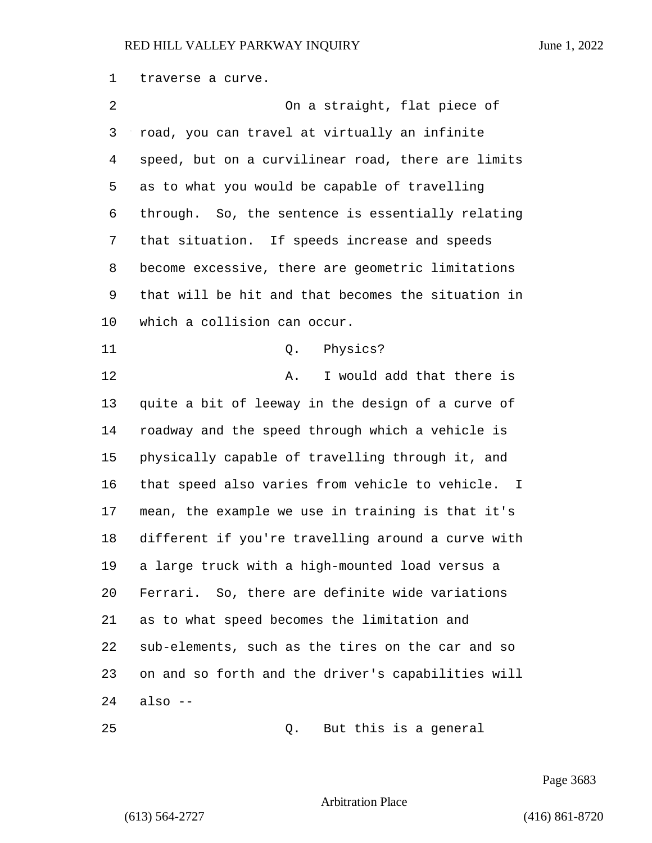traverse a curve.

| 2  | On a straight, flat piece of                       |
|----|----------------------------------------------------|
| 3  | road, you can travel at virtually an infinite      |
| 4  | speed, but on a curvilinear road, there are limits |
| 5  | as to what you would be capable of travelling      |
| 6  | through. So, the sentence is essentially relating  |
| 7  | that situation. If speeds increase and speeds      |
| 8  | become excessive, there are geometric limitations  |
| 9  | that will be hit and that becomes the situation in |
| 10 | which a collision can occur.                       |
| 11 | Physics?<br>Q.                                     |
| 12 | I would add that there is<br>Α.                    |
| 13 | quite a bit of leeway in the design of a curve of  |
| 14 | roadway and the speed through which a vehicle is   |
| 15 | physically capable of travelling through it, and   |
| 16 | that speed also varies from vehicle to vehicle. I  |
| 17 | mean, the example we use in training is that it's  |
| 18 | different if you're travelling around a curve with |
| 19 | a large truck with a high-mounted load versus a    |
| 20 | Ferrari. So, there are definite wide variations    |
| 21 | as to what speed becomes the limitation and        |
| 22 | sub-elements, such as the tires on the car and so  |
| 23 | on and so forth and the driver's capabilities will |
| 24 | also $--$                                          |
|    |                                                    |

25 Q. But this is a general

Page 3683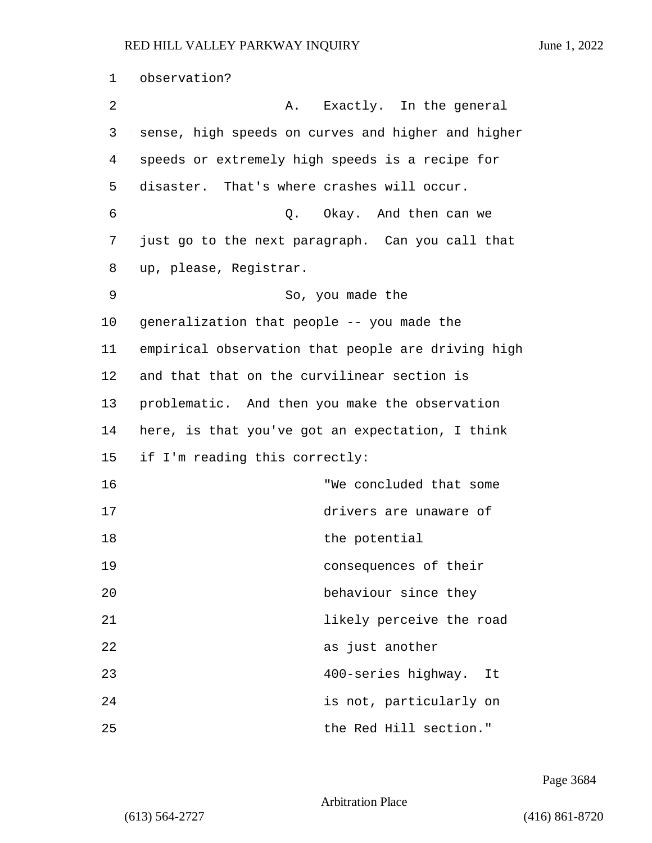| 1  | observation?                                       |
|----|----------------------------------------------------|
| 2  | Exactly. In the general<br>Α.                      |
| 3  | sense, high speeds on curves and higher and higher |
| 4  | speeds or extremely high speeds is a recipe for    |
| 5  | disaster. That's where crashes will occur.         |
| 6  | Q. Okay. And then can we                           |
| 7  | just go to the next paragraph. Can you call that   |
| 8  | up, please, Registrar.                             |
| 9  | So, you made the                                   |
| 10 | generalization that people -- you made the         |
| 11 | empirical observation that people are driving high |
| 12 | and that that on the curvilinear section is        |
| 13 | problematic. And then you make the observation     |
| 14 | here, is that you've got an expectation, I think   |
| 15 | if I'm reading this correctly:                     |
| 16 | "We concluded that some                            |
| 17 | drivers are unaware of                             |
| 18 | the potential                                      |
| 19 | consequences of their                              |
| 20 | behaviour since they                               |
| 21 | likely perceive the road                           |
| 22 | as just another                                    |
| 23 | 400-series highway.<br>It                          |
| 24 | is not, particularly on                            |
| 25 | the Red Hill section."                             |

Page 3684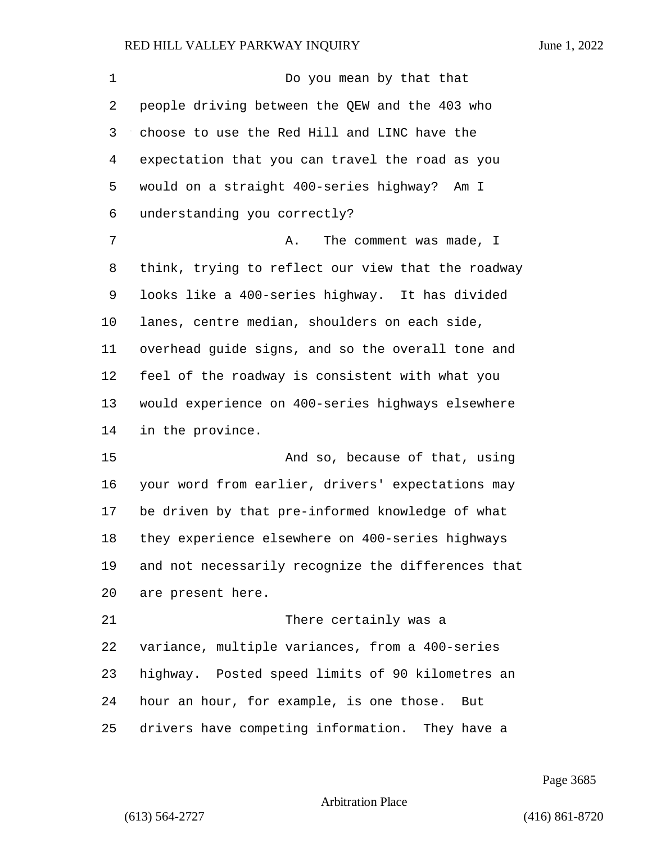1 Do you mean by that that people driving between the QEW and the 403 who choose to use the Red Hill and LINC have the expectation that you can travel the road as you would on a straight 400-series highway? Am I understanding you correctly? 7 A. The comment was made, I think, trying to reflect our view that the roadway looks like a 400-series highway. It has divided lanes, centre median, shoulders on each side, overhead guide signs, and so the overall tone and feel of the roadway is consistent with what you would experience on 400-series highways elsewhere in the province. 15 And so, because of that, using your word from earlier, drivers' expectations may be driven by that pre-informed knowledge of what they experience elsewhere on 400-series highways and not necessarily recognize the differences that are present here. 21 There certainly was a variance, multiple variances, from a 400-series highway. Posted speed limits of 90 kilometres an

hour an hour, for example, is one those. But

drivers have competing information. They have a

Page 3685

### Arbitration Place

(613) 564-2727 (416) 861-8720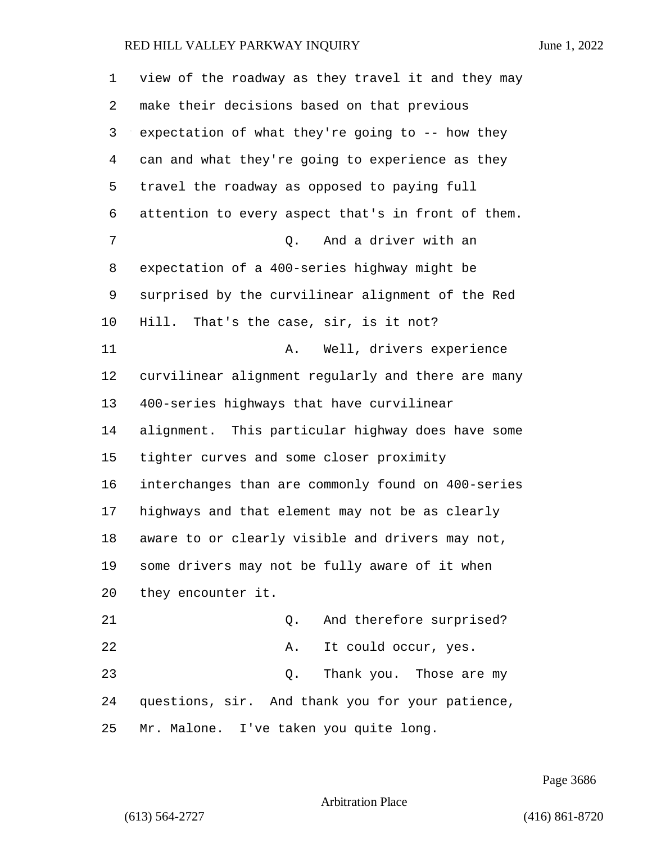| 1  | view of the roadway as they travel it and they may |
|----|----------------------------------------------------|
| 2  | make their decisions based on that previous        |
| 3  | expectation of what they're going to -- how they   |
| 4  | can and what they're going to experience as they   |
| 5  | travel the roadway as opposed to paying full       |
| 6  | attention to every aspect that's in front of them. |
| 7  | And a driver with an<br>О.                         |
| 8  | expectation of a 400-series highway might be       |
| 9  | surprised by the curvilinear alignment of the Red  |
| 10 | That's the case, sir, is it not?<br>Hill.          |
| 11 | Well, drivers experience<br>Α.                     |
| 12 | curvilinear alignment regularly and there are many |
| 13 | 400-series highways that have curvilinear          |
| 14 | alignment. This particular highway does have some  |
| 15 | tighter curves and some closer proximity           |
| 16 | interchanges than are commonly found on 400-series |
| 17 | highways and that element may not be as clearly    |
| 18 | aware to or clearly visible and drivers may not,   |
| 19 | some drivers may not be fully aware of it when     |
| 20 | they encounter it.                                 |
| 21 | And therefore surprised?<br>Q.                     |
| 22 | It could occur, yes.<br>Α.                         |
| 23 | Thank you. Those are my<br>Q.                      |
| 24 | questions, sir. And thank you for your patience,   |
| 25 | Mr. Malone. I've taken you quite long.             |

Page 3686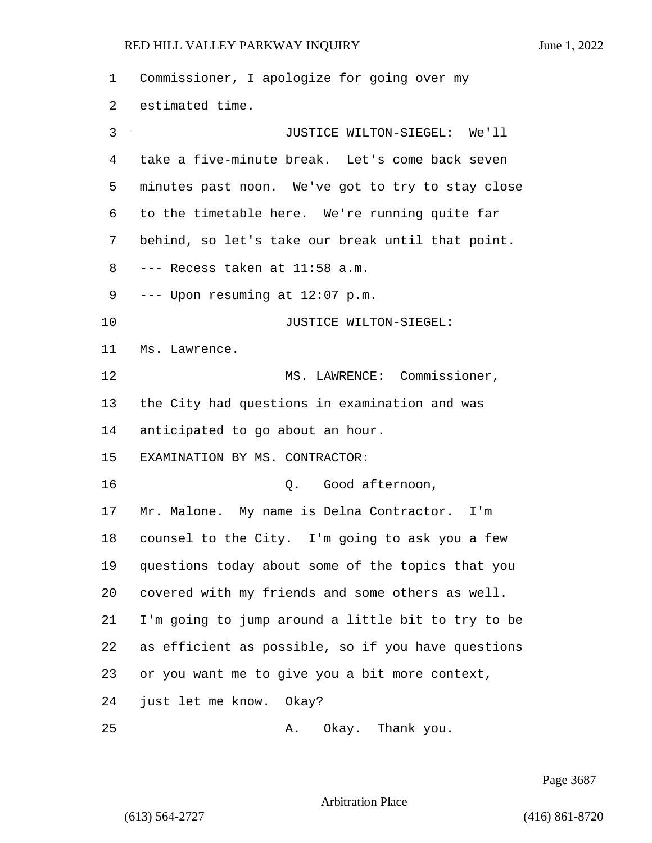| 1  | Commissioner, I apologize for going over my        |
|----|----------------------------------------------------|
| 2  | estimated time.                                    |
| 3  | JUSTICE WILTON-SIEGEL: We'll                       |
| 4  | take a five-minute break. Let's come back seven    |
| 5  | minutes past noon. We've got to try to stay close  |
| 6  | to the timetable here. We're running quite far     |
| 7  | behind, so let's take our break until that point.  |
| 8  | --- Recess taken at 11:58 a.m.                     |
| 9  | $---$ Upon resuming at $12:07$ p.m.                |
| 10 | JUSTICE WILTON-SIEGEL:                             |
| 11 | Ms. Lawrence.                                      |
| 12 | MS. LAWRENCE: Commissioner,                        |
| 13 | the City had questions in examination and was      |
| 14 | anticipated to go about an hour.                   |
| 15 | EXAMINATION BY MS. CONTRACTOR:                     |
| 16 | Q. Good afternoon,                                 |
| 17 | Mr. Malone. My name is Delna Contractor. I'm       |
| 18 | counsel to the City. I'm going to ask you a few    |
| 19 | questions today about some of the topics that you  |
| 20 | covered with my friends and some others as well.   |
| 21 | I'm going to jump around a little bit to try to be |
| 22 | as efficient as possible, so if you have questions |
| 23 | or you want me to give you a bit more context,     |
| 24 | just let me know. Okay?                            |
| 25 | Okay. Thank you.<br>Α.                             |

Page 3687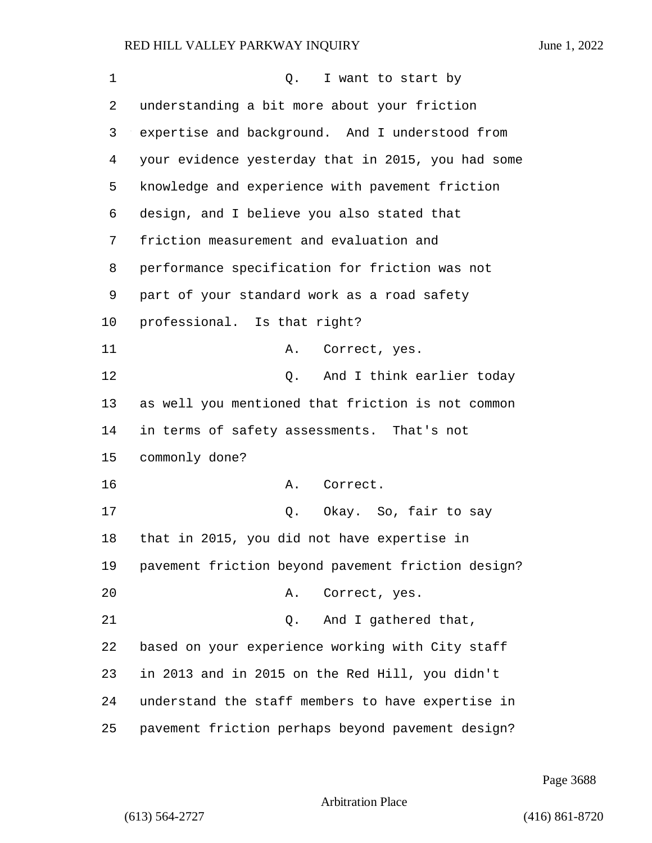1 and 1 Q. I want to start by understanding a bit more about your friction expertise and background. And I understood from your evidence yesterday that in 2015, you had some knowledge and experience with pavement friction design, and I believe you also stated that friction measurement and evaluation and performance specification for friction was not part of your standard work as a road safety professional. Is that right? 11 A. Correct, yes. 12 C. And I think earlier today as well you mentioned that friction is not common in terms of safety assessments. That's not commonly done? 16 A. Correct. 17 C. Okay. So, fair to say that in 2015, you did not have expertise in pavement friction beyond pavement friction design? 20 A. Correct, yes. 21 Q. And I gathered that, based on your experience working with City staff in 2013 and in 2015 on the Red Hill, you didn't understand the staff members to have expertise in pavement friction perhaps beyond pavement design?

Page 3688

Arbitration Place

(613) 564-2727 (416) 861-8720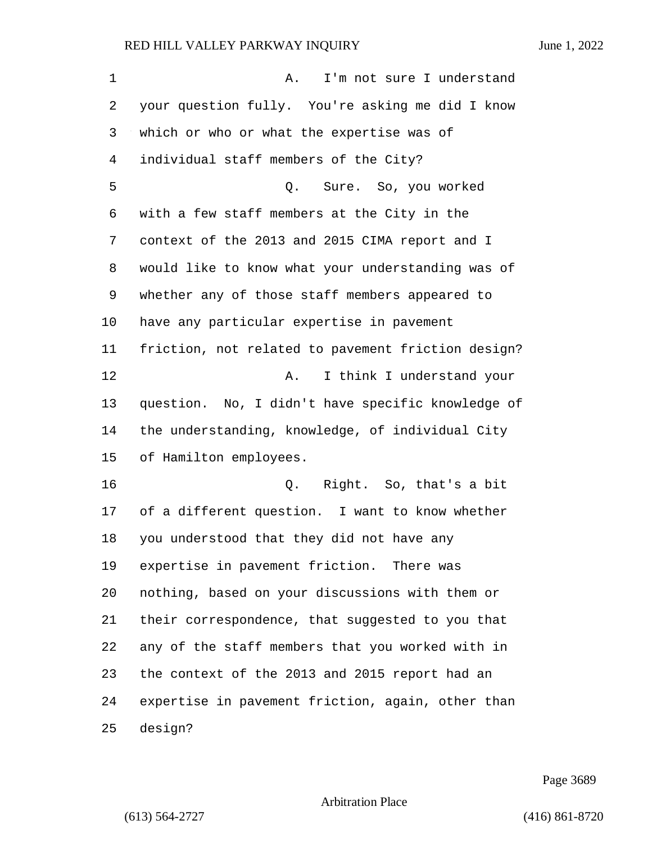| 1  | I'm not sure I understand<br>Α.                    |
|----|----------------------------------------------------|
| 2  | your question fully. You're asking me did I know   |
| 3  | which or who or what the expertise was of          |
| 4  | individual staff members of the City?              |
| 5  | Q. Sure. So, you worked                            |
| 6  | with a few staff members at the City in the        |
| 7  | context of the 2013 and 2015 CIMA report and I     |
| 8  | would like to know what your understanding was of  |
| 9  | whether any of those staff members appeared to     |
| 10 | have any particular expertise in pavement          |
| 11 | friction, not related to pavement friction design? |
| 12 | I think I understand your<br>Α.                    |
| 13 | question. No, I didn't have specific knowledge of  |
| 14 | the understanding, knowledge, of individual City   |
| 15 | of Hamilton employees.                             |
| 16 | Right. So, that's a bit<br>Q.                      |
| 17 | of a different question. I want to know whether    |
| 18 | you understood that they did not have any          |
| 19 | expertise in pavement friction. There was          |
| 20 | nothing, based on your discussions with them or    |
| 21 | their correspondence, that suggested to you that   |
| 22 | any of the staff members that you worked with in   |
| 23 | the context of the 2013 and 2015 report had an     |
| 24 | expertise in pavement friction, again, other than  |
| 25 | design?                                            |

Page 3689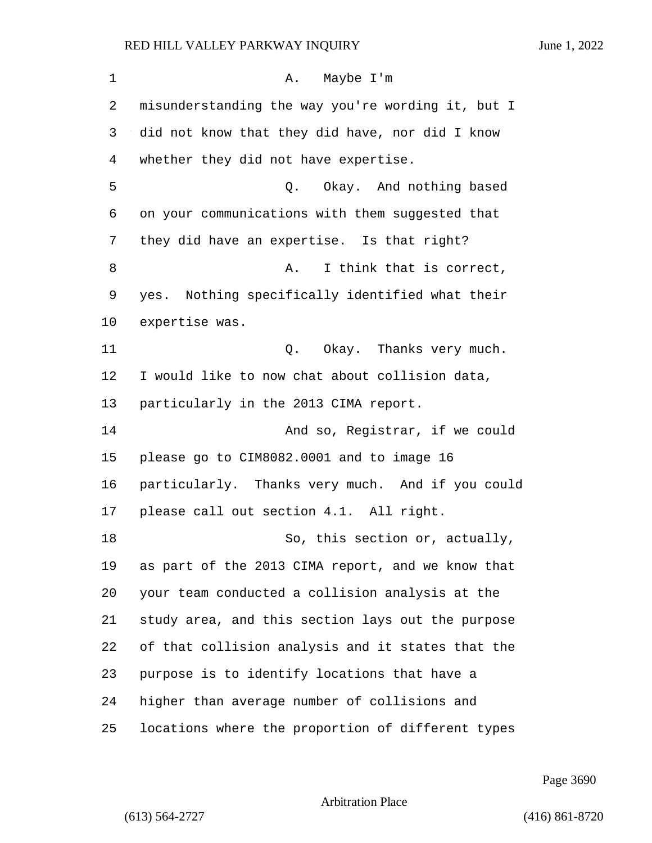1 A. Maybe I'm misunderstanding the way you're wording it, but I did not know that they did have, nor did I know whether they did not have expertise. 5 Q. Okay. And nothing based on your communications with them suggested that they did have an expertise. Is that right? 8 A. I think that is correct, yes. Nothing specifically identified what their expertise was. 11 C. Okay. Thanks very much. I would like to now chat about collision data, particularly in the 2013 CIMA report. 14 And so, Registrar, if we could please go to CIM8082.0001 and to image 16 particularly. Thanks very much. And if you could please call out section 4.1. All right. 18 So, this section or, actually, as part of the 2013 CIMA report, and we know that your team conducted a collision analysis at the study area, and this section lays out the purpose of that collision analysis and it states that the purpose is to identify locations that have a higher than average number of collisions and locations where the proportion of different types

Page 3690

Arbitration Place

(613) 564-2727 (416) 861-8720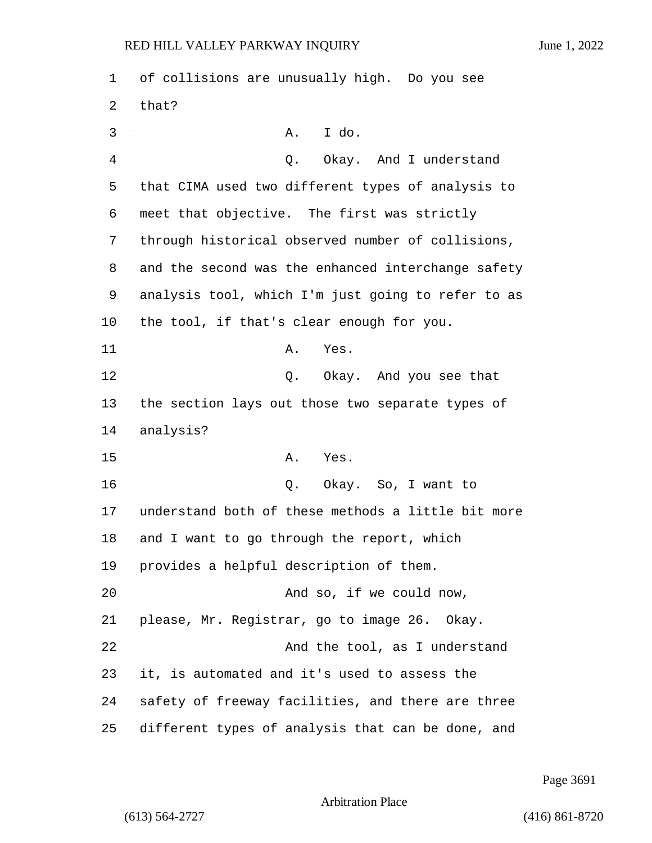of collisions are unusually high. Do you see 2 that? 3 A. I do. 4 Q. Okay. And I understand that CIMA used two different types of analysis to meet that objective. The first was strictly through historical observed number of collisions, and the second was the enhanced interchange safety analysis tool, which I'm just going to refer to as the tool, if that's clear enough for you. 11 A. Yes. 12 Q. Okay. And you see that the section lays out those two separate types of analysis? 15 A. Yes. 16 Q. Okay. So, I want to understand both of these methods a little bit more and I want to go through the report, which provides a helpful description of them. 20 And so, if we could now, please, Mr. Registrar, go to image 26. Okay. 22 And the tool, as I understand it, is automated and it's used to assess the safety of freeway facilities, and there are three different types of analysis that can be done, and

Page 3691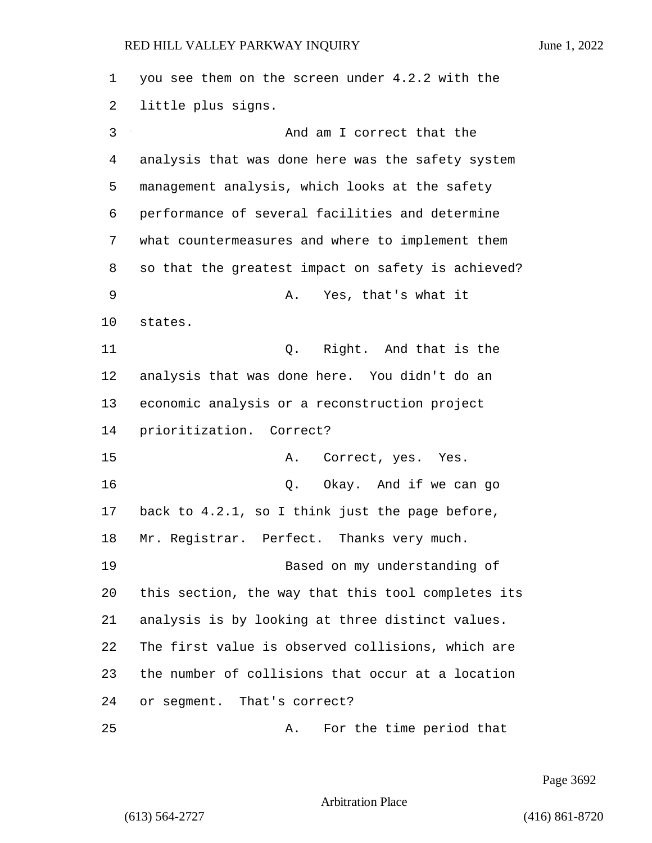you see them on the screen under 4.2.2 with the little plus signs. 3 And am I correct that the analysis that was done here was the safety system management analysis, which looks at the safety performance of several facilities and determine what countermeasures and where to implement them so that the greatest impact on safety is achieved? 9 A. Yes, that's what it states. 11 Q. Right. And that is the analysis that was done here. You didn't do an economic analysis or a reconstruction project prioritization. Correct? 15 A. Correct, yes. Yes. 16 Q. Okay. And if we can go back to 4.2.1, so I think just the page before, Mr. Registrar. Perfect. Thanks very much. 19 Based on my understanding of this section, the way that this tool completes its analysis is by looking at three distinct values. The first value is observed collisions, which are the number of collisions that occur at a location or segment. That's correct? 25 A. For the time period that

Page 3692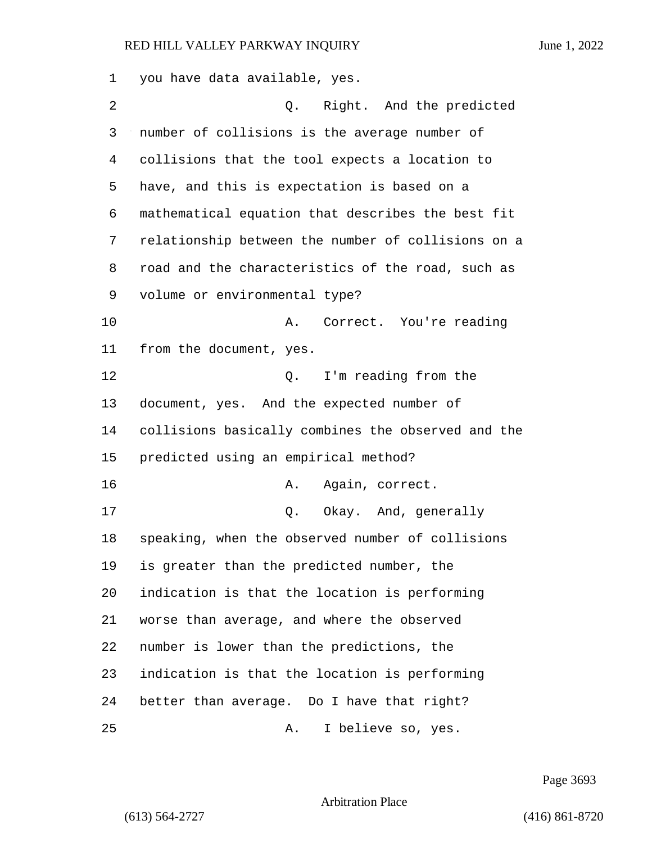you have data available, yes. 2 Q. Right. And the predicted number of collisions is the average number of collisions that the tool expects a location to have, and this is expectation is based on a mathematical equation that describes the best fit relationship between the number of collisions on a road and the characteristics of the road, such as volume or environmental type? 10 A. Correct. You're reading from the document, yes. 12 Q. I'm reading from the document, yes. And the expected number of collisions basically combines the observed and the predicted using an empirical method? 16 A. Again, correct. 17 Q. Okay. And, generally speaking, when the observed number of collisions is greater than the predicted number, the indication is that the location is performing worse than average, and where the observed number is lower than the predictions, the indication is that the location is performing better than average. Do I have that right? 25 A. I believe so, yes.

Page 3693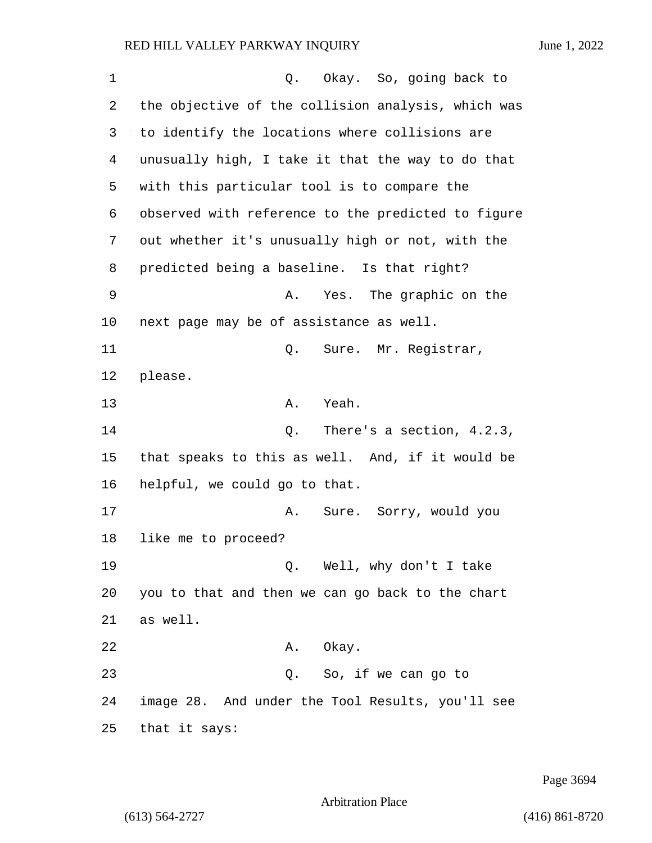1 Q. Okay. So, going back to 2 the objective of the collision analysis, which was 3 to identify the locations where collisions are 4 unusually high, I take it that the way to do that 5 with this particular tool is to compare the 6 observed with reference to the predicted to figure 7 out whether it's unusually high or not, with the 8 predicted being a baseline. Is that right? 9 A. Yes. The graphic on the 10 next page may be of assistance as well. 11  $Q.$  Sure. Mr. Registrar, 12 please. 13 A. Yeah. 14 Q. There's a section, 4.2.3, 15 that speaks to this as well. And, if it would be 16 helpful, we could go to that. 17 A. Sure. Sorry, would you 18 like me to proceed? 19 Q. Well, why don't I take 20 you to that and then we can go back to the chart 21 as well. 22 A. Okay. 23 Q. So, if we can go to 24 image 28. And under the Tool Results, you'll see 25 that it says:

Page 3694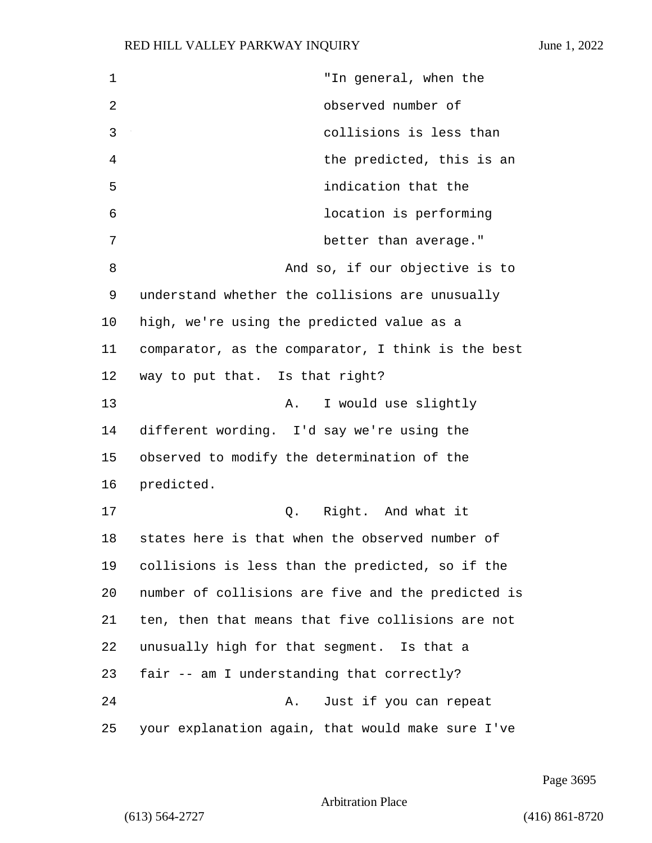| 1  | "In general, when the                              |
|----|----------------------------------------------------|
| 2  | observed number of                                 |
| 3  | collisions is less than                            |
| 4  | the predicted, this is an                          |
| 5  | indication that the                                |
| 6  | location is performing                             |
| 7  | better than average."                              |
| 8  | And so, if our objective is to                     |
| 9  | understand whether the collisions are unusually    |
| 10 | high, we're using the predicted value as a         |
| 11 | comparator, as the comparator, I think is the best |
| 12 | way to put that. Is that right?                    |
| 13 | I would use slightly<br>Α.                         |
| 14 | different wording. I'd say we're using the         |
| 15 | observed to modify the determination of the        |
| 16 | predicted.                                         |
| 17 | Q. Right. And what it                              |
| 18 | states here is that when the observed number of    |
| 19 | collisions is less than the predicted, so if the   |
| 20 | number of collisions are five and the predicted is |
| 21 | ten, then that means that five collisions are not  |
| 22 | unusually high for that segment. Is that a         |
| 23 | fair -- am I understanding that correctly?         |
| 24 | Just if you can repeat<br>Α.                       |
| 25 | your explanation again, that would make sure I've  |

Page 3695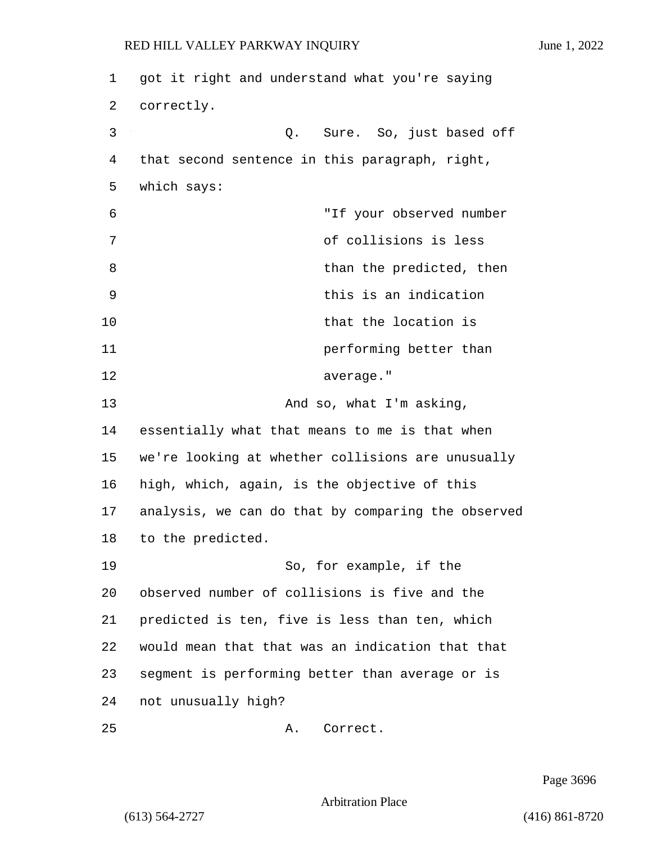| 1  | got it right and understand what you're saying     |
|----|----------------------------------------------------|
| 2  | correctly.                                         |
| 3  | Sure. So, just based off<br>Q.                     |
| 4  | that second sentence in this paragraph, right,     |
| 5  | which says:                                        |
| 6  | "If your observed number                           |
| 7  | of collisions is less                              |
| 8  | than the predicted, then                           |
| 9  | this is an indication                              |
| 10 | that the location is                               |
| 11 | performing better than                             |
| 12 | average."                                          |
| 13 | And so, what I'm asking,                           |
| 14 | essentially what that means to me is that when     |
| 15 | we're looking at whether collisions are unusually  |
| 16 | high, which, again, is the objective of this       |
| 17 | analysis, we can do that by comparing the observed |
| 18 | to the predicted.                                  |
| 19 | So, for example, if the                            |
| 20 | observed number of collisions is five and the      |
| 21 | predicted is ten, five is less than ten, which     |
| 22 | would mean that that was an indication that that   |
| 23 | segment is performing better than average or is    |
| 24 | not unusually high?                                |
| 25 | Correct.<br>Α.                                     |

Page 3696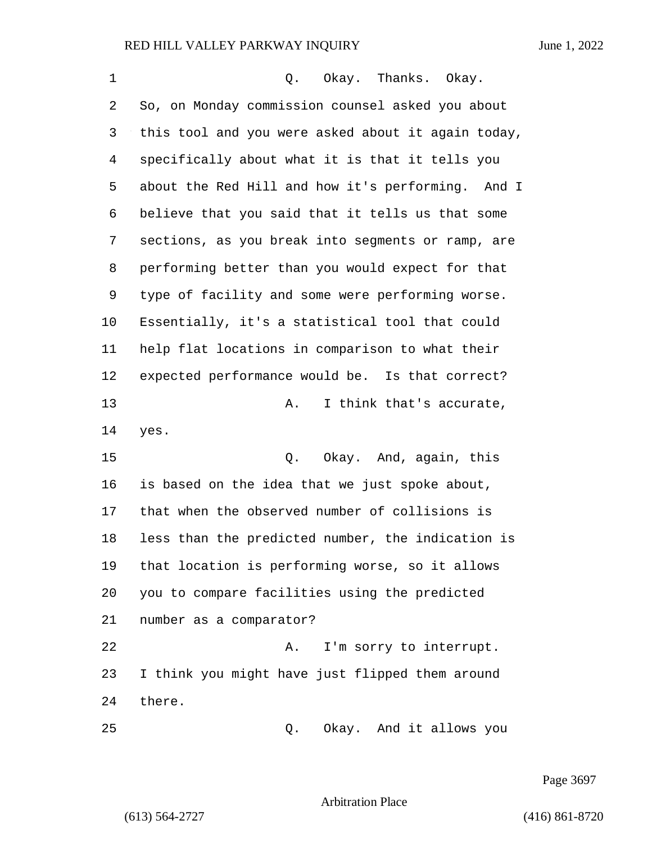| $\mathbf 1$ | Q. Okay. Thanks. Okay.                             |
|-------------|----------------------------------------------------|
| 2           | So, on Monday commission counsel asked you about   |
| 3           | this tool and you were asked about it again today, |
| 4           | specifically about what it is that it tells you    |
| 5           | about the Red Hill and how it's performing. And I  |
| 6           | believe that you said that it tells us that some   |
| 7           | sections, as you break into segments or ramp, are  |
| 8           | performing better than you would expect for that   |
| 9           | type of facility and some were performing worse.   |
| 10          | Essentially, it's a statistical tool that could    |
| 11          | help flat locations in comparison to what their    |
| 12          | expected performance would be. Is that correct?    |
| 13          | I think that's accurate,<br>Α.                     |
| 14          | yes.                                               |
| 15          | Okay. And, again, this<br>Q.                       |
| 16          | is based on the idea that we just spoke about,     |
| 17          | that when the observed number of collisions is     |
| 18          | less than the predicted number, the indication is  |
| 19          | that location is performing worse, so it allows    |
| 20          | you to compare facilities using the predicted      |
| 21          | number as a comparator?                            |
| 22          | I'm sorry to interrupt.<br>Α.                      |
| 23          | I think you might have just flipped them around    |
| 24          | there.                                             |
| 25          | Okay. And it allows you<br>Q.                      |

Page 3697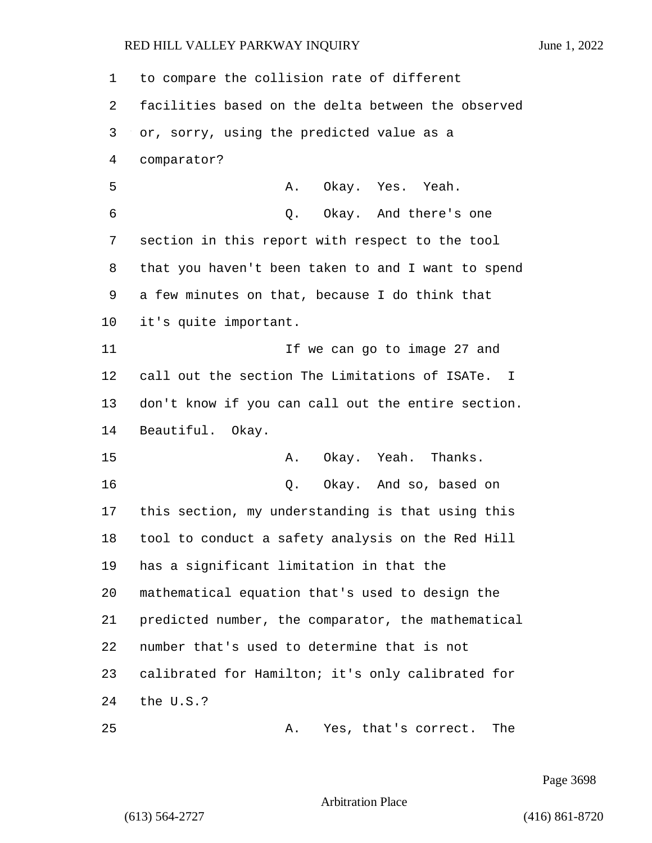to compare the collision rate of different facilities based on the delta between the observed or, sorry, using the predicted value as a comparator? 5 A. Okay. Yes. Yeah. 6 Q. Okay. And there's one section in this report with respect to the tool that you haven't been taken to and I want to spend a few minutes on that, because I do think that it's quite important. 11 If we can go to image 27 and call out the section The Limitations of ISATe. I don't know if you can call out the entire section. Beautiful. Okay. 15 A. Okay. Yeah. Thanks. 16 Q. Okay. And so, based on this section, my understanding is that using this tool to conduct a safety analysis on the Red Hill has a significant limitation in that the mathematical equation that's used to design the predicted number, the comparator, the mathematical number that's used to determine that is not calibrated for Hamilton; it's only calibrated for the U.S.? 25 A. Yes, that's correct. The

Page 3698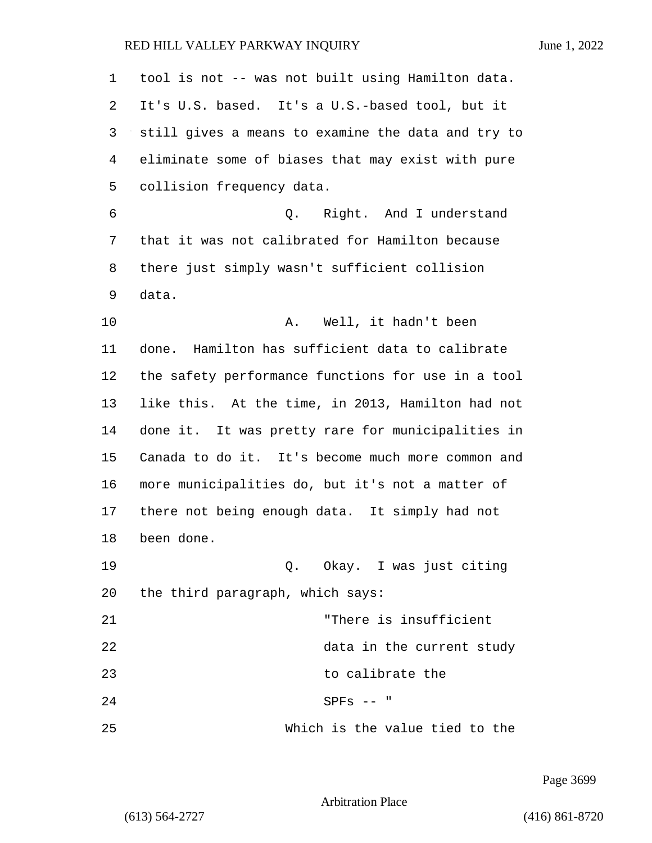| 1  | tool is not -- was not built using Hamilton data.    |
|----|------------------------------------------------------|
| 2  | It's U.S. based. It's a U.S.-based tool, but it      |
| 3  | still gives a means to examine the data and try to   |
| 4  | eliminate some of biases that may exist with pure    |
| 5  | collision frequency data.                            |
| 6  | Right. And I understand<br>Q.                        |
| 7  | that it was not calibrated for Hamilton because      |
| 8  | there just simply wasn't sufficient collision        |
| 9  | data.                                                |
| 10 | Well, it hadn't been<br>Α.                           |
| 11 | Hamilton has sufficient data to calibrate<br>done.   |
| 12 | the safety performance functions for use in a tool   |
| 13 | like this. At the time, in 2013, Hamilton had not    |
| 14 | It was pretty rare for municipalities in<br>done it. |
| 15 | Canada to do it. It's become much more common and    |
| 16 | more municipalities do, but it's not a matter of     |
| 17 | there not being enough data. It simply had not       |
| 18 | been done.                                           |
| 19 | Q. Okay. I was just citing                           |
| 20 | the third paragraph, which says:                     |
| 21 | "There is insufficient                               |
| 22 | data in the current study                            |
| 23 | to calibrate the                                     |
| 24 | $SPFs$ -- "                                          |
| 25 | Which is the value tied to the                       |

Page 3699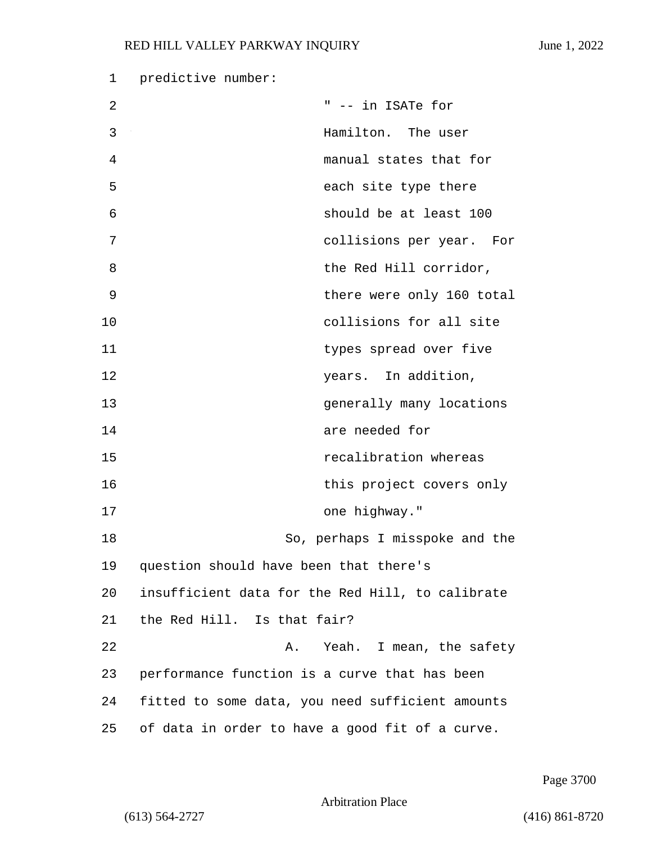| 1  | predictive number:                               |
|----|--------------------------------------------------|
| 2  | " -- in ISATe for                                |
| 3  | Hamilton. The user                               |
| 4  | manual states that for                           |
| 5  | each site type there                             |
| 6  | should be at least 100                           |
| 7  | collisions per year. For                         |
| 8  | the Red Hill corridor,                           |
| 9  | there were only 160 total                        |
| 10 | collisions for all site                          |
| 11 | types spread over five                           |
| 12 | years. In addition,                              |
| 13 | generally many locations                         |
| 14 | are needed for                                   |
| 15 | recalibration whereas                            |
| 16 | this project covers only                         |
| 17 | one highway."                                    |
| 18 | So, perhaps I misspoke and the                   |
| 19 | question should have been that there's           |
| 20 | insufficient data for the Red Hill, to calibrate |
| 21 | the Red Hill. Is that fair?                      |
| 22 | Yeah. I mean, the safety<br>Α.                   |
| 23 | performance function is a curve that has been    |
| 24 | fitted to some data, you need sufficient amounts |
| 25 | of data in order to have a good fit of a curve.  |

Page 3700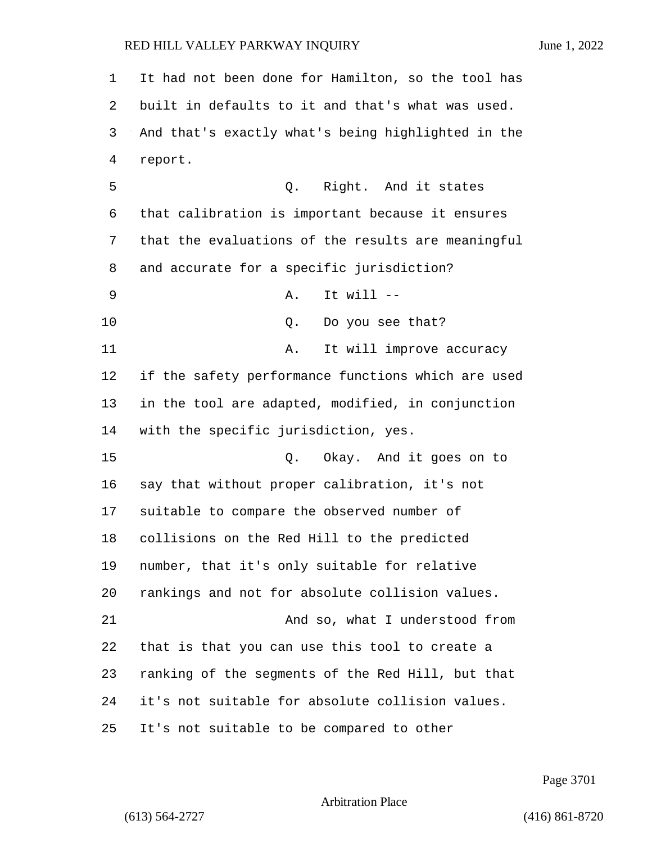It had not been done for Hamilton, so the tool has built in defaults to it and that's what was used. And that's exactly what's being highlighted in the report. 5 Q. Right. And it states that calibration is important because it ensures that the evaluations of the results are meaningful and accurate for a specific jurisdiction? 9 A. It will  $-$ 10 Q. Do you see that? 11 A. It will improve accuracy if the safety performance functions which are used in the tool are adapted, modified, in conjunction with the specific jurisdiction, yes. 15 Q. Okay. And it goes on to say that without proper calibration, it's not suitable to compare the observed number of collisions on the Red Hill to the predicted number, that it's only suitable for relative rankings and not for absolute collision values. 21 And so, what I understood from that is that you can use this tool to create a ranking of the segments of the Red Hill, but that it's not suitable for absolute collision values. It's not suitable to be compared to other

Page 3701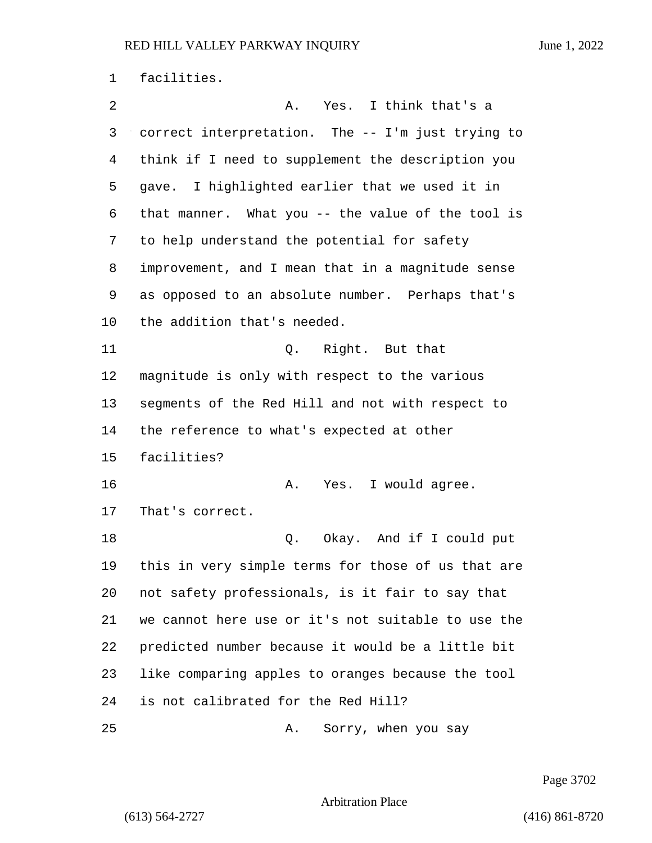facilities. 2 A. Yes. I think that's a correct interpretation. The -- I'm just trying to think if I need to supplement the description you gave. I highlighted earlier that we used it in that manner. What you -- the value of the tool is to help understand the potential for safety improvement, and I mean that in a magnitude sense as opposed to an absolute number. Perhaps that's the addition that's needed. 11 Q. Right. But that magnitude is only with respect to the various segments of the Red Hill and not with respect to the reference to what's expected at other facilities? 16 A. Yes. I would agree. That's correct. 18 Q. Okay. And if I could put this in very simple terms for those of us that are not safety professionals, is it fair to say that we cannot here use or it's not suitable to use the predicted number because it would be a little bit like comparing apples to oranges because the tool is not calibrated for the Red Hill? 25 A. Sorry, when you say

Page 3702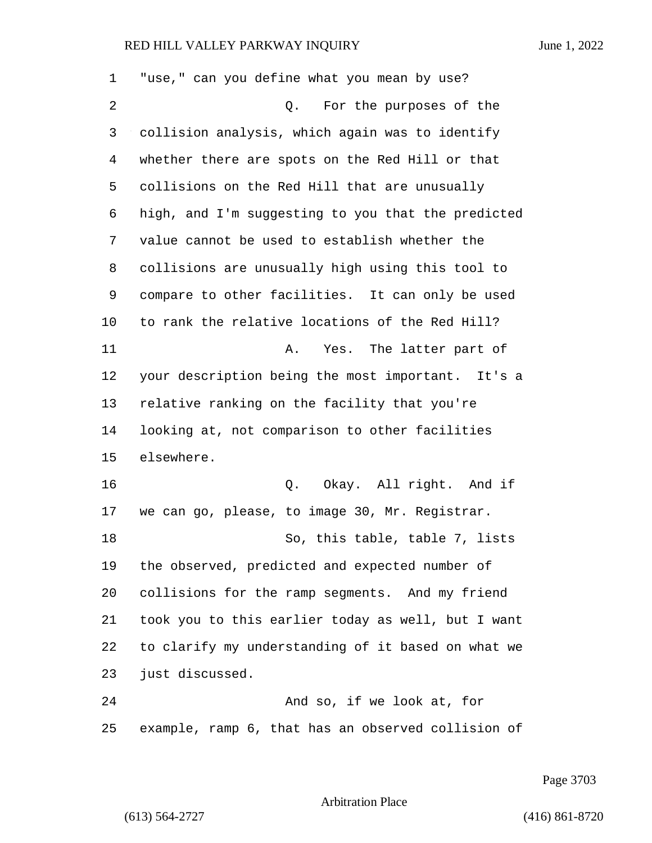| 1  | "use," can you define what you mean by use?        |
|----|----------------------------------------------------|
| 2  | For the purposes of the<br>Q.                      |
| 3  | collision analysis, which again was to identify    |
| 4  | whether there are spots on the Red Hill or that    |
| 5  | collisions on the Red Hill that are unusually      |
| 6  | high, and I'm suggesting to you that the predicted |
| 7  | value cannot be used to establish whether the      |
| 8  | collisions are unusually high using this tool to   |
| 9  | compare to other facilities. It can only be used   |
| 10 | to rank the relative locations of the Red Hill?    |
| 11 | Yes. The latter part of<br>Α.                      |
| 12 | your description being the most important. It's a  |
| 13 | relative ranking on the facility that you're       |
| 14 | looking at, not comparison to other facilities     |
| 15 | elsewhere.                                         |
| 16 | Okay. All right. And if<br>Q.                      |
| 17 | we can go, please, to image 30, Mr. Registrar.     |
| 18 | So, this table, table 7, lists                     |
| 19 | the observed, predicted and expected number of     |
| 20 | collisions for the ramp segments. And my friend    |
| 21 | took you to this earlier today as well, but I want |
| 22 | to clarify my understanding of it based on what we |
| 23 | just discussed.                                    |
| 24 | And so, if we look at, for                         |
| 25 | example, ramp 6, that has an observed collision of |

Page 3703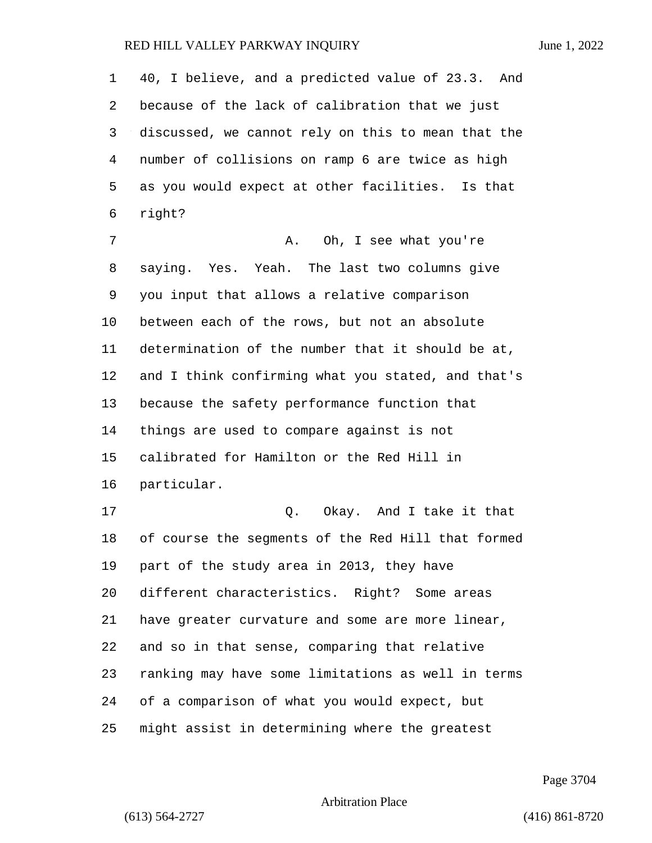40, I believe, and a predicted value of 23.3. And because of the lack of calibration that we just discussed, we cannot rely on this to mean that the number of collisions on ramp 6 are twice as high as you would expect at other facilities. Is that right? 7 A. Oh, I see what you're

 saying. Yes. Yeah. The last two columns give you input that allows a relative comparison between each of the rows, but not an absolute determination of the number that it should be at, and I think confirming what you stated, and that's because the safety performance function that things are used to compare against is not calibrated for Hamilton or the Red Hill in particular. 17 C. Okay. And I take it that of course the segments of the Red Hill that formed part of the study area in 2013, they have different characteristics. Right? Some areas have greater curvature and some are more linear, and so in that sense, comparing that relative ranking may have some limitations as well in terms of a comparison of what you would expect, but

might assist in determining where the greatest

Page 3704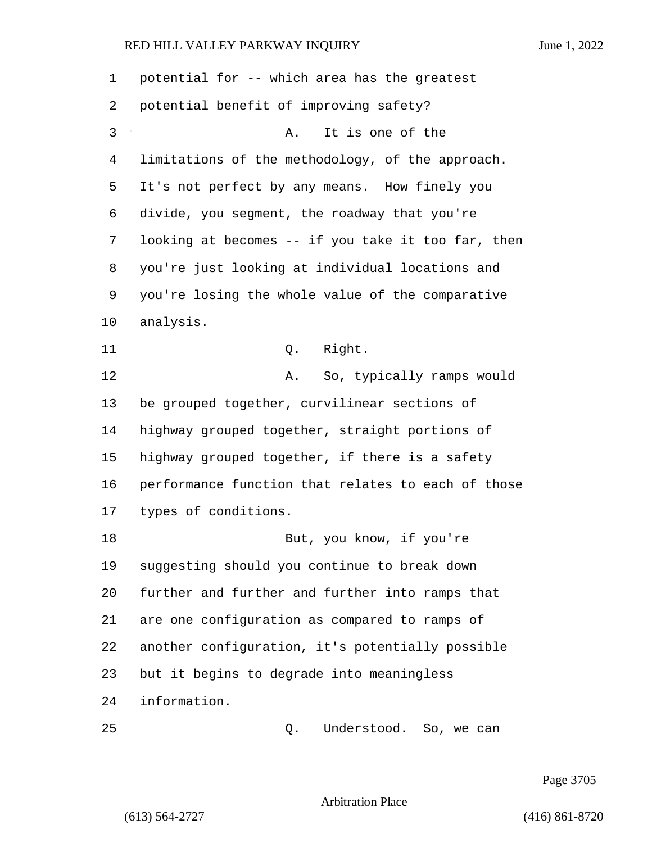| 1  | potential for -- which area has the greatest       |
|----|----------------------------------------------------|
| 2  | potential benefit of improving safety?             |
| 3  | It is one of the<br>Α.                             |
| 4  | limitations of the methodology, of the approach.   |
| 5  | It's not perfect by any means. How finely you      |
| 6  | divide, you segment, the roadway that you're       |
| 7  | looking at becomes -- if you take it too far, then |
| 8  | you're just looking at individual locations and    |
| 9  | you're losing the whole value of the comparative   |
| 10 | analysis.                                          |
| 11 | Right.<br>Q.                                       |
| 12 | So, typically ramps would<br>Α.                    |
| 13 | be grouped together, curvilinear sections of       |
| 14 | highway grouped together, straight portions of     |
| 15 | highway grouped together, if there is a safety     |
| 16 | performance function that relates to each of those |
| 17 | types of conditions.                               |
| 18 | But, you know, if you're                           |
| 19 | suggesting should you continue to break down       |
| 20 | further and further and further into ramps that    |
| 21 | are one configuration as compared to ramps of      |
| 22 | another configuration, it's potentially possible   |
| 23 | but it begins to degrade into meaningless          |
| 24 | information.                                       |
| 25 | Understood.<br>So, we can<br>Q.                    |

Page 3705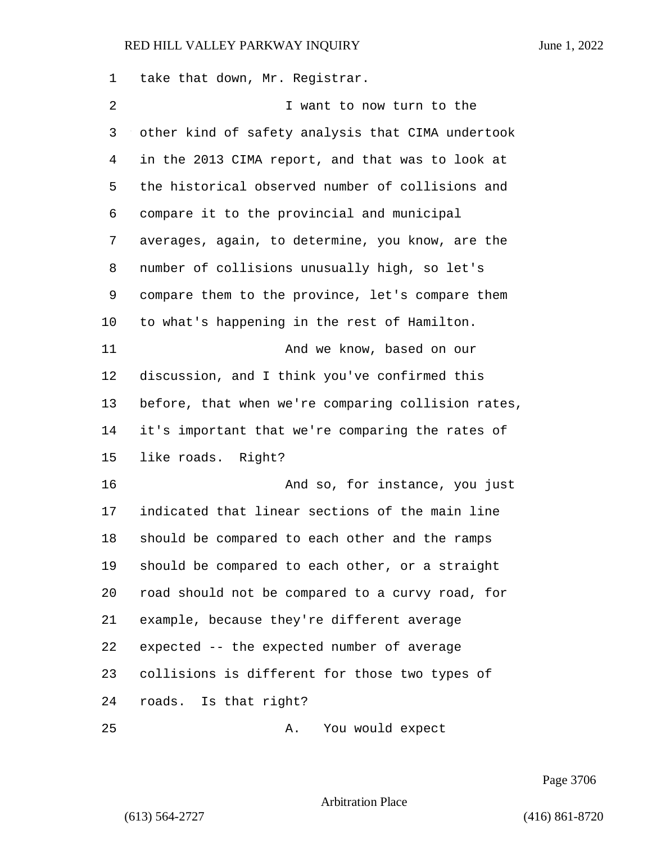take that down, Mr. Registrar.

| 2  | I want to now turn to the                          |
|----|----------------------------------------------------|
| 3  | other kind of safety analysis that CIMA undertook  |
| 4  | in the 2013 CIMA report, and that was to look at   |
| 5  | the historical observed number of collisions and   |
| 6  | compare it to the provincial and municipal         |
| 7  | averages, again, to determine, you know, are the   |
| 8  | number of collisions unusually high, so let's      |
| 9  | compare them to the province, let's compare them   |
| 10 | to what's happening in the rest of Hamilton.       |
| 11 | And we know, based on our                          |
| 12 | discussion, and I think you've confirmed this      |
| 13 | before, that when we're comparing collision rates, |
| 14 | it's important that we're comparing the rates of   |
| 15 | like roads. Right?                                 |
| 16 | And so, for instance, you just                     |
| 17 | indicated that linear sections of the main line    |
| 18 | should be compared to each other and the ramps     |
| 19 | should be compared to each other, or a straight    |
| 20 | road should not be compared to a curvy road, for   |
| 21 | example, because they're different average         |
| 22 | expected -- the expected number of average         |
| 23 | collisions is different for those two types of     |
| 24 | roads. Is that right?                              |
| 25 | You would expect<br>Α.                             |

Page 3706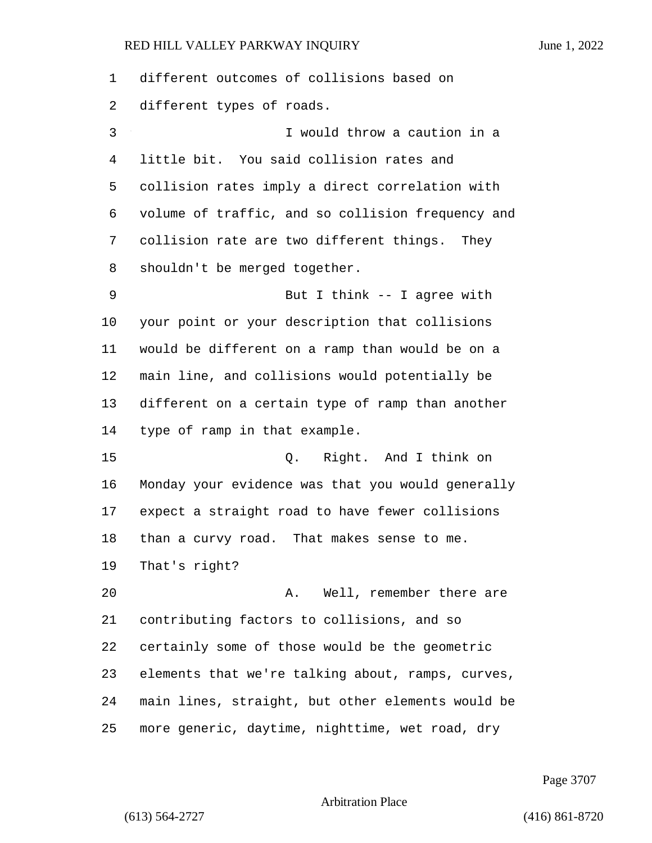different outcomes of collisions based on different types of roads. 3 I would throw a caution in a little bit. You said collision rates and collision rates imply a direct correlation with volume of traffic, and so collision frequency and collision rate are two different things. They shouldn't be merged together. 9 But I think -- I agree with your point or your description that collisions would be different on a ramp than would be on a main line, and collisions would potentially be different on a certain type of ramp than another type of ramp in that example. 15 Q. Right. And I think on Monday your evidence was that you would generally expect a straight road to have fewer collisions than a curvy road. That makes sense to me. That's right? 20 A. Well, remember there are contributing factors to collisions, and so certainly some of those would be the geometric elements that we're talking about, ramps, curves, main lines, straight, but other elements would be more generic, daytime, nighttime, wet road, dry

Page 3707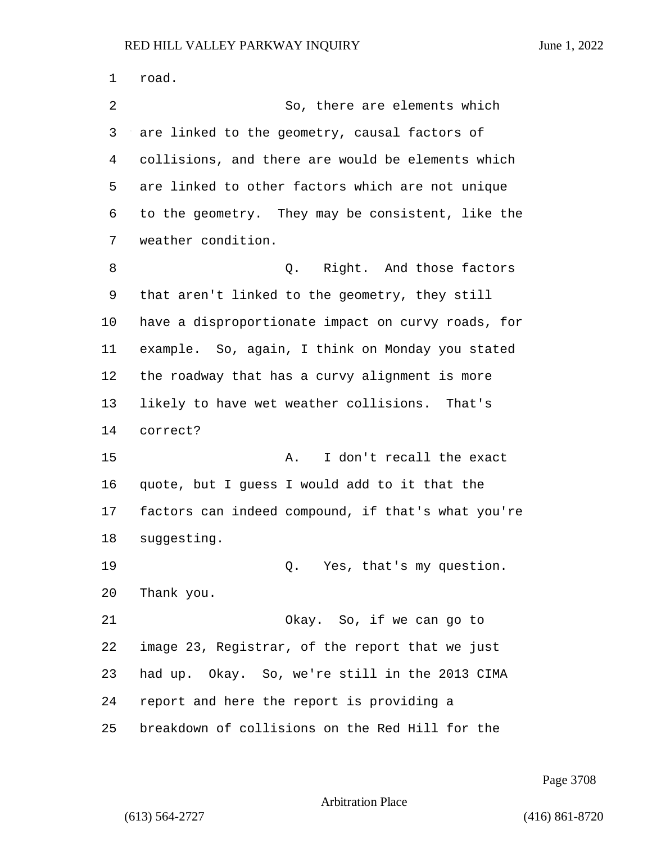road. 2 So, there are elements which are linked to the geometry, causal factors of collisions, and there are would be elements which are linked to other factors which are not unique to the geometry. They may be consistent, like the weather condition. 8 and those factors (2. Right. And those factors that aren't linked to the geometry, they still have a disproportionate impact on curvy roads, for example. So, again, I think on Monday you stated the roadway that has a curvy alignment is more likely to have wet weather collisions. That's correct? 15 A. I don't recall the exact quote, but I guess I would add to it that the factors can indeed compound, if that's what you're suggesting. 19 Q. Yes, that's my question. Thank you. 21 Okay. So, if we can go to image 23, Registrar, of the report that we just had up. Okay. So, we're still in the 2013 CIMA report and here the report is providing a breakdown of collisions on the Red Hill for the

Page 3708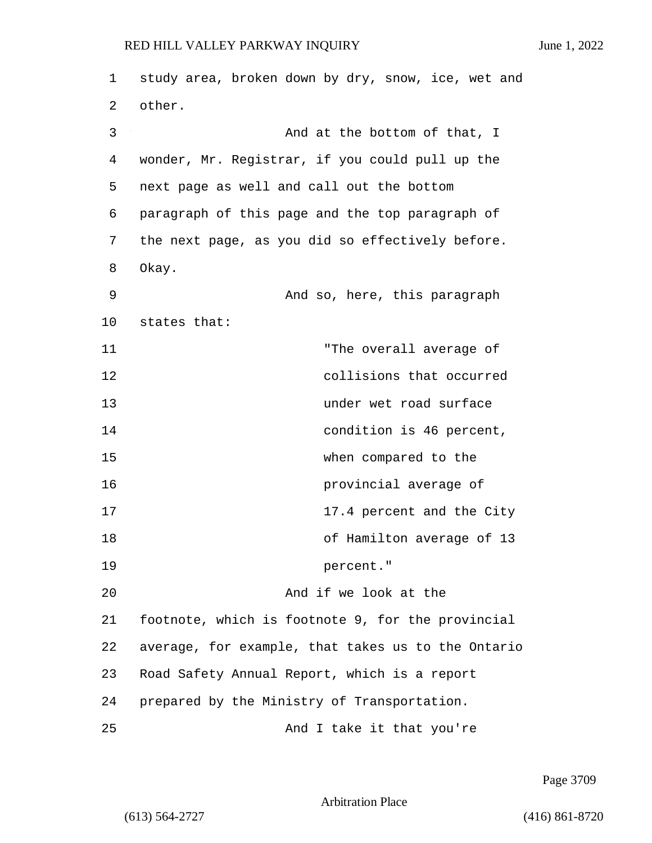1 study area, broken down by dry, snow, ice, wet and 2 other. 3 And at the bottom of that, I 4 wonder, Mr. Registrar, if you could pull up the 5 next page as well and call out the bottom 6 paragraph of this page and the top paragraph of 7 the next page, as you did so effectively before. 8 Okay. 9 And so, here, this paragraph 10 states that: 11 "The overall average of 12 collisions that occurred 13 under wet road surface 14 condition is 46 percent, 15 when compared to the 16 provincial average of 17 17.4 percent and the City 18 of Hamilton average of 13 19 percent." 20 And if we look at the 21 footnote, which is footnote 9, for the provincial 22 average, for example, that takes us to the Ontario 23 Road Safety Annual Report, which is a report 24 prepared by the Ministry of Transportation. 25 And I take it that you're

Page 3709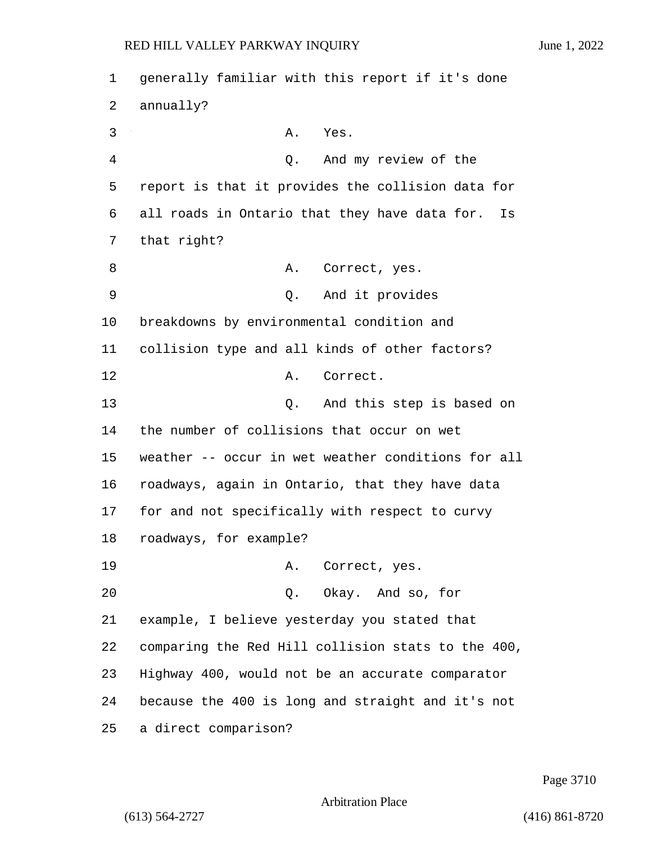generally familiar with this report if it's done annually? 3 A. Yes. 4 Q. And my review of the report is that it provides the collision data for all roads in Ontario that they have data for. Is that right? 8 A. Correct, yes. 9 Q. And it provides breakdowns by environmental condition and collision type and all kinds of other factors? 12 A. Correct. 13 Q. And this step is based on the number of collisions that occur on wet weather -- occur in wet weather conditions for all roadways, again in Ontario, that they have data for and not specifically with respect to curvy roadways, for example? 19 A. Correct, yes. 20 Q. Okay. And so, for example, I believe yesterday you stated that comparing the Red Hill collision stats to the 400, Highway 400, would not be an accurate comparator because the 400 is long and straight and it's not a direct comparison?

Page 3710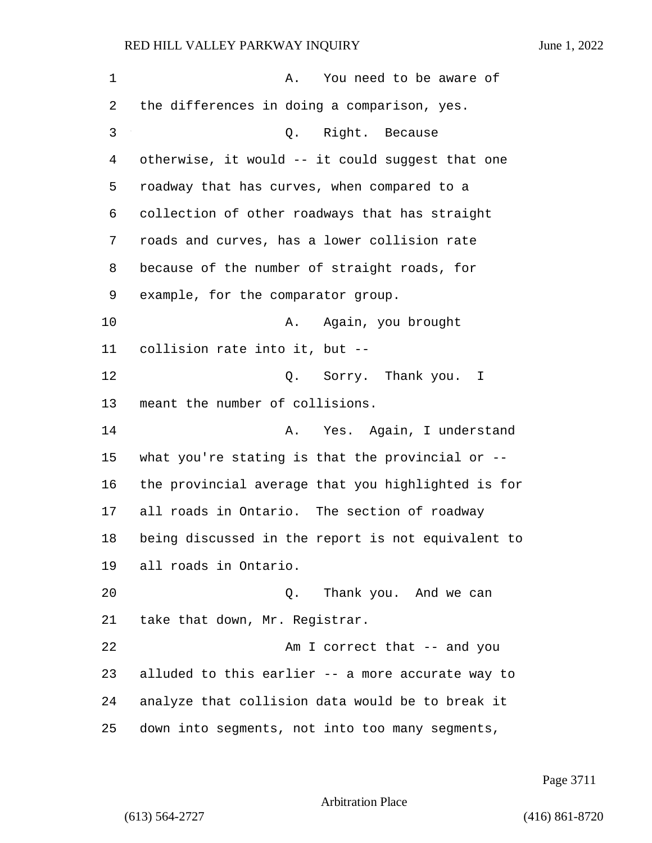| 1  | You need to be aware of<br>Α.                       |
|----|-----------------------------------------------------|
| 2  | the differences in doing a comparison, yes.         |
| 3  | Right. Because<br>Q.                                |
| 4  | otherwise, it would -- it could suggest that one    |
| 5  | roadway that has curves, when compared to a         |
| 6  | collection of other roadways that has straight      |
| 7  | roads and curves, has a lower collision rate        |
| 8  | because of the number of straight roads, for        |
| 9  | example, for the comparator group.                  |
| 10 | Again, you brought<br>Α.                            |
| 11 | collision rate into it, but --                      |
| 12 | Q. Sorry. Thank you. I                              |
| 13 | meant the number of collisions.                     |
| 14 | Yes. Again, I understand<br>Α.                      |
| 15 | what you're stating is that the provincial or $-$ - |
| 16 | the provincial average that you highlighted is for  |
| 17 | all roads in Ontario. The section of roadway        |
| 18 | being discussed in the report is not equivalent to  |
| 19 | all roads in Ontario.                               |
| 20 | Thank you. And we can<br>Q.                         |
| 21 | take that down, Mr. Registrar.                      |
| 22 | Am I correct that -- and you                        |
| 23 | alluded to this earlier -- a more accurate way to   |
| 24 | analyze that collision data would be to break it    |
| 25 | down into segments, not into too many segments,     |

Page 3711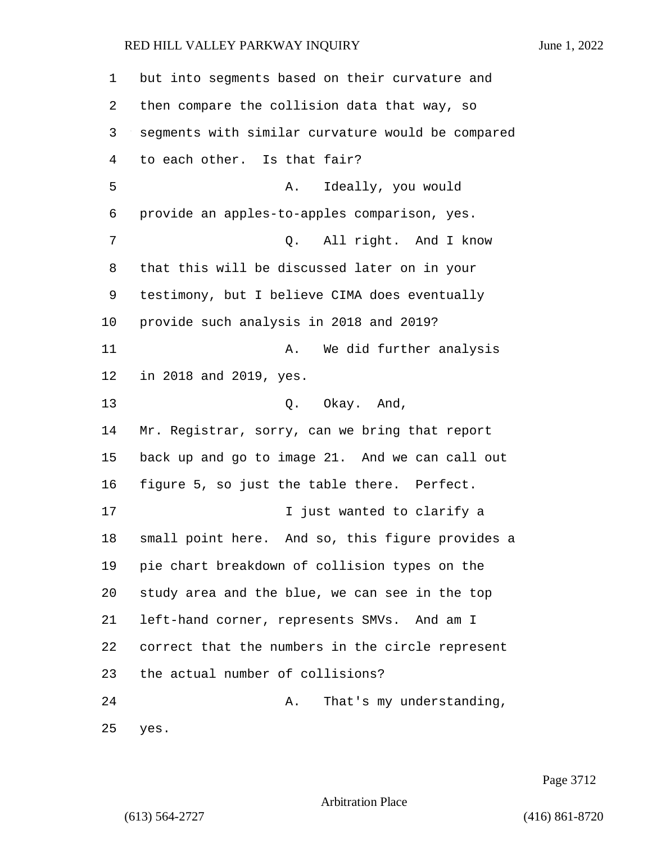| 1              | but into segments based on their curvature and    |
|----------------|---------------------------------------------------|
| 2              | then compare the collision data that way, so      |
| 3              | segments with similar curvature would be compared |
| $\overline{4}$ | to each other. Is that fair?                      |
| 5              | Ideally, you would<br>A.                          |
| 6              | provide an apples-to-apples comparison, yes.      |
| 7              | Q. All right. And I know                          |
| 8              | that this will be discussed later on in your      |
| 9              | testimony, but I believe CIMA does eventually     |
| 10             | provide such analysis in 2018 and 2019?           |
| 11             | We did further analysis<br>Α.                     |
| 12             | in 2018 and 2019, yes.                            |
| 13             | Q. Okay. And,                                     |
| 14             | Mr. Registrar, sorry, can we bring that report    |
| 15             | back up and go to image 21. And we can call out   |
| 16             | figure 5, so just the table there. Perfect.       |
| 17             | I just wanted to clarify a                        |
| 18             | small point here. And so, this figure provides a  |
| 19             | pie chart breakdown of collision types on the     |
| 20             | study area and the blue, we can see in the top    |
| 21             | left-hand corner, represents SMVs. And am I       |
| 22             | correct that the numbers in the circle represent  |
| 23             | the actual number of collisions?                  |
| 24             | That's my understanding,<br>Α.                    |
| 25             | yes.                                              |

Page 3712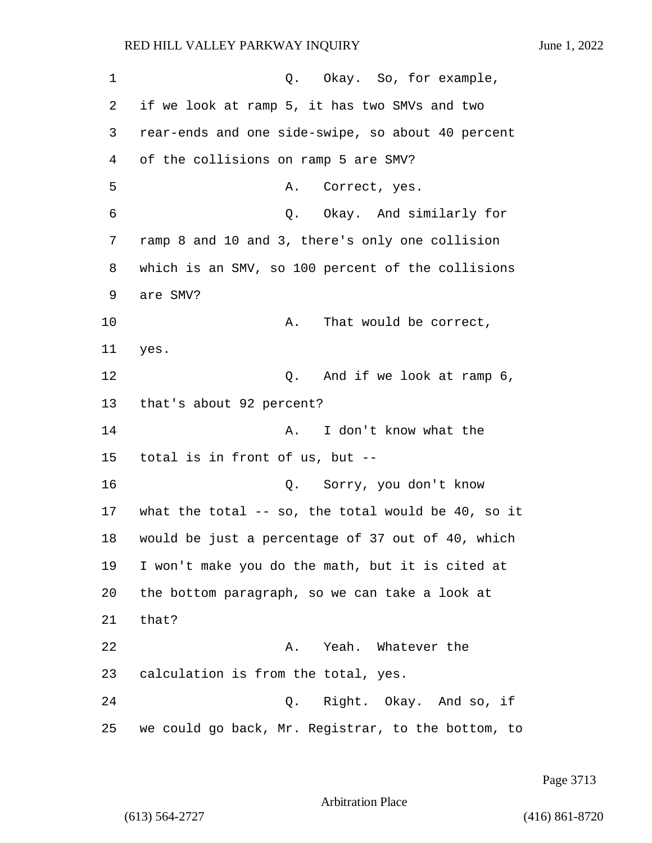| 1  | Q. Okay. So, for example,                           |
|----|-----------------------------------------------------|
| 2  | if we look at ramp 5, it has two SMVs and two       |
| 3  | rear-ends and one side-swipe, so about 40 percent   |
| 4  | of the collisions on ramp 5 are SMV?                |
| 5  | Correct, yes.<br>Α.                                 |
| 6  | Q. Okay. And similarly for                          |
| 7  | ramp 8 and 10 and 3, there's only one collision     |
| 8  | which is an SMV, so 100 percent of the collisions   |
| 9  | are SMV?                                            |
| 10 | That would be correct,<br>Α.                        |
| 11 | yes.                                                |
| 12 | And if we look at ramp 6,<br>Q.                     |
| 13 | that's about 92 percent?                            |
| 14 | I don't know what the<br>Α.                         |
| 15 | total is in front of us, but --                     |
| 16 | Sorry, you don't know<br>Q.                         |
| 17 | what the total $-$ so, the total would be 40, so it |
| 18 | would be just a percentage of 37 out of 40, which   |
| 19 | I won't make you do the math, but it is cited at    |
| 20 | the bottom paragraph, so we can take a look at      |
| 21 | that?                                               |
| 22 | Yeah. Whatever the<br>Α.                            |
| 23 | calculation is from the total, yes.                 |
| 24 | Right. Okay. And so, if<br>Q.                       |
| 25 | we could go back, Mr. Registrar, to the bottom, to  |

Page 3713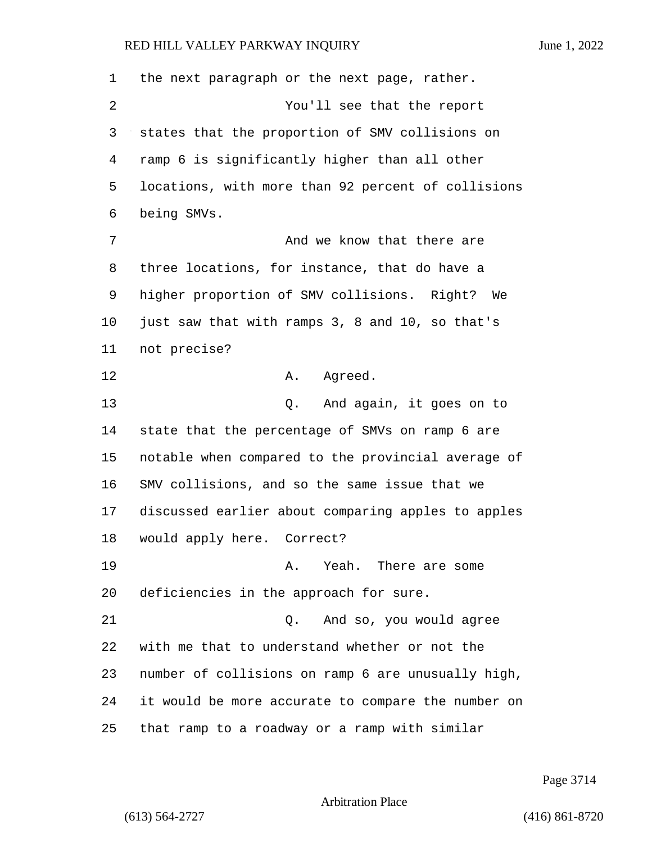the next paragraph or the next page, rather. 2 You'll see that the report states that the proportion of SMV collisions on ramp 6 is significantly higher than all other locations, with more than 92 percent of collisions being SMVs. 7 and we know that there are three locations, for instance, that do have a higher proportion of SMV collisions. Right? We just saw that with ramps 3, 8 and 10, so that's not precise? 12 A. Agreed. 13 Q. And again, it goes on to state that the percentage of SMVs on ramp 6 are notable when compared to the provincial average of SMV collisions, and so the same issue that we discussed earlier about comparing apples to apples would apply here. Correct? 19 A. Yeah. There are some deficiencies in the approach for sure. 21 Q. And so, you would agree with me that to understand whether or not the number of collisions on ramp 6 are unusually high, it would be more accurate to compare the number on that ramp to a roadway or a ramp with similar

Page 3714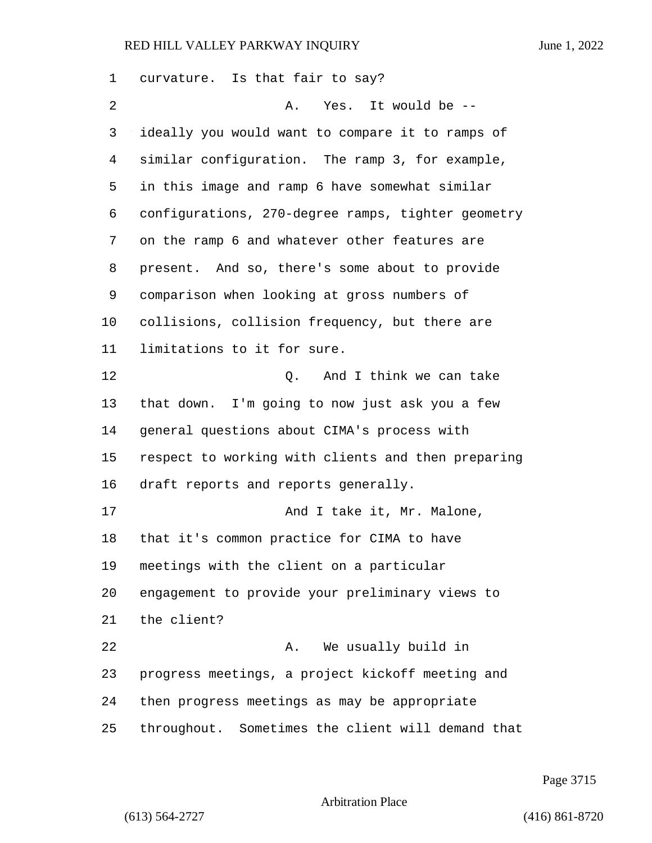| 1              | curvature. Is that fair to say?                    |
|----------------|----------------------------------------------------|
| 2              | Yes. It would be --<br>Α.                          |
| 3              | ideally you would want to compare it to ramps of   |
| $\overline{4}$ | similar configuration. The ramp 3, for example,    |
| 5              | in this image and ramp 6 have somewhat similar     |
| 6              | configurations, 270-degree ramps, tighter geometry |
| 7              | on the ramp 6 and whatever other features are      |
| 8              | present. And so, there's some about to provide     |
| 9              | comparison when looking at gross numbers of        |
| 10             | collisions, collision frequency, but there are     |
| 11             | limitations to it for sure.                        |
| 12             | And I think we can take<br>0.                      |
| 13             | that down. I'm going to now just ask you a few     |
| 14             | general questions about CIMA's process with        |
| 15             | respect to working with clients and then preparing |
| 16             | draft reports and reports generally.               |
| 17             | And I take it, Mr. Malone,                         |
| 18             | that it's common practice for CIMA to have         |
| 19             | meetings with the client on a particular           |
| 20             | engagement to provide your preliminary views to    |
| 21             | the client?                                        |
| 22             | We usually build in<br>Α.                          |
| 23             | progress meetings, a project kickoff meeting and   |
| 24             | then progress meetings as may be appropriate       |
| 25             | throughout. Sometimes the client will demand that  |

Page 3715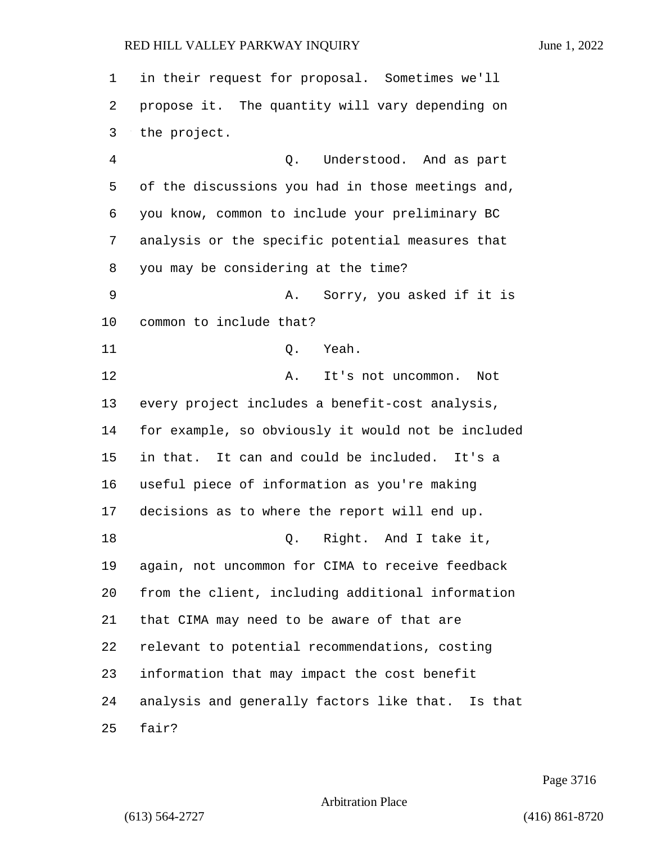in their request for proposal. Sometimes we'll propose it. The quantity will vary depending on the project. 4 Q. Understood. And as part of the discussions you had in those meetings and, you know, common to include your preliminary BC analysis or the specific potential measures that you may be considering at the time? 9 A. Sorry, you asked if it is common to include that? 11 Q. Yeah. 12 A. It's not uncommon. Not every project includes a benefit-cost analysis, for example, so obviously it would not be included in that. It can and could be included. It's a useful piece of information as you're making decisions as to where the report will end up. 18 Q. Right. And I take it, again, not uncommon for CIMA to receive feedback from the client, including additional information that CIMA may need to be aware of that are relevant to potential recommendations, costing information that may impact the cost benefit analysis and generally factors like that. Is that fair?

Page 3716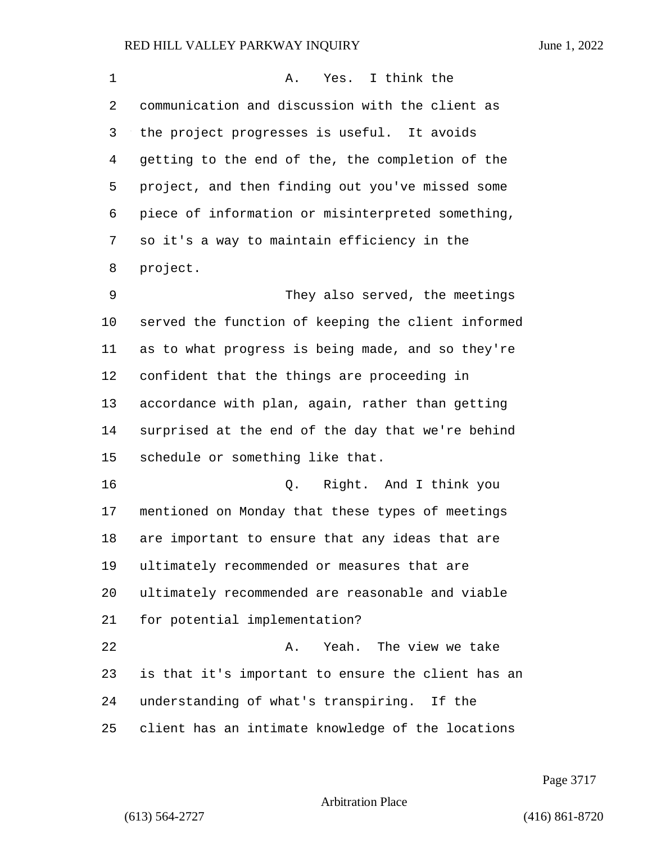| 1  | Yes. I think the<br>Α.                             |
|----|----------------------------------------------------|
| 2  | communication and discussion with the client as    |
| 3  | the project progresses is useful. It avoids        |
| 4  | getting to the end of the, the completion of the   |
| 5  | project, and then finding out you've missed some   |
| 6  | piece of information or misinterpreted something,  |
| 7  | so it's a way to maintain efficiency in the        |
| 8  | project.                                           |
| 9  | They also served, the meetings                     |
| 10 | served the function of keeping the client informed |
| 11 | as to what progress is being made, and so they're  |
| 12 | confident that the things are proceeding in        |
| 13 | accordance with plan, again, rather than getting   |
| 14 | surprised at the end of the day that we're behind  |
| 15 | schedule or something like that.                   |
| 16 | Right. And I think you<br>Q.                       |
| 17 | mentioned on Monday that these types of meetings   |
| 18 | are important to ensure that any ideas that are    |
| 19 | ultimately recommended or measures that are        |
| 20 | ultimately recommended are reasonable and viable   |
| 21 | for potential implementation?                      |
| 22 | Yeah. The view we take<br>Α.                       |
| 23 | is that it's important to ensure the client has an |
| 24 | understanding of what's transpiring. If the        |
| 25 | client has an intimate knowledge of the locations  |

Page 3717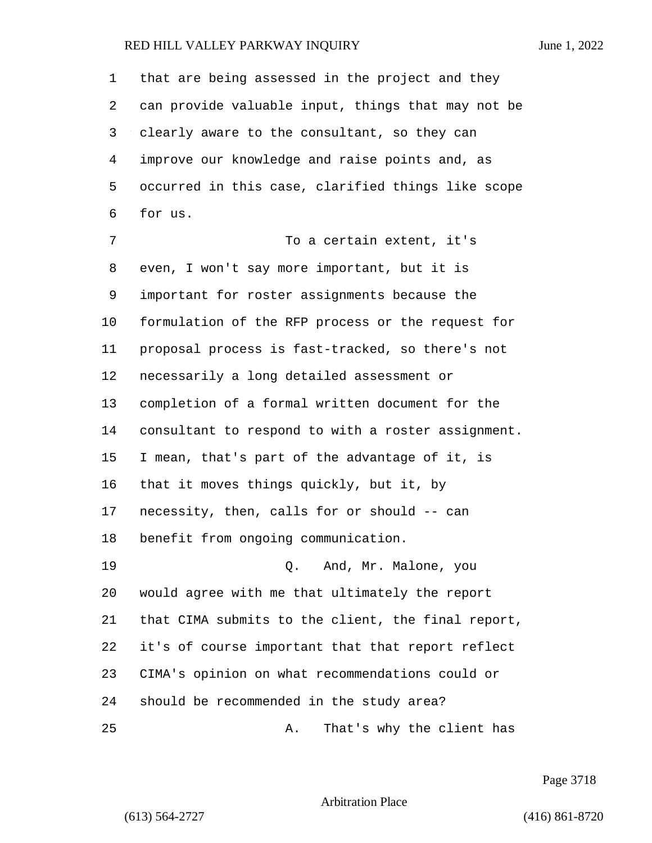that are being assessed in the project and they can provide valuable input, things that may not be clearly aware to the consultant, so they can improve our knowledge and raise points and, as occurred in this case, clarified things like scope for us.

7 To a certain extent, it's even, I won't say more important, but it is important for roster assignments because the formulation of the RFP process or the request for proposal process is fast-tracked, so there's not necessarily a long detailed assessment or completion of a formal written document for the consultant to respond to with a roster assignment. I mean, that's part of the advantage of it, is that it moves things quickly, but it, by necessity, then, calls for or should -- can benefit from ongoing communication. 19 Q. And, Mr. Malone, you would agree with me that ultimately the report that CIMA submits to the client, the final report, it's of course important that that report reflect CIMA's opinion on what recommendations could or should be recommended in the study area? 25 A. That's why the client has

Page 3718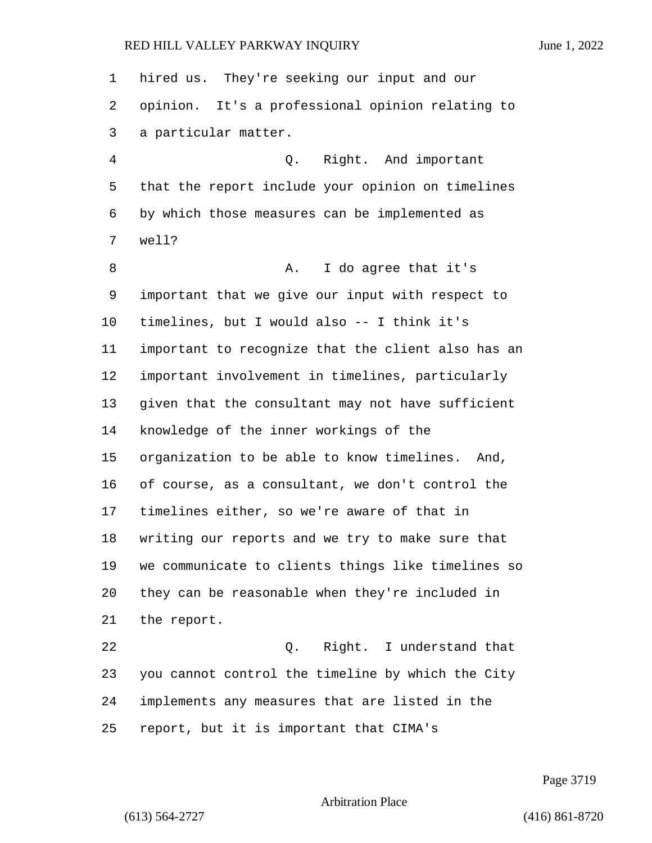| $\mathbf{1}$   | hired us. They're seeking our input and our        |
|----------------|----------------------------------------------------|
| 2              | opinion. It's a professional opinion relating to   |
| 3              | a particular matter.                               |
| $\overline{4}$ | Right. And important<br>Q.                         |
| 5              | that the report include your opinion on timelines  |
| 6              | by which those measures can be implemented as      |
| 7              | well?                                              |
| 8              | I do agree that it's<br>Α.                         |
| 9              | important that we give our input with respect to   |
| 10             | timelines, but I would also -- I think it's        |
| 11             | important to recognize that the client also has an |
| 12             | important involvement in timelines, particularly   |
| 13             | given that the consultant may not have sufficient  |
| 14             | knowledge of the inner workings of the             |
| 15             | organization to be able to know timelines. And,    |
| 16             | of course, as a consultant, we don't control the   |
| 17             | timelines either, so we're aware of that in        |
| 18             | writing our reports and we try to make sure that   |
| 19             | we communicate to clients things like timelines so |
| 20             | they can be reasonable when they're included in    |
| 21             | the report.                                        |
| 22             | Q. Right. I understand that                        |
| 23             | you cannot control the timeline by which the City  |
| 24             | implements any measures that are listed in the     |
| 25             | report, but it is important that CIMA's            |
|                |                                                    |

Page 3719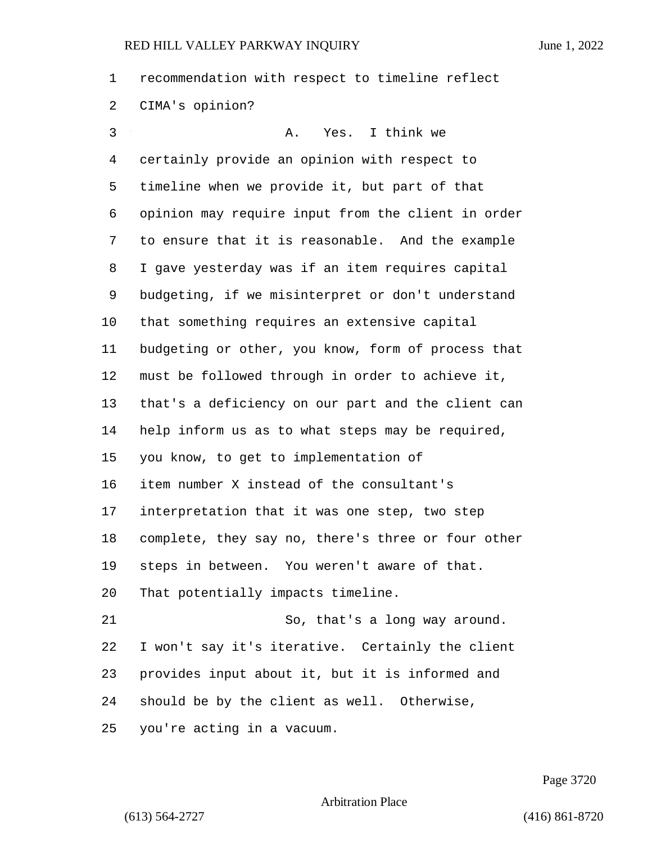recommendation with respect to timeline reflect CIMA's opinion? 3 A. Yes. I think we

 certainly provide an opinion with respect to timeline when we provide it, but part of that opinion may require input from the client in order to ensure that it is reasonable. And the example I gave yesterday was if an item requires capital budgeting, if we misinterpret or don't understand that something requires an extensive capital budgeting or other, you know, form of process that must be followed through in order to achieve it, that's a deficiency on our part and the client can help inform us as to what steps may be required, you know, to get to implementation of item number X instead of the consultant's interpretation that it was one step, two step complete, they say no, there's three or four other steps in between. You weren't aware of that. That potentially impacts timeline. 21 So, that's a long way around. I won't say it's iterative. Certainly the client provides input about it, but it is informed and should be by the client as well. Otherwise, you're acting in a vacuum.

Page 3720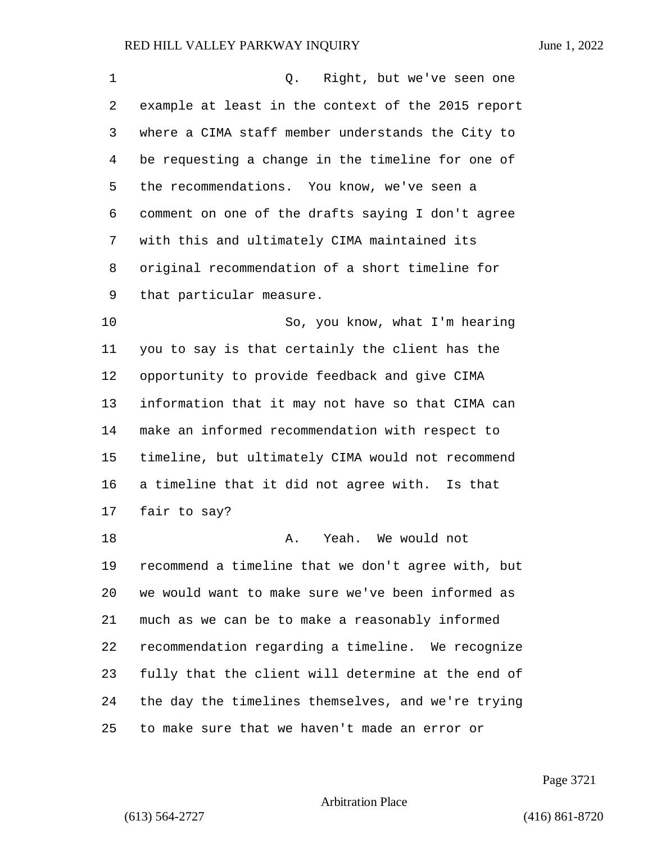| 1  | Right, but we've seen one<br>Q.                    |
|----|----------------------------------------------------|
| 2  | example at least in the context of the 2015 report |
| 3  | where a CIMA staff member understands the City to  |
| 4  | be requesting a change in the timeline for one of  |
| 5  | the recommendations. You know, we've seen a        |
| 6  | comment on one of the drafts saying I don't agree  |
| 7  | with this and ultimately CIMA maintained its       |
| 8  | original recommendation of a short timeline for    |
| 9  | that particular measure.                           |
| 10 | So, you know, what I'm hearing                     |
| 11 | you to say is that certainly the client has the    |
| 12 | opportunity to provide feedback and give CIMA      |
| 13 | information that it may not have so that CIMA can  |
| 14 | make an informed recommendation with respect to    |
| 15 | timeline, but ultimately CIMA would not recommend  |
| 16 | a timeline that it did not agree with. Is that     |
| 17 | fair to say?                                       |
| 18 | Yeah. We would not<br>Α.                           |
| 19 | recommend a timeline that we don't agree with, but |
| 20 | we would want to make sure we've been informed as  |
| 21 | much as we can be to make a reasonably informed    |
| 22 | recommendation regarding a timeline. We recognize  |
| 23 | fully that the client will determine at the end of |
| 24 | the day the timelines themselves, and we're trying |
| 25 | to make sure that we haven't made an error or      |

Page 3721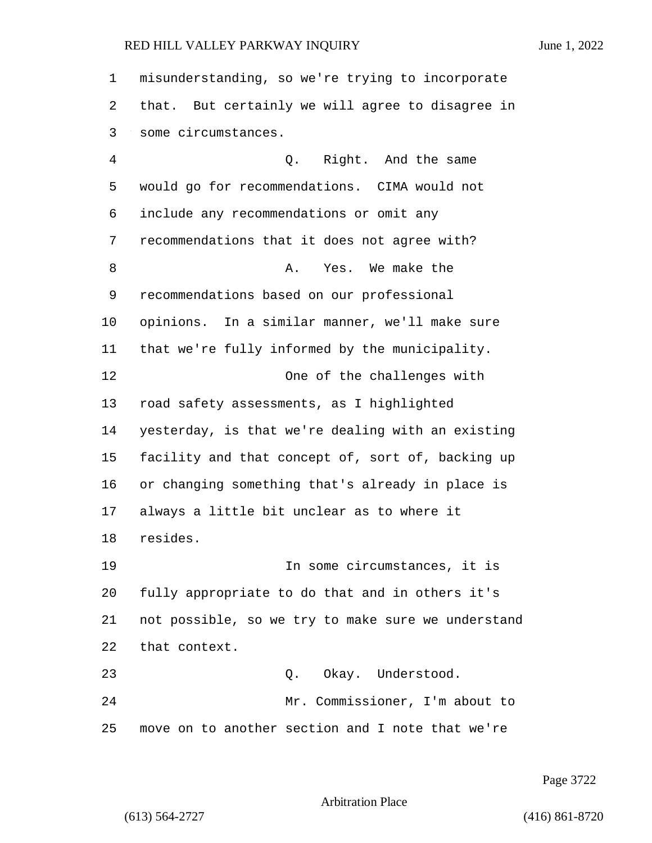misunderstanding, so we're trying to incorporate that. But certainly we will agree to disagree in some circumstances. 4 Q. Right. And the same would go for recommendations. CIMA would not include any recommendations or omit any recommendations that it does not agree with? 8 A. Yes. We make the recommendations based on our professional opinions. In a similar manner, we'll make sure that we're fully informed by the municipality. 12 One of the challenges with road safety assessments, as I highlighted yesterday, is that we're dealing with an existing facility and that concept of, sort of, backing up or changing something that's already in place is always a little bit unclear as to where it resides. 19 In some circumstances, it is fully appropriate to do that and in others it's not possible, so we try to make sure we understand that context. 23 Q. Okay. Understood. 24 Mr. Commissioner, I'm about to move on to another section and I note that we're

Page 3722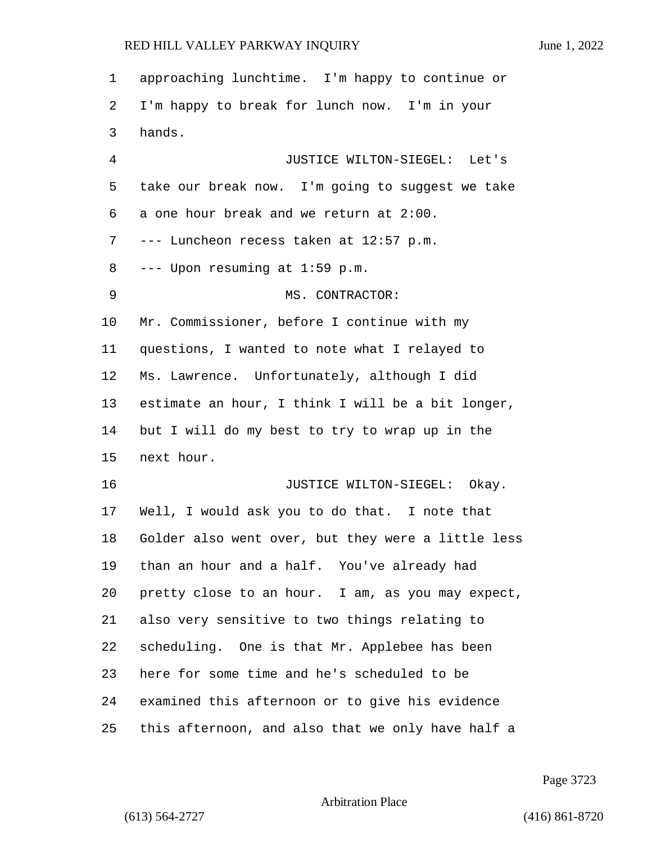| 1  | approaching lunchtime. I'm happy to continue or    |
|----|----------------------------------------------------|
| 2  | I'm happy to break for lunch now. I'm in your      |
| 3  | hands.                                             |
| 4  | JUSTICE WILTON-SIEGEL: Let's                       |
| 5  | take our break now. I'm going to suggest we take   |
| 6  | a one hour break and we return at 2:00.            |
| 7  | --- Luncheon recess taken at 12:57 p.m.            |
| 8  | --- Upon resuming at 1:59 p.m.                     |
| 9  | MS. CONTRACTOR:                                    |
| 10 | Mr. Commissioner, before I continue with my        |
| 11 | questions, I wanted to note what I relayed to      |
| 12 | Ms. Lawrence. Unfortunately, although I did        |
| 13 | estimate an hour, I think I will be a bit longer,  |
| 14 | but I will do my best to try to wrap up in the     |
| 15 | next hour.                                         |
| 16 | JUSTICE WILTON-SIEGEL: Okay.                       |
| 17 | Well, I would ask you to do that. I note that      |
| 18 | Golder also went over, but they were a little less |
| 19 | than an hour and a half. You've already had        |
| 20 | pretty close to an hour. I am, as you may expect,  |
| 21 | also very sensitive to two things relating to      |
| 22 | scheduling. One is that Mr. Applebee has been      |
| 23 | here for some time and he's scheduled to be        |
| 24 | examined this afternoon or to give his evidence    |
| 25 | this afternoon, and also that we only have half a  |

Page 3723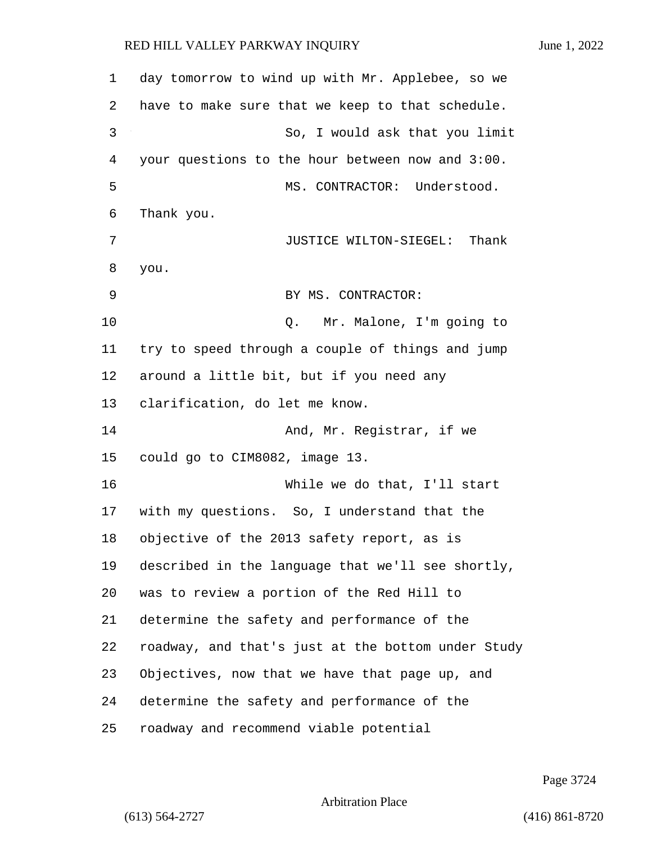| 1  | day tomorrow to wind up with Mr. Applebee, so we   |
|----|----------------------------------------------------|
| 2  | have to make sure that we keep to that schedule.   |
| 3  | So, I would ask that you limit                     |
| 4  | your questions to the hour between now and 3:00.   |
| 5  | MS. CONTRACTOR: Understood.                        |
| 6  | Thank you.                                         |
| 7  | JUSTICE WILTON-SIEGEL: Thank                       |
| 8  | you.                                               |
| 9  | BY MS. CONTRACTOR:                                 |
| 10 | Mr. Malone, I'm going to<br>Q.                     |
| 11 | try to speed through a couple of things and jump   |
| 12 | around a little bit, but if you need any           |
| 13 | clarification, do let me know.                     |
| 14 | And, Mr. Registrar, if we                          |
| 15 | could go to CIM8082, image 13.                     |
| 16 | While we do that, I'll start                       |
| 17 | with my questions. So, I understand that the       |
| 18 | objective of the 2013 safety report, as is         |
| 19 | described in the language that we'll see shortly,  |
| 20 | was to review a portion of the Red Hill to         |
| 21 | determine the safety and performance of the        |
| 22 | roadway, and that's just at the bottom under Study |
| 23 | Objectives, now that we have that page up, and     |
| 24 | determine the safety and performance of the        |
| 25 | roadway and recommend viable potential             |

Page 3724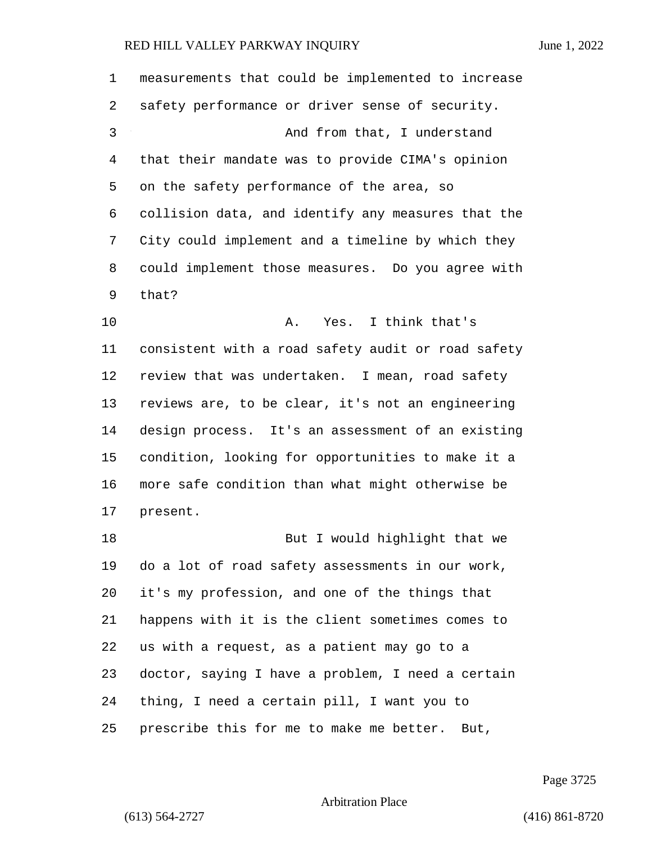| $\mathbf 1$ | measurements that could be implemented to increase |
|-------------|----------------------------------------------------|
| 2           | safety performance or driver sense of security.    |
| 3           | And from that, I understand                        |
| 4           | that their mandate was to provide CIMA's opinion   |
| 5           | on the safety performance of the area, so          |
| 6           | collision data, and identify any measures that the |
| 7           | City could implement and a timeline by which they  |
| 8           | could implement those measures. Do you agree with  |
| 9           | that?                                              |
| 10          | Yes. I think that's<br>Α.                          |
| 11          | consistent with a road safety audit or road safety |
| 12          | review that was undertaken. I mean, road safety    |
| 13          | reviews are, to be clear, it's not an engineering  |
| 14          | design process. It's an assessment of an existing  |
| 15          | condition, looking for opportunities to make it a  |
| 16          | more safe condition than what might otherwise be   |
| 17          | present.                                           |
| 18          | But I would highlight that we                      |
| 19          | do a lot of road safety assessments in our work,   |
| 20          | it's my profession, and one of the things that     |
| 21          | happens with it is the client sometimes comes to   |
| 22          | us with a request, as a patient may go to a        |
| 23          | doctor, saying I have a problem, I need a certain  |
| 24          | thing, I need a certain pill, I want you to        |
| 25          | prescribe this for me to make me better. But,      |

Page 3725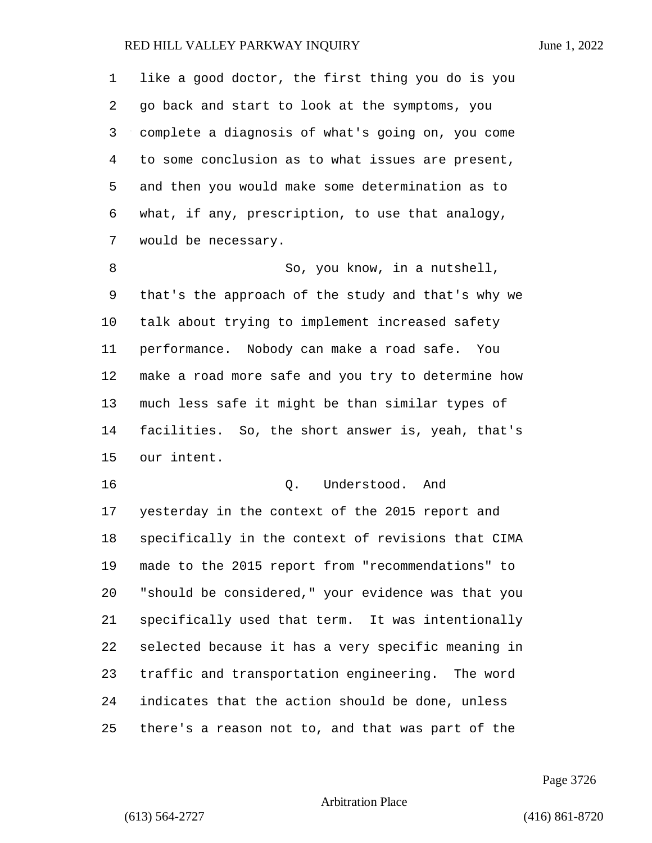like a good doctor, the first thing you do is you go back and start to look at the symptoms, you complete a diagnosis of what's going on, you come to some conclusion as to what issues are present, and then you would make some determination as to what, if any, prescription, to use that analogy, would be necessary.

8 So, you know, in a nutshell, that's the approach of the study and that's why we talk about trying to implement increased safety performance. Nobody can make a road safe. You make a road more safe and you try to determine how much less safe it might be than similar types of facilities. So, the short answer is, yeah, that's our intent.

16 Q. Understood. And yesterday in the context of the 2015 report and specifically in the context of revisions that CIMA made to the 2015 report from "recommendations" to "should be considered," your evidence was that you specifically used that term. It was intentionally selected because it has a very specific meaning in traffic and transportation engineering. The word indicates that the action should be done, unless there's a reason not to, and that was part of the

Page 3726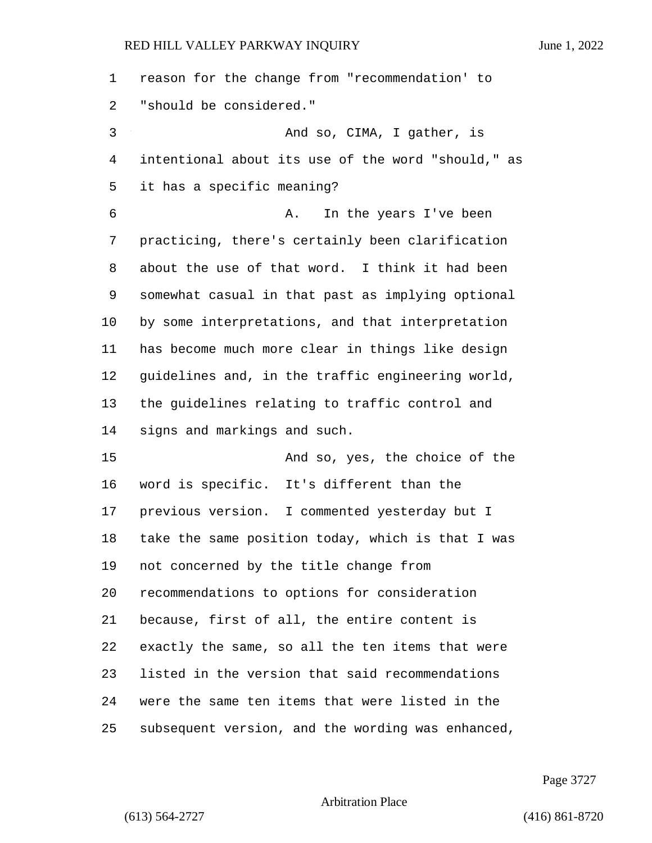reason for the change from "recommendation' to "should be considered." 3 And so, CIMA, I gather, is intentional about its use of the word "should," as it has a specific meaning? 6 A. In the years I've been practicing, there's certainly been clarification about the use of that word. I think it had been somewhat casual in that past as implying optional by some interpretations, and that interpretation has become much more clear in things like design guidelines and, in the traffic engineering world, the guidelines relating to traffic control and signs and markings and such. 15 And so, yes, the choice of the word is specific. It's different than the previous version. I commented yesterday but I take the same position today, which is that I was not concerned by the title change from recommendations to options for consideration because, first of all, the entire content is exactly the same, so all the ten items that were listed in the version that said recommendations were the same ten items that were listed in the subsequent version, and the wording was enhanced,

Page 3727

### Arbitration Place

(613) 564-2727 (416) 861-8720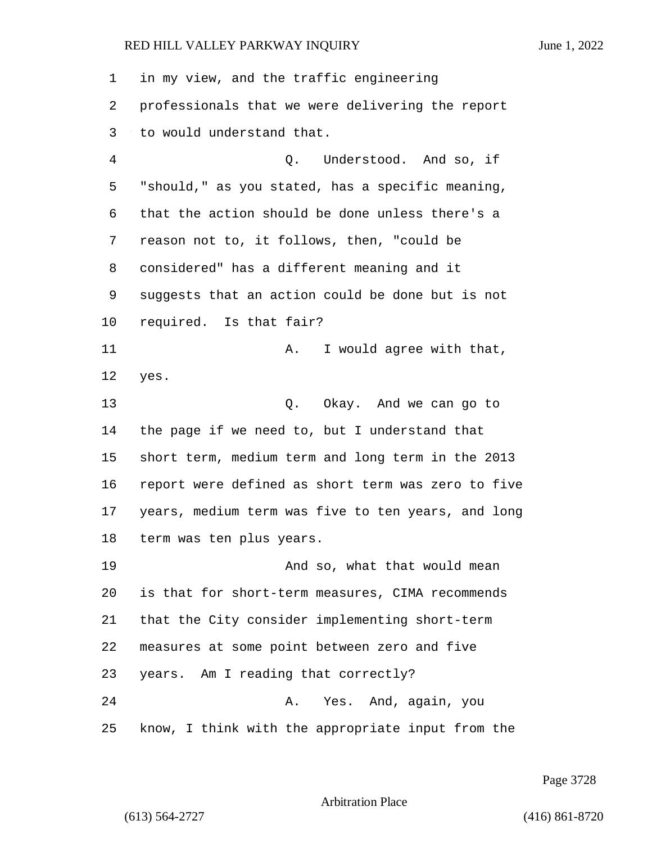| 1  | in my view, and the traffic engineering            |
|----|----------------------------------------------------|
| 2  | professionals that we were delivering the report   |
| 3  | to would understand that.                          |
| 4  | Q. Understood. And so, if                          |
| 5  | "should," as you stated, has a specific meaning,   |
| 6  | that the action should be done unless there's a    |
| 7  | reason not to, it follows, then, "could be         |
| 8  | considered" has a different meaning and it         |
| 9  | suggests that an action could be done but is not   |
| 10 | required. Is that fair?                            |
| 11 | I would agree with that,<br>Α.                     |
| 12 | yes.                                               |
| 13 | Okay. And we can go to<br>Q.                       |
| 14 | the page if we need to, but I understand that      |
| 15 | short term, medium term and long term in the 2013  |
| 16 | report were defined as short term was zero to five |
| 17 | years, medium term was five to ten years, and long |
| 18 | term was ten plus years.                           |
| 19 | And so, what that would mean                       |
| 20 | is that for short-term measures, CIMA recommends   |
| 21 | that the City consider implementing short-term     |
| 22 | measures at some point between zero and five       |
| 23 | years. Am I reading that correctly?                |
| 24 | Yes. And, again, you<br>Α.                         |
| 25 | know, I think with the appropriate input from the  |

Page 3728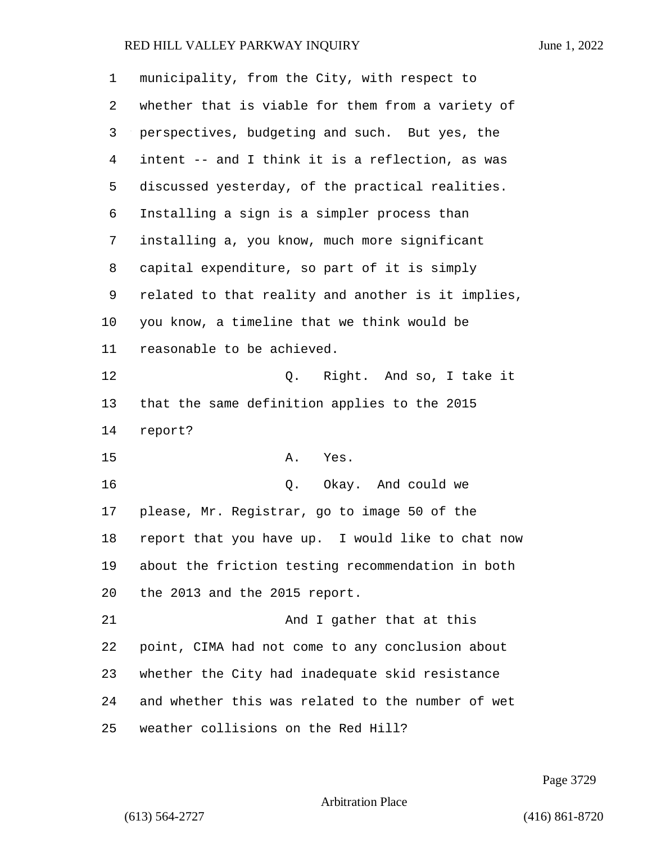| 1  | municipality, from the City, with respect to       |
|----|----------------------------------------------------|
| 2  | whether that is viable for them from a variety of  |
| 3  | perspectives, budgeting and such. But yes, the     |
| 4  | intent -- and I think it is a reflection, as was   |
| 5  | discussed yesterday, of the practical realities.   |
| 6  | Installing a sign is a simpler process than        |
| 7  | installing a, you know, much more significant      |
| 8  | capital expenditure, so part of it is simply       |
| 9  | related to that reality and another is it implies, |
| 10 | you know, a timeline that we think would be        |
| 11 | reasonable to be achieved.                         |
| 12 | Q. Right. And so, I take it                        |
| 13 | that the same definition applies to the 2015       |
| 14 | report?                                            |
| 15 | Α.<br>Yes.                                         |
| 16 | Q. Okay. And could we                              |
| 17 | please, Mr. Registrar, go to image 50 of the       |
| 18 | report that you have up. I would like to chat now  |
| 19 | about the friction testing recommendation in both  |
| 20 | the 2013 and the 2015 report.                      |
| 21 | And I gather that at this                          |
| 22 | point, CIMA had not come to any conclusion about   |
| 23 | whether the City had inadequate skid resistance    |
| 24 | and whether this was related to the number of wet  |
| 25 | weather collisions on the Red Hill?                |

Page 3729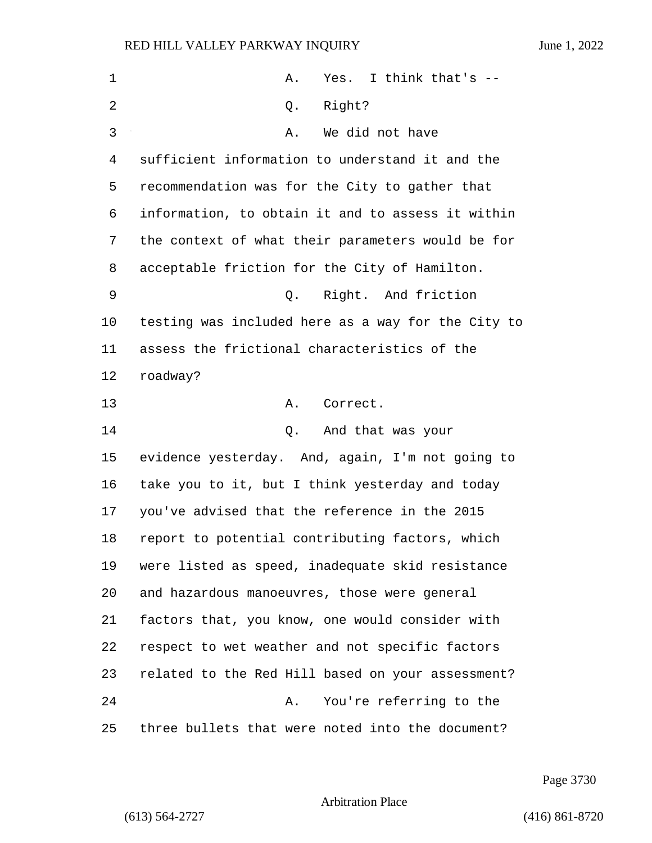| 1  | Yes. I think that's --<br>Α.                       |
|----|----------------------------------------------------|
| 2  | Right?<br>Q.                                       |
| 3  | We did not have<br>Α.                              |
| 4  | sufficient information to understand it and the    |
| 5  | recommendation was for the City to gather that     |
| 6  | information, to obtain it and to assess it within  |
| 7  | the context of what their parameters would be for  |
| 8  | acceptable friction for the City of Hamilton.      |
| 9  | Right. And friction<br>Q.                          |
| 10 | testing was included here as a way for the City to |
| 11 | assess the frictional characteristics of the       |
| 12 | roadway?                                           |
| 13 | Correct.<br>Α.                                     |
| 14 | And that was your<br>Q.                            |
| 15 | evidence yesterday. And, again, I'm not going to   |
| 16 | take you to it, but I think yesterday and today    |
| 17 | you've advised that the reference in the 2015      |
| 18 | report to potential contributing factors, which    |
| 19 | were listed as speed, inadequate skid resistance   |
| 20 | and hazardous manoeuvres, those were general       |
| 21 | factors that, you know, one would consider with    |
| 22 | respect to wet weather and not specific factors    |
| 23 | related to the Red Hill based on your assessment?  |
| 24 | You're referring to the<br>Α.                      |
| 25 | three bullets that were noted into the document?   |

Page 3730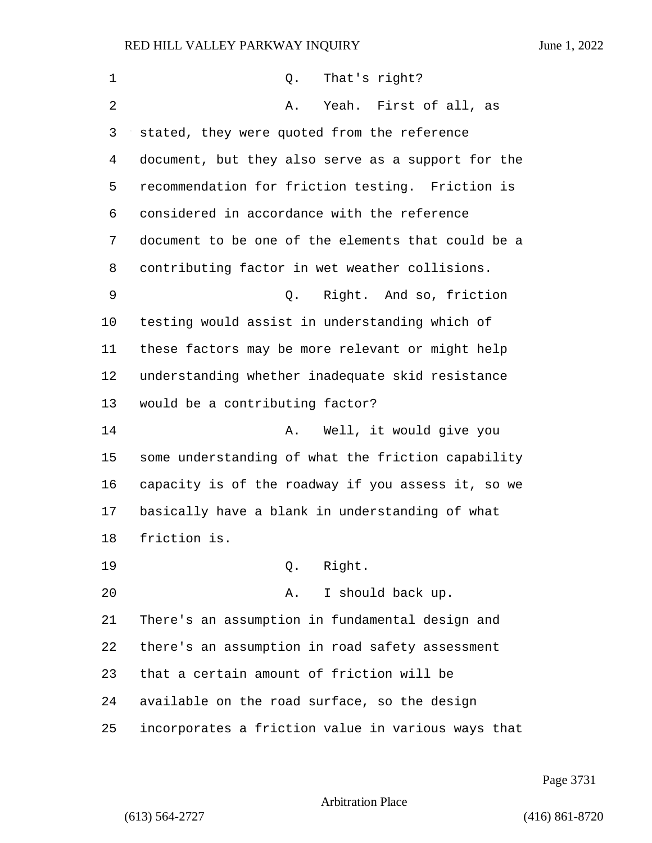| 1  | That's right?<br>Q.                                |
|----|----------------------------------------------------|
| 2  | Yeah. First of all, as<br>Α.                       |
| 3  | stated, they were quoted from the reference        |
| 4  | document, but they also serve as a support for the |
| 5  | recommendation for friction testing. Friction is   |
| 6  | considered in accordance with the reference        |
| 7  | document to be one of the elements that could be a |
| 8  | contributing factor in wet weather collisions.     |
| 9  | Right. And so, friction<br>Q.                      |
| 10 | testing would assist in understanding which of     |
| 11 | these factors may be more relevant or might help   |
| 12 | understanding whether inadequate skid resistance   |
| 13 | would be a contributing factor?                    |
| 14 | Well, it would give you<br>Α.                      |
| 15 | some understanding of what the friction capability |
| 16 | capacity is of the roadway if you assess it, so we |
| 17 | basically have a blank in understanding of what    |
| 18 | friction is.                                       |
| 19 | Right.<br>Q.                                       |
| 20 | I should back up.<br>Α.                            |
| 21 | There's an assumption in fundamental design and    |
| 22 | there's an assumption in road safety assessment    |
| 23 | that a certain amount of friction will be          |
| 24 | available on the road surface, so the design       |
| 25 | incorporates a friction value in various ways that |

Page 3731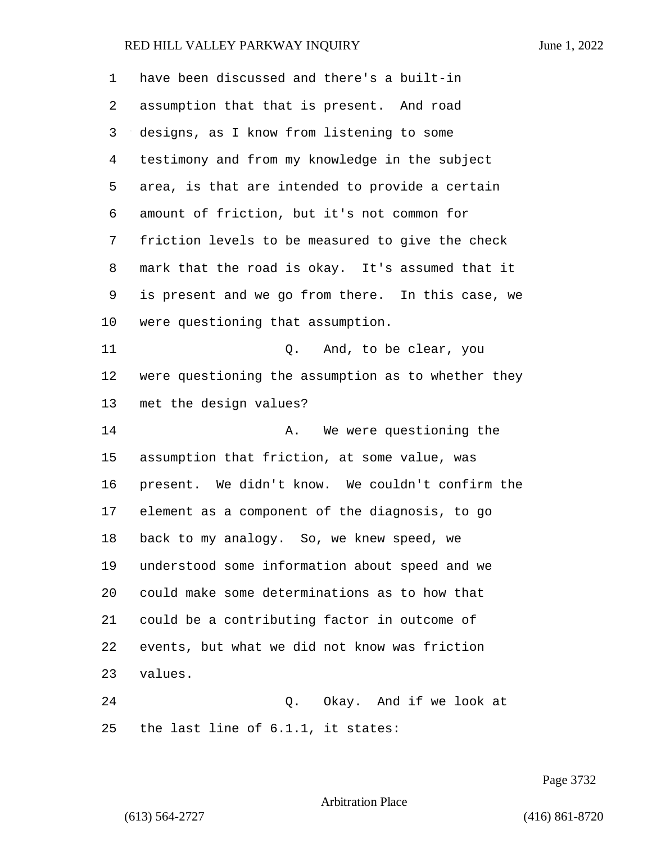| 1  | have been discussed and there's a built-in         |
|----|----------------------------------------------------|
| 2  | assumption that that is present. And road          |
| 3  | designs, as I know from listening to some          |
| 4  | testimony and from my knowledge in the subject     |
| 5  | area, is that are intended to provide a certain    |
| 6  | amount of friction, but it's not common for        |
| 7  | friction levels to be measured to give the check   |
| 8  | mark that the road is okay. It's assumed that it   |
| 9  | is present and we go from there. In this case, we  |
| 10 | were questioning that assumption.                  |
| 11 | And, to be clear, you<br>Q.                        |
| 12 | were questioning the assumption as to whether they |
| 13 | met the design values?                             |
| 14 | We were questioning the<br>Α.                      |
| 15 | assumption that friction, at some value, was       |
| 16 | present. We didn't know. We couldn't confirm the   |
| 17 | element as a component of the diagnosis, to go     |
| 18 | back to my analogy. So, we knew speed, we          |
| 19 | understood some information about speed and we     |
| 20 | could make some determinations as to how that      |
| 21 | could be a contributing factor in outcome of       |
| 22 | events, but what we did not know was friction      |
| 23 | values.                                            |
| 24 | Okay. And if we look at<br>Q.                      |
| 25 | the last line of 6.1.1, it states:                 |

Page 3732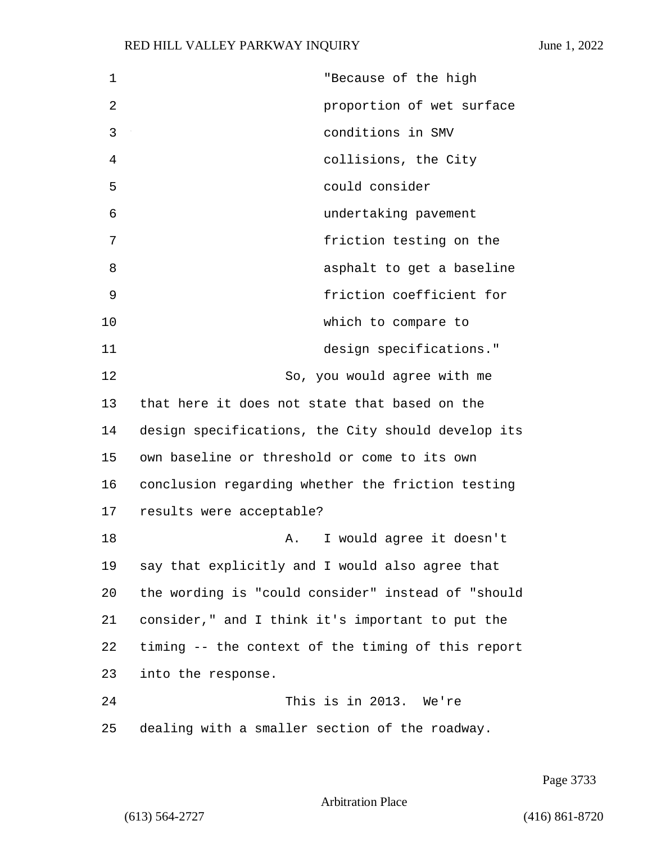| $\mathbf 1$ | "Because of the high                               |
|-------------|----------------------------------------------------|
| 2           | proportion of wet surface                          |
| 3           | conditions in SMV                                  |
| 4           | collisions, the City                               |
| 5           | could consider                                     |
| 6           | undertaking pavement                               |
| 7           | friction testing on the                            |
| 8           | asphalt to get a baseline                          |
| 9           | friction coefficient for                           |
| 10          | which to compare to                                |
| 11          | design specifications."                            |
| 12          | So, you would agree with me                        |
| 13          | that here it does not state that based on the      |
| 14          | design specifications, the City should develop its |
| 15          | own baseline or threshold or come to its own       |
| 16          | conclusion regarding whether the friction testing  |
| 17          | results were acceptable?                           |
| 18          | I would agree it doesn't<br>Α.                     |
| 19          | say that explicitly and I would also agree that    |
| 20          | the wording is "could consider" instead of "should |
| 21          | consider," and I think it's important to put the   |
| 22          | timing -- the context of the timing of this report |
| 23          | into the response.                                 |
| 24          | This is in 2013. We're                             |
| 25          | dealing with a smaller section of the roadway.     |

Page 3733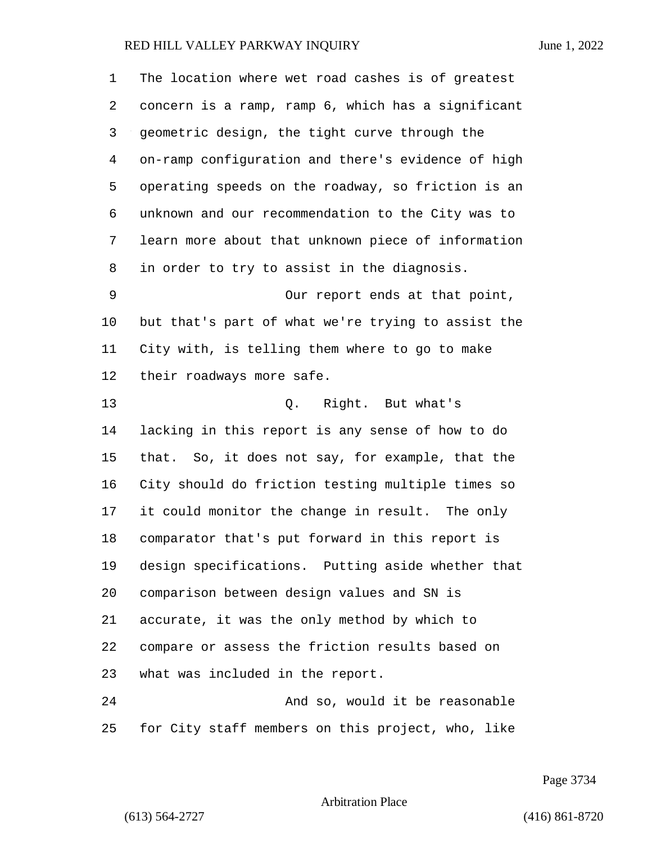| 1  | The location where wet road cashes is of greatest  |
|----|----------------------------------------------------|
| 2  | concern is a ramp, ramp 6, which has a significant |
| 3  | geometric design, the tight curve through the      |
| 4  | on-ramp configuration and there's evidence of high |
| 5  | operating speeds on the roadway, so friction is an |
| 6  | unknown and our recommendation to the City was to  |
| 7  | learn more about that unknown piece of information |
| 8  | in order to try to assist in the diagnosis.        |
| 9  | Our report ends at that point,                     |
| 10 | but that's part of what we're trying to assist the |
| 11 | City with, is telling them where to go to make     |
| 12 | their roadways more safe.                          |
| 13 | Q. Right. But what's                               |
| 14 | lacking in this report is any sense of how to do   |
| 15 | that. So, it does not say, for example, that the   |
| 16 | City should do friction testing multiple times so  |
| 17 | it could monitor the change in result. The only    |
| 18 | comparator that's put forward in this report is    |
| 19 | design specifications. Putting aside whether that  |
| 20 | comparison between design values and SN is         |
| 21 | accurate, it was the only method by which to       |
| 22 | compare or assess the friction results based on    |
| 23 | what was included in the report.                   |
| 24 | And so, would it be reasonable                     |
| 25 | for City staff members on this project, who, like  |

Page 3734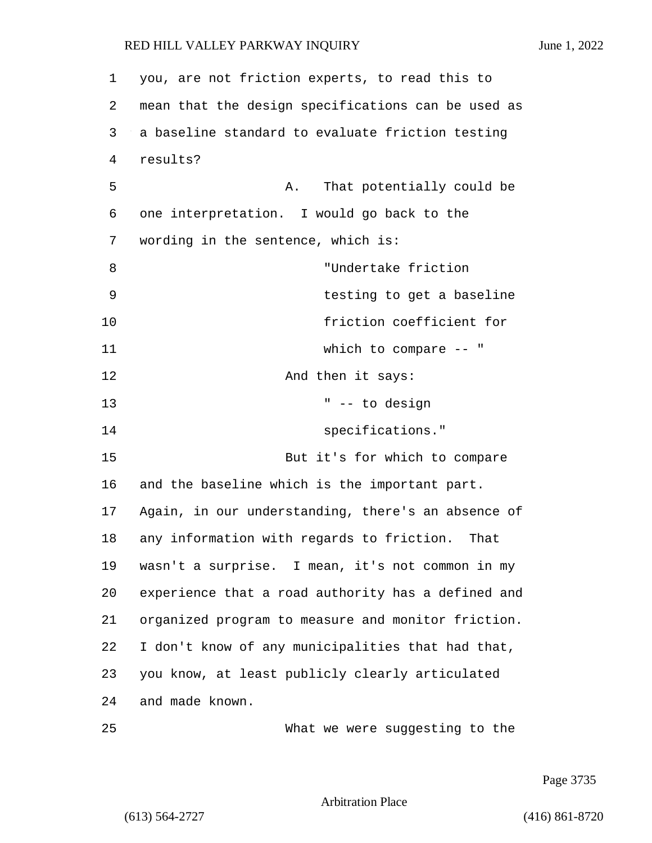| 1  | you, are not friction experts, to read this to     |
|----|----------------------------------------------------|
| 2  | mean that the design specifications can be used as |
| 3  | a baseline standard to evaluate friction testing   |
| 4  | results?                                           |
| 5  | That potentially could be<br>Α.                    |
| 6  | one interpretation. I would go back to the         |
| 7  | wording in the sentence, which is:                 |
| 8  | "Undertake friction                                |
| 9  | testing to get a baseline                          |
| 10 | friction coefficient for                           |
| 11 | which to compare $--$ "                            |
| 12 | And then it says:                                  |
| 13 | " -- to design                                     |
| 14 | specifications."                                   |
| 15 | But it's for which to compare                      |
| 16 | and the baseline which is the important part.      |
| 17 | Again, in our understanding, there's an absence of |
| 18 | any information with regards to friction.<br>That  |
| 19 | wasn't a surprise. I mean, it's not common in my   |
| 20 | experience that a road authority has a defined and |
| 21 | organized program to measure and monitor friction. |
| 22 | I don't know of any municipalities that had that,  |
| 23 | you know, at least publicly clearly articulated    |
| 24 | and made known.                                    |
| 25 | What we were suggesting to the                     |

Page 3735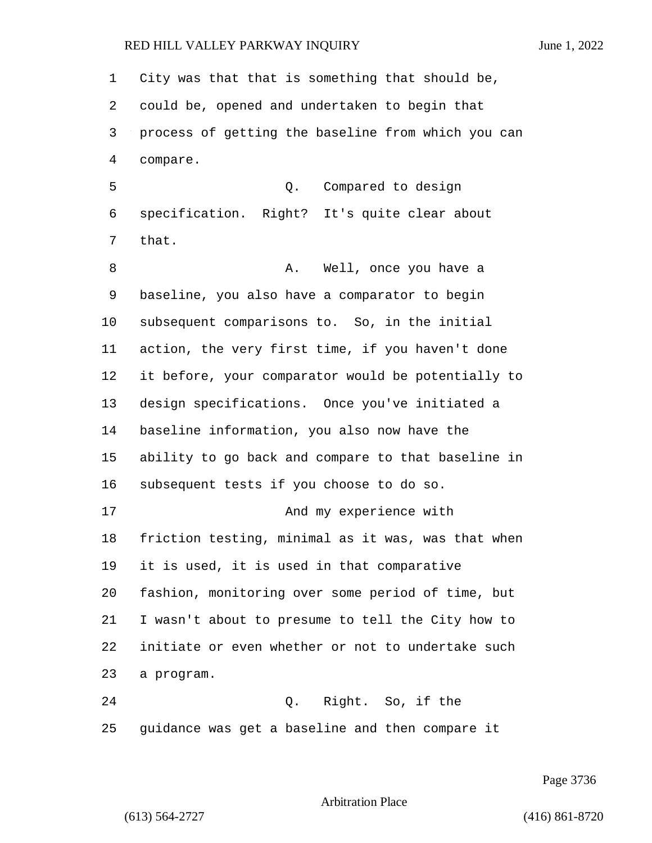City was that that is something that should be, could be, opened and undertaken to begin that process of getting the baseline from which you can compare. 5 Q. Compared to design specification. Right? It's quite clear about that. 8 A. Well, once you have a baseline, you also have a comparator to begin subsequent comparisons to. So, in the initial action, the very first time, if you haven't done it before, your comparator would be potentially to design specifications. Once you've initiated a baseline information, you also now have the ability to go back and compare to that baseline in subsequent tests if you choose to do so. 17 And my experience with friction testing, minimal as it was, was that when it is used, it is used in that comparative fashion, monitoring over some period of time, but I wasn't about to presume to tell the City how to initiate or even whether or not to undertake such a program. 24 Q. Right. So, if the guidance was get a baseline and then compare it

Page 3736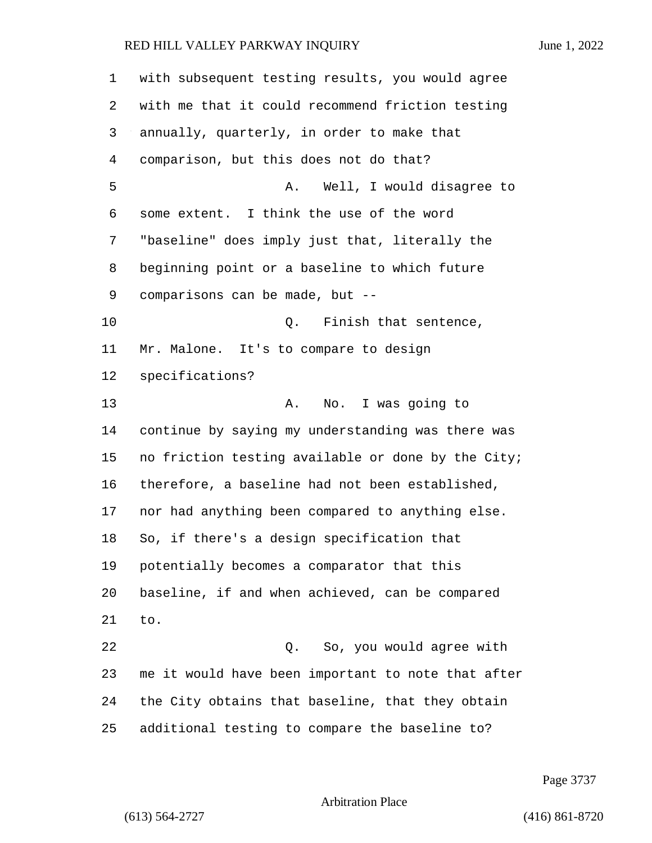with subsequent testing results, you would agree with me that it could recommend friction testing annually, quarterly, in order to make that comparison, but this does not do that? 5 A. Well, I would disagree to some extent. I think the use of the word "baseline" does imply just that, literally the beginning point or a baseline to which future comparisons can be made, but --  $Q.$  Finish that sentence, Mr. Malone. It's to compare to design specifications? 13 A. No. I was going to continue by saying my understanding was there was no friction testing available or done by the City; therefore, a baseline had not been established, nor had anything been compared to anything else. So, if there's a design specification that potentially becomes a comparator that this baseline, if and when achieved, can be compared to. 22 Q. So, you would agree with me it would have been important to note that after the City obtains that baseline, that they obtain additional testing to compare the baseline to?

Page 3737

```
Arbitration Place
```
(613) 564-2727 (416) 861-8720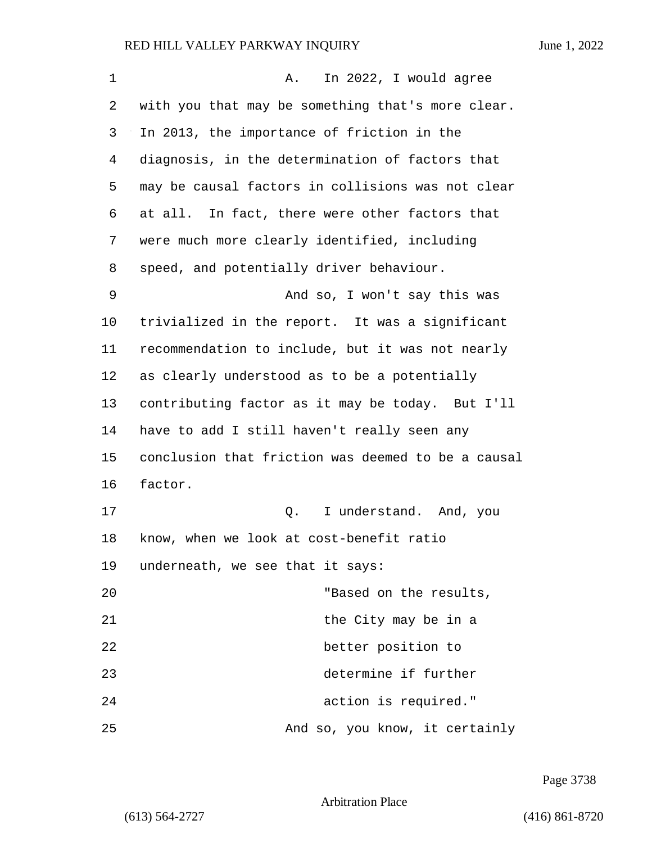| 1  | In 2022, I would agree<br>Α.                       |
|----|----------------------------------------------------|
| 2  | with you that may be something that's more clear.  |
| 3  | In 2013, the importance of friction in the         |
| 4  | diagnosis, in the determination of factors that    |
| 5  | may be causal factors in collisions was not clear  |
| 6  | at all. In fact, there were other factors that     |
| 7  | were much more clearly identified, including       |
| 8  | speed, and potentially driver behaviour.           |
| 9  | And so, I won't say this was                       |
| 10 | trivialized in the report. It was a significant    |
| 11 | recommendation to include, but it was not nearly   |
| 12 | as clearly understood as to be a potentially       |
| 13 | contributing factor as it may be today. But I'll   |
| 14 | have to add I still haven't really seen any        |
| 15 | conclusion that friction was deemed to be a causal |
| 16 | factor.                                            |
| 17 | I understand. And, you<br>Q.                       |
| 18 | know, when we look at cost-benefit ratio           |
| 19 | underneath, we see that it says:                   |
| 20 | "Based on the results,                             |
| 21 | the City may be in a                               |
| 22 | better position to                                 |
| 23 | determine if further                               |
| 24 | action is required."                               |
| 25 | And so, you know, it certainly                     |

Page 3738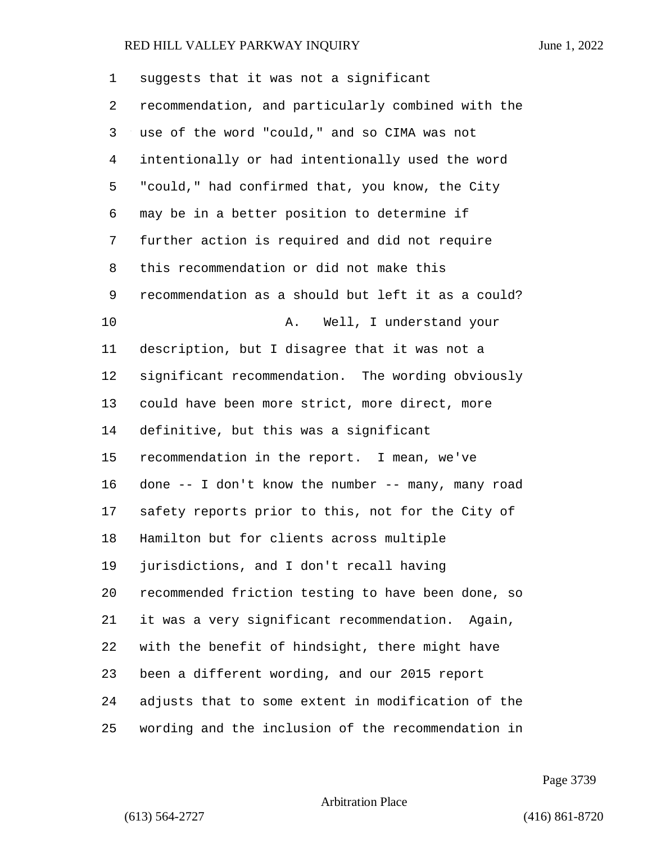| 1  | suggests that it was not a significant             |
|----|----------------------------------------------------|
| 2  | recommendation, and particularly combined with the |
| 3  | use of the word "could," and so CIMA was not       |
| 4  | intentionally or had intentionally used the word   |
| 5  | "could," had confirmed that, you know, the City    |
| 6  | may be in a better position to determine if        |
| 7  | further action is required and did not require     |
| 8  | this recommendation or did not make this           |
| 9  | recommendation as a should but left it as a could? |
| 10 | Well, I understand your<br>Α.                      |
| 11 | description, but I disagree that it was not a      |
| 12 | significant recommendation. The wording obviously  |
| 13 | could have been more strict, more direct, more     |
| 14 | definitive, but this was a significant             |
| 15 | recommendation in the report. I mean, we've        |
| 16 | done -- I don't know the number -- many, many road |
| 17 | safety reports prior to this, not for the City of  |
| 18 | Hamilton but for clients across multiple           |
| 19 | jurisdictions, and I don't recall having           |
| 20 | recommended friction testing to have been done, so |
| 21 | it was a very significant recommendation. Again,   |
| 22 | with the benefit of hindsight, there might have    |
| 23 | been a different wording, and our 2015 report      |
| 24 | adjusts that to some extent in modification of the |
| 25 | wording and the inclusion of the recommendation in |

Page 3739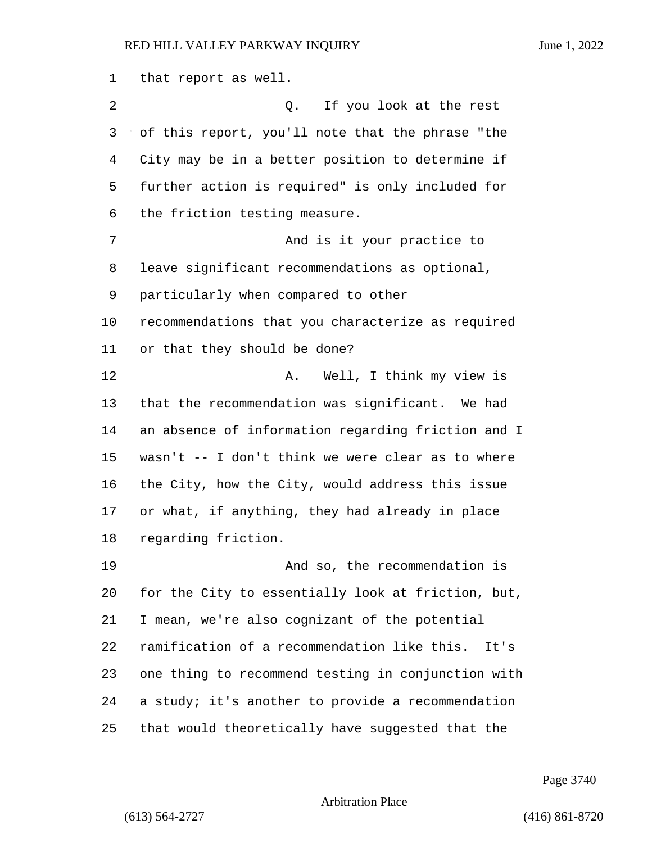that report as well. 2 Q. If you look at the rest of this report, you'll note that the phrase "the City may be in a better position to determine if further action is required" is only included for the friction testing measure. 7 And is it your practice to leave significant recommendations as optional, particularly when compared to other recommendations that you characterize as required or that they should be done? 12 A. Well, I think my view is that the recommendation was significant. We had an absence of information regarding friction and I wasn't -- I don't think we were clear as to where the City, how the City, would address this issue or what, if anything, they had already in place regarding friction. 19 And so, the recommendation is for the City to essentially look at friction, but, I mean, we're also cognizant of the potential ramification of a recommendation like this. It's one thing to recommend testing in conjunction with a study; it's another to provide a recommendation that would theoretically have suggested that the

Page 3740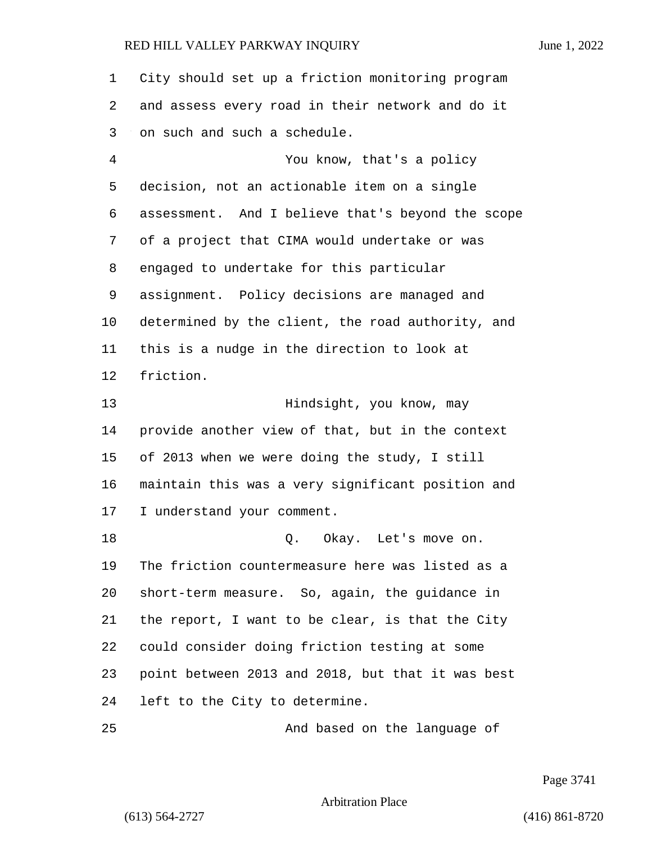City should set up a friction monitoring program and assess every road in their network and do it on such and such a schedule. 4 You know, that's a policy decision, not an actionable item on a single assessment. And I believe that's beyond the scope of a project that CIMA would undertake or was engaged to undertake for this particular assignment. Policy decisions are managed and determined by the client, the road authority, and this is a nudge in the direction to look at friction. **Hindsight, you know, may**  provide another view of that, but in the context of 2013 when we were doing the study, I still maintain this was a very significant position and I understand your comment. 18 Q. Okay. Let's move on. The friction countermeasure here was listed as a short-term measure. So, again, the guidance in the report, I want to be clear, is that the City could consider doing friction testing at some point between 2013 and 2018, but that it was best left to the City to determine. 25 And based on the language of

Page 3741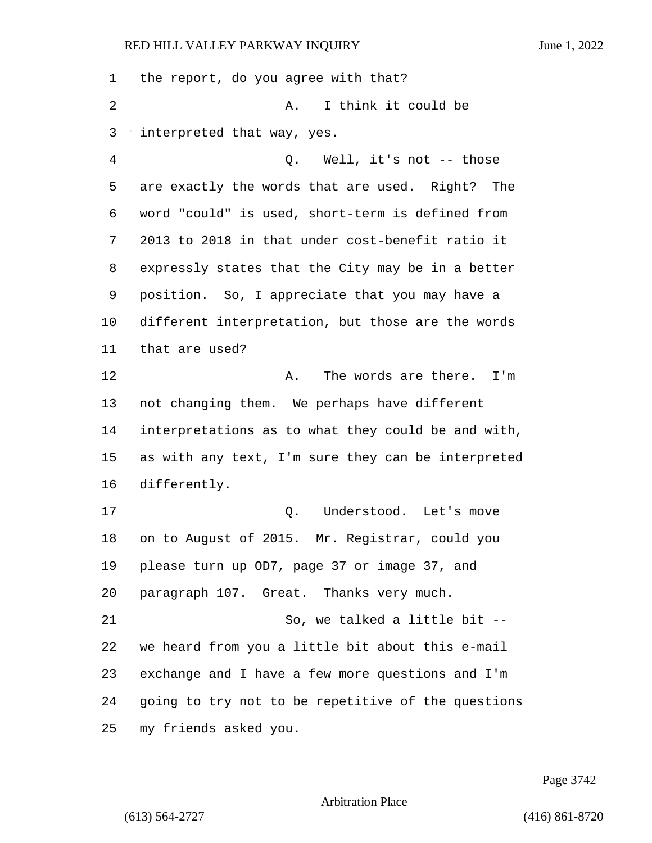| 1  | the report, do you agree with that?                |
|----|----------------------------------------------------|
| 2  | I think it could be<br>Α.                          |
| 3  | interpreted that way, yes.                         |
| 4  | Well, it's not -- those<br>Q.                      |
| 5  | are exactly the words that are used. Right? The    |
| 6  | word "could" is used, short-term is defined from   |
| 7  | 2013 to 2018 in that under cost-benefit ratio it   |
| 8  | expressly states that the City may be in a better  |
| 9  | position. So, I appreciate that you may have a     |
| 10 | different interpretation, but those are the words  |
| 11 | that are used?                                     |
| 12 | The words are there.<br>Α.<br>I'm                  |
| 13 | not changing them. We perhaps have different       |
| 14 | interpretations as to what they could be and with, |
| 15 | as with any text, I'm sure they can be interpreted |
| 16 | differently.                                       |
| 17 | Understood. Let's move<br>Q.                       |
| 18 | on to August of 2015. Mr. Registrar, could you     |
| 19 | please turn up OD7, page 37 or image 37, and       |
| 20 | paragraph 107. Great. Thanks very much.            |
| 21 | So, we talked a little bit --                      |
| 22 | we heard from you a little bit about this e-mail   |
| 23 | exchange and I have a few more questions and I'm   |
| 24 | going to try not to be repetitive of the questions |
| 25 | my friends asked you.                              |

Page 3742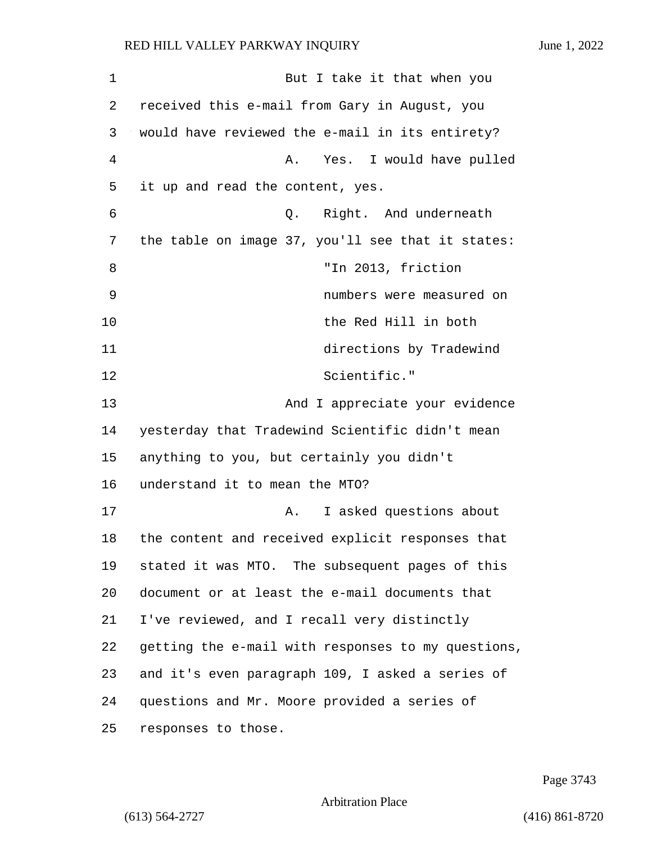1 But I take it that when you 2 received this e-mail from Gary in August, you 3 would have reviewed the e-mail in its entirety? 4 A. Yes. I would have pulled 5 it up and read the content, yes. 6 Q. Right. And underneath 7 the table on image 37, you'll see that it states: 8 "In 2013, friction 9 numbers were measured on 10 the Red Hill in both 11 directions by Tradewind 12 Scientific." 13 And I appreciate your evidence 14 yesterday that Tradewind Scientific didn't mean 15 anything to you, but certainly you didn't 16 understand it to mean the MTO? 17 A. I asked questions about 18 the content and received explicit responses that 19 stated it was MTO. The subsequent pages of this 20 document or at least the e-mail documents that 21 I've reviewed, and I recall very distinctly 22 getting the e-mail with responses to my questions, 23 and it's even paragraph 109, I asked a series of 24 questions and Mr. Moore provided a series of 25 responses to those.

Page 3743

# Arbitration Place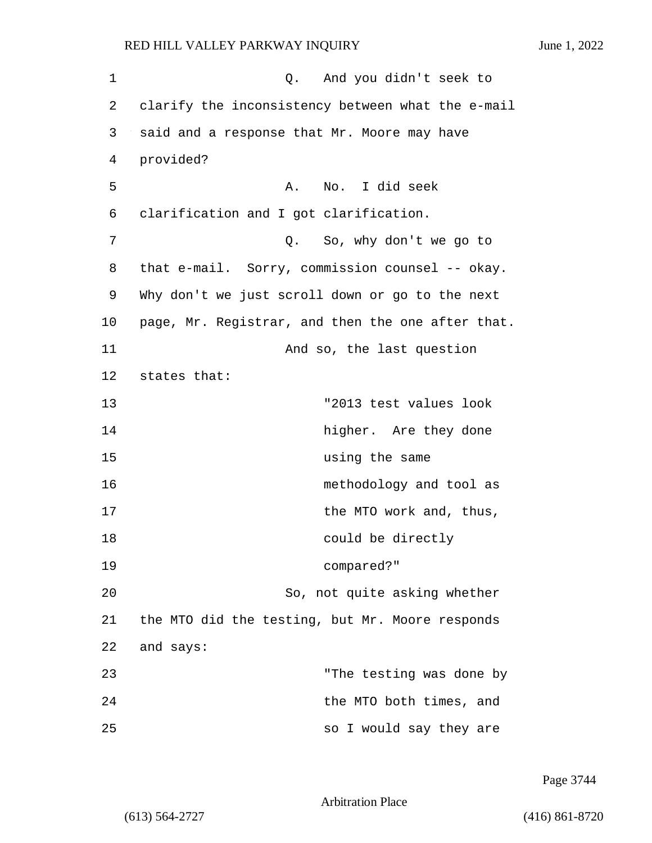| 1  | And you didn't seek to<br>Q.                      |
|----|---------------------------------------------------|
| 2  | clarify the inconsistency between what the e-mail |
| 3  | said and a response that Mr. Moore may have       |
| 4  | provided?                                         |
| 5  | No. I did seek<br>Α.                              |
| 6  | clarification and I got clarification.            |
| 7  | So, why don't we go to<br>Q.                      |
| 8  | that e-mail. Sorry, commission counsel -- okay.   |
| 9  | Why don't we just scroll down or go to the next   |
| 10 | page, Mr. Registrar, and then the one after that. |
| 11 | And so, the last question                         |
| 12 | states that:                                      |
| 13 | "2013 test values look                            |
| 14 | higher. Are they done                             |
| 15 | using the same                                    |
| 16 | methodology and tool as                           |
| 17 | the MTO work and, thus,                           |
| 18 | could be directly                                 |
| 19 | compared?"                                        |
| 20 | So, not quite asking whether                      |
| 21 | the MTO did the testing, but Mr. Moore responds   |
| 22 | and says:                                         |
| 23 | "The testing was done by                          |
| 24 | the MTO both times, and                           |
| 25 | so I would say they are                           |

Page 3744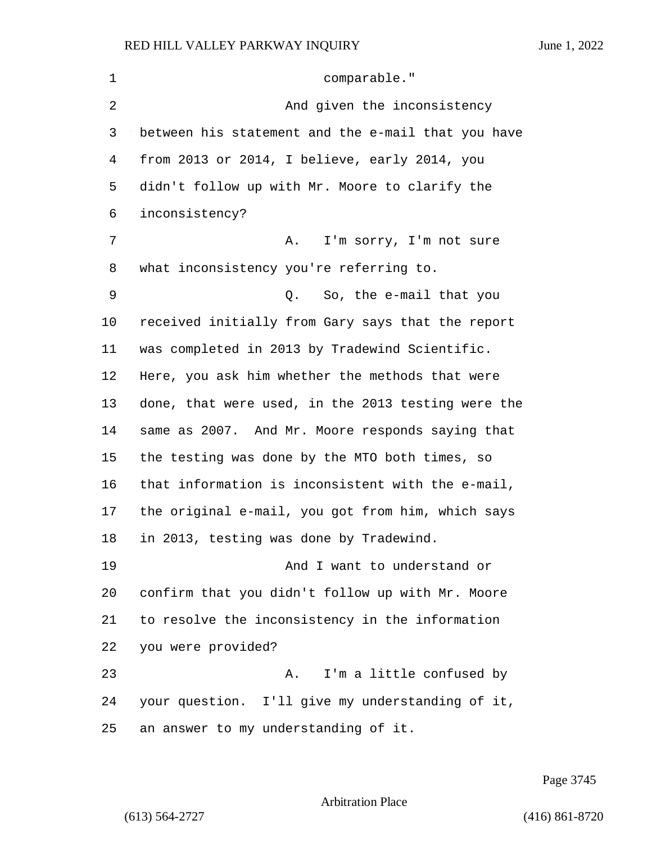| $\mathbf 1$    | comparable."                                       |
|----------------|----------------------------------------------------|
| $\overline{2}$ | And given the inconsistency                        |
| 3              | between his statement and the e-mail that you have |
| 4              | from 2013 or 2014, I believe, early 2014, you      |
| 5              | didn't follow up with Mr. Moore to clarify the     |
| 6              | inconsistency?                                     |
| 7              | I'm sorry, I'm not sure<br>Α.                      |
| 8              | what inconsistency you're referring to.            |
| 9              | Q. So, the e-mail that you                         |
| 10             | received initially from Gary says that the report  |
| 11             | was completed in 2013 by Tradewind Scientific.     |
| 12             | Here, you ask him whether the methods that were    |
| 13             | done, that were used, in the 2013 testing were the |
| 14             | same as 2007. And Mr. Moore responds saying that   |
| 15             | the testing was done by the MTO both times, so     |
| 16             | that information is inconsistent with the e-mail,  |
| 17             | the original e-mail, you got from him, which says  |
| 18             | in 2013, testing was done by Tradewind.            |
| 19             | And I want to understand or                        |
| 20             | confirm that you didn't follow up with Mr. Moore   |
| 21             | to resolve the inconsistency in the information    |
| 22             | you were provided?                                 |
| 23             | I'm a little confused by<br>Α.                     |
| 24             | your question. I'll give my understanding of it,   |
| 25             | an answer to my understanding of it.               |

Page 3745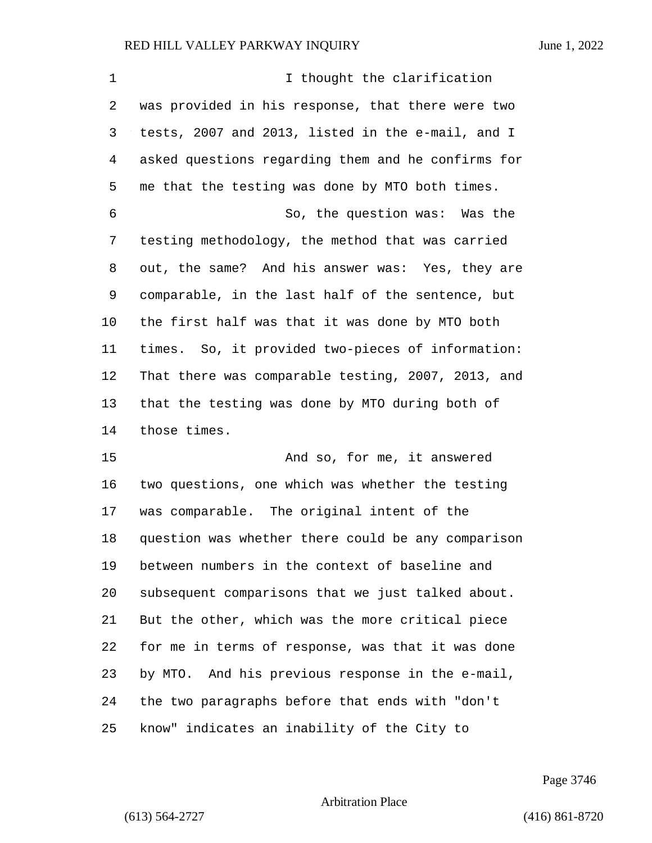1 I thought the clarification was provided in his response, that there were two tests, 2007 and 2013, listed in the e-mail, and I asked questions regarding them and he confirms for me that the testing was done by MTO both times. 6 So, the question was: Was the testing methodology, the method that was carried out, the same? And his answer was: Yes, they are comparable, in the last half of the sentence, but the first half was that it was done by MTO both times. So, it provided two-pieces of information: That there was comparable testing, 2007, 2013, and that the testing was done by MTO during both of those times. 15 And so, for me, it answered two questions, one which was whether the testing was comparable. The original intent of the question was whether there could be any comparison

 between numbers in the context of baseline and subsequent comparisons that we just talked about. But the other, which was the more critical piece for me in terms of response, was that it was done by MTO. And his previous response in the e-mail, the two paragraphs before that ends with "don't know" indicates an inability of the City to

Page 3746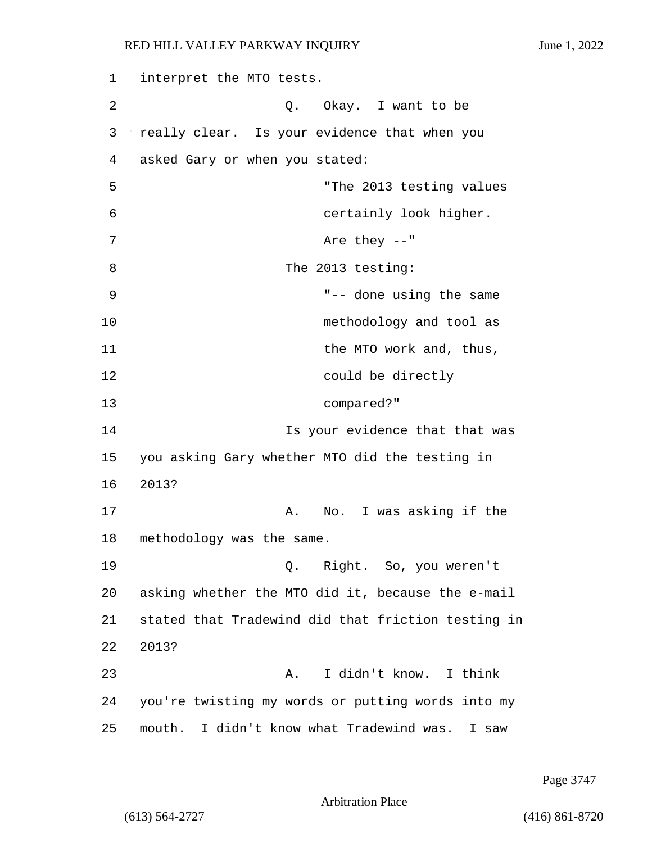1 interpret the MTO tests. 2 Q. Okay. I want to be 3 really clear. Is your evidence that when you 4 asked Gary or when you stated: 5 "The 2013 testing values 6 certainly look higher. 7 Are they --" 8 The 2013 testing: 9 "-- done using the same 10 methodology and tool as 11 the MTO work and, thus, 12 could be directly 13 compared?" 14 Is your evidence that that was 15 you asking Gary whether MTO did the testing in 16 2013? 17 A. No. I was asking if the 18 methodology was the same. 19 Q. Right. So, you weren't 20 asking whether the MTO did it, because the e-mail 21 stated that Tradewind did that friction testing in 22 2013? 23 A. I didn't know. I think 24 you're twisting my words or putting words into my 25 mouth. I didn't know what Tradewind was. I saw

Page 3747

```
Arbitration Place
```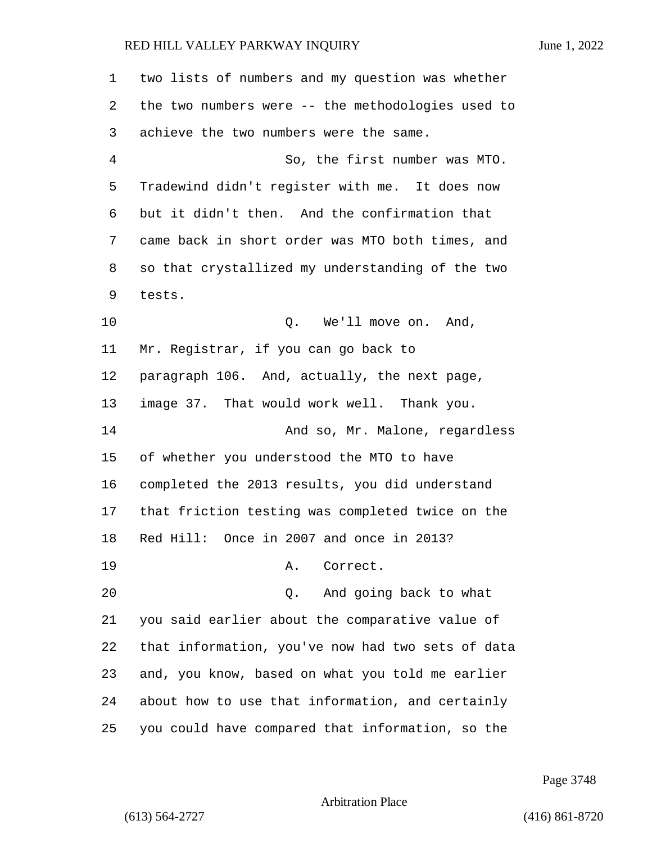| 1  | two lists of numbers and my question was whether  |
|----|---------------------------------------------------|
| 2  | the two numbers were -- the methodologies used to |
| 3  | achieve the two numbers were the same.            |
| 4  | So, the first number was MTO.                     |
| 5  | Tradewind didn't register with me. It does now    |
| 6  | but it didn't then. And the confirmation that     |
| 7  | came back in short order was MTO both times, and  |
| 8  | so that crystallized my understanding of the two  |
| 9  | tests.                                            |
| 10 | Q. We'll move on. And,                            |
| 11 | Mr. Registrar, if you can go back to              |
| 12 | paragraph 106. And, actually, the next page,      |
| 13 | image 37. That would work well. Thank you.        |
| 14 | And so, Mr. Malone, regardless                    |
| 15 | of whether you understood the MTO to have         |
| 16 | completed the 2013 results, you did understand    |
| 17 | that friction testing was completed twice on the  |
| 18 | Red Hill: Once in 2007 and once in 2013?          |
| 19 | Correct.<br>Α.                                    |
| 20 | And going back to what<br>Q.                      |
| 21 | you said earlier about the comparative value of   |
| 22 | that information, you've now had two sets of data |
| 23 | and, you know, based on what you told me earlier  |
| 24 | about how to use that information, and certainly  |
| 25 | you could have compared that information, so the  |

Page 3748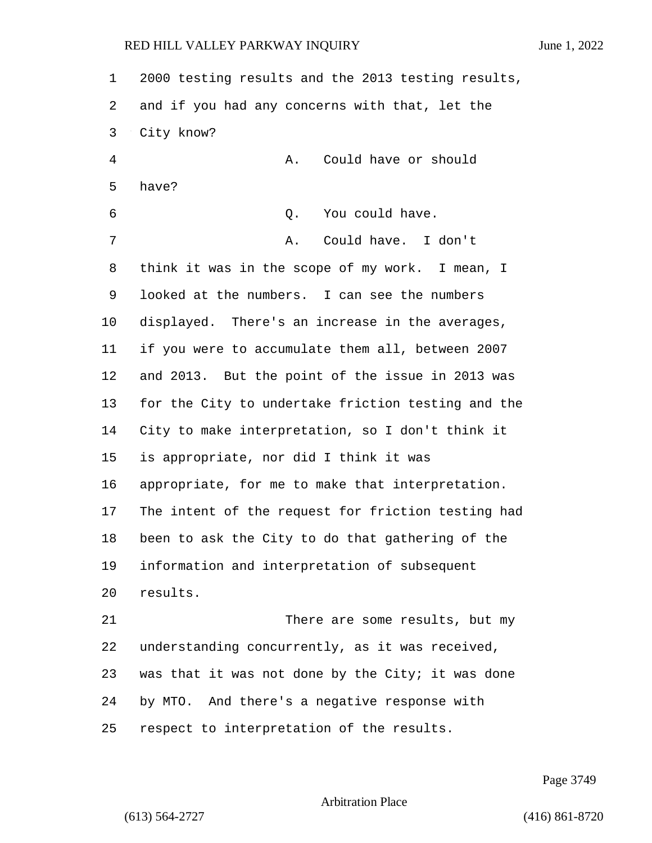2000 testing results and the 2013 testing results, and if you had any concerns with that, let the City know? 4 A. Could have or should have? 6 Q. You could have. 7 A. Could have. I don't think it was in the scope of my work. I mean, I looked at the numbers. I can see the numbers displayed. There's an increase in the averages, if you were to accumulate them all, between 2007 and 2013. But the point of the issue in 2013 was for the City to undertake friction testing and the City to make interpretation, so I don't think it is appropriate, nor did I think it was appropriate, for me to make that interpretation. The intent of the request for friction testing had been to ask the City to do that gathering of the information and interpretation of subsequent results. 21 There are some results, but my understanding concurrently, as it was received, was that it was not done by the City; it was done by MTO. And there's a negative response with respect to interpretation of the results.

Page 3749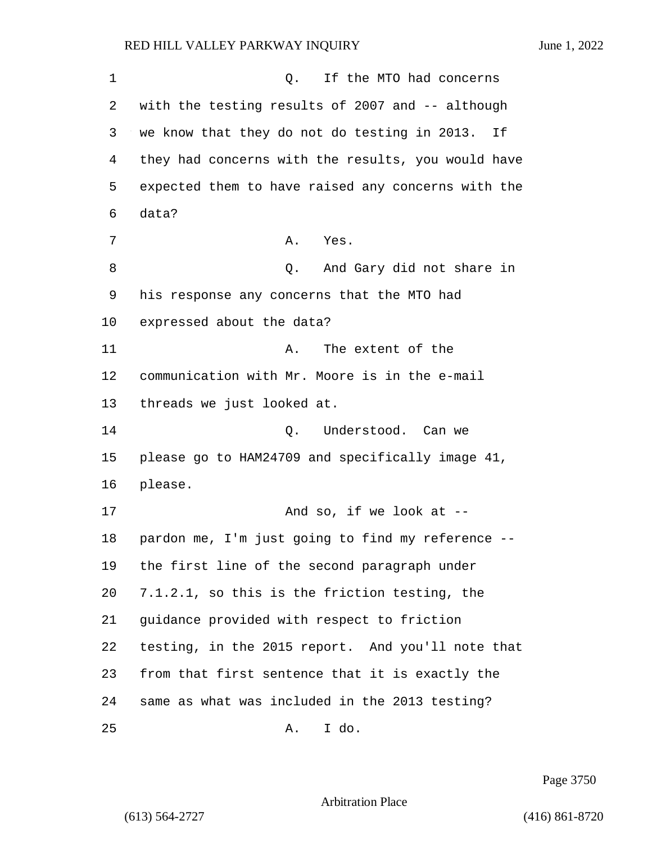1 and  $\alpha$  of the MTO had concerns with the testing results of 2007 and -- although we know that they do not do testing in 2013. If they had concerns with the results, you would have expected them to have raised any concerns with the data? 7 A. Yes. 8 Q. And Gary did not share in his response any concerns that the MTO had expressed about the data? 11 A. The extent of the communication with Mr. Moore is in the e-mail threads we just looked at. 14 Q. Understood. Can we please go to HAM24709 and specifically image 41, please. 17 And so, if we look at -- pardon me, I'm just going to find my reference -- the first line of the second paragraph under 7.1.2.1, so this is the friction testing, the guidance provided with respect to friction testing, in the 2015 report. And you'll note that from that first sentence that it is exactly the same as what was included in the 2013 testing? 25 A. I do.

Page 3750

Arbitration Place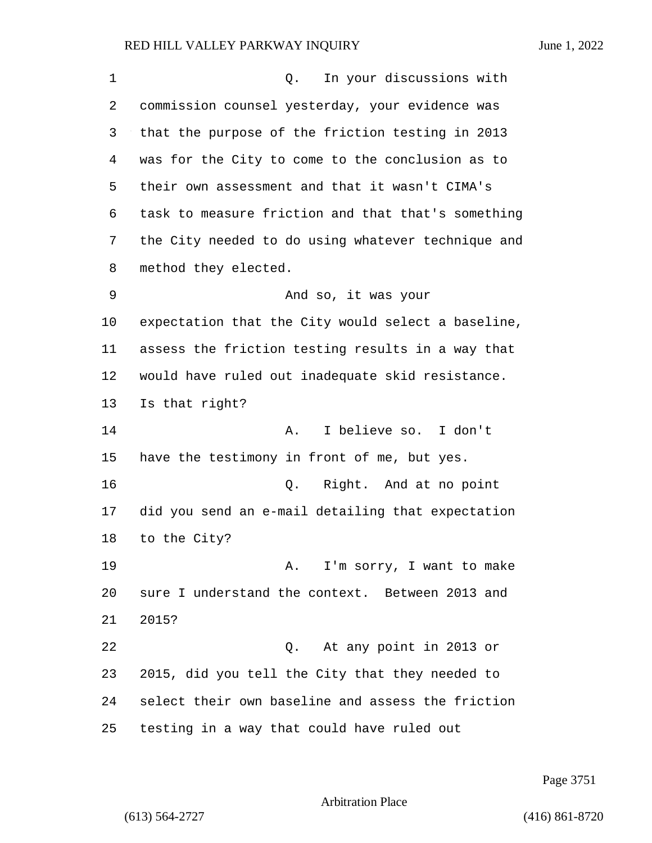| 1  | In your discussions with<br>Q.                     |
|----|----------------------------------------------------|
| 2  | commission counsel yesterday, your evidence was    |
| 3  | that the purpose of the friction testing in 2013   |
| 4  | was for the City to come to the conclusion as to   |
| 5  | their own assessment and that it wasn't CIMA's     |
| 6  | task to measure friction and that that's something |
| 7  | the City needed to do using whatever technique and |
| 8  | method they elected.                               |
| 9  | And so, it was your                                |
| 10 | expectation that the City would select a baseline, |
| 11 | assess the friction testing results in a way that  |
| 12 | would have ruled out inadequate skid resistance.   |
| 13 | Is that right?                                     |
| 14 | I believe so. I don't<br>Α.                        |
| 15 | have the testimony in front of me, but yes.        |
| 16 | Q. Right. And at no point                          |
| 17 | did you send an e-mail detailing that expectation  |
| 18 | to the City?                                       |
| 19 | A. I'm sorry, I want to make                       |
| 20 | sure I understand the context. Between 2013 and    |
| 21 | 2015?                                              |
| 22 | At any point in 2013 or<br>Q.                      |
| 23 | 2015, did you tell the City that they needed to    |
| 24 | select their own baseline and assess the friction  |
| 25 | testing in a way that could have ruled out         |

Page 3751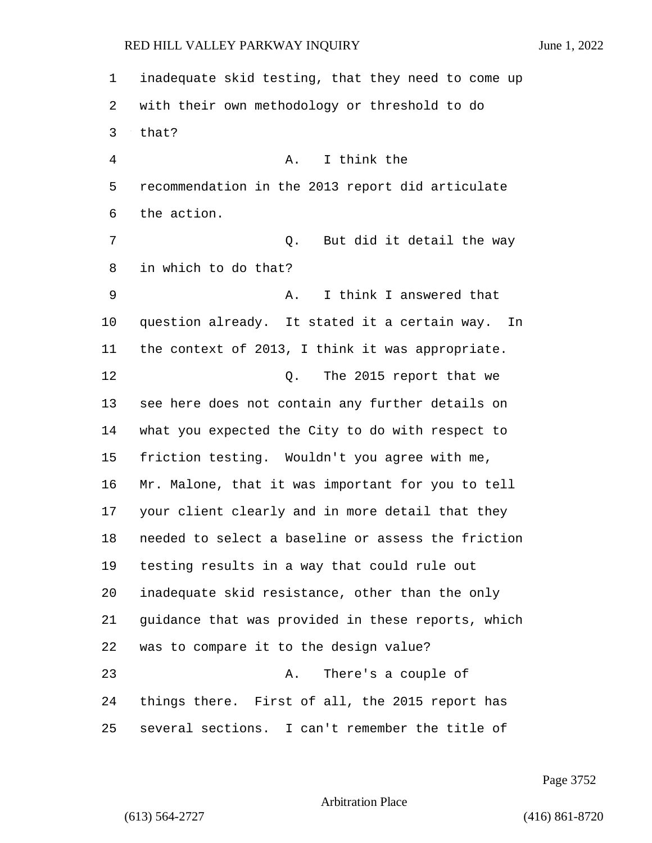inadequate skid testing, that they need to come up with their own methodology or threshold to do that? 4 A. I think the recommendation in the 2013 report did articulate the action. 7 C. But did it detail the way in which to do that? 9 A. I think I answered that question already. It stated it a certain way. In the context of 2013, I think it was appropriate. 12 O. The 2015 report that we see here does not contain any further details on what you expected the City to do with respect to friction testing. Wouldn't you agree with me, Mr. Malone, that it was important for you to tell your client clearly and in more detail that they needed to select a baseline or assess the friction testing results in a way that could rule out inadequate skid resistance, other than the only guidance that was provided in these reports, which was to compare it to the design value? 23 A. There's a couple of things there. First of all, the 2015 report has several sections. I can't remember the title of

Page 3752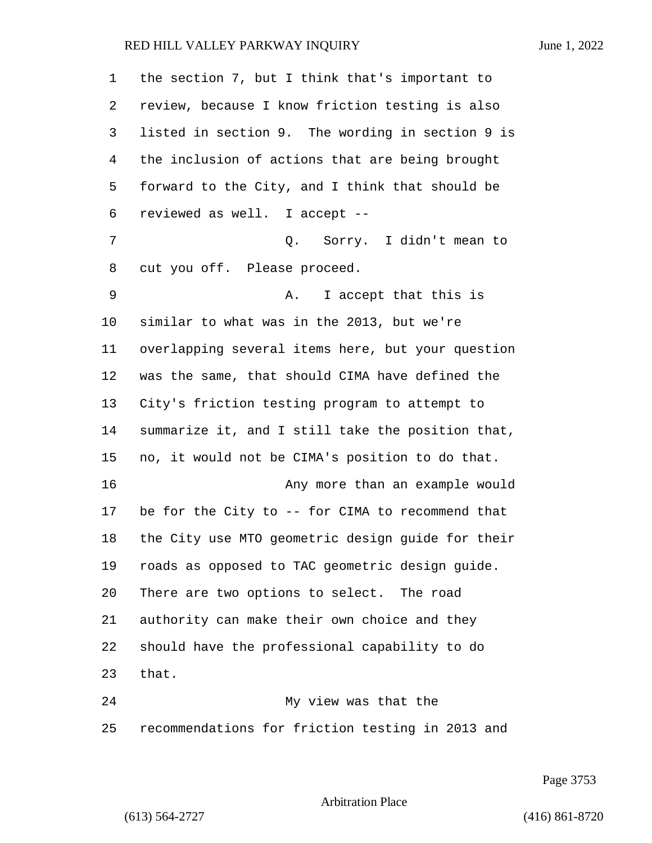the section 7, but I think that's important to review, because I know friction testing is also listed in section 9. The wording in section 9 is the inclusion of actions that are being brought forward to the City, and I think that should be reviewed as well. I accept -- 7 Q. Sorry. I didn't mean to cut you off. Please proceed. 9 A. I accept that this is similar to what was in the 2013, but we're overlapping several items here, but your question was the same, that should CIMA have defined the City's friction testing program to attempt to summarize it, and I still take the position that, no, it would not be CIMA's position to do that. 16 Any more than an example would be for the City to -- for CIMA to recommend that the City use MTO geometric design guide for their roads as opposed to TAC geometric design guide. There are two options to select. The road authority can make their own choice and they should have the professional capability to do that. 24 My view was that the recommendations for friction testing in 2013 and

Page 3753

Arbitration Place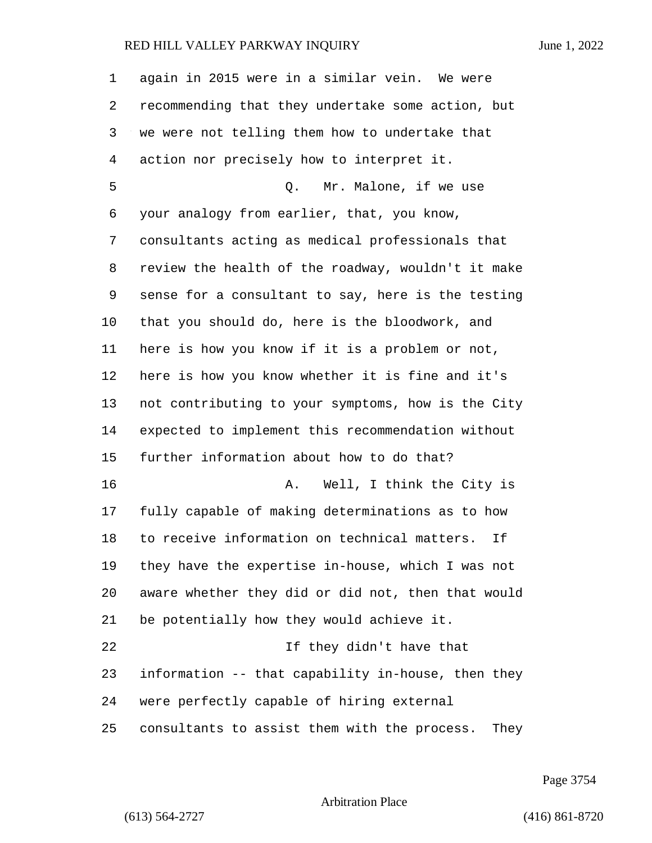again in 2015 were in a similar vein. We were recommending that they undertake some action, but we were not telling them how to undertake that action nor precisely how to interpret it. 5 Q. Mr. Malone, if we use your analogy from earlier, that, you know, consultants acting as medical professionals that review the health of the roadway, wouldn't it make sense for a consultant to say, here is the testing that you should do, here is the bloodwork, and here is how you know if it is a problem or not, here is how you know whether it is fine and it's not contributing to your symptoms, how is the City expected to implement this recommendation without further information about how to do that? **A.** Well, I think the City is fully capable of making determinations as to how to receive information on technical matters. If they have the expertise in-house, which I was not aware whether they did or did not, then that would be potentially how they would achieve it. 22 If they didn't have that information -- that capability in-house, then they were perfectly capable of hiring external consultants to assist them with the process. They

Page 3754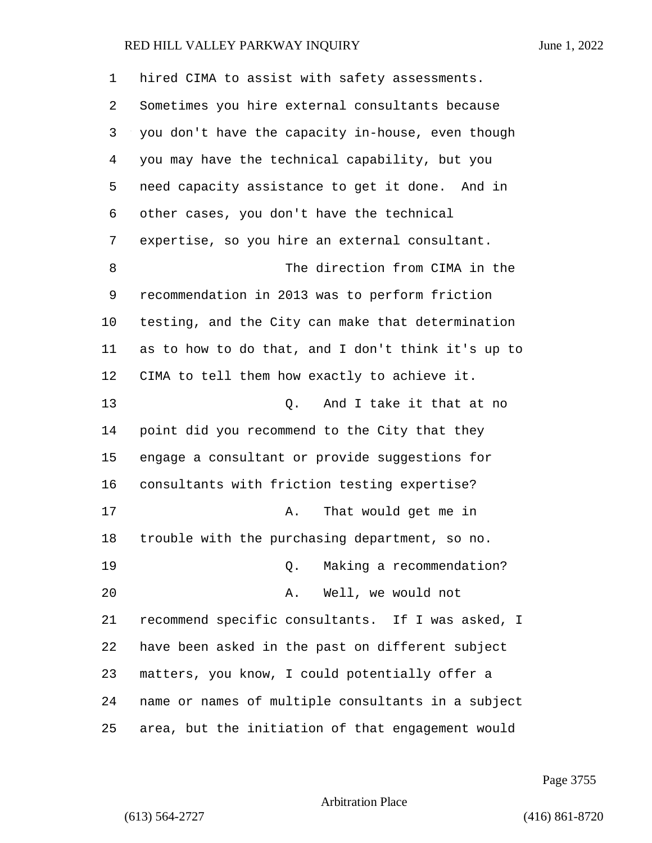| 1  | hired CIMA to assist with safety assessments.      |
|----|----------------------------------------------------|
| 2  | Sometimes you hire external consultants because    |
| 3  | you don't have the capacity in-house, even though  |
| 4  | you may have the technical capability, but you     |
| 5  | need capacity assistance to get it done. And in    |
| 6  | other cases, you don't have the technical          |
| 7  | expertise, so you hire an external consultant.     |
| 8  | The direction from CIMA in the                     |
| 9  | recommendation in 2013 was to perform friction     |
| 10 | testing, and the City can make that determination  |
| 11 | as to how to do that, and I don't think it's up to |
| 12 | CIMA to tell them how exactly to achieve it.       |
| 13 | And I take it that at no<br>Q.                     |
| 14 | point did you recommend to the City that they      |
| 15 | engage a consultant or provide suggestions for     |
| 16 | consultants with friction testing expertise?       |
| 17 | That would get me in<br>Α.                         |
| 18 | trouble with the purchasing department, so no.     |
| 19 | Making a recommendation?<br>Q.                     |
| 20 | Well, we would not<br>Α.                           |
| 21 | recommend specific consultants. If I was asked, I  |
| 22 | have been asked in the past on different subject   |
| 23 | matters, you know, I could potentially offer a     |
| 24 | name or names of multiple consultants in a subject |
| 25 | area, but the initiation of that engagement would  |

Page 3755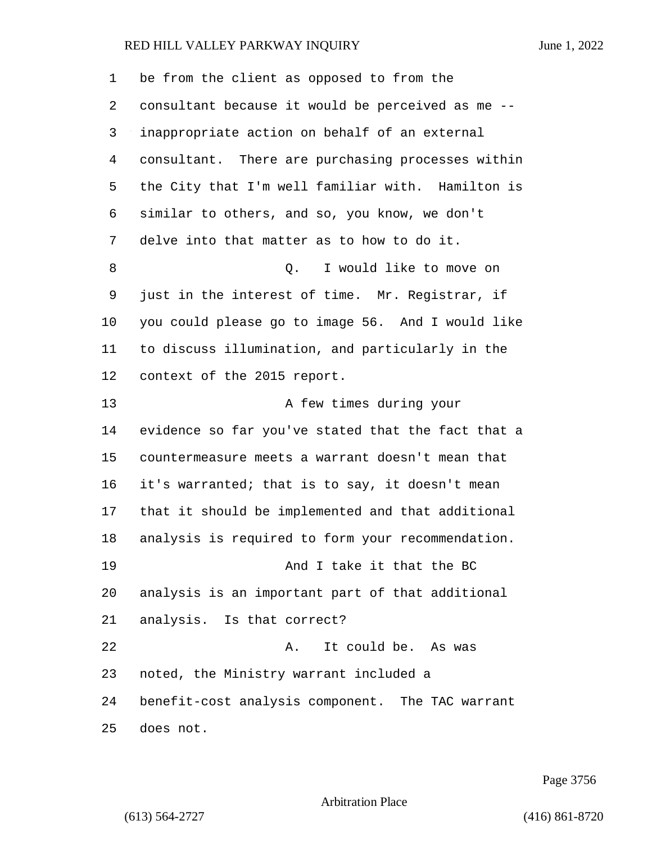be from the client as opposed to from the consultant because it would be perceived as me -- inappropriate action on behalf of an external consultant. There are purchasing processes within the City that I'm well familiar with. Hamilton is similar to others, and so, you know, we don't delve into that matter as to how to do it. 8 a contract of the move of the move of the move of the move of the move of the move of the move of the move of the move of the move of the move of the move of the move of the move of the move of the move of the move of th just in the interest of time. Mr. Registrar, if you could please go to image 56. And I would like to discuss illumination, and particularly in the context of the 2015 report. 13 A few times during your evidence so far you've stated that the fact that a countermeasure meets a warrant doesn't mean that it's warranted; that is to say, it doesn't mean that it should be implemented and that additional analysis is required to form your recommendation. 19 And I take it that the BC analysis is an important part of that additional analysis. Is that correct? 22 A. It could be. As was noted, the Ministry warrant included a benefit-cost analysis component. The TAC warrant does not.

Page 3756

Arbitration Place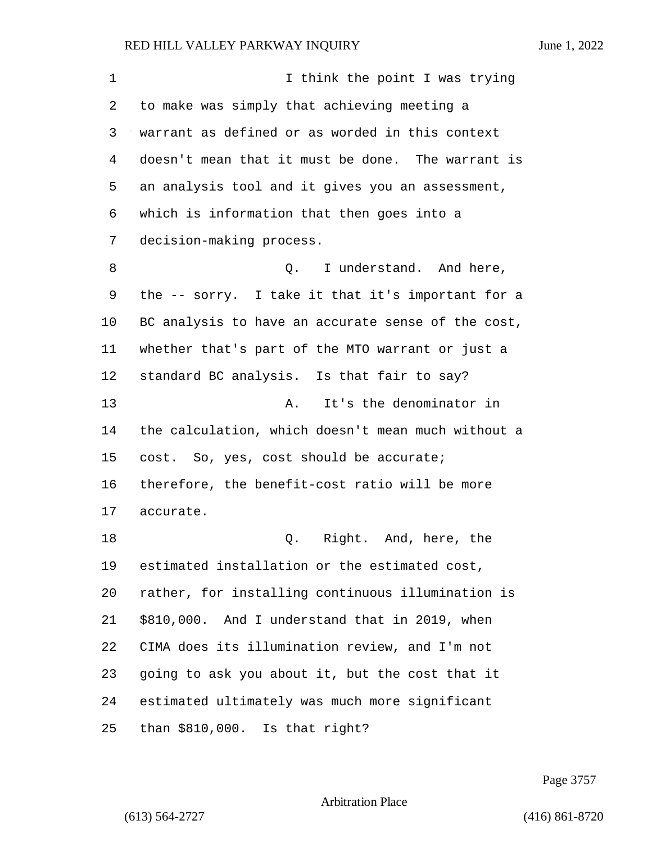1 I think the point I was trying to make was simply that achieving meeting a warrant as defined or as worded in this context doesn't mean that it must be done. The warrant is an analysis tool and it gives you an assessment, which is information that then goes into a decision-making process. 8 and  $Q.$  I understand. And here, the -- sorry. I take it that it's important for a BC analysis to have an accurate sense of the cost, whether that's part of the MTO warrant or just a standard BC analysis. Is that fair to say? 13 A. It's the denominator in the calculation, which doesn't mean much without a cost. So, yes, cost should be accurate; therefore, the benefit-cost ratio will be more accurate. 18 and 18 Q. Right. And, here, the estimated installation or the estimated cost, rather, for installing continuous illumination is \$810,000. And I understand that in 2019, when CIMA does its illumination review, and I'm not going to ask you about it, but the cost that it estimated ultimately was much more significant than \$810,000. Is that right?

Page 3757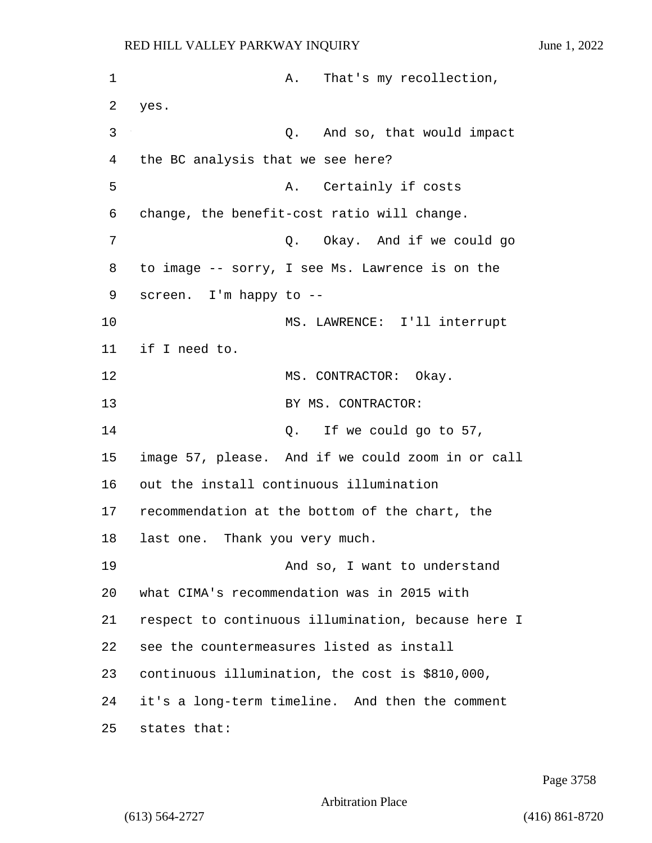1 A. That's my recollection, 2 yes. 3 Q. And so, that would impact 4 the BC analysis that we see here? 5 A. Certainly if costs 6 change, the benefit-cost ratio will change. 7 C. Okay. And if we could go 8 to image -- sorry, I see Ms. Lawrence is on the 9 screen. I'm happy to -- 10 MS. LAWRENCE: I'll interrupt 11 if I need to. 12 MS. CONTRACTOR: Okay. 13 BY MS. CONTRACTOR: 14 Q. If we could go to 57, 15 image 57, please. And if we could zoom in or call 16 out the install continuous illumination 17 recommendation at the bottom of the chart, the 18 last one. Thank you very much. 19 And so, I want to understand 20 what CIMA's recommendation was in 2015 with 21 respect to continuous illumination, because here I 22 see the countermeasures listed as install 23 continuous illumination, the cost is \$810,000, 24 it's a long-term timeline. And then the comment 25 states that:

Page 3758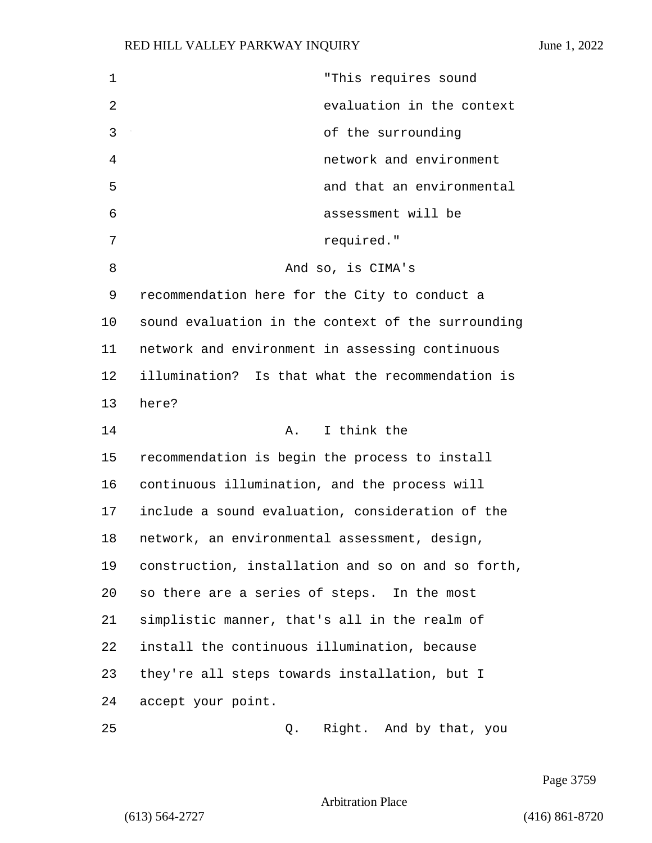| 1  | "This requires sound                               |
|----|----------------------------------------------------|
| 2  | evaluation in the context                          |
| 3  | of the surrounding                                 |
| 4  | network and environment                            |
| 5  | and that an environmental                          |
| 6  | assessment will be                                 |
| 7  | required."                                         |
| 8  | And so, is CIMA's                                  |
| 9  | recommendation here for the City to conduct a      |
| 10 | sound evaluation in the context of the surrounding |
| 11 | network and environment in assessing continuous    |
| 12 | illumination? Is that what the recommendation is   |
| 13 | here?                                              |
| 14 | I think the<br>Α.                                  |
| 15 | recommendation is begin the process to install     |
| 16 | continuous illumination, and the process will      |
| 17 | include a sound evaluation, consideration of the   |
| 18 | network, an environmental assessment, design,      |
| 19 | construction, installation and so on and so forth, |
| 20 | so there are a series of steps. In the most        |
| 21 | simplistic manner, that's all in the realm of      |
| 22 | install the continuous illumination, because       |
| 23 | they're all steps towards installation, but I      |
| 24 | accept your point.                                 |
| 25 | Right. And by that, you<br>Q.                      |

Page 3759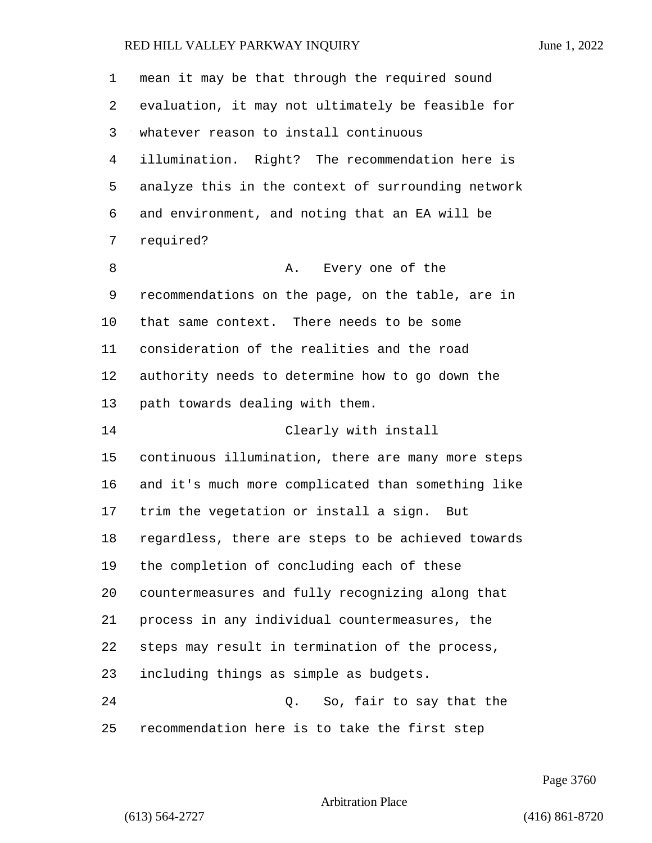| 1  | mean it may be that through the required sound     |
|----|----------------------------------------------------|
| 2  | evaluation, it may not ultimately be feasible for  |
| 3  | whatever reason to install continuous              |
| 4  | illumination. Right? The recommendation here is    |
| 5  | analyze this in the context of surrounding network |
| 6  | and environment, and noting that an EA will be     |
| 7  | required?                                          |
| 8  | A. Every one of the                                |
| 9  | recommendations on the page, on the table, are in  |
| 10 | that same context. There needs to be some          |
| 11 | consideration of the realities and the road        |
| 12 | authority needs to determine how to go down the    |
| 13 | path towards dealing with them.                    |
| 14 | Clearly with install                               |
| 15 | continuous illumination, there are many more steps |
| 16 | and it's much more complicated than something like |
| 17 | trim the vegetation or install a sign. But         |
| 18 | regardless, there are steps to be achieved towards |
| 19 | the completion of concluding each of these         |
| 20 | countermeasures and fully recognizing along that   |
| 21 | process in any individual countermeasures, the     |
| 22 | steps may result in termination of the process,    |
| 23 | including things as simple as budgets.             |
| 24 | So, fair to say that the<br>Q.                     |
| 25 | recommendation here is to take the first step      |

Page 3760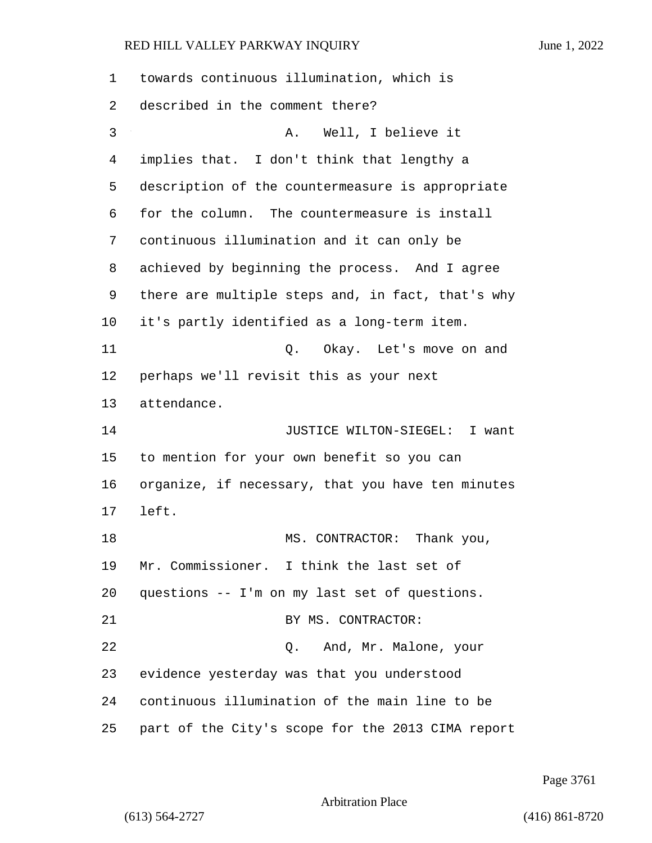| 1  | towards continuous illumination, which is         |
|----|---------------------------------------------------|
| 2  | described in the comment there?                   |
| 3  | Well, I believe it<br>Α.                          |
| 4  | implies that. I don't think that lengthy a        |
| 5  | description of the countermeasure is appropriate  |
| 6  | for the column. The countermeasure is install     |
| 7  | continuous illumination and it can only be        |
| 8  | achieved by beginning the process. And I agree    |
| 9  | there are multiple steps and, in fact, that's why |
| 10 | it's partly identified as a long-term item.       |
| 11 | Okay. Let's move on and<br>Q.                     |
| 12 | perhaps we'll revisit this as your next           |
| 13 | attendance.                                       |
| 14 | JUSTICE WILTON-SIEGEL: I want                     |
| 15 | to mention for your own benefit so you can        |
| 16 | organize, if necessary, that you have ten minutes |
| 17 | left.                                             |
| 18 | MS. CONTRACTOR:<br>Thank you,                     |
| 19 | Mr. Commissioner. I think the last set of         |
| 20 | questions -- I'm on my last set of questions.     |
| 21 | BY MS. CONTRACTOR:                                |
| 22 | Q. And, Mr. Malone, your                          |
| 23 | evidence yesterday was that you understood        |
| 24 | continuous illumination of the main line to be    |
| 25 | part of the City's scope for the 2013 CIMA report |

Page 3761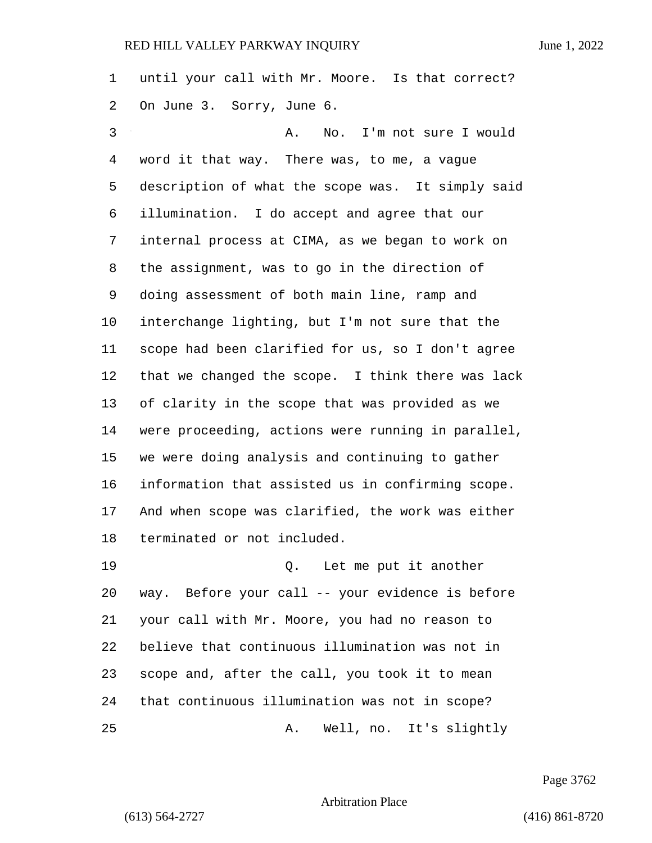until your call with Mr. Moore. Is that correct? On June 3. Sorry, June 6.

3 A. No. I'm not sure I would word it that way. There was, to me, a vague description of what the scope was. It simply said illumination. I do accept and agree that our internal process at CIMA, as we began to work on the assignment, was to go in the direction of doing assessment of both main line, ramp and interchange lighting, but I'm not sure that the scope had been clarified for us, so I don't agree that we changed the scope. I think there was lack of clarity in the scope that was provided as we were proceeding, actions were running in parallel, we were doing analysis and continuing to gather information that assisted us in confirming scope. And when scope was clarified, the work was either terminated or not included. 19 Q. Let me put it another

 way. Before your call -- your evidence is before your call with Mr. Moore, you had no reason to believe that continuous illumination was not in scope and, after the call, you took it to mean that continuous illumination was not in scope? 25 A. Well, no. It's slightly

Page 3762

Arbitration Place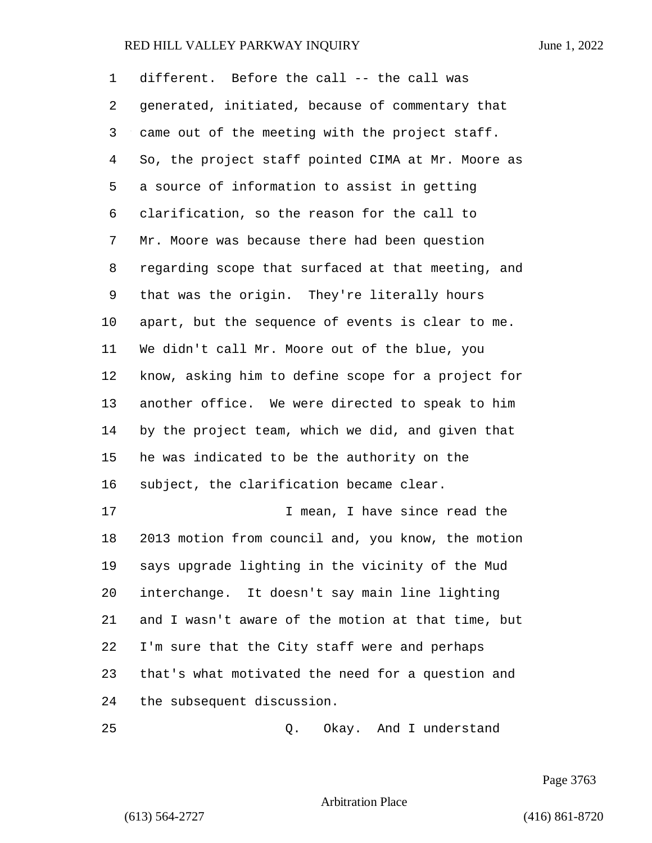| 1  | different. Before the call -- the call was         |
|----|----------------------------------------------------|
| 2  | generated, initiated, because of commentary that   |
| 3  | came out of the meeting with the project staff.    |
| 4  | So, the project staff pointed CIMA at Mr. Moore as |
| 5  | a source of information to assist in getting       |
| 6  | clarification, so the reason for the call to       |
| 7  | Mr. Moore was because there had been question      |
| 8  | regarding scope that surfaced at that meeting, and |
| 9  | that was the origin. They're literally hours       |
| 10 | apart, but the sequence of events is clear to me.  |
| 11 | We didn't call Mr. Moore out of the blue, you      |
| 12 | know, asking him to define scope for a project for |
| 13 | another office. We were directed to speak to him   |
| 14 | by the project team, which we did, and given that  |
| 15 | he was indicated to be the authority on the        |
| 16 | subject, the clarification became clear.           |
| 17 | I mean, I have since read the                      |
| 18 | 2013 motion from council and, you know, the motion |
| 19 | says upgrade lighting in the vicinity of the Mud   |
| 20 | interchange. It doesn't say main line lighting     |
| 21 | and I wasn't aware of the motion at that time, but |
| 22 | I'm sure that the City staff were and perhaps      |
| 23 | that's what motivated the need for a question and  |
| 24 | the subsequent discussion.                         |
| 25 | Okay. And I understand<br>Q.                       |

Page 3763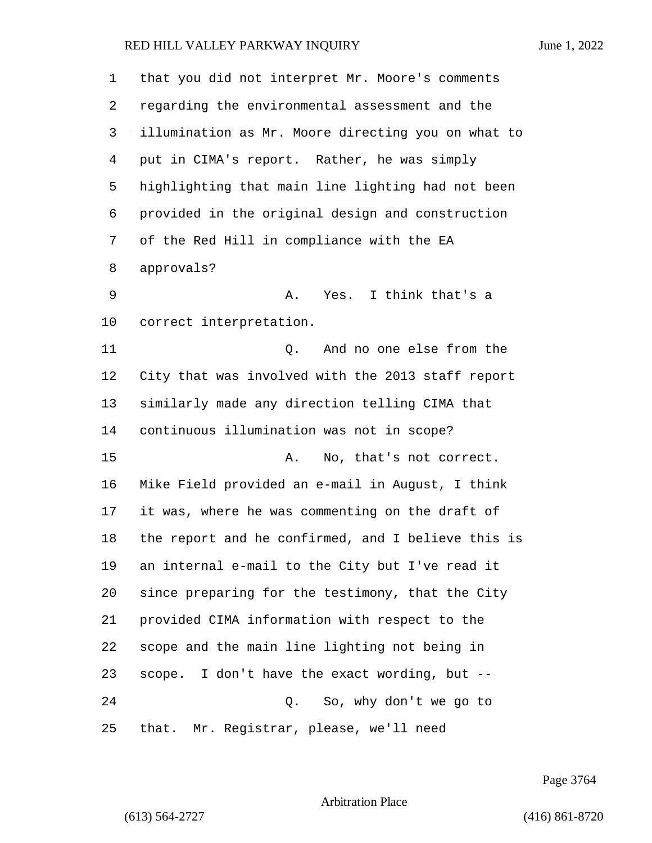that you did not interpret Mr. Moore's comments regarding the environmental assessment and the illumination as Mr. Moore directing you on what to put in CIMA's report. Rather, he was simply highlighting that main line lighting had not been provided in the original design and construction of the Red Hill in compliance with the EA approvals? 9 A. Yes. I think that's a correct interpretation. 11 Q. And no one else from the City that was involved with the 2013 staff report similarly made any direction telling CIMA that continuous illumination was not in scope? 15 A. No, that's not correct. Mike Field provided an e-mail in August, I think it was, where he was commenting on the draft of the report and he confirmed, and I believe this is an internal e-mail to the City but I've read it since preparing for the testimony, that the City provided CIMA information with respect to the scope and the main line lighting not being in scope. I don't have the exact wording, but -- 24 Q. So, why don't we go to that. Mr. Registrar, please, we'll need

Page 3764

Arbitration Place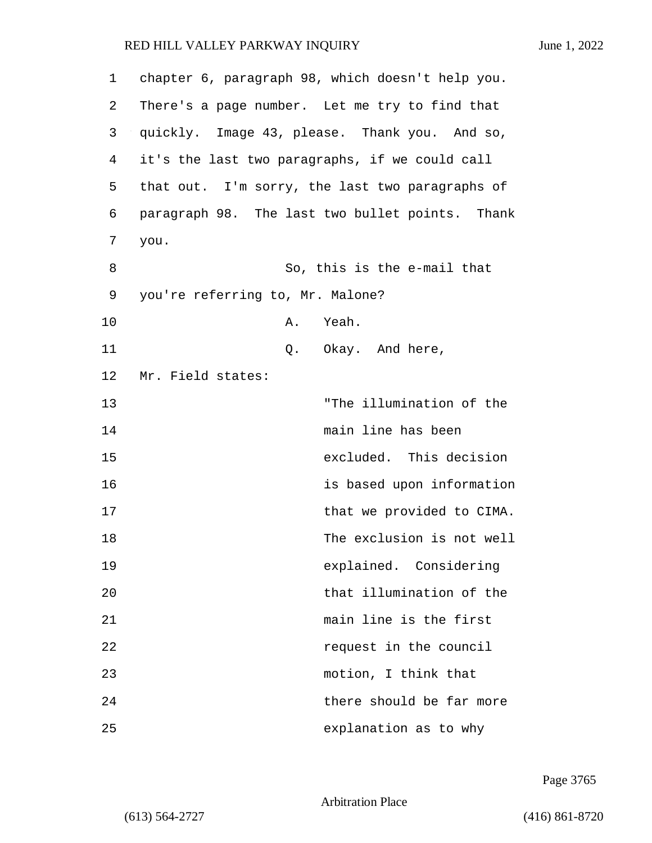| 1  | chapter 6, paragraph 98, which doesn't help you. |
|----|--------------------------------------------------|
| 2  | There's a page number. Let me try to find that   |
| 3  | quickly. Image 43, please. Thank you. And so,    |
| 4  | it's the last two paragraphs, if we could call   |
| 5  | that out. I'm sorry, the last two paragraphs of  |
| 6  | paragraph 98. The last two bullet points. Thank  |
| 7  | you.                                             |
| 8  | So, this is the e-mail that                      |
| 9  | you're referring to, Mr. Malone?                 |
| 10 | Yeah.<br>Α.                                      |
| 11 | Q. Okay. And here,                               |
| 12 | Mr. Field states:                                |
| 13 | "The illumination of the                         |
| 14 | main line has been                               |
| 15 | excluded. This decision                          |
| 16 | is based upon information                        |
| 17 | that we provided to CIMA.                        |
| 18 | The exclusion is not well                        |
| 19 | explained. Considering                           |
| 20 | that illumination of the                         |
| 21 | main line is the first                           |
| 22 | request in the council                           |
| 23 | motion, I think that                             |
| 24 | there should be far more                         |
| 25 | explanation as to why                            |

Page 3765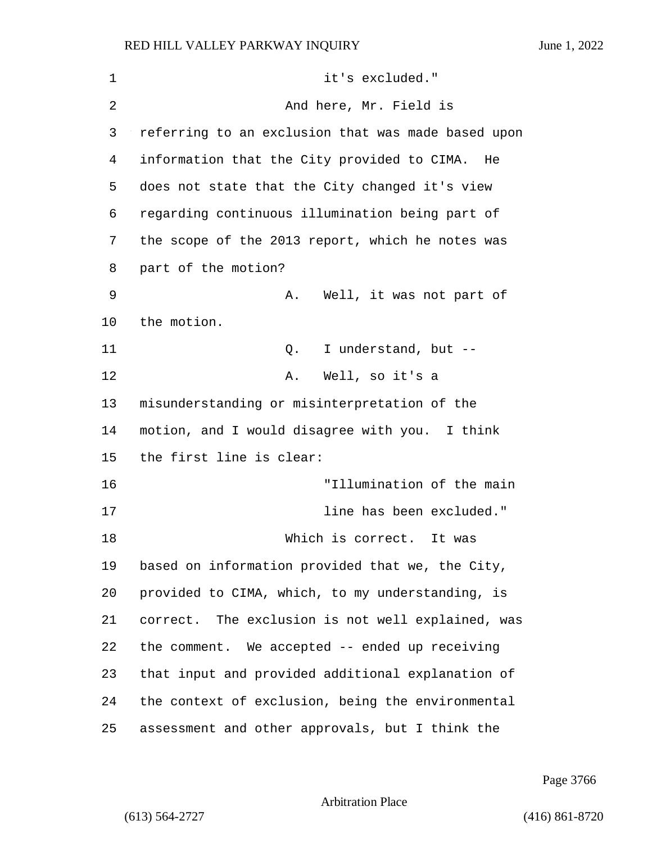| 1  | it's excluded."                                    |
|----|----------------------------------------------------|
| 2  | And here, Mr. Field is                             |
| 3  | referring to an exclusion that was made based upon |
| 4  | information that the City provided to CIMA. He     |
| 5  | does not state that the City changed it's view     |
| 6  | regarding continuous illumination being part of    |
| 7  | the scope of the 2013 report, which he notes was   |
| 8  | part of the motion?                                |
| 9  | Well, it was not part of<br>Α.                     |
| 10 | the motion.                                        |
| 11 | I understand, but --<br>Q.                         |
| 12 | Well, so it's a<br>Α.                              |
| 13 | misunderstanding or misinterpretation of the       |
| 14 | motion, and I would disagree with you. I think     |
| 15 | the first line is clear:                           |
| 16 | "Illumination of the main                          |
| 17 | line has been excluded."                           |
| 18 | Which is correct. It was                           |
| 19 | based on information provided that we, the City,   |
| 20 | provided to CIMA, which, to my understanding, is   |
| 21 | correct. The exclusion is not well explained, was  |
| 22 | the comment. We accepted -- ended up receiving     |
| 23 | that input and provided additional explanation of  |
| 24 | the context of exclusion, being the environmental  |
| 25 | assessment and other approvals, but I think the    |

Page 3766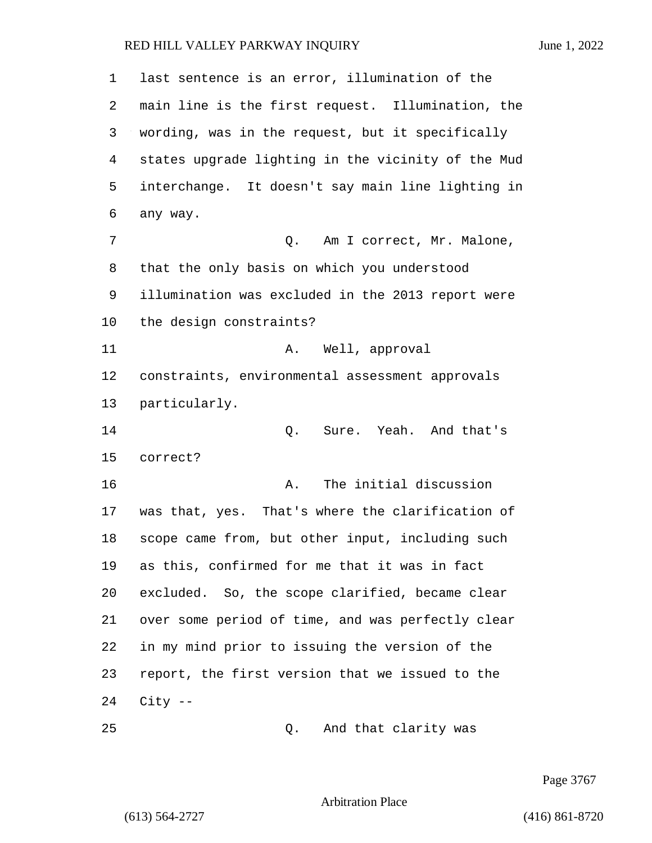last sentence is an error, illumination of the main line is the first request. Illumination, the

 wording, was in the request, but it specifically states upgrade lighting in the vicinity of the Mud interchange. It doesn't say main line lighting in any way.

7 C. Am I correct, Mr. Malone, that the only basis on which you understood illumination was excluded in the 2013 report were the design constraints?

11 A. Well, approval constraints, environmental assessment approvals particularly.

14 Q. Sure. Yeah. And that's correct?

**A.** The initial discussion was that, yes. That's where the clarification of scope came from, but other input, including such as this, confirmed for me that it was in fact excluded. So, the scope clarified, became clear over some period of time, and was perfectly clear in my mind prior to issuing the version of the report, the first version that we issued to the City --

25 Q. And that clarity was

Page 3767

Arbitration Place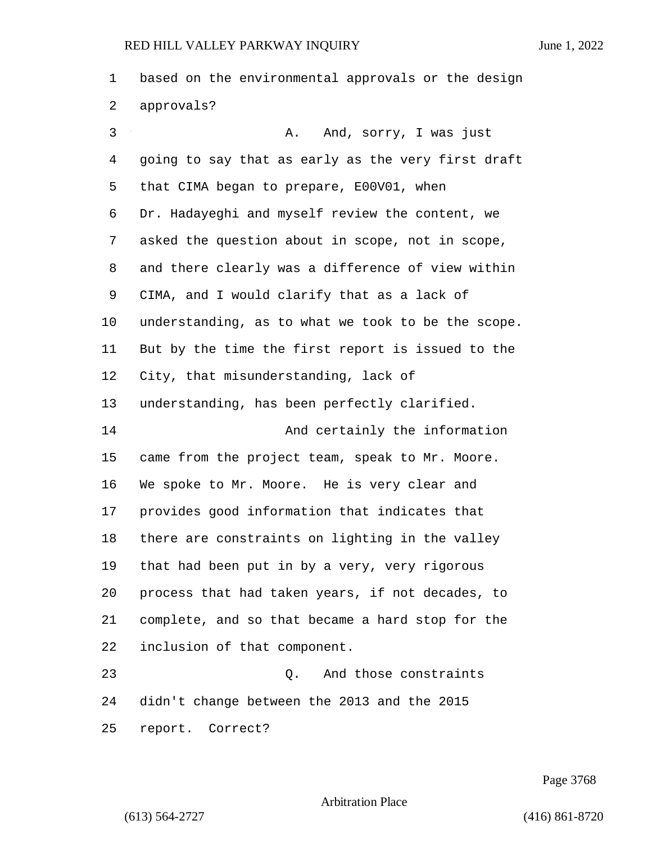based on the environmental approvals or the design approvals?

3 A. And, sorry, I was just going to say that as early as the very first draft that CIMA began to prepare, E00V01, when Dr. Hadayeghi and myself review the content, we asked the question about in scope, not in scope, and there clearly was a difference of view within CIMA, and I would clarify that as a lack of understanding, as to what we took to be the scope. But by the time the first report is issued to the City, that misunderstanding, lack of understanding, has been perfectly clarified. 14 And certainly the information came from the project team, speak to Mr. Moore. We spoke to Mr. Moore. He is very clear and provides good information that indicates that there are constraints on lighting in the valley that had been put in by a very, very rigorous process that had taken years, if not decades, to complete, and so that became a hard stop for the inclusion of that component. 23 Q. And those constraints

didn't change between the 2013 and the 2015

report. Correct?

Page 3768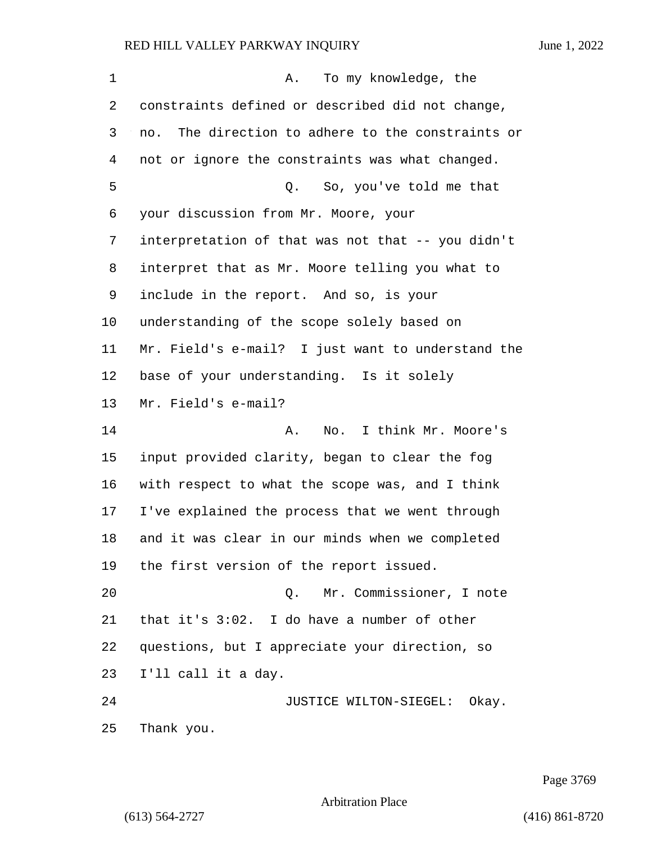| 1  | To my knowledge, the<br>Α.                        |
|----|---------------------------------------------------|
| 2  | constraints defined or described did not change,  |
| 3  | no. The direction to adhere to the constraints or |
| 4  | not or ignore the constraints was what changed.   |
| 5  | Q. So, you've told me that                        |
| 6  | your discussion from Mr. Moore, your              |
| 7  | interpretation of that was not that -- you didn't |
| 8  | interpret that as Mr. Moore telling you what to   |
| 9  | include in the report. And so, is your            |
| 10 | understanding of the scope solely based on        |
| 11 | Mr. Field's e-mail? I just want to understand the |
| 12 | base of your understanding. Is it solely          |
| 13 | Mr. Field's e-mail?                               |
| 14 | No. I think Mr. Moore's<br>Α.                     |
| 15 | input provided clarity, began to clear the fog    |
| 16 | with respect to what the scope was, and I think   |
| 17 | I've explained the process that we went through   |
| 18 | and it was clear in our minds when we completed   |
| 19 | the first version of the report issued.           |
| 20 | Mr. Commissioner, I note<br>Q.                    |
| 21 | that it's 3:02. I do have a number of other       |
| 22 | questions, but I appreciate your direction, so    |
| 23 | I'll call it a day.                               |
| 24 | JUSTICE WILTON-SIEGEL:<br>Okay.                   |
| 25 | Thank you.                                        |

Page 3769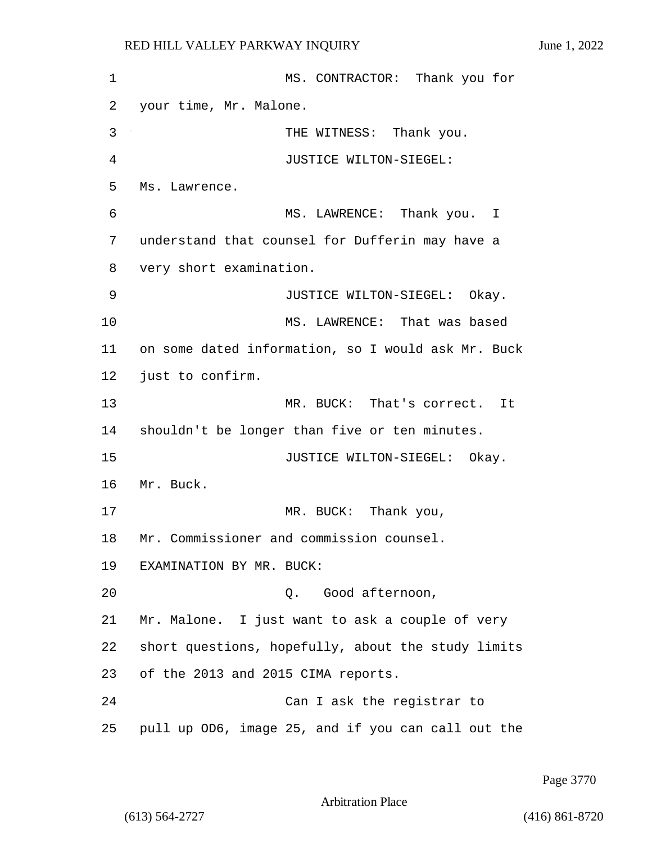1 MS. CONTRACTOR: Thank you for 2 your time, Mr. Malone. 3 THE WITNESS: Thank you. 4 JUSTICE WILTON-SIEGEL: 5 Ms. Lawrence. 6 MS. LAWRENCE: Thank you. I 7 understand that counsel for Dufferin may have a 8 very short examination. 9 JUSTICE WILTON-SIEGEL: Okay. 10 MS. LAWRENCE: That was based 11 on some dated information, so I would ask Mr. Buck 12 just to confirm. 13 MR. BUCK: That's correct. It 14 shouldn't be longer than five or ten minutes. 15 **JUSTICE WILTON-SIEGEL:** Okay. 16 Mr. Buck. 17 MR. BUCK: Thank you, 18 Mr. Commissioner and commission counsel. 19 EXAMINATION BY MR. BUCK: 20 Q. Good afternoon, 21 Mr. Malone. I just want to ask a couple of very 22 short questions, hopefully, about the study limits 23 of the 2013 and 2015 CIMA reports. 24 Can I ask the registrar to

Page 3770

Arbitration Place

25 pull up OD6, image 25, and if you can call out the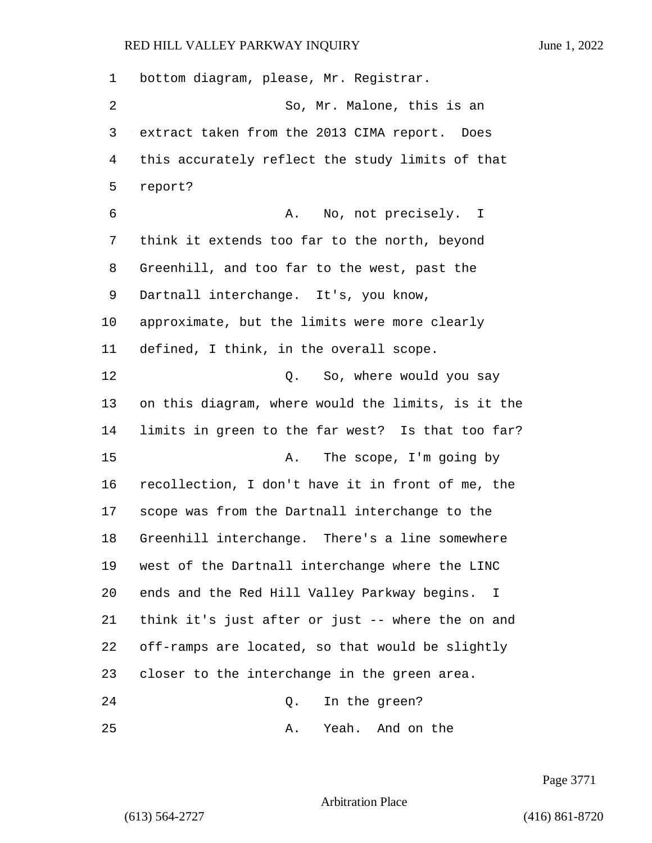bottom diagram, please, Mr. Registrar. 2 So, Mr. Malone, this is an extract taken from the 2013 CIMA report. Does this accurately reflect the study limits of that report? 6 A. No, not precisely. I think it extends too far to the north, beyond Greenhill, and too far to the west, past the Dartnall interchange. It's, you know, approximate, but the limits were more clearly defined, I think, in the overall scope. 12 C. So, where would you say on this diagram, where would the limits, is it the limits in green to the far west? Is that too far? 15 A. The scope, I'm going by recollection, I don't have it in front of me, the scope was from the Dartnall interchange to the Greenhill interchange. There's a line somewhere west of the Dartnall interchange where the LINC ends and the Red Hill Valley Parkway begins. I think it's just after or just -- where the on and off-ramps are located, so that would be slightly closer to the interchange in the green area. 24 Q. In the green? 25 A. Yeah. And on the

Page 3771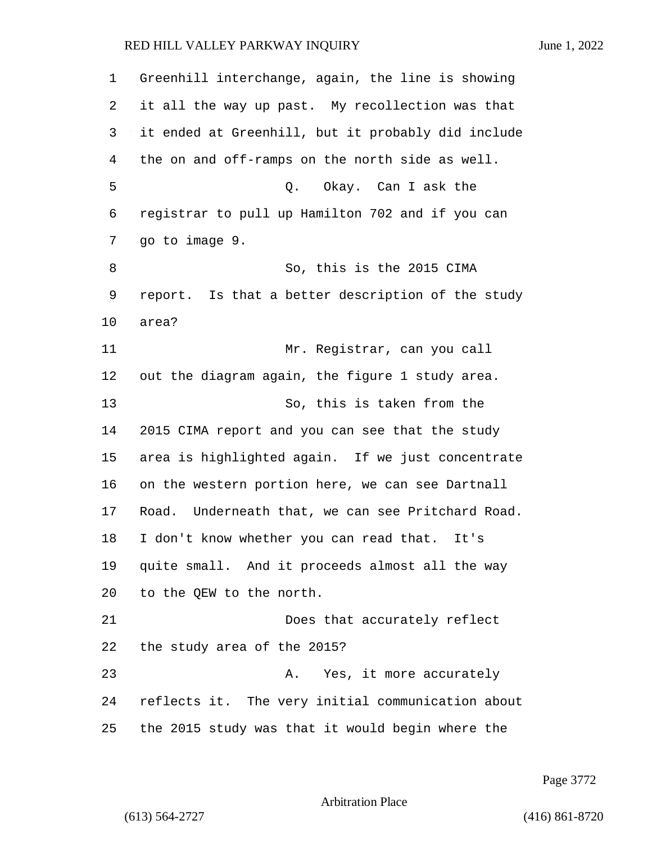| $\mathbf{1}$ | Greenhill interchange, again, the line is showing  |
|--------------|----------------------------------------------------|
| 2            | it all the way up past. My recollection was that   |
| 3            | it ended at Greenhill, but it probably did include |
| 4            | the on and off-ramps on the north side as well.    |
| 5            | Okay. Can I ask the<br>Q.                          |
| 6            | registrar to pull up Hamilton 702 and if you can   |
| 7            | go to image 9.                                     |
| 8            | So, this is the 2015 CIMA                          |
| 9            | report. Is that a better description of the study  |
| $10 \,$      | area?                                              |
| 11           | Mr. Registrar, can you call                        |
| 12           | out the diagram again, the figure 1 study area.    |
| 13           | So, this is taken from the                         |
| 14           | 2015 CIMA report and you can see that the study    |
| 15           | area is highlighted again. If we just concentrate  |
| 16           | on the western portion here, we can see Dartnall   |
| 17           | Road. Underneath that, we can see Pritchard Road.  |
| 18           | I don't know whether you can read that.<br>It's    |
| 19           | quite small. And it proceeds almost all the way    |
| 20           | to the QEW to the north.                           |
| 21           | Does that accurately reflect                       |
| 22           | the study area of the 2015?                        |
| 23           | Yes, it more accurately<br>Α.                      |
| 24           | reflects it. The very initial communication about  |
| 25           | the 2015 study was that it would begin where the   |

Page 3772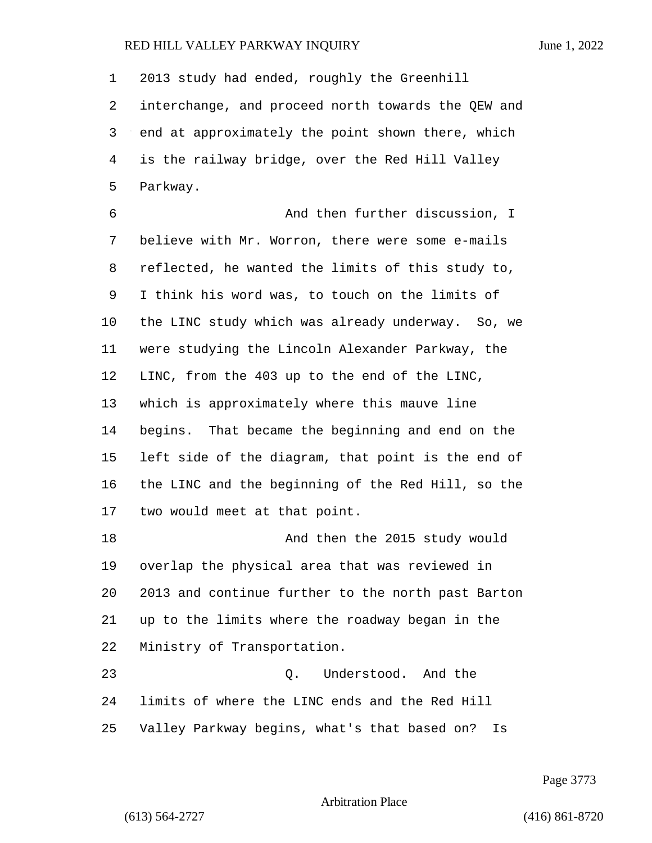2013 study had ended, roughly the Greenhill interchange, and proceed north towards the QEW and end at approximately the point shown there, which is the railway bridge, over the Red Hill Valley Parkway. 6 And then further discussion, I believe with Mr. Worron, there were some e-mails reflected, he wanted the limits of this study to, I think his word was, to touch on the limits of the LINC study which was already underway. So, we were studying the Lincoln Alexander Parkway, the LINC, from the 403 up to the end of the LINC, which is approximately where this mauve line begins. That became the beginning and end on the left side of the diagram, that point is the end of the LINC and the beginning of the Red Hill, so the two would meet at that point. 18 And then the 2015 study would overlap the physical area that was reviewed in 2013 and continue further to the north past Barton up to the limits where the roadway began in the Ministry of Transportation. 23 Q. Understood. And the limits of where the LINC ends and the Red Hill Valley Parkway begins, what's that based on? Is

Page 3773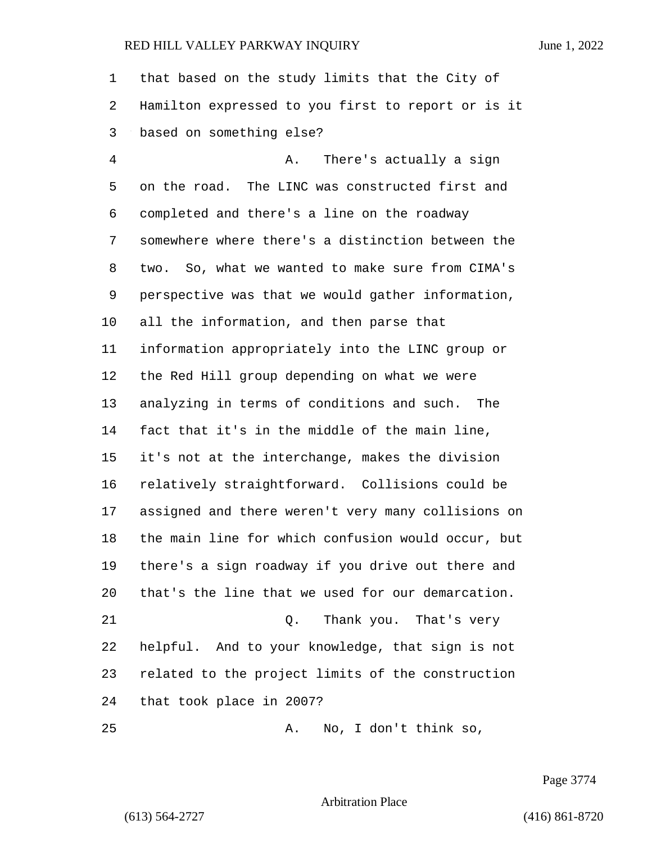| 1              | that based on the study limits that the City of    |
|----------------|----------------------------------------------------|
| 2              | Hamilton expressed to you first to report or is it |
| 3              | based on something else?                           |
| $\overline{4}$ | There's actually a sign<br>Α.                      |
| 5              | on the road. The LINC was constructed first and    |
| 6              | completed and there's a line on the roadway        |
| 7              | somewhere where there's a distinction between the  |
| 8              | two. So, what we wanted to make sure from CIMA's   |
| 9              | perspective was that we would gather information,  |
| 10             | all the information, and then parse that           |
| 11             | information appropriately into the LINC group or   |
| 12             | the Red Hill group depending on what we were       |
| 13             | analyzing in terms of conditions and such. The     |
| 14             | fact that it's in the middle of the main line,     |
| 15             | it's not at the interchange, makes the division    |
| 16             | relatively straightforward. Collisions could be    |
| 17             | assigned and there weren't very many collisions on |
| 18             | the main line for which confusion would occur, but |
| 19             | there's a sign roadway if you drive out there and  |
| 20             | that's the line that we used for our demarcation.  |
| 21             | Thank you. That's very<br>$Q$ .                    |
| 22             | helpful. And to your knowledge, that sign is not   |
| 23             | related to the project limits of the construction  |
| 24             | that took place in 2007?                           |
| 25             | No, I don't think so,<br>Α.                        |

Page 3774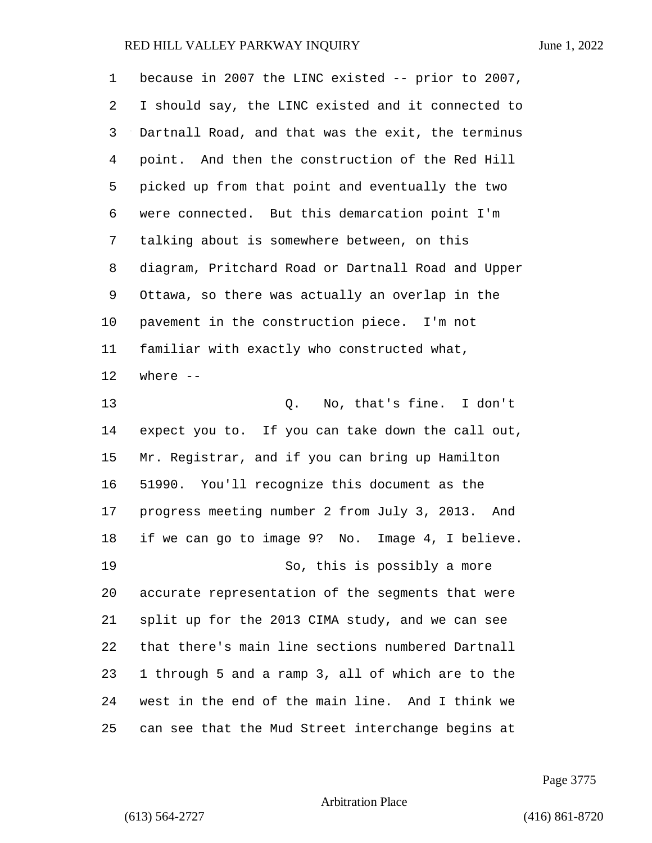| $\mathbf 1$ | because in 2007 the LINC existed -- prior to 2007,  |
|-------------|-----------------------------------------------------|
| 2           | I should say, the LINC existed and it connected to  |
| 3           | Dartnall Road, and that was the exit, the terminus  |
| 4           | point. And then the construction of the Red Hill    |
| 5           | picked up from that point and eventually the two    |
| 6           | were connected. But this demarcation point I'm      |
| 7           | talking about is somewhere between, on this         |
| 8           | diagram, Pritchard Road or Dartnall Road and Upper  |
| 9           | Ottawa, so there was actually an overlap in the     |
| 10          | pavement in the construction piece. I'm not         |
| 11          | familiar with exactly who constructed what,         |
| 12          | where $--$                                          |
| 13          | No, that's fine. I don't<br>Q.                      |
| 14          | expect you to. If you can take down the call out,   |
| 15          | Mr. Registrar, and if you can bring up Hamilton     |
| 16          | 51990. You'll recognize this document as the        |
| 17          | progress meeting number 2 from July 3, 2013. And    |
| 18          | if we can go to image 9? No.<br>Image 4, I believe. |
| 19          | So, this is possibly a more                         |
| 20          | accurate representation of the segments that were   |
| 21          | split up for the 2013 CIMA study, and we can see    |
| 22          | that there's main line sections numbered Dartnall   |
| 23          | 1 through 5 and a ramp 3, all of which are to the   |
| 24          | west in the end of the main line. And I think we    |
| 25          | can see that the Mud Street interchange begins at   |

Page 3775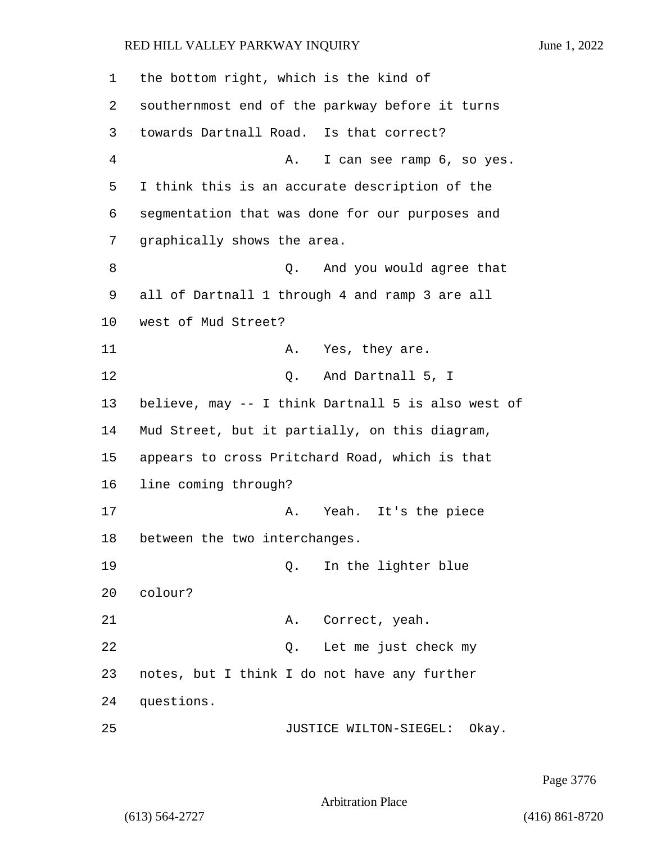| 1  | the bottom right, which is the kind of             |
|----|----------------------------------------------------|
| 2  | southernmost end of the parkway before it turns    |
| 3  | towards Dartnall Road. Is that correct?            |
| 4  | I can see ramp 6, so yes.<br>Α.                    |
| 5  | I think this is an accurate description of the     |
| 6  | segmentation that was done for our purposes and    |
| 7  | graphically shows the area.                        |
| 8  | And you would agree that<br>Q.                     |
| 9  | all of Dartnall 1 through 4 and ramp 3 are all     |
| 10 | west of Mud Street?                                |
| 11 | Yes, they are.<br>Α.                               |
| 12 | Q. And Dartnall 5, I                               |
| 13 | believe, may -- I think Dartnall 5 is also west of |
| 14 | Mud Street, but it partially, on this diagram,     |
| 15 | appears to cross Pritchard Road, which is that     |
| 16 | line coming through?                               |
| 17 | Yeah. It's the piece<br>Α.                         |
| 18 | between the two interchanges.                      |
| 19 | In the lighter blue<br>Q.                          |
| 20 | colour?                                            |
| 21 | Correct, yeah.<br>Α.                               |
| 22 | Let me just check my<br>Q.                         |
| 23 | notes, but I think I do not have any further       |
| 24 | questions.                                         |
| 25 | JUSTICE WILTON-SIEGEL: Okay.                       |

Page 3776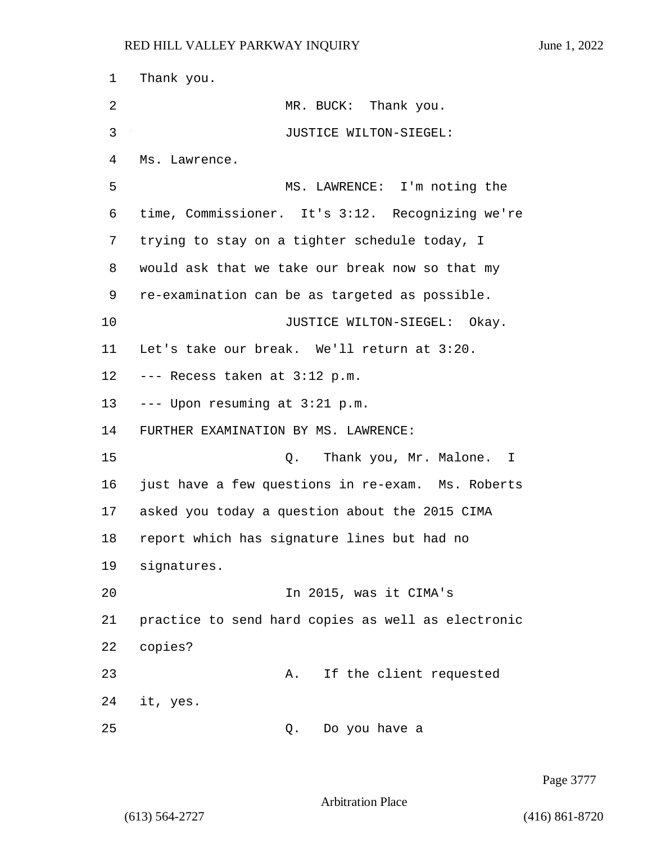Thank you. 2 MR. BUCK: Thank you. 3 JUSTICE WILTON-SIEGEL: Ms. Lawrence. 5 MS. LAWRENCE: I'm noting the time, Commissioner. It's 3:12. Recognizing we're trying to stay on a tighter schedule today, I would ask that we take our break now so that my re-examination can be as targeted as possible. **JUSTICE WILTON-SIEGEL:** Okay. Let's take our break. We'll return at 3:20. --- Recess taken at 3:12 p.m. --- Upon resuming at 3:21 p.m. FURTHER EXAMINATION BY MS. LAWRENCE: 15 C. Thank you, Mr. Malone. I just have a few questions in re-exam. Ms. Roberts asked you today a question about the 2015 CIMA report which has signature lines but had no signatures. 20 In 2015, was it CIMA's practice to send hard copies as well as electronic copies? 23 A. If the client requested it, yes. 25 Q. Do you have a

Page 3777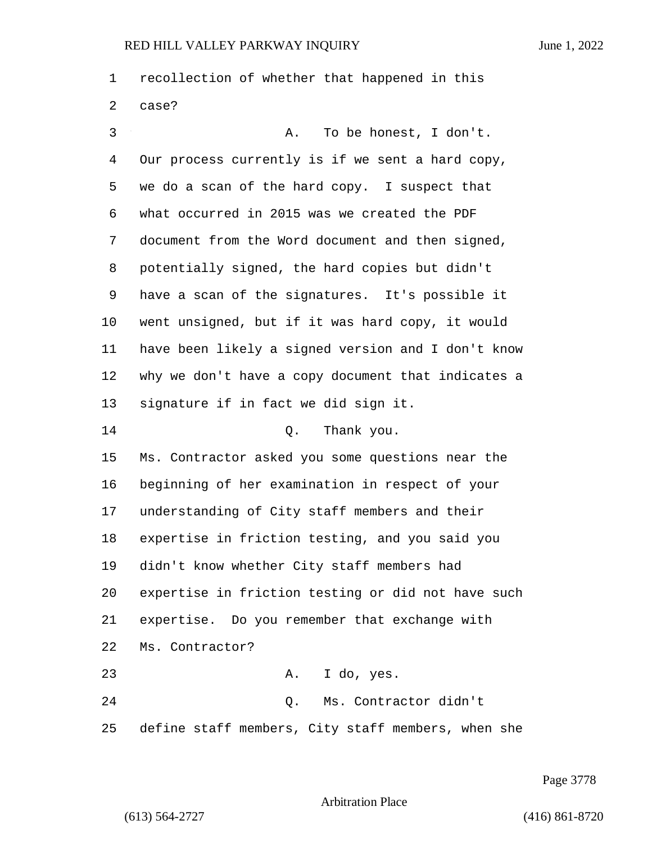recollection of whether that happened in this case?

3 A. To be honest, I don't. Our process currently is if we sent a hard copy, we do a scan of the hard copy. I suspect that what occurred in 2015 was we created the PDF document from the Word document and then signed, potentially signed, the hard copies but didn't have a scan of the signatures. It's possible it went unsigned, but if it was hard copy, it would have been likely a signed version and I don't know why we don't have a copy document that indicates a signature if in fact we did sign it. 14 O. Thank you. Ms. Contractor asked you some questions near the beginning of her examination in respect of your understanding of City staff members and their expertise in friction testing, and you said you didn't know whether City staff members had expertise in friction testing or did not have such expertise. Do you remember that exchange with Ms. Contractor? 23 A. I do, yes. 24 Q. Ms. Contractor didn't define staff members, City staff members, when she

Page 3778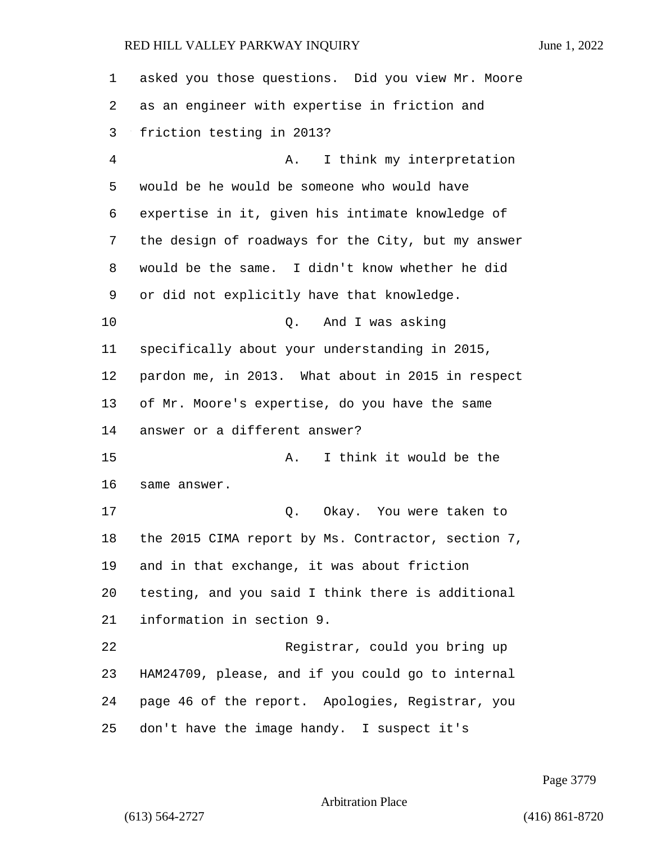asked you those questions. Did you view Mr. Moore as an engineer with expertise in friction and friction testing in 2013? 4 A. I think my interpretation would be he would be someone who would have expertise in it, given his intimate knowledge of the design of roadways for the City, but my answer would be the same. I didn't know whether he did or did not explicitly have that knowledge. 10 Q. And I was asking specifically about your understanding in 2015, pardon me, in 2013. What about in 2015 in respect of Mr. Moore's expertise, do you have the same answer or a different answer? 15 A. I think it would be the same answer. 17 C. Okay. You were taken to the 2015 CIMA report by Ms. Contractor, section 7, and in that exchange, it was about friction testing, and you said I think there is additional information in section 9. 22 Registrar, could you bring up HAM24709, please, and if you could go to internal page 46 of the report. Apologies, Registrar, you don't have the image handy. I suspect it's

Page 3779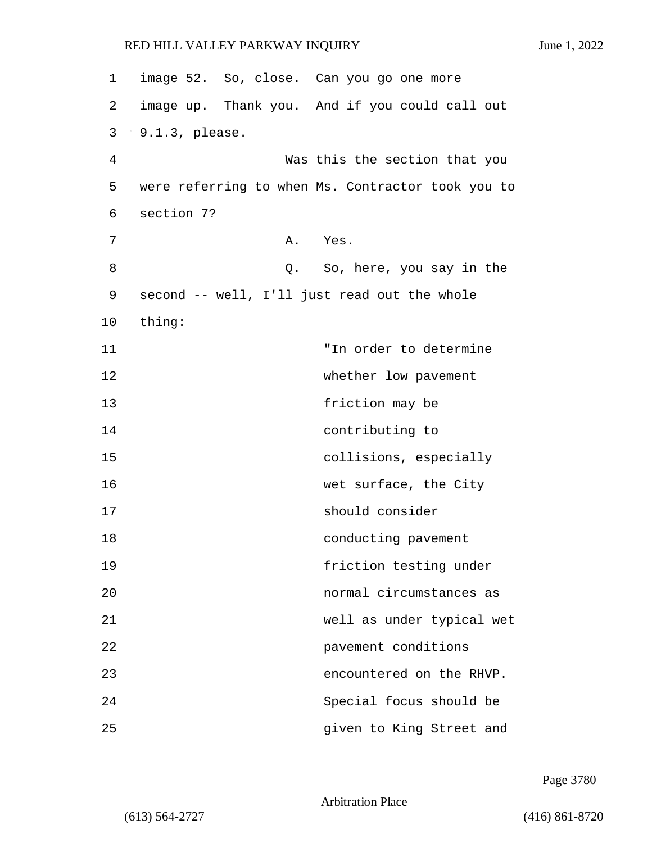| $\mathbf 1$ | image 52. So, close. Can you go one more          |
|-------------|---------------------------------------------------|
| 2           | image up. Thank you. And if you could call out    |
| 3           | $9.1.3$ , please.                                 |
| 4           | Was this the section that you                     |
| 5           | were referring to when Ms. Contractor took you to |
| 6           | section 7?                                        |
| 7           | A. Yes.                                           |
| 8           | Q. So, here, you say in the                       |
| 9           | second -- well, I'll just read out the whole      |
| 10          | thing:                                            |
| 11          | "In order to determine                            |
| 12          | whether low pavement                              |
| 13          | friction may be                                   |
| 14          | contributing to                                   |
| 15          | collisions, especially                            |
| 16          | wet surface, the City                             |
| 17          | should consider                                   |
| 18          | conducting pavement                               |
| 19          | friction testing under                            |
| 20          | normal circumstances as                           |
| 21          | well as under typical wet                         |
| 22          | pavement conditions                               |
| 23          | encountered on the RHVP.                          |
| 24          | Special focus should be                           |
| 25          | given to King Street and                          |

Page 3780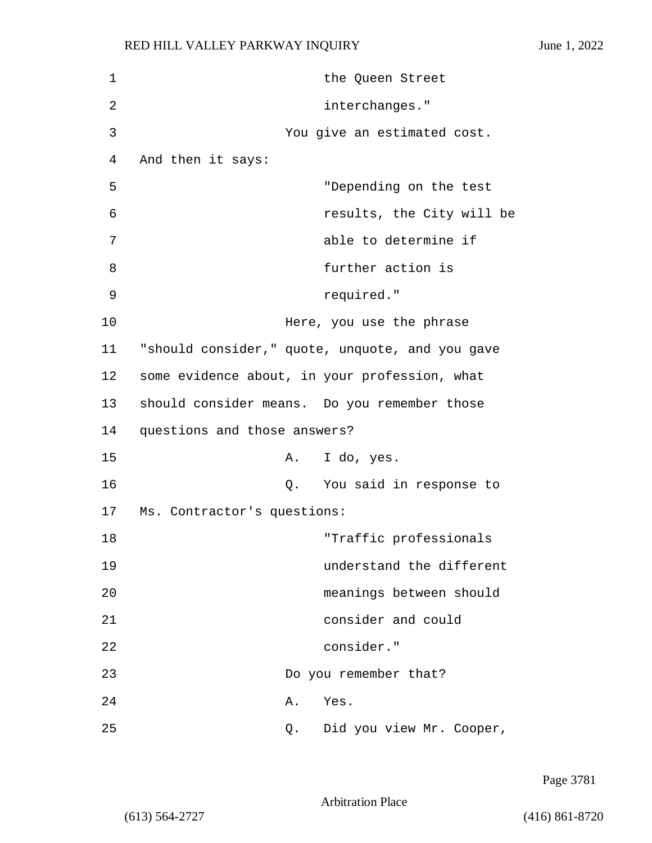| $\mathbf 1$ |                                               | the Queen Street                                |
|-------------|-----------------------------------------------|-------------------------------------------------|
| 2           |                                               | interchanges."                                  |
| 3           |                                               | You give an estimated cost.                     |
| 4           | And then it says:                             |                                                 |
| 5           |                                               | "Depending on the test                          |
| 6           |                                               | results, the City will be                       |
| 7           |                                               | able to determine if                            |
| 8           |                                               | further action is                               |
| 9           |                                               | required."                                      |
| 10          |                                               | Here, you use the phrase                        |
| 11          |                                               | "should consider," quote, unquote, and you gave |
| 12          | some evidence about, in your profession, what |                                                 |
| 13          | should consider means. Do you remember those  |                                                 |
| 14          | questions and those answers?                  |                                                 |
| 15          | А.                                            | I do, yes.                                      |
| 16          |                                               | Q. You said in response to                      |
| 17          | Ms. Contractor's questions:                   |                                                 |
| 18          |                                               | "Traffic professionals                          |
| 19          |                                               | understand the different                        |
| 20          |                                               | meanings between should                         |
| 21          |                                               | consider and could                              |
| 22          |                                               | consider."                                      |
| 23          |                                               | Do you remember that?                           |
| 24          | Α.                                            | Yes.                                            |
| 25          | Q.                                            | Did you view Mr. Cooper,                        |

Page 3781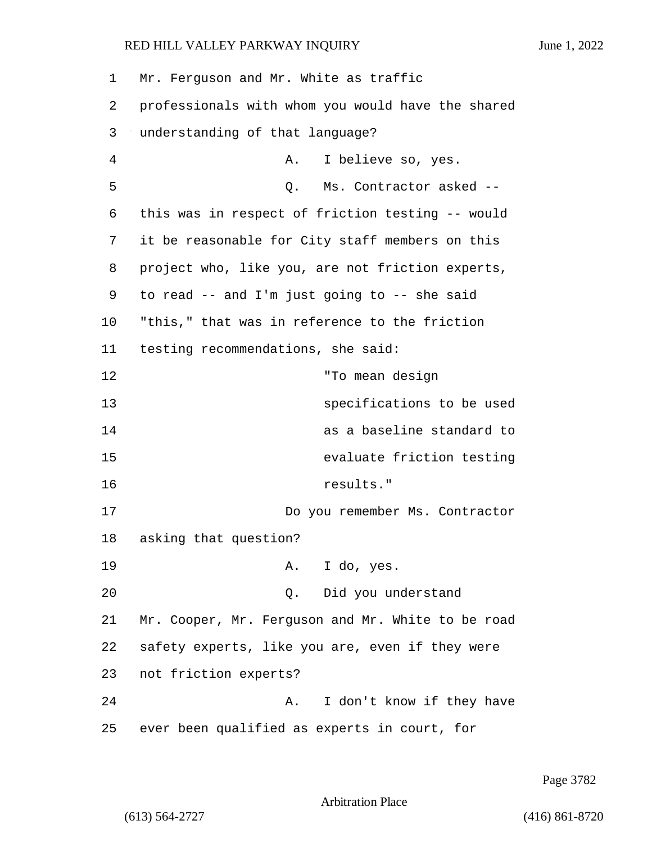| 1  | Mr. Ferguson and Mr. White as traffic             |
|----|---------------------------------------------------|
| 2  | professionals with whom you would have the shared |
| 3  | understanding of that language?                   |
| 4  | I believe so, yes.<br>Α.                          |
| 5  | Q. Ms. Contractor asked --                        |
| 6  | this was in respect of friction testing -- would  |
| 7  | it be reasonable for City staff members on this   |
| 8  | project who, like you, are not friction experts,  |
| 9  | to read $--$ and I'm just going to $--$ she said  |
| 10 | "this," that was in reference to the friction     |
| 11 | testing recommendations, she said:                |
| 12 | "To mean design                                   |
| 13 | specifications to be used                         |
| 14 | as a baseline standard to                         |
| 15 | evaluate friction testing                         |
| 16 | results."                                         |
| 17 | Do you remember Ms. Contractor                    |
| 18 | asking that question?                             |
| 19 | A. I do, yes.                                     |
| 20 | Q. Did you understand                             |
| 21 | Mr. Cooper, Mr. Ferguson and Mr. White to be road |
| 22 | safety experts, like you are, even if they were   |
| 23 | not friction experts?                             |
| 24 | I don't know if they have<br>Α.                   |
| 25 | ever been qualified as experts in court, for      |

Page 3782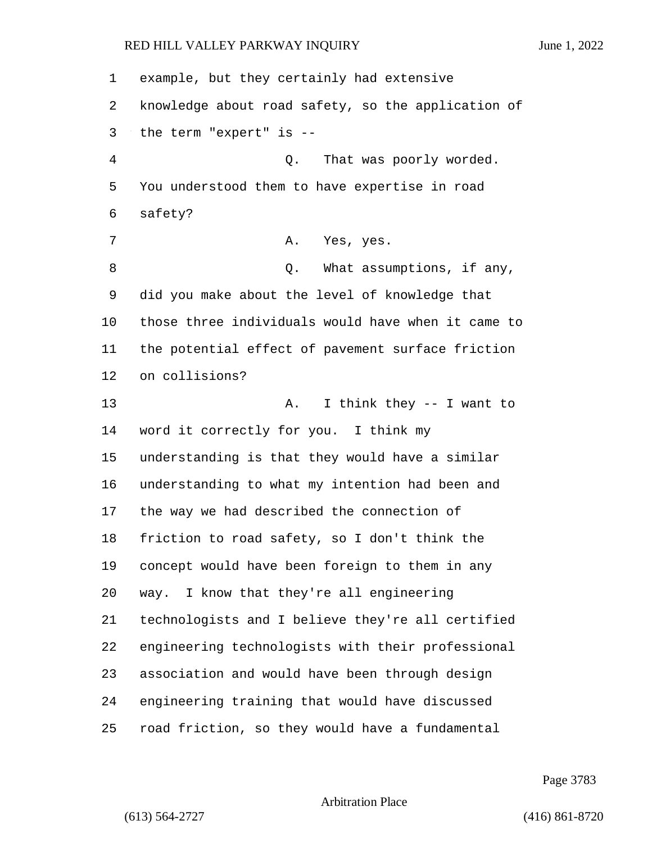example, but they certainly had extensive knowledge about road safety, so the application of the term "expert" is -- 4 Q. That was poorly worded. You understood them to have expertise in road safety? 7 A. Yes, yes. 8 and  $Q$ . What assumptions, if any, did you make about the level of knowledge that those three individuals would have when it came to the potential effect of pavement surface friction on collisions? 13 A. I think they -- I want to word it correctly for you. I think my understanding is that they would have a similar understanding to what my intention had been and the way we had described the connection of friction to road safety, so I don't think the concept would have been foreign to them in any way. I know that they're all engineering technologists and I believe they're all certified engineering technologists with their professional association and would have been through design engineering training that would have discussed road friction, so they would have a fundamental

Page 3783

Arbitration Place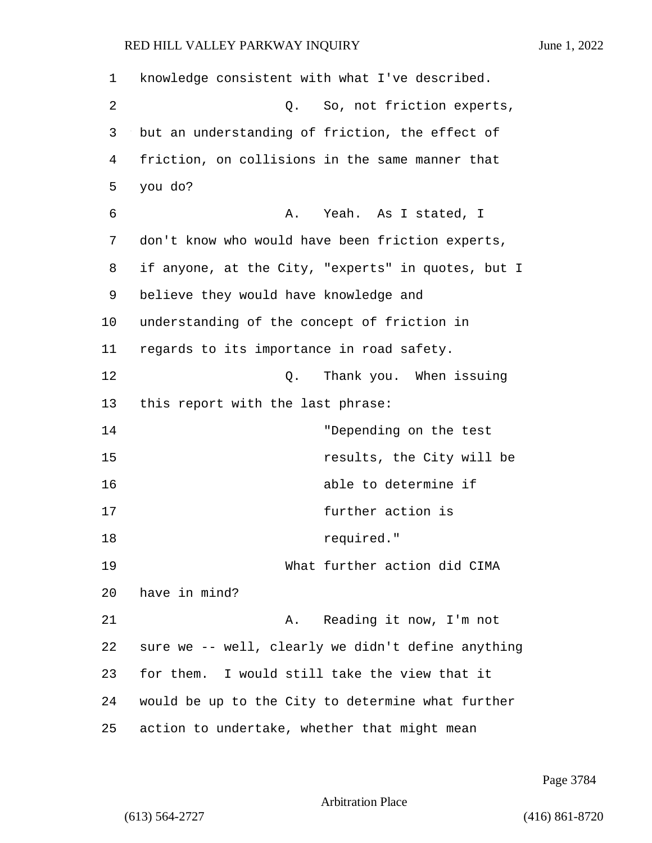1 knowledge consistent with what I've described. 2 Q. So, not friction experts, 3 but an understanding of friction, the effect of 4 friction, on collisions in the same manner that 5 you do? 6 A. Yeah. As I stated, I 7 don't know who would have been friction experts, 8 if anyone, at the City, "experts" in quotes, but I 9 believe they would have knowledge and 10 understanding of the concept of friction in 11 regards to its importance in road safety. 12 C. Thank you. When issuing 13 this report with the last phrase: 14 "Depending on the test 15 results, the City will be 16 able to determine if 17 further action is 18 required." 19 What further action did CIMA 20 have in mind? 21 A. Reading it now, I'm not 22 sure we -- well, clearly we didn't define anything 23 for them. I would still take the view that it 24 would be up to the City to determine what further 25 action to undertake, whether that might mean

Page 3784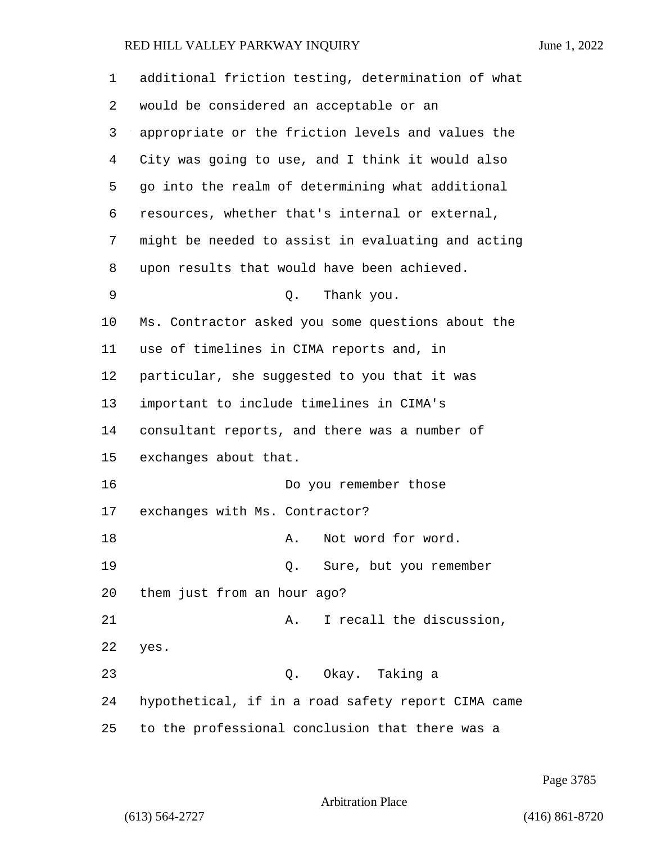| $\mathbf 1$ | additional friction testing, determination of what |
|-------------|----------------------------------------------------|
| 2           | would be considered an acceptable or an            |
| 3           | appropriate or the friction levels and values the  |
| 4           | City was going to use, and I think it would also   |
| 5           | go into the realm of determining what additional   |
| 6           | resources, whether that's internal or external,    |
| 7           | might be needed to assist in evaluating and acting |
| 8           | upon results that would have been achieved.        |
| 9           | Thank you.<br>Q.                                   |
| $10 \,$     | Ms. Contractor asked you some questions about the  |
| 11          | use of timelines in CIMA reports and, in           |
| 12          | particular, she suggested to you that it was       |
| 13          | important to include timelines in CIMA's           |
| 14          | consultant reports, and there was a number of      |
| 15          | exchanges about that.                              |
| 16          | Do you remember those                              |
| 17          | exchanges with Ms. Contractor?                     |
| 18          | Not word for word.<br>Α.                           |
| 19          | Q. Sure, but you remember                          |
| 20          | them just from an hour ago?                        |
| 21          | I recall the discussion,<br>Α.                     |
| 22          | yes.                                               |
| 23          | Okay.  Taking a<br>Q.                              |
| 24          | hypothetical, if in a road safety report CIMA came |
| 25          | to the professional conclusion that there was a    |

Page 3785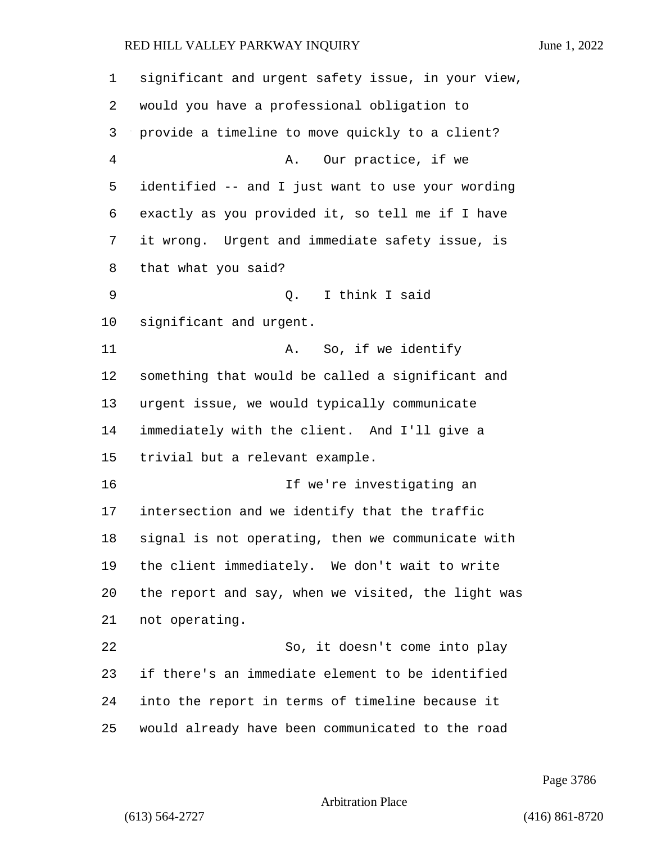| 1              | significant and urgent safety issue, in your view, |
|----------------|----------------------------------------------------|
| 2              | would you have a professional obligation to        |
| 3              | provide a timeline to move quickly to a client?    |
| $\overline{4}$ | Our practice, if we<br>Α.                          |
| 5              | identified -- and I just want to use your wording  |
| 6              | exactly as you provided it, so tell me if I have   |
| 7              | it wrong. Urgent and immediate safety issue, is    |
| 8              | that what you said?                                |
| 9              | Q. I think I said                                  |
| 10             | significant and urgent.                            |
| 11             | A. So, if we identify                              |
| 12             | something that would be called a significant and   |
| 13             | urgent issue, we would typically communicate       |
| 14             | immediately with the client. And I'll give a       |
| 15             | trivial but a relevant example.                    |
| 16             | If we're investigating an                          |
| 17             | intersection and we identify that the traffic      |
| 18             | signal is not operating, then we communicate with  |
| 19             | the client immediately. We don't wait to write     |
| 20             | the report and say, when we visited, the light was |
| 21             | not operating.                                     |
| 22             | So, it doesn't come into play                      |
| 23             | if there's an immediate element to be identified   |
| 24             | into the report in terms of timeline because it    |
| 25             | would already have been communicated to the road   |

Page 3786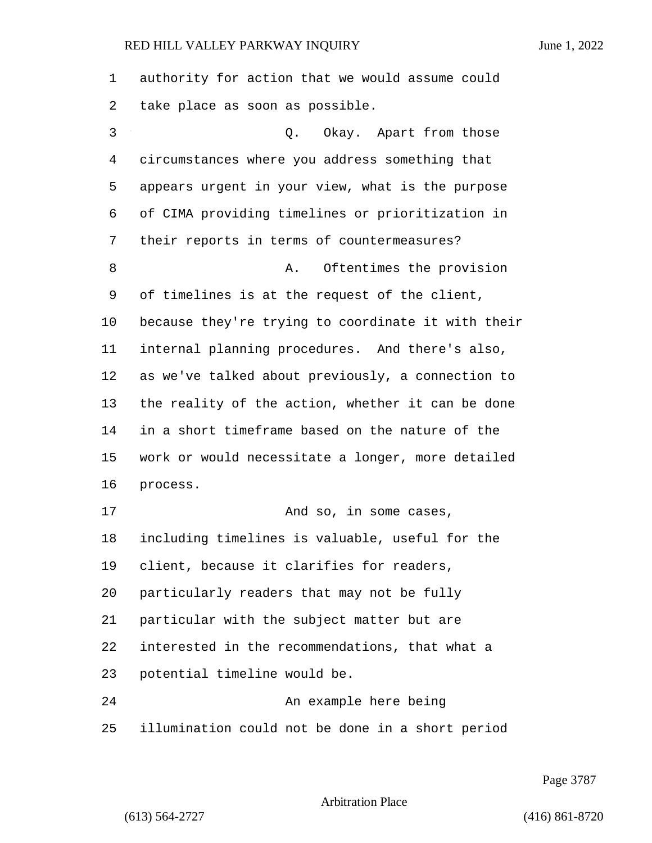| $\mathbf 1$ | authority for action that we would assume could    |
|-------------|----------------------------------------------------|
| 2           | take place as soon as possible.                    |
| 3           | Okay. Apart from those<br>Q.                       |
| 4           | circumstances where you address something that     |
| 5           | appears urgent in your view, what is the purpose   |
| 6           | of CIMA providing timelines or prioritization in   |
| 7           | their reports in terms of countermeasures?         |
| 8           | Oftentimes the provision<br>Α.                     |
| 9           | of timelines is at the request of the client,      |
| 10          | because they're trying to coordinate it with their |
| 11          | internal planning procedures. And there's also,    |
| 12          | as we've talked about previously, a connection to  |
| 13          | the reality of the action, whether it can be done  |
| 14          | in a short timeframe based on the nature of the    |
| 15          | work or would necessitate a longer, more detailed  |
| 16          | process.                                           |
| 17          | And so, in some cases,                             |
| 18          | including timelines is valuable, useful for the    |
| 19          | client, because it clarifies for readers,          |
| 20          | particularly readers that may not be fully         |
| 21          | particular with the subject matter but are         |
| 22          | interested in the recommendations, that what a     |
| 23          | potential timeline would be.                       |
| 24          | An example here being                              |
| 25          | illumination could not be done in a short period   |

Page 3787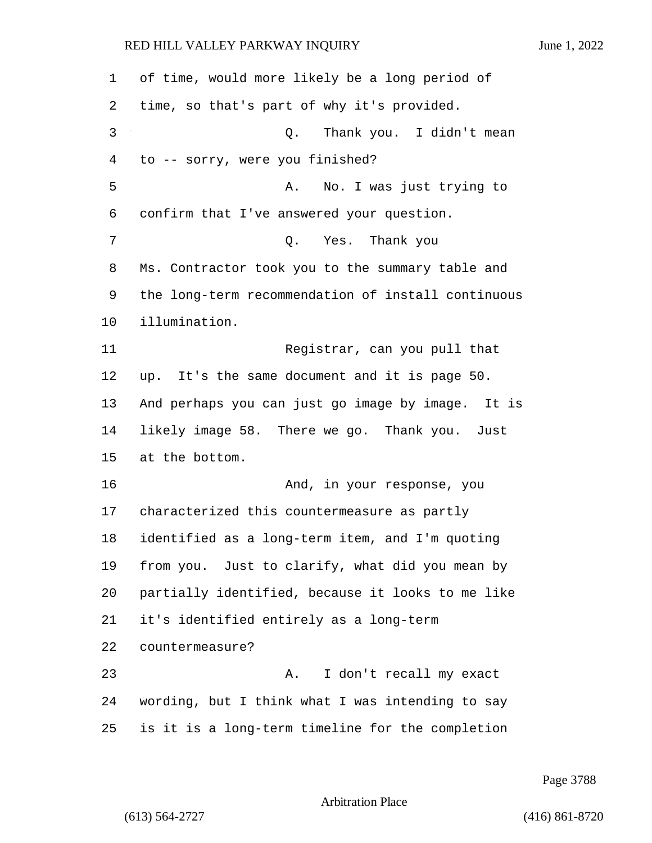of time, would more likely be a long period of time, so that's part of why it's provided. 3 Q. Thank you. I didn't mean to -- sorry, were you finished? 5 A. No. I was just trying to confirm that I've answered your question. 7 Q. Yes. Thank you Ms. Contractor took you to the summary table and the long-term recommendation of install continuous illumination. 11 Registrar, can you pull that up. It's the same document and it is page 50. And perhaps you can just go image by image. It is likely image 58. There we go. Thank you. Just at the bottom. 16 And, in your response, you characterized this countermeasure as partly identified as a long-term item, and I'm quoting from you. Just to clarify, what did you mean by partially identified, because it looks to me like it's identified entirely as a long-term countermeasure? 23 A. I don't recall my exact wording, but I think what I was intending to say is it is a long-term timeline for the completion

Page 3788

```
Arbitration Place
```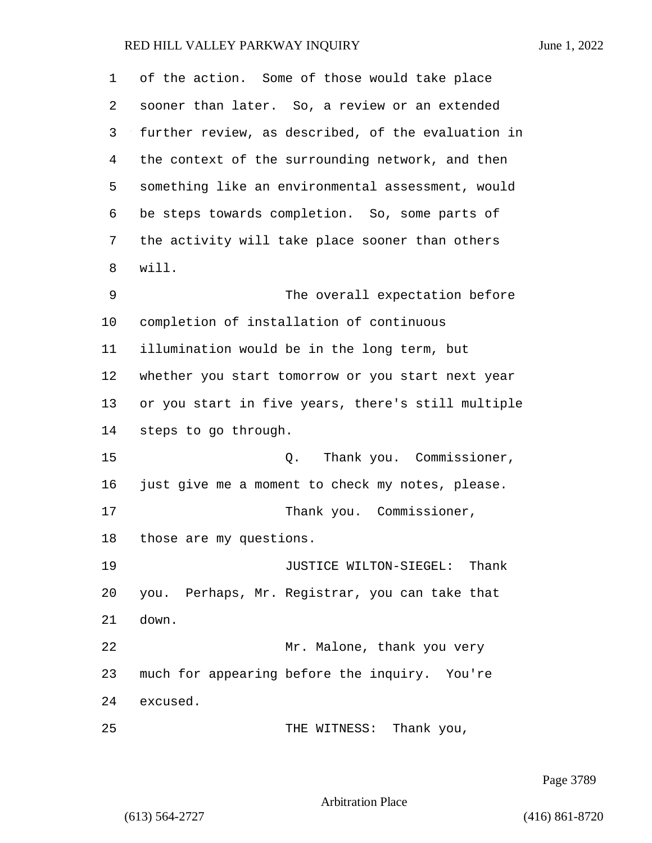| 1  | of the action. Some of those would take place      |
|----|----------------------------------------------------|
| 2  | sooner than later. So, a review or an extended     |
| 3  | further review, as described, of the evaluation in |
| 4  | the context of the surrounding network, and then   |
| 5  | something like an environmental assessment, would  |
| 6  | be steps towards completion. So, some parts of     |
| 7  | the activity will take place sooner than others    |
| 8  | will.                                              |
| 9  | The overall expectation before                     |
| 10 | completion of installation of continuous           |
| 11 | illumination would be in the long term, but        |
| 12 | whether you start tomorrow or you start next year  |
| 13 | or you start in five years, there's still multiple |
| 14 | steps to go through.                               |
| 15 | Thank you. Commissioner,<br>Q.                     |
| 16 | just give me a moment to check my notes, please.   |
| 17 | Thank you. Commissioner,                           |
| 18 | those are my questions.                            |
| 19 | JUSTICE WILTON-SIEGEL: Thank                       |
| 20 | you. Perhaps, Mr. Registrar, you can take that     |
| 21 | down.                                              |
| 22 | Mr. Malone, thank you very                         |
| 23 | much for appearing before the inquiry. You're      |
| 24 | excused.                                           |
| 25 | Thank you,<br>THE WITNESS:                         |

Page 3789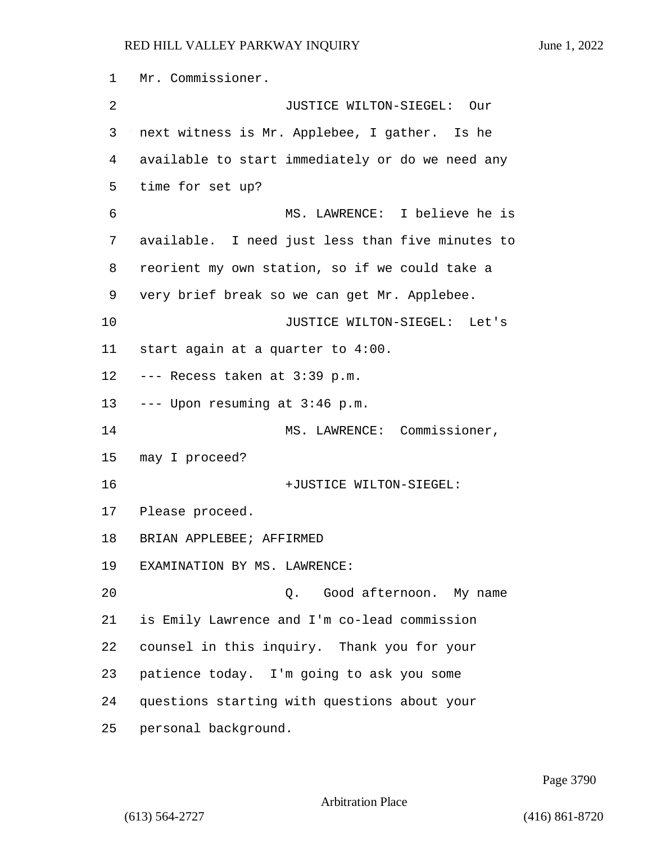Mr. Commissioner. 2 JUSTICE WILTON-SIEGEL: Our next witness is Mr. Applebee, I gather. Is he available to start immediately or do we need any time for set up? 6 MS. LAWRENCE: I believe he is available. I need just less than five minutes to reorient my own station, so if we could take a very brief break so we can get Mr. Applebee. 10 JUSTICE WILTON-SIEGEL: Let's start again at a quarter to 4:00. --- Recess taken at 3:39 p.m. --- Upon resuming at 3:46 p.m. 14 MS. LAWRENCE: Commissioner, may I proceed? 16 +JUSTICE WILTON-SIEGEL: Please proceed. BRIAN APPLEBEE; AFFIRMED EXAMINATION BY MS. LAWRENCE: 20 Q. Good afternoon. My name is Emily Lawrence and I'm co-lead commission counsel in this inquiry. Thank you for your patience today. I'm going to ask you some

questions starting with questions about your

personal background.

Page 3790

Arbitration Place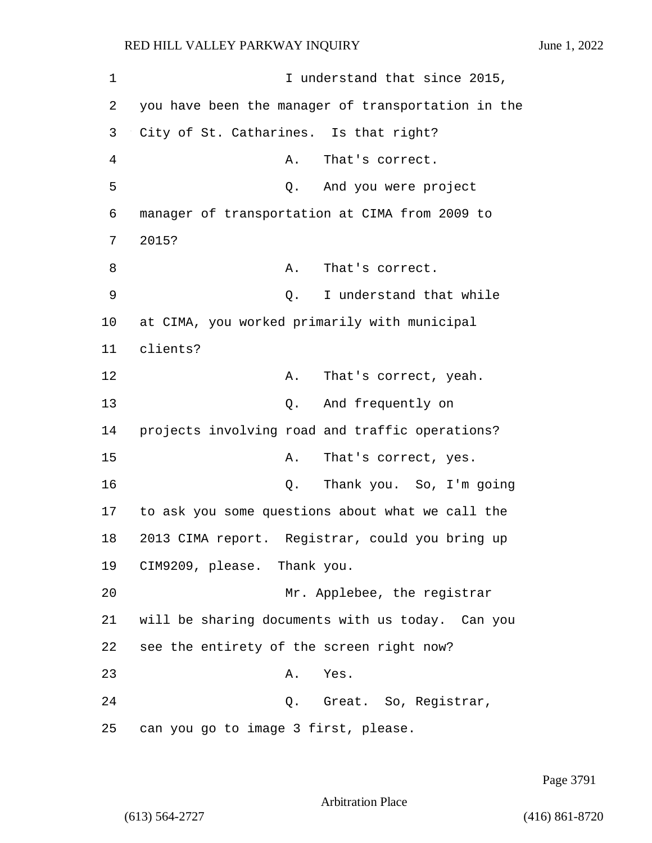1 I understand that since 2015, 2 you have been the manager of transportation in the 3 City of St. Catharines. Is that right? 4 A. That's correct. 5 Q. And you were project 6 manager of transportation at CIMA from 2009 to 7 2015? 8 A. That's correct. 9 Q. I understand that while 10 at CIMA, you worked primarily with municipal 11 clients? 12 A. That's correct, yeah. 13 Q. And frequently on 14 projects involving road and traffic operations? 15 A. That's correct, yes. 16 Q. Thank you. So, I'm going 17 to ask you some questions about what we call the 18 2013 CIMA report. Registrar, could you bring up 19 CIM9209, please. Thank you. 20 Mr. Applebee, the registrar 21 will be sharing documents with us today. Can you 22 see the entirety of the screen right now? 23 A. Yes. 24 Q. Great. So, Registrar, 25 can you go to image 3 first, please.

Page 3791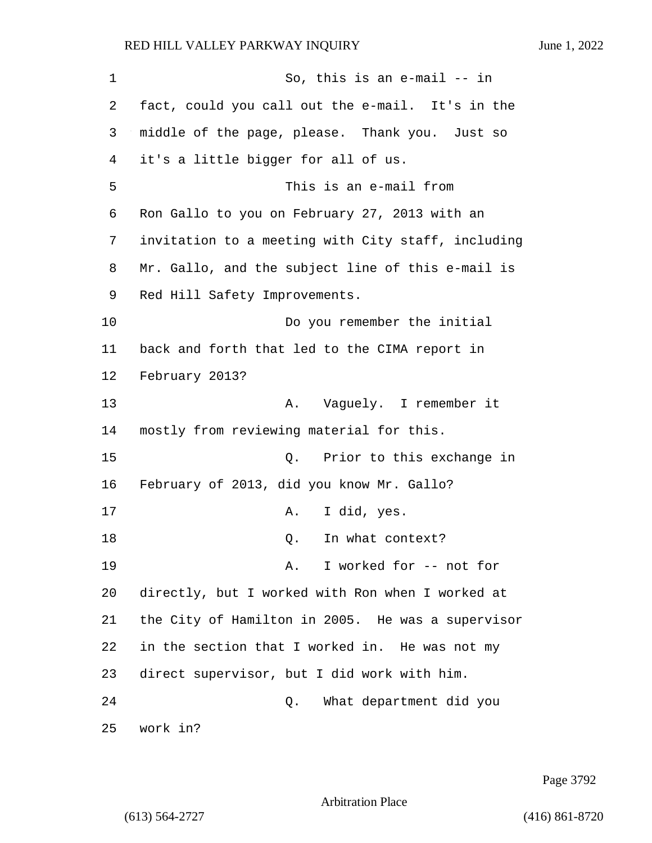1 So, this is an e-mail -- in 2 fact, could you call out the e-mail. It's in the 3 middle of the page, please. Thank you. Just so 4 it's a little bigger for all of us. 5 This is an e-mail from 6 Ron Gallo to you on February 27, 2013 with an 7 invitation to a meeting with City staff, including 8 Mr. Gallo, and the subject line of this e-mail is 9 Red Hill Safety Improvements. 10 Do you remember the initial 11 back and forth that led to the CIMA report in 12 February 2013? 13 A. Vaguely. I remember it 14 mostly from reviewing material for this. 15 Q. Prior to this exchange in 16 February of 2013, did you know Mr. Gallo? 17 A. I did, yes. 18 O. In what context? 19 A. I worked for -- not for 20 directly, but I worked with Ron when I worked at 21 the City of Hamilton in 2005. He was a supervisor 22 in the section that I worked in. He was not my 23 direct supervisor, but I did work with him. 24 Q. What department did you 25 work in?

Page 3792

### Arbitration Place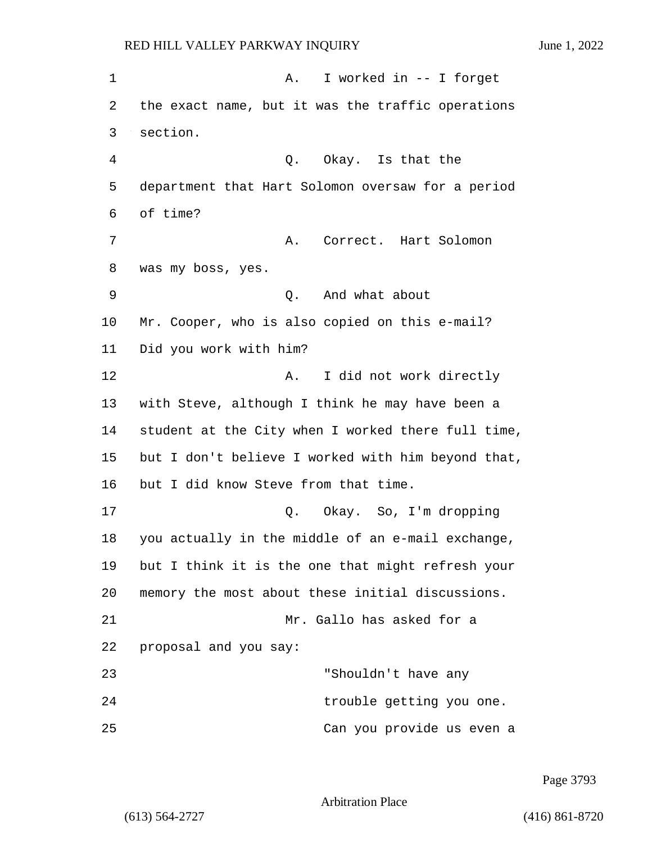1 A. I worked in -- I forget 2 the exact name, but it was the traffic operations 3 section. 4 Q. Okay. Is that the 5 department that Hart Solomon oversaw for a period 6 of time? 7 A. Correct. Hart Solomon 8 was my boss, yes. 9 Q. And what about 10 Mr. Cooper, who is also copied on this e-mail? 11 Did you work with him? 12 A. I did not work directly 13 with Steve, although I think he may have been a 14 student at the City when I worked there full time, 15 but I don't believe I worked with him beyond that, 16 but I did know Steve from that time. 17 Q. Okay. So, I'm dropping 18 you actually in the middle of an e-mail exchange, 19 but I think it is the one that might refresh your 20 memory the most about these initial discussions. 21 Mr. Gallo has asked for a 22 proposal and you say: 23 "Shouldn't have any 24 trouble getting you one. 25 Can you provide us even a

Page 3793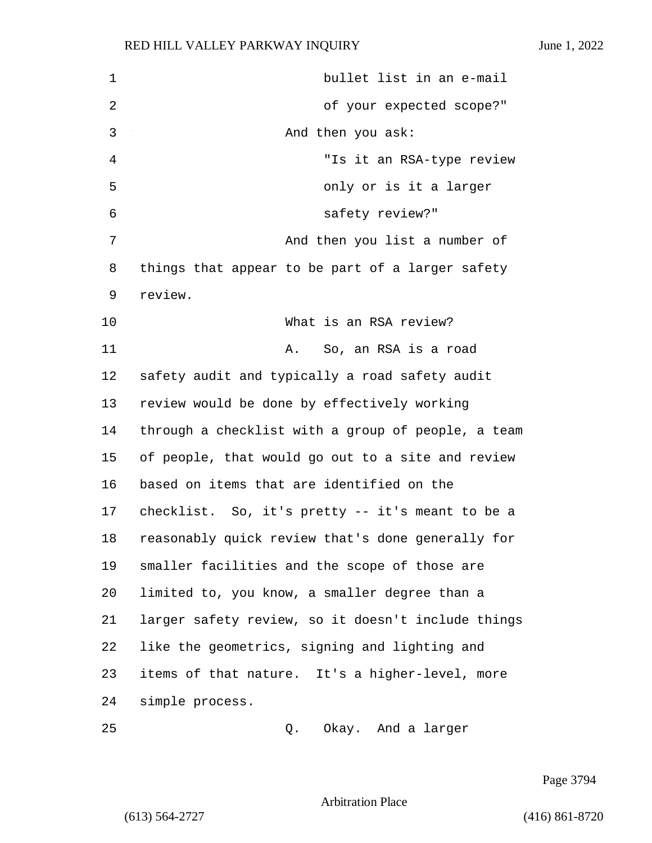| $\mathbf 1$    | bullet list in an e-mail                           |
|----------------|----------------------------------------------------|
| $\overline{2}$ | of your expected scope?"                           |
| 3              | And then you ask:                                  |
| $\overline{4}$ | "Is it an RSA-type review                          |
| 5              | only or is it a larger                             |
| 6              | safety review?"                                    |
| 7              | And then you list a number of                      |
| 8              | things that appear to be part of a larger safety   |
| 9              | review.                                            |
| 10             | What is an RSA review?                             |
| 11             | So, an RSA is a road<br>Α.                         |
| 12             | safety audit and typically a road safety audit     |
| 13             | review would be done by effectively working        |
| 14             | through a checklist with a group of people, a team |
| 15             | of people, that would go out to a site and review  |
| 16             | based on items that are identified on the          |
| 17             | checklist. So, it's pretty -- it's meant to be a   |
| 18             | reasonably quick review that's done generally for  |
| 19             | smaller facilities and the scope of those are      |
| 20             | limited to, you know, a smaller degree than a      |
| 21             | larger safety review, so it doesn't include things |
| 22             | like the geometrics, signing and lighting and      |
| 23             | items of that nature. It's a higher-level, more    |
| 24             | simple process.                                    |
| 25             | Okay. And a larger<br>Q.                           |

Page 3794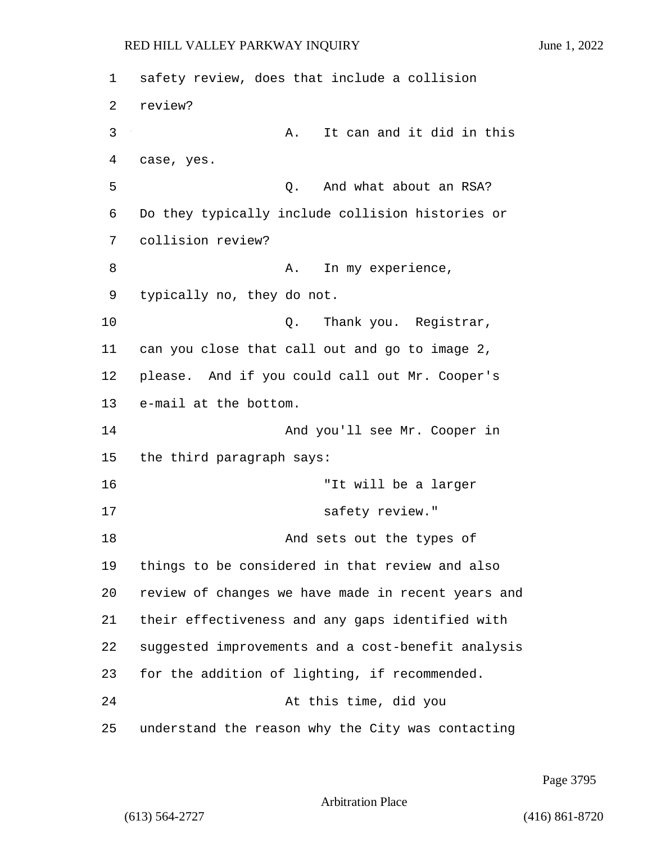safety review, does that include a collision 2 review? 3 A. It can and it did in this case, yes. 5 Q. And what about an RSA? Do they typically include collision histories or collision review? 8 A. In my experience, typically no, they do not.  $Q.$  Thank you. Registrar, can you close that call out and go to image 2, please. And if you could call out Mr. Cooper's e-mail at the bottom. **And you'll see Mr. Cooper in**  the third paragraph says: 16 "It will be a larger 17 safety review." 18 And sets out the types of things to be considered in that review and also review of changes we have made in recent years and their effectiveness and any gaps identified with suggested improvements and a cost-benefit analysis for the addition of lighting, if recommended. 24 At this time, did you understand the reason why the City was contacting

Page 3795

Arbitration Place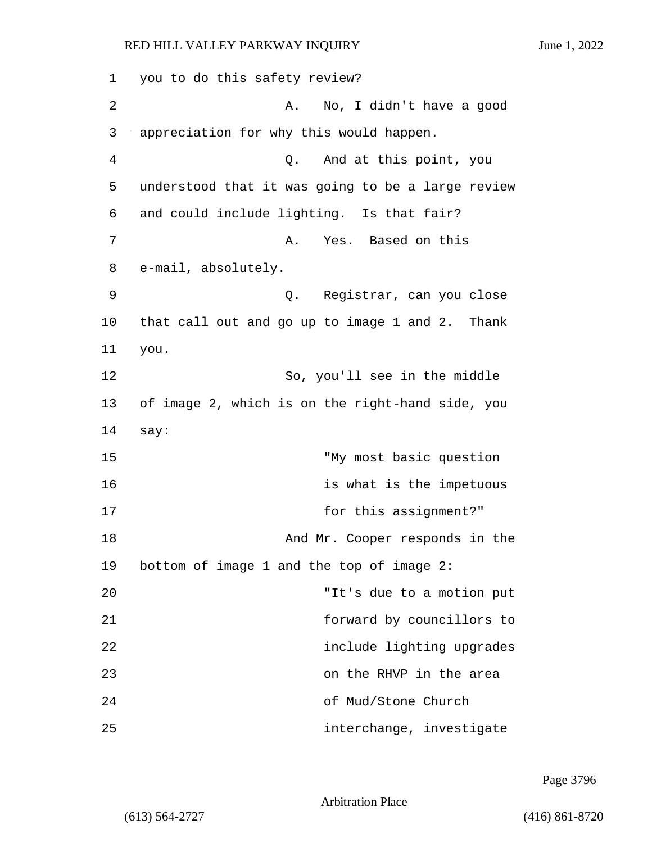| 1  | you to do this safety review?                     |
|----|---------------------------------------------------|
| 2  | No, I didn't have a good<br>Α.                    |
| 3  | appreciation for why this would happen.           |
| 4  | And at this point, you<br>Q.                      |
| 5  | understood that it was going to be a large review |
| 6  | and could include lighting. Is that fair?         |
| 7  | Yes. Based on this<br>Α.                          |
| 8  | e-mail, absolutely.                               |
| 9  | Registrar, can you close<br>Q.                    |
| 10 | that call out and go up to image 1 and 2. Thank   |
| 11 | you.                                              |
| 12 | So, you'll see in the middle                      |
| 13 | of image 2, which is on the right-hand side, you  |
| 14 | say:                                              |
| 15 | "My most basic question                           |
| 16 | is what is the impetuous                          |
| 17 | for this assignment?"                             |
| 18 | And Mr. Cooper responds in the                    |
| 19 | bottom of image 1 and the top of image 2:         |
| 20 | "It's due to a motion put                         |
| 21 | forward by councillors to                         |
| 22 | include lighting upgrades                         |
| 23 | on the RHVP in the area                           |
| 24 | of Mud/Stone Church                               |
| 25 | interchange, investigate                          |

Page 3796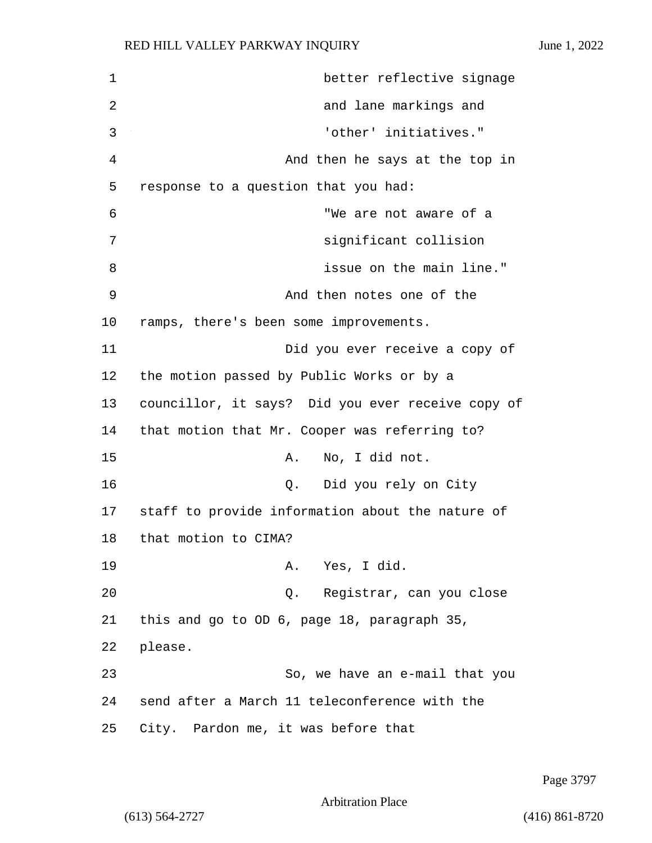| 1              | better reflective signage                         |
|----------------|---------------------------------------------------|
| $\overline{2}$ | and lane markings and                             |
| 3              | 'other' initiatives."                             |
| 4              | And then he says at the top in                    |
| 5              | response to a question that you had:              |
| 6              | "We are not aware of a                            |
| 7              | significant collision                             |
| 8              | issue on the main line."                          |
| 9              | And then notes one of the                         |
| 10             | ramps, there's been some improvements.            |
| 11             | Did you ever receive a copy of                    |
| 12             | the motion passed by Public Works or by a         |
| 13             | councillor, it says? Did you ever receive copy of |
| 14             | that motion that Mr. Cooper was referring to?     |
| 15             | No, I did not.<br>Α.                              |
| 16             | Q. Did you rely on City                           |
| 17             | staff to provide information about the nature of  |
| 18             | that motion to CIMA?                              |
| 19             | A. Yes, I did.                                    |
| 20             | Registrar, can you close<br>Q.                    |
| 21             | this and go to OD 6, page 18, paragraph 35,       |
| 22             | please.                                           |
| 23             | So, we have an e-mail that you                    |
| 24             | send after a March 11 teleconference with the     |
| 25             | City. Pardon me, it was before that               |

Page 3797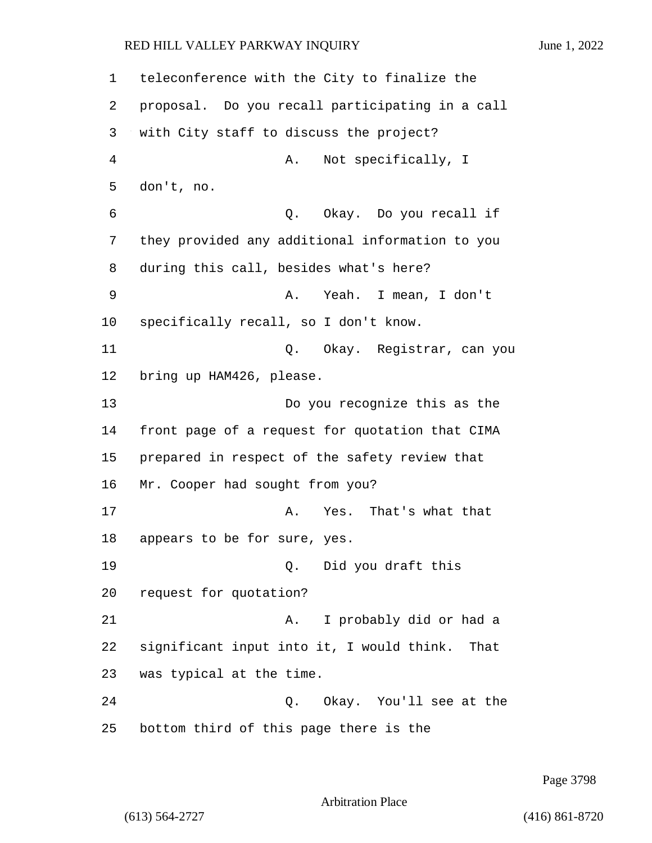teleconference with the City to finalize the proposal. Do you recall participating in a call with City staff to discuss the project? 4 A. Not specifically, I don't, no. 6 Q. Okay. Do you recall if they provided any additional information to you during this call, besides what's here? 9 A. Yeah. I mean, I don't specifically recall, so I don't know. 11 Q. Okay. Registrar, can you bring up HAM426, please. 13 Do you recognize this as the front page of a request for quotation that CIMA prepared in respect of the safety review that Mr. Cooper had sought from you? 17 A. Yes. That's what that appears to be for sure, yes. 19 Q. Did you draft this request for quotation? 21 A. I probably did or had a significant input into it, I would think. That was typical at the time. 24 Q. Okay. You'll see at the bottom third of this page there is the

Page 3798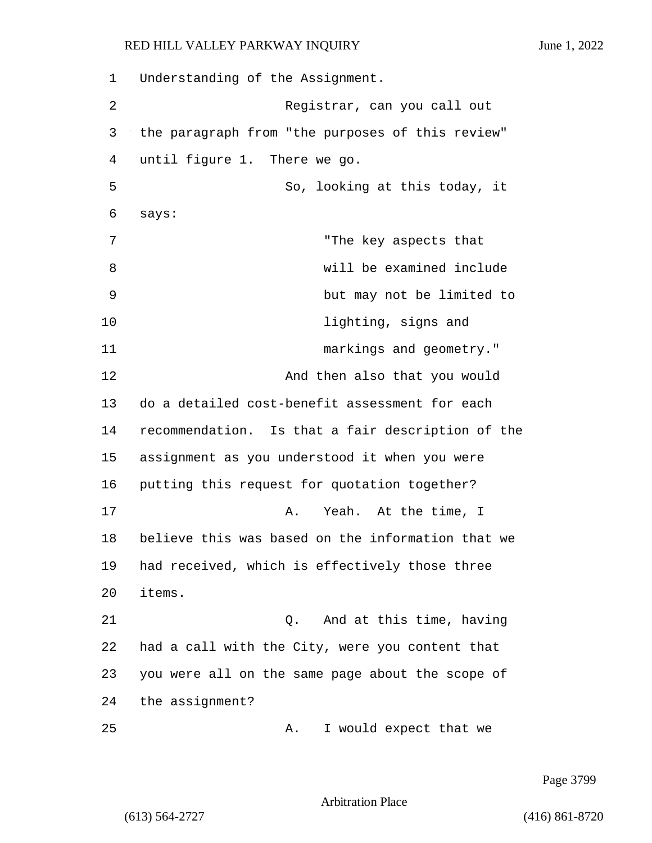1 Understanding of the Assignment. 2 Registrar, can you call out 3 the paragraph from "the purposes of this review" 4 until figure 1. There we go. 5 So, looking at this today, it 6 says: 7 The key aspects that 8 will be examined include 9 but may not be limited to 10 lighting, signs and 11 markings and geometry." 12 **And then also that you would** 13 do a detailed cost-benefit assessment for each 14 recommendation. Is that a fair description of the 15 assignment as you understood it when you were 16 putting this request for quotation together? 17 A. Yeah. At the time, I 18 believe this was based on the information that we 19 had received, which is effectively those three 20 items. 21 Q. And at this time, having 22 had a call with the City, were you content that 23 you were all on the same page about the scope of 24 the assignment? 25 A. I would expect that we

Page 3799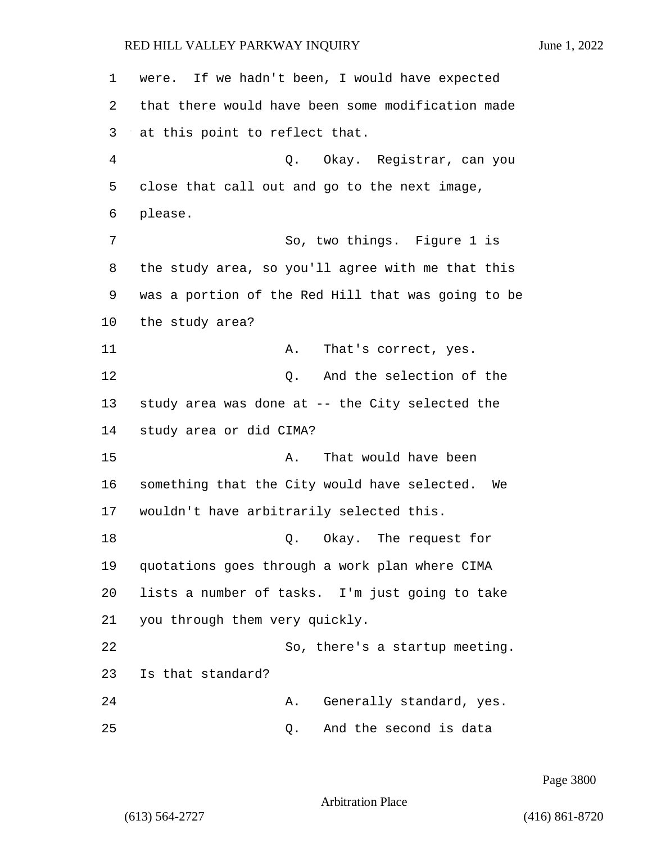1 were. If we hadn't been, I would have expected 2 that there would have been some modification made 3 at this point to reflect that. 4 Q. Okay. Registrar, can you 5 close that call out and go to the next image, 6 please. 7 So, two things. Figure 1 is 8 the study area, so you'll agree with me that this 9 was a portion of the Red Hill that was going to be 10 the study area? 11 A. That's correct, yes. 12 O. And the selection of the 13 study area was done at -- the City selected the 14 study area or did CIMA? 15 A. That would have been 16 something that the City would have selected. We 17 wouldn't have arbitrarily selected this. 18 and 18 Q. Okay. The request for 19 quotations goes through a work plan where CIMA 20 lists a number of tasks. I'm just going to take 21 you through them very quickly. 22 So, there's a startup meeting. 23 Is that standard? 24 A. Generally standard, yes. 25 Q. And the second is data

Page 3800

Arbitration Place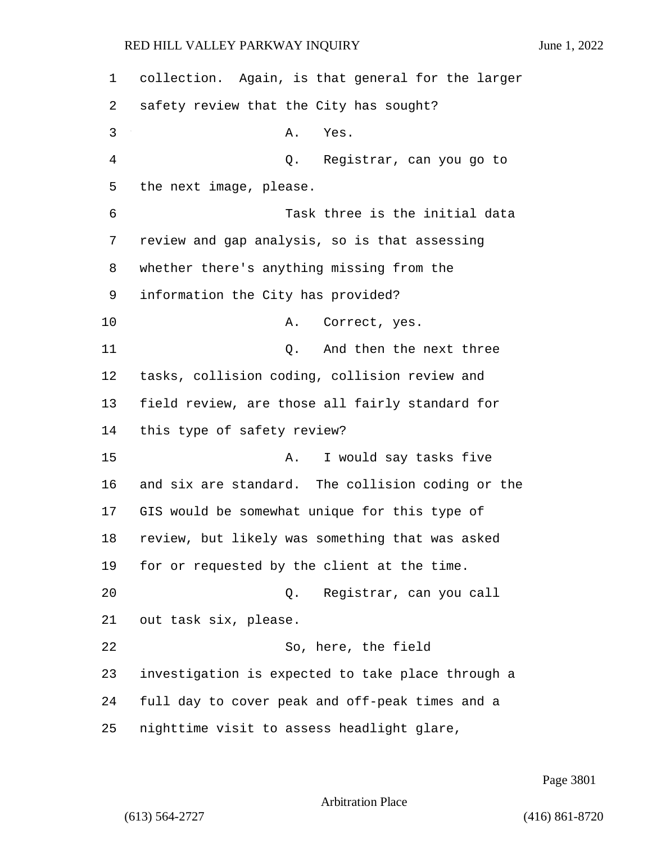collection. Again, is that general for the larger safety review that the City has sought? 3 A. Yes. 4 Q. Registrar, can you go to the next image, please. 6 Task three is the initial data review and gap analysis, so is that assessing whether there's anything missing from the information the City has provided? 10 A. Correct, yes. 11 and then the next three tasks, collision coding, collision review and field review, are those all fairly standard for this type of safety review? 15 A. I would say tasks five and six are standard. The collision coding or the GIS would be somewhat unique for this type of review, but likely was something that was asked for or requested by the client at the time. 20 Q. Registrar, can you call out task six, please. 22 So, here, the field investigation is expected to take place through a full day to cover peak and off-peak times and a nighttime visit to assess headlight glare,

Page 3801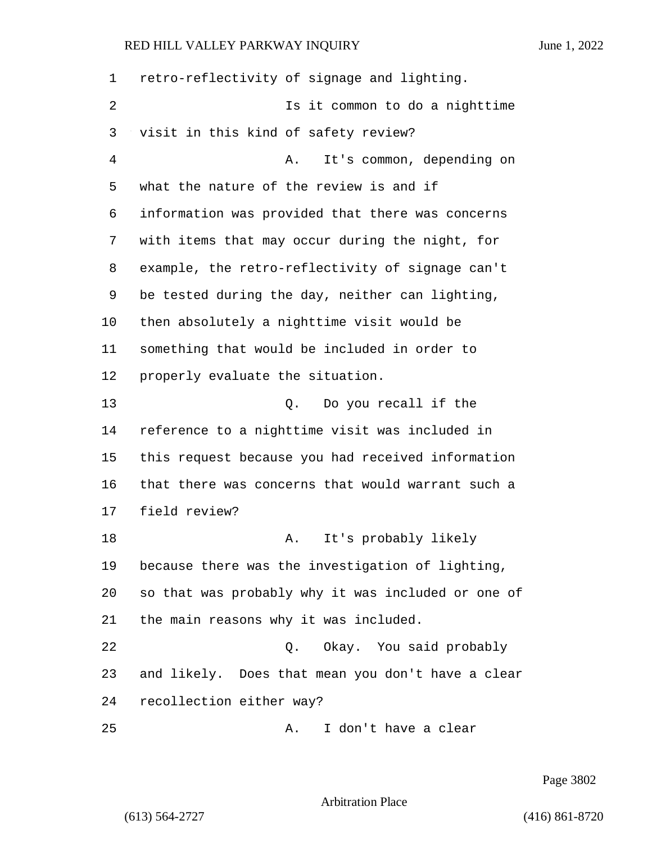retro-reflectivity of signage and lighting. 2 Is it common to do a nighttime visit in this kind of safety review? 4 A. It's common, depending on what the nature of the review is and if information was provided that there was concerns with items that may occur during the night, for example, the retro-reflectivity of signage can't be tested during the day, neither can lighting, then absolutely a nighttime visit would be something that would be included in order to properly evaluate the situation. 13 Q. Do you recall if the reference to a nighttime visit was included in this request because you had received information that there was concerns that would warrant such a field review? 18 A. It's probably likely because there was the investigation of lighting, so that was probably why it was included or one of the main reasons why it was included. 22 Q. Okay. You said probably and likely. Does that mean you don't have a clear recollection either way? 25 A. I don't have a clear

Page 3802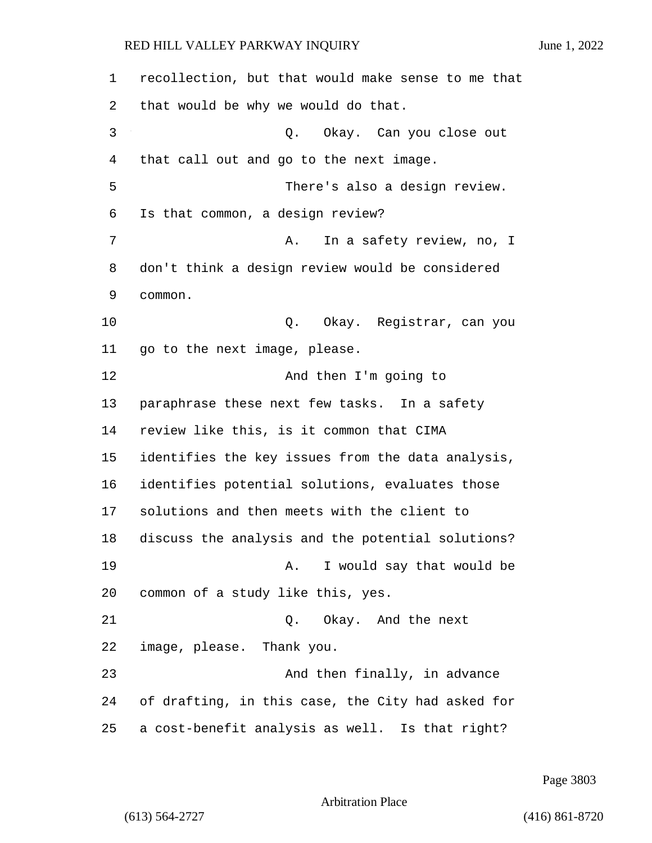| 1  | recollection, but that would make sense to me that |
|----|----------------------------------------------------|
| 2  | that would be why we would do that.                |
| 3  | Okay. Can you close out<br>Q.                      |
| 4  | that call out and go to the next image.            |
| 5  | There's also a design review.                      |
| 6  | Is that common, a design review?                   |
| 7  | In a safety review, no, I<br>A.                    |
| 8  | don't think a design review would be considered    |
| 9  | common.                                            |
| 10 | Q. Okay. Registrar, can you                        |
| 11 | go to the next image, please.                      |
| 12 | And then I'm going to                              |
| 13 | paraphrase these next few tasks. In a safety       |
| 14 | review like this, is it common that CIMA           |
| 15 | identifies the key issues from the data analysis,  |
| 16 | identifies potential solutions, evaluates those    |
| 17 | solutions and then meets with the client to        |
| 18 | discuss the analysis and the potential solutions?  |
| 19 | I would say that would be<br>Α.                    |
| 20 | common of a study like this, yes.                  |
| 21 | Q.<br>Okay. And the next                           |
| 22 | image, please. Thank you.                          |
| 23 | And then finally, in advance                       |
| 24 | of drafting, in this case, the City had asked for  |
| 25 | a cost-benefit analysis as well. Is that right?    |

Page 3803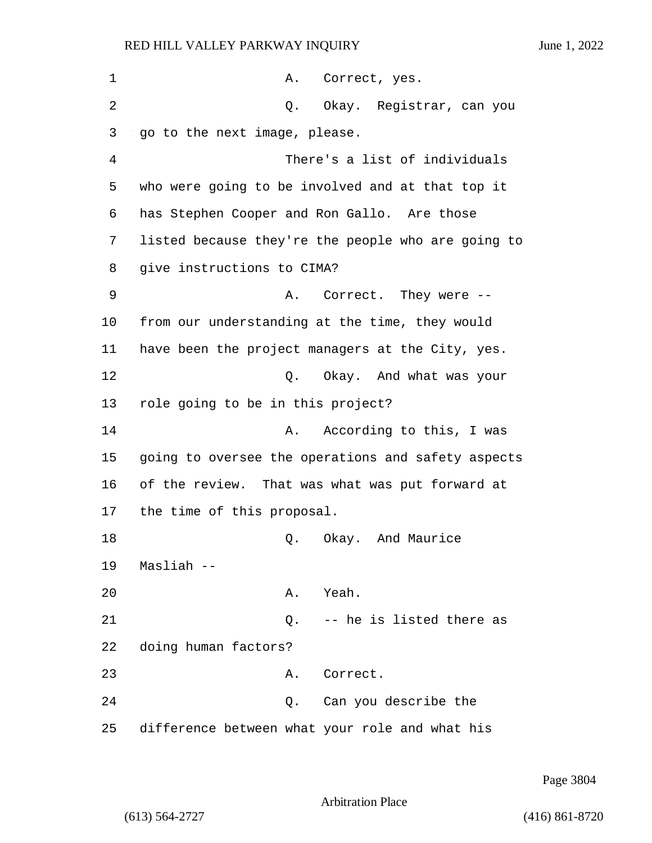| 1       | A. Correct, yes.                                   |
|---------|----------------------------------------------------|
| 2       | Okay. Registrar, can you<br>Q.                     |
| 3       | go to the next image, please.                      |
| 4       | There's a list of individuals                      |
| 5       | who were going to be involved and at that top it   |
| 6       | has Stephen Cooper and Ron Gallo. Are those        |
| 7       | listed because they're the people who are going to |
| 8       | give instructions to CIMA?                         |
| 9       | Correct. They were --<br>Α.                        |
| $10 \,$ | from our understanding at the time, they would     |
| 11      | have been the project managers at the City, yes.   |
| 12      | Q. Okay. And what was your                         |
| 13      | role going to be in this project?                  |
| 14      | According to this, I was<br>Α.                     |
| 15      | going to oversee the operations and safety aspects |
| 16      | of the review. That was what was put forward at    |
| 17      | the time of this proposal.                         |
| 18      | Okay. And Maurice<br>Q.                            |
| 19      | Masliah --                                         |
| 20      | Yeah.<br>Α.                                        |
| 21      | -- he is listed there as<br>Q.                     |
| 22      | doing human factors?                               |
| 23      | Correct.<br>Α.                                     |
| 24      | Can you describe the<br>Q.                         |
| 25      | difference between what your role and what his     |

Page 3804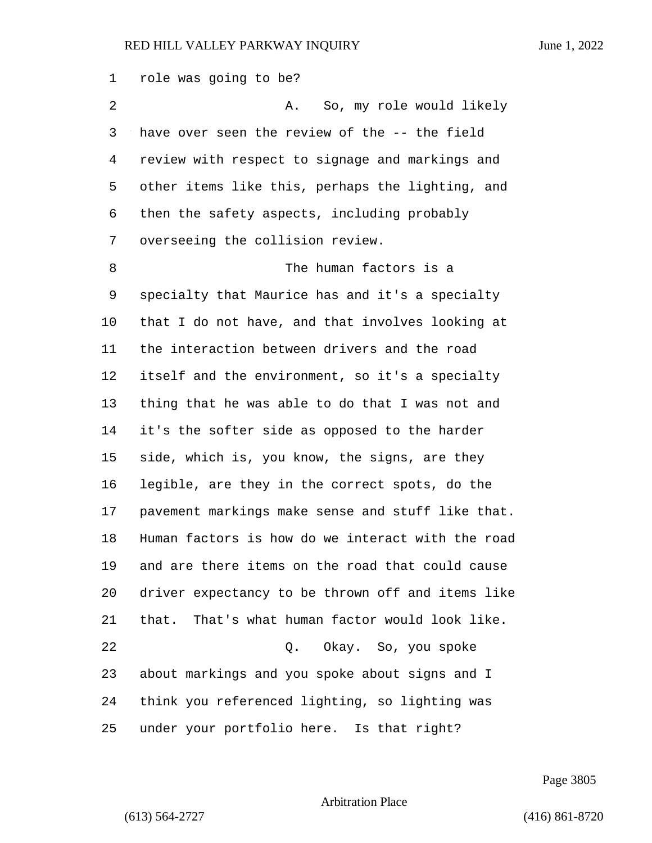RED HILL VALLEY PARKWAY INOUIRY June 1, 2022 role was going to be? 2 A. So, my role would likely have over seen the review of the -- the field review with respect to signage and markings and other items like this, perhaps the lighting, and then the safety aspects, including probably overseeing the collision review. 8 The human factors is a specialty that Maurice has and it's a specialty that I do not have, and that involves looking at the interaction between drivers and the road itself and the environment, so it's a specialty thing that he was able to do that I was not and it's the softer side as opposed to the harder side, which is, you know, the signs, are they legible, are they in the correct spots, do the pavement markings make sense and stuff like that. Human factors is how do we interact with the road and are there items on the road that could cause driver expectancy to be thrown off and items like that. That's what human factor would look like. 22 Q. Okay. So, you spoke about markings and you spoke about signs and I

think you referenced lighting, so lighting was

under your portfolio here. Is that right?

Page 3805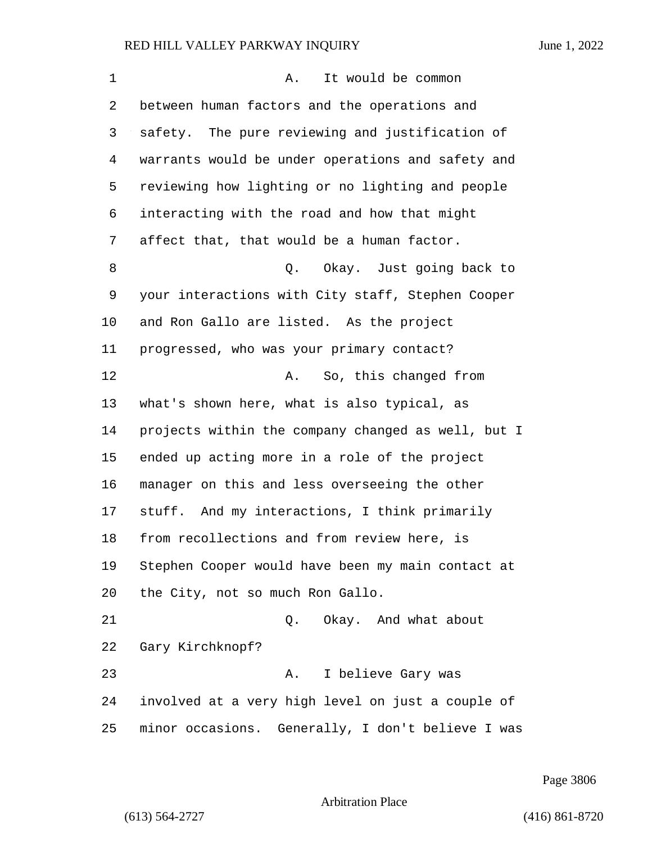1 A. It would be common between human factors and the operations and safety. The pure reviewing and justification of warrants would be under operations and safety and reviewing how lighting or no lighting and people interacting with the road and how that might affect that, that would be a human factor. 8 Q. Okay. Just going back to your interactions with City staff, Stephen Cooper and Ron Gallo are listed. As the project progressed, who was your primary contact? 12 A. So, this changed from what's shown here, what is also typical, as projects within the company changed as well, but I ended up acting more in a role of the project manager on this and less overseeing the other stuff. And my interactions, I think primarily from recollections and from review here, is Stephen Cooper would have been my main contact at the City, not so much Ron Gallo. 21 Q. Okay. And what about Gary Kirchknopf? 23 A. I believe Gary was involved at a very high level on just a couple of minor occasions. Generally, I don't believe I was

Page 3806

Arbitration Place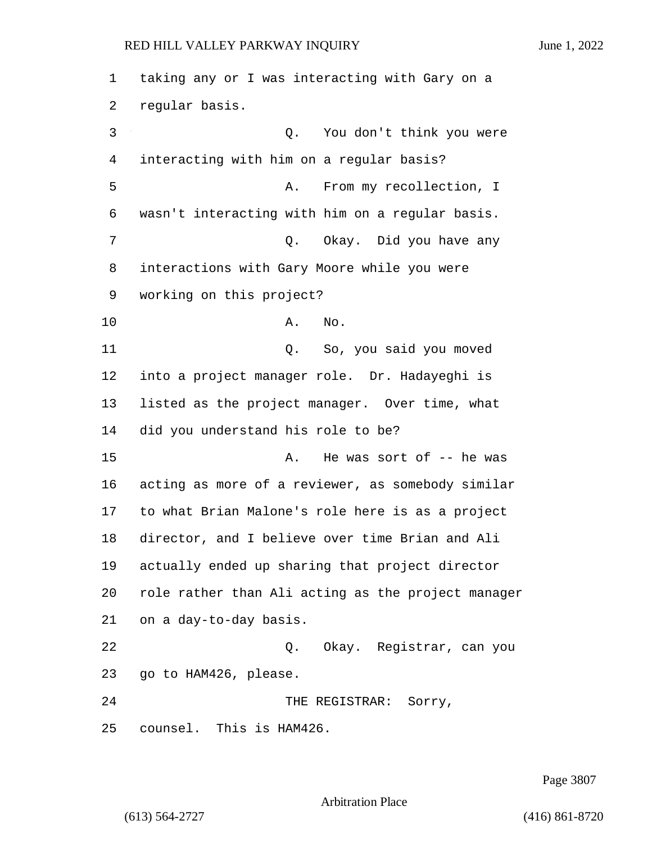taking any or I was interacting with Gary on a regular basis. 3 Q. You don't think you were interacting with him on a regular basis? 5 A. From my recollection, I wasn't interacting with him on a regular basis. 7 Q. Okay. Did you have any interactions with Gary Moore while you were working on this project? 10 A. No. 11 Q. So, you said you moved into a project manager role. Dr. Hadayeghi is listed as the project manager. Over time, what did you understand his role to be? 15 A. He was sort of -- he was acting as more of a reviewer, as somebody similar to what Brian Malone's role here is as a project director, and I believe over time Brian and Ali actually ended up sharing that project director role rather than Ali acting as the project manager on a day-to-day basis. 22 Q. Okay. Registrar, can you go to HAM426, please. 24 THE REGISTRAR: Sorry, counsel. This is HAM426.

Page 3807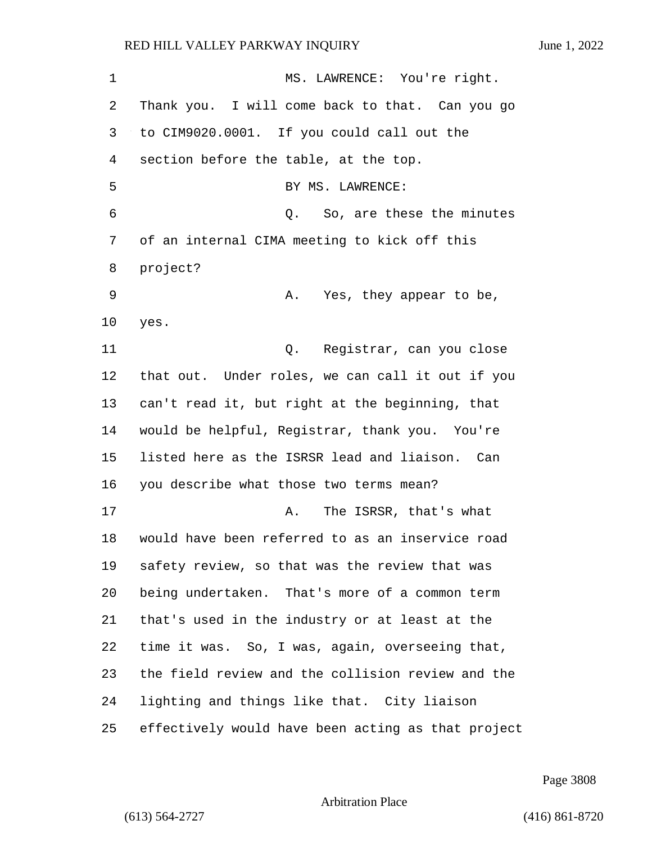1 MS. LAWRENCE: You're right. Thank you. I will come back to that. Can you go to CIM9020.0001. If you could call out the section before the table, at the top. 5 BY MS. LAWRENCE: 6 Q. So, are these the minutes of an internal CIMA meeting to kick off this project? 9 A. Yes, they appear to be, yes. 11 Q. Registrar, can you close that out. Under roles, we can call it out if you can't read it, but right at the beginning, that would be helpful, Registrar, thank you. You're listed here as the ISRSR lead and liaison. Can you describe what those two terms mean? 17 A. The ISRSR, that's what would have been referred to as an inservice road safety review, so that was the review that was being undertaken. That's more of a common term that's used in the industry or at least at the time it was. So, I was, again, overseeing that, the field review and the collision review and the lighting and things like that. City liaison effectively would have been acting as that project

Page 3808

Arbitration Place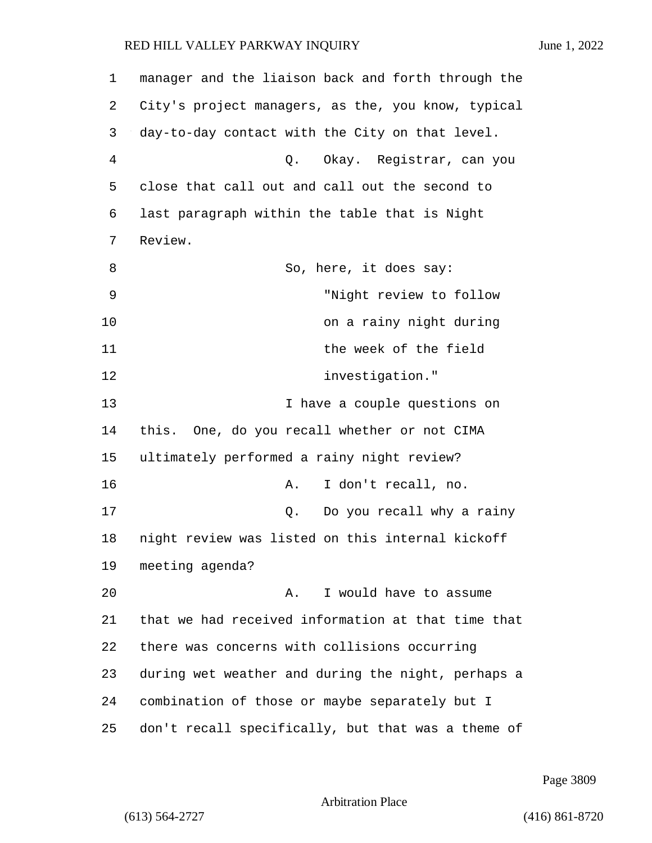| 1  | manager and the liaison back and forth through the |
|----|----------------------------------------------------|
| 2  | City's project managers, as the, you know, typical |
| 3  | day-to-day contact with the City on that level.    |
| 4  | Okay. Registrar, can you<br>Q.                     |
| 5  | close that call out and call out the second to     |
| 6  | last paragraph within the table that is Night      |
| 7  | Review.                                            |
| 8  | So, here, it does say:                             |
| 9  | "Night review to follow                            |
| 10 | on a rainy night during                            |
| 11 | the week of the field                              |
| 12 | investigation."                                    |
| 13 | I have a couple questions on                       |
| 14 | this. One, do you recall whether or not CIMA       |
| 15 | ultimately performed a rainy night review?         |
| 16 | I don't recall, no.<br>Α.                          |
| 17 | Do you recall why a rainy<br>Q.                    |
| 18 | night review was listed on this internal kickoff   |
| 19 | meeting agenda?                                    |
| 20 | I would have to assume<br>Α.                       |
| 21 | that we had received information at that time that |
| 22 | there was concerns with collisions occurring       |
| 23 | during wet weather and during the night, perhaps a |
| 24 | combination of those or maybe separately but I     |
| 25 | don't recall specifically, but that was a theme of |

Page 3809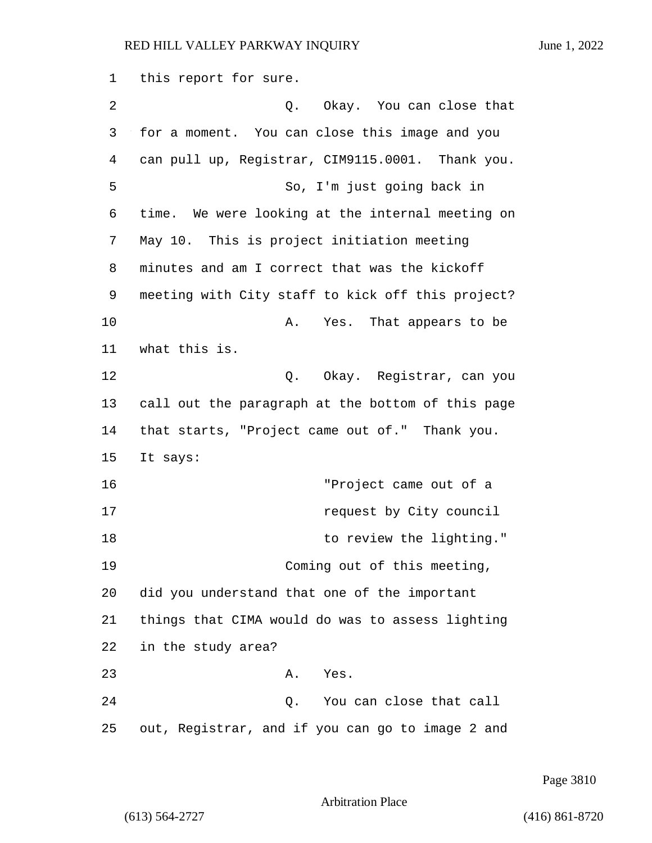1 this report for sure. 2 Q. Okay. You can close that 3 for a moment. You can close this image and you 4 can pull up, Registrar, CIM9115.0001. Thank you. 5 So, I'm just going back in 6 time. We were looking at the internal meeting on 7 May 10. This is project initiation meeting 8 minutes and am I correct that was the kickoff 9 meeting with City staff to kick off this project? 10 A. Yes. That appears to be 11 what this is. 12 Q. Okay. Registrar, can you 13 call out the paragraph at the bottom of this page 14 that starts, "Project came out of." Thank you. 15 It says: 16 "Project came out of a 17 **request by City council** 18 to review the lighting." 19 Coming out of this meeting, 20 did you understand that one of the important 21 things that CIMA would do was to assess lighting 22 in the study area? 23 A. Yes. 24 Q. You can close that call 25 out, Registrar, and if you can go to image 2 and

Page 3810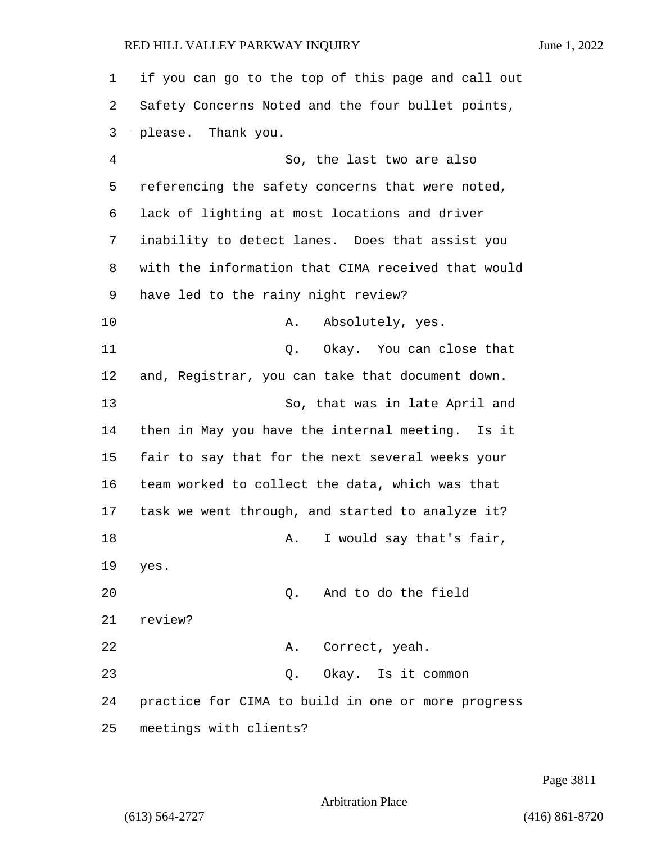1 if you can go to the top of this page and call out 2 Safety Concerns Noted and the four bullet points, 3 please. Thank you. 4 So, the last two are also 5 referencing the safety concerns that were noted, 6 lack of lighting at most locations and driver 7 inability to detect lanes. Does that assist you 8 with the information that CIMA received that would 9 have led to the rainy night review? 10 A. Absolutely, yes. 11 Q. Okay. You can close that 12 and, Registrar, you can take that document down. 13 So, that was in late April and 14 then in May you have the internal meeting. Is it 15 fair to say that for the next several weeks your 16 team worked to collect the data, which was that 17 task we went through, and started to analyze it? 18 A. I would say that's fair, 19 yes. 20 Q. And to do the field 21 review? 22 A. Correct, yeah. 23 Q. Okay. Is it common 24 practice for CIMA to build in one or more progress 25 meetings with clients?

Page 3811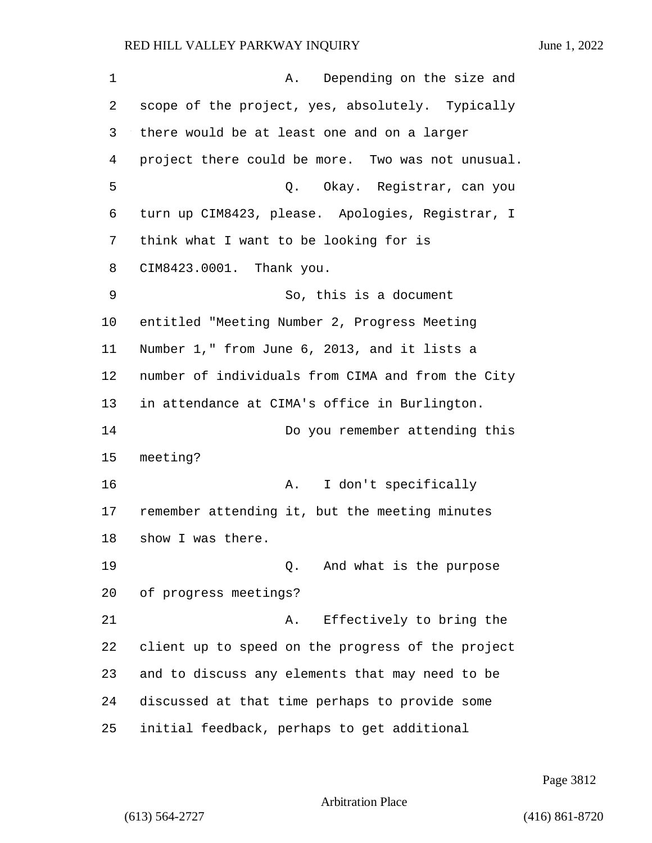1 a. Depending on the size and scope of the project, yes, absolutely. Typically there would be at least one and on a larger project there could be more. Two was not unusual. 5 Q. Okay. Registrar, can you turn up CIM8423, please. Apologies, Registrar, I think what I want to be looking for is CIM8423.0001. Thank you. 9 So, this is a document entitled "Meeting Number 2, Progress Meeting Number 1," from June 6, 2013, and it lists a number of individuals from CIMA and from the City in attendance at CIMA's office in Burlington. 14 Do you remember attending this meeting? 16 A. I don't specifically remember attending it, but the meeting minutes show I was there. 19 Q. And what is the purpose of progress meetings? 21 A. Effectively to bring the client up to speed on the progress of the project and to discuss any elements that may need to be discussed at that time perhaps to provide some initial feedback, perhaps to get additional

Page 3812

```
Arbitration Place
```
(613) 564-2727 (416) 861-8720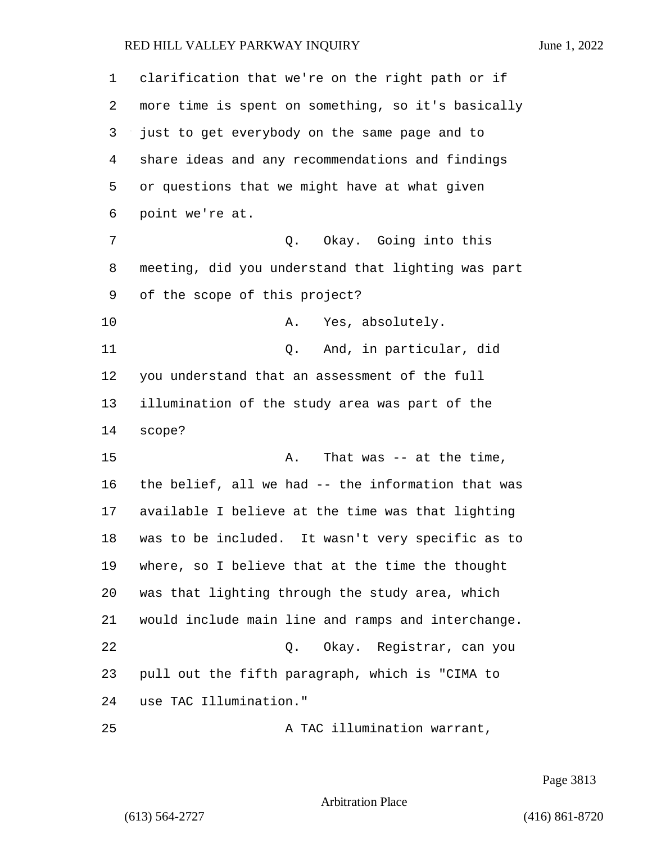| 1  | clarification that we're on the right path or if   |
|----|----------------------------------------------------|
| 2  | more time is spent on something, so it's basically |
| 3  | just to get everybody on the same page and to      |
| 4  | share ideas and any recommendations and findings   |
| 5  | or questions that we might have at what given      |
| 6  | point we're at.                                    |
| 7  | Okay. Going into this<br>Q.                        |
| 8  | meeting, did you understand that lighting was part |
| 9  | of the scope of this project?                      |
| 10 | Yes, absolutely.<br>Α.                             |
| 11 | And, in particular, did<br>Q.                      |
| 12 | you understand that an assessment of the full      |
| 13 | illumination of the study area was part of the     |
| 14 | scope?                                             |
| 15 | That was $--$ at the time,<br>Α.                   |
| 16 | the belief, all we had -- the information that was |
| 17 | available I believe at the time was that lighting  |
| 18 | was to be included. It wasn't very specific as to  |
| 19 | where, so I believe that at the time the thought   |
| 20 | was that lighting through the study area, which    |
| 21 | would include main line and ramps and interchange. |
| 22 | Okay. Registrar, can you<br>Q.                     |
| 23 | pull out the fifth paragraph, which is "CIMA to    |
| 24 | use TAC Illumination."                             |
| 25 | A TAC illumination warrant,                        |

Page 3813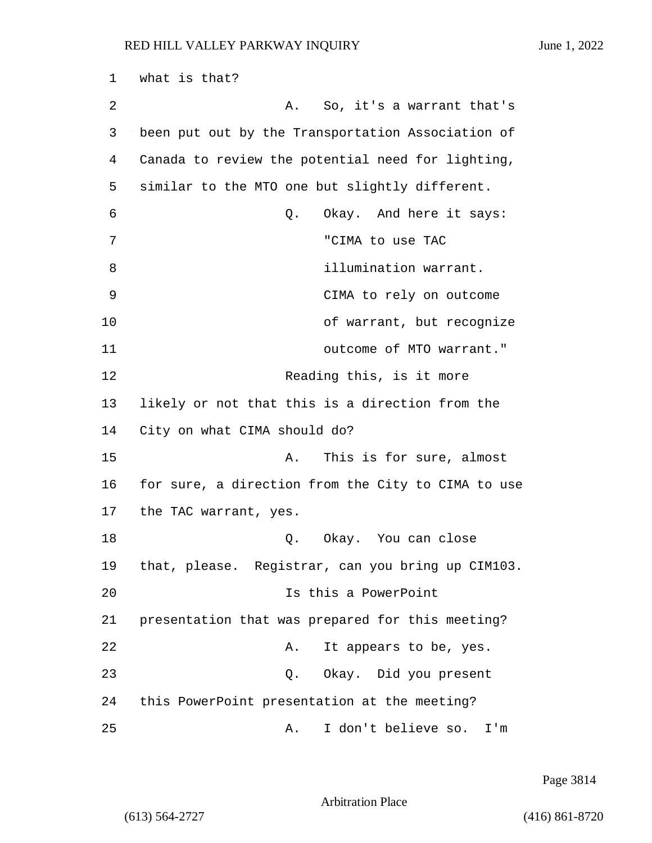1 what is that? 2 A. So, it's a warrant that's 3 been put out by the Transportation Association of 4 Canada to review the potential need for lighting, 5 similar to the MTO one but slightly different. 6 Q. Okay. And here it says: 7 "CIMA to use TAC 8 illumination warrant. 9 CIMA to rely on outcome 10 of warrant, but recognize 11 outcome of MTO warrant." 12 Reading this, is it more 13 likely or not that this is a direction from the 14 City on what CIMA should do? 15 A. This is for sure, almost 16 for sure, a direction from the City to CIMA to use 17 the TAC warrant, yes. 18 Q. Okay. You can close 19 that, please. Registrar, can you bring up CIM103. 20 Is this a PowerPoint 21 presentation that was prepared for this meeting? 22 A. It appears to be, yes. 23 Q. Okay. Did you present 24 this PowerPoint presentation at the meeting? 25 A. I don't believe so. I'm

Page 3814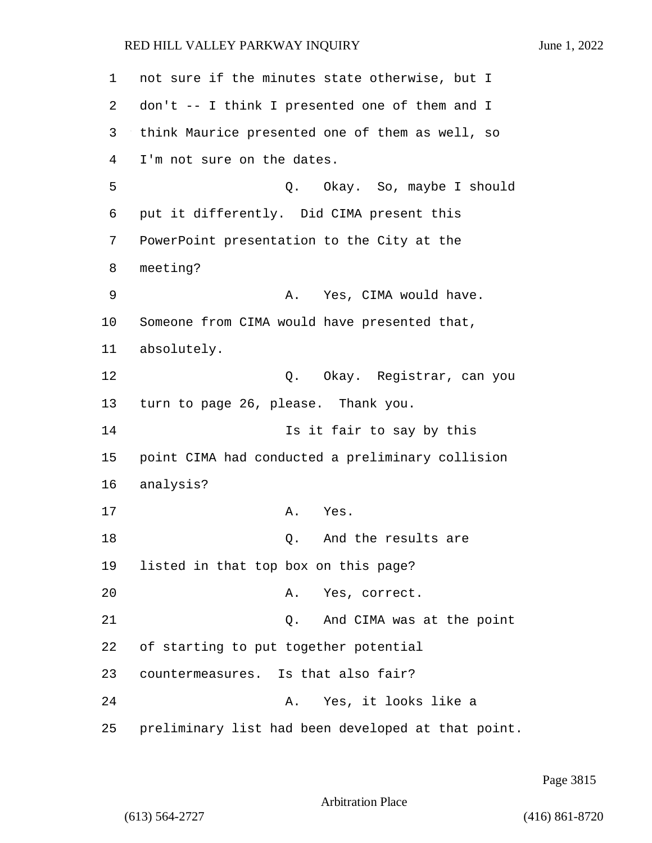1 not sure if the minutes state otherwise, but I 2 don't -- I think I presented one of them and I 3 think Maurice presented one of them as well, so 4 I'm not sure on the dates. 5 Q. Okay. So, maybe I should 6 put it differently. Did CIMA present this 7 PowerPoint presentation to the City at the 8 meeting? 9 A. Yes, CIMA would have. 10 Someone from CIMA would have presented that, 11 absolutely. 12 Q. Okay. Registrar, can you 13 turn to page 26, please. Thank you. 14 Is it fair to say by this 15 point CIMA had conducted a preliminary collision 16 analysis? 17 A. Yes. 18 and the results are 19 listed in that top box on this page? 20 A. Yes, correct. 21 Q. And CIMA was at the point 22 of starting to put together potential 23 countermeasures. Is that also fair? 24 A. Yes, it looks like a 25 preliminary list had been developed at that point.

Page 3815

Arbitration Place

(613) 564-2727 (416) 861-8720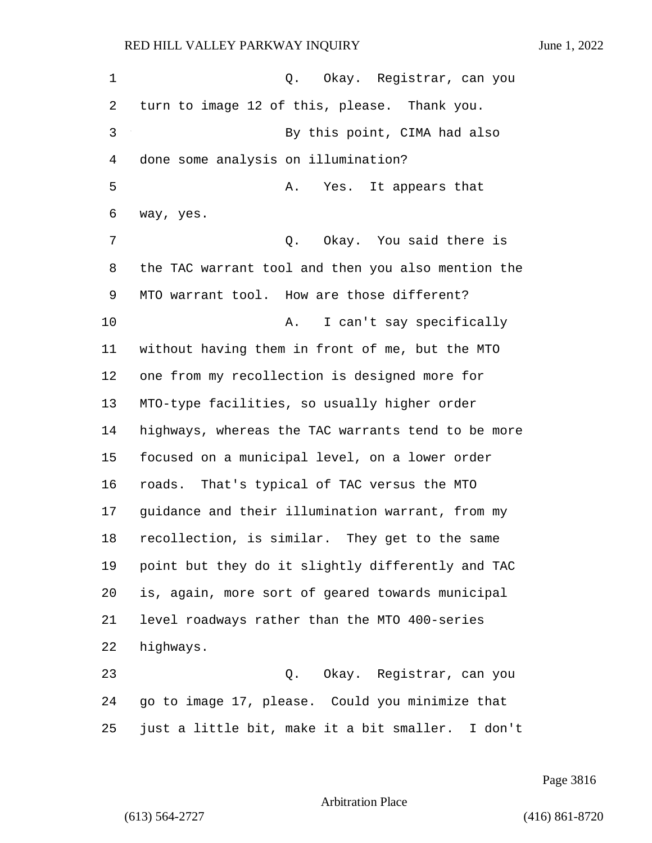1 C. Okay. Registrar, can you turn to image 12 of this, please. Thank you. 3 By this point, CIMA had also done some analysis on illumination? 5 A. Yes. It appears that way, yes. 7 C. Okay. You said there is the TAC warrant tool and then you also mention the MTO warrant tool. How are those different? 10 A. I can't say specifically without having them in front of me, but the MTO one from my recollection is designed more for MTO-type facilities, so usually higher order highways, whereas the TAC warrants tend to be more focused on a municipal level, on a lower order roads. That's typical of TAC versus the MTO guidance and their illumination warrant, from my recollection, is similar. They get to the same point but they do it slightly differently and TAC is, again, more sort of geared towards municipal level roadways rather than the MTO 400-series highways. 23 Q. Okay. Registrar, can you go to image 17, please. Could you minimize that just a little bit, make it a bit smaller. I don't

Page 3816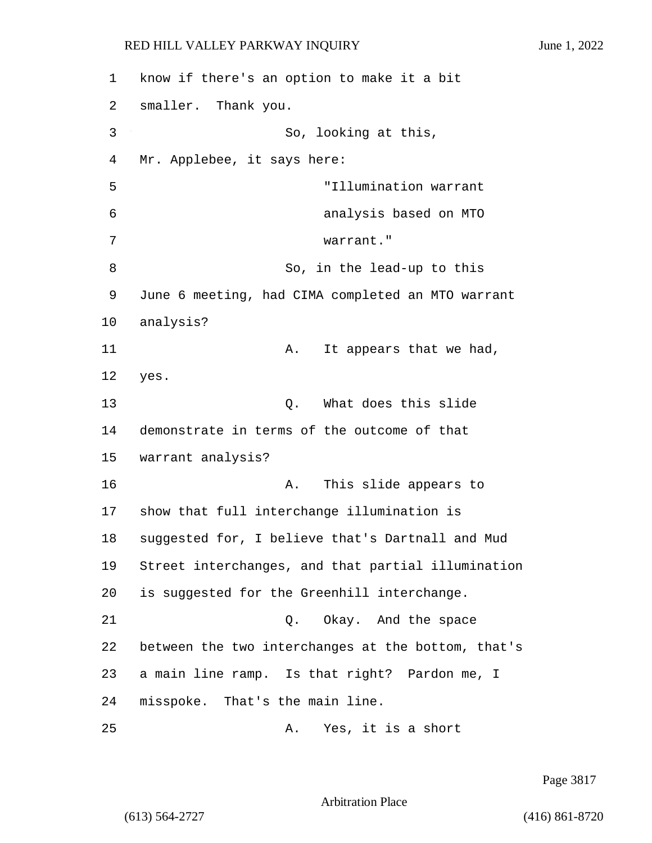1 know if there's an option to make it a bit 2 smaller. Thank you. 3 So, looking at this, 4 Mr. Applebee, it says here: 5 "Illumination warrant 6 analysis based on MTO 7 warrant." 8 So, in the lead-up to this 9 June 6 meeting, had CIMA completed an MTO warrant 10 analysis? 11 A. It appears that we had, 12 yes. 13 O. What does this slide 14 demonstrate in terms of the outcome of that 15 warrant analysis? 16 A. This slide appears to 17 show that full interchange illumination is 18 suggested for, I believe that's Dartnall and Mud 19 Street interchanges, and that partial illumination 20 is suggested for the Greenhill interchange. 21 Q. Okay. And the space 22 between the two interchanges at the bottom, that's 23 a main line ramp. Is that right? Pardon me, I 24 misspoke. That's the main line. 25 A. Yes, it is a short

Page 3817

Arbitration Place

(613) 564-2727 (416) 861-8720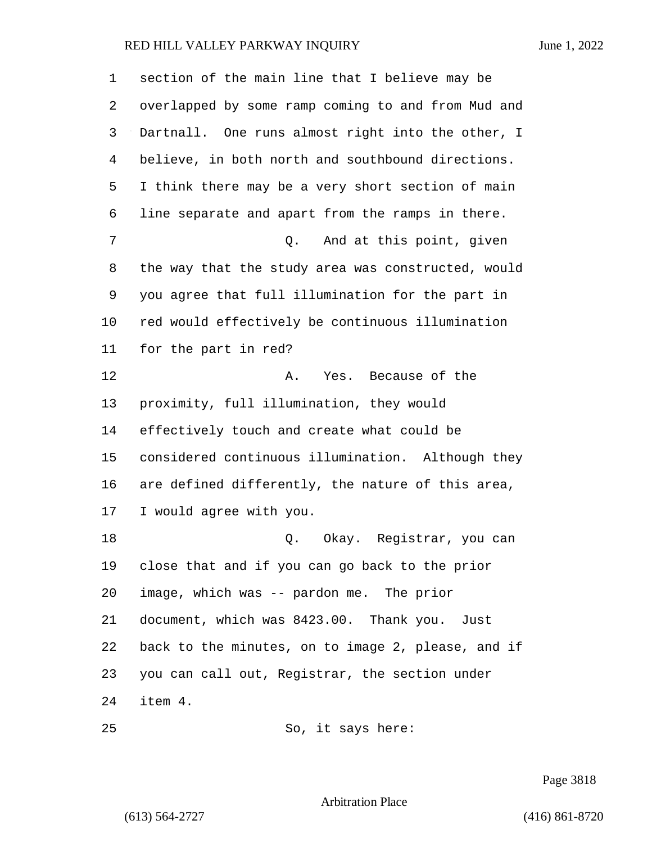| 1  | section of the main line that I believe may be     |
|----|----------------------------------------------------|
| 2  | overlapped by some ramp coming to and from Mud and |
| 3  | Dartnall. One runs almost right into the other, I  |
| 4  | believe, in both north and southbound directions.  |
| 5  | I think there may be a very short section of main  |
| 6  | line separate and apart from the ramps in there.   |
| 7  | And at this point, given<br>0.                     |
| 8  | the way that the study area was constructed, would |
| 9  | you agree that full illumination for the part in   |
| 10 | red would effectively be continuous illumination   |
| 11 | for the part in red?                               |
| 12 | Yes. Because of the<br>Α.                          |
| 13 | proximity, full illumination, they would           |
| 14 | effectively touch and create what could be         |
| 15 | considered continuous illumination. Although they  |
| 16 | are defined differently, the nature of this area,  |
| 17 | I would agree with you.                            |
| 18 | Q. Okay. Registrar, you can                        |
| 19 | close that and if you can go back to the prior     |
| 20 | image, which was -- pardon me. The prior           |
| 21 | document, which was 8423.00. Thank you. Just       |
| 22 | back to the minutes, on to image 2, please, and if |
| 23 | you can call out, Registrar, the section under     |
| 24 | item 4.                                            |
| 25 | So, it says here:                                  |

Page 3818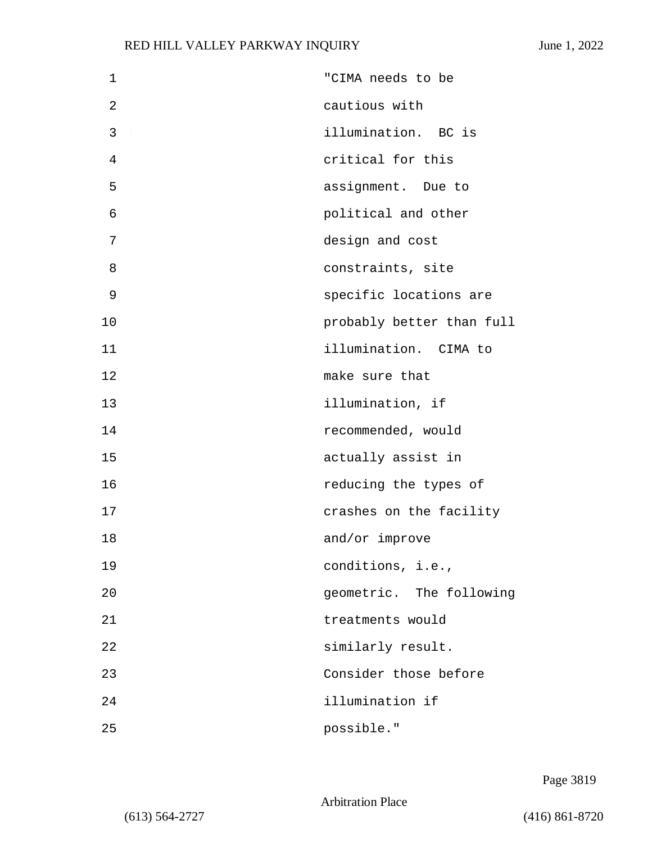| 1  | "CIMA needs to be         |
|----|---------------------------|
| 2  | cautious with             |
| 3  | illumination. BC is       |
| 4  | critical for this         |
| 5  | assignment. Due to        |
| 6  | political and other       |
| 7  | design and cost           |
| 8  | constraints, site         |
| 9  | specific locations are    |
| 10 | probably better than full |
| 11 | illumination. CIMA to     |
| 12 | make sure that            |
| 13 | illumination, if          |
| 14 | recommended, would        |
| 15 | actually assist in        |
| 16 | reducing the types of     |
| 17 | crashes on the facility   |
| 18 | and/or improve            |
| 19 | conditions, i.e.,         |
| 20 | geometric. The following  |
| 21 | treatments would          |
| 22 | similarly result.         |
| 23 | Consider those before     |
| 24 | illumination if           |
| 25 | possible."                |

Page 3819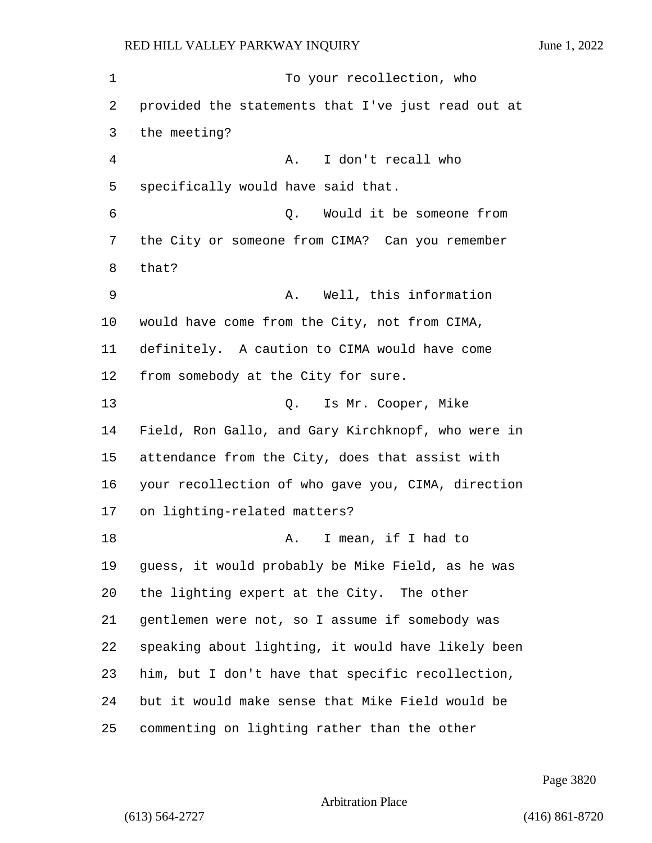1 To your recollection, who provided the statements that I've just read out at the meeting? 4 A. I don't recall who specifically would have said that. 6 Q. Would it be someone from the City or someone from CIMA? Can you remember that? 9 A. Well, this information would have come from the City, not from CIMA, definitely. A caution to CIMA would have come from somebody at the City for sure. 13 Q. Is Mr. Cooper, Mike Field, Ron Gallo, and Gary Kirchknopf, who were in attendance from the City, does that assist with your recollection of who gave you, CIMA, direction on lighting-related matters? 18 A. I mean, if I had to guess, it would probably be Mike Field, as he was the lighting expert at the City. The other gentlemen were not, so I assume if somebody was speaking about lighting, it would have likely been him, but I don't have that specific recollection, but it would make sense that Mike Field would be commenting on lighting rather than the other

Page 3820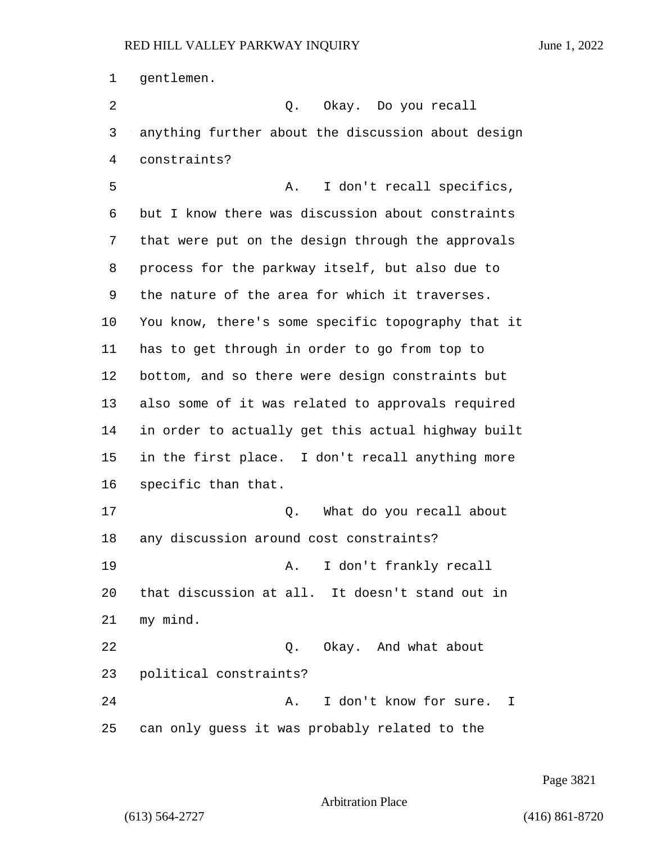gentlemen.

2 Q. Okay. Do you recall anything further about the discussion about design constraints?

5 A. I don't recall specifics, but I know there was discussion about constraints that were put on the design through the approvals process for the parkway itself, but also due to the nature of the area for which it traverses. You know, there's some specific topography that it has to get through in order to go from top to bottom, and so there were design constraints but also some of it was related to approvals required in order to actually get this actual highway built in the first place. I don't recall anything more specific than that. 17 Q. What do you recall about any discussion around cost constraints? 19 A. I don't frankly recall that discussion at all. It doesn't stand out in my mind. 22 Q. Okay. And what about political constraints? 24 A. I don't know for sure. I can only guess it was probably related to the

Page 3821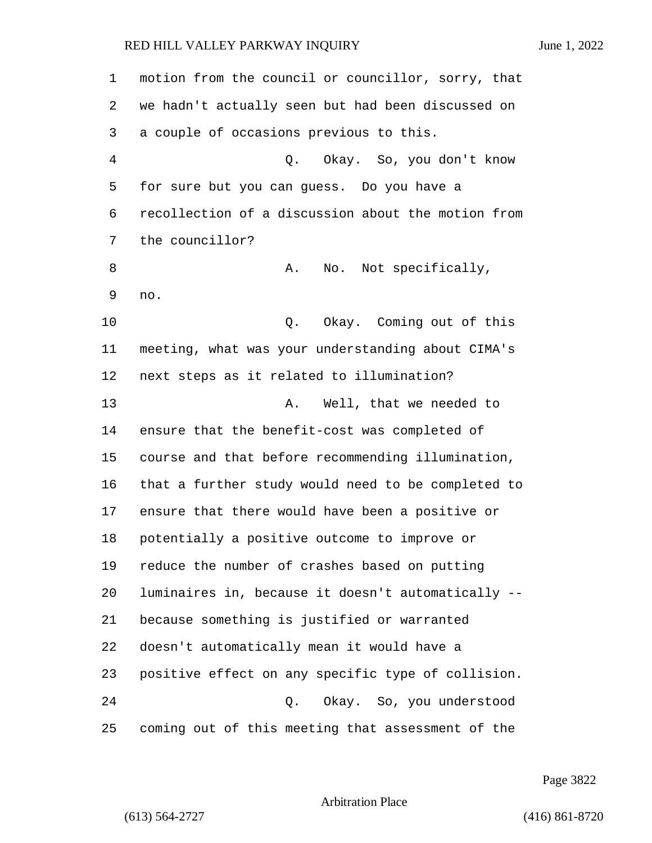| 1              | motion from the council or councillor, sorry, that |
|----------------|----------------------------------------------------|
| 2              | we hadn't actually seen but had been discussed on  |
| 3              | a couple of occasions previous to this.            |
| $\overline{4}$ | Q. Okay. So, you don't know                        |
| 5              | for sure but you can guess. Do you have a          |
| 6              | recollection of a discussion about the motion from |
| 7              | the councillor?                                    |
| 8              | No. Not specifically,<br>А.                        |
| 9              | no.                                                |
| 10             | Q. Okay. Coming out of this                        |
| 11             | meeting, what was your understanding about CIMA's  |
| 12             | next steps as it related to illumination?          |
| 13             | Well, that we needed to<br>Α.                      |
| 14             | ensure that the benefit-cost was completed of      |
| 15             | course and that before recommending illumination,  |
| 16             | that a further study would need to be completed to |
| 17             | ensure that there would have been a positive or    |
| 18             | potentially a positive outcome to improve or       |
| 19             | reduce the number of crashes based on putting      |
| 20             | luminaires in, because it doesn't automatically -- |
| 21             | because something is justified or warranted        |
| 22             | doesn't automatically mean it would have a         |
| 23             | positive effect on any specific type of collision. |
| 24             | Q. Okay. So, you understood                        |
| 25             | coming out of this meeting that assessment of the  |

Page 3822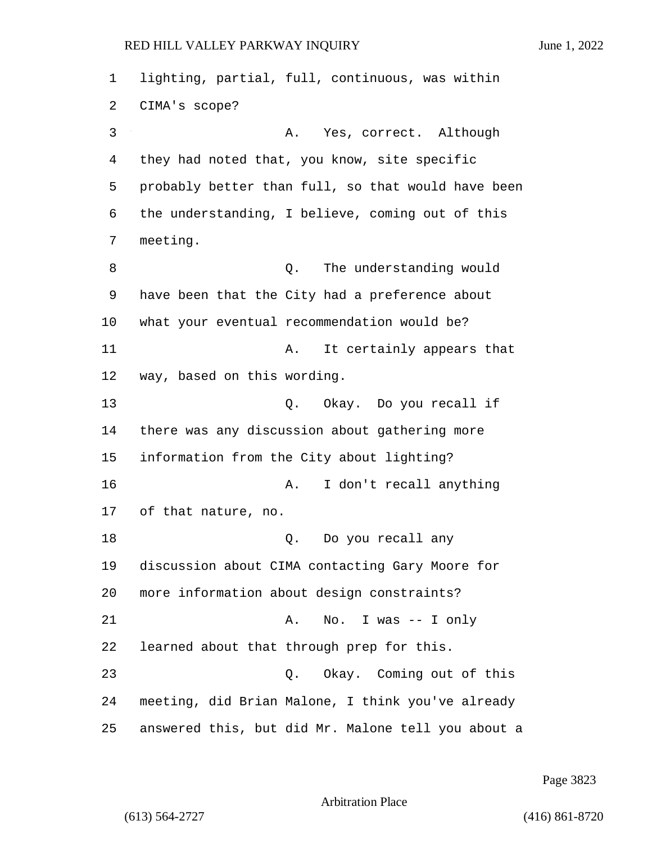lighting, partial, full, continuous, was within CIMA's scope? 3 A. Yes, correct. Although they had noted that, you know, site specific probably better than full, so that would have been the understanding, I believe, coming out of this 7 meeting. 8 and the understanding would have been that the City had a preference about what your eventual recommendation would be? 11 A. It certainly appears that way, based on this wording. 13 Q. Okay. Do you recall if there was any discussion about gathering more information from the City about lighting? 16 A. I don't recall anything of that nature, no. 18 Q. Do you recall any discussion about CIMA contacting Gary Moore for more information about design constraints? 21 A. No. I was -- I only learned about that through prep for this. 23 Q. Okay. Coming out of this meeting, did Brian Malone, I think you've already answered this, but did Mr. Malone tell you about a

Page 3823